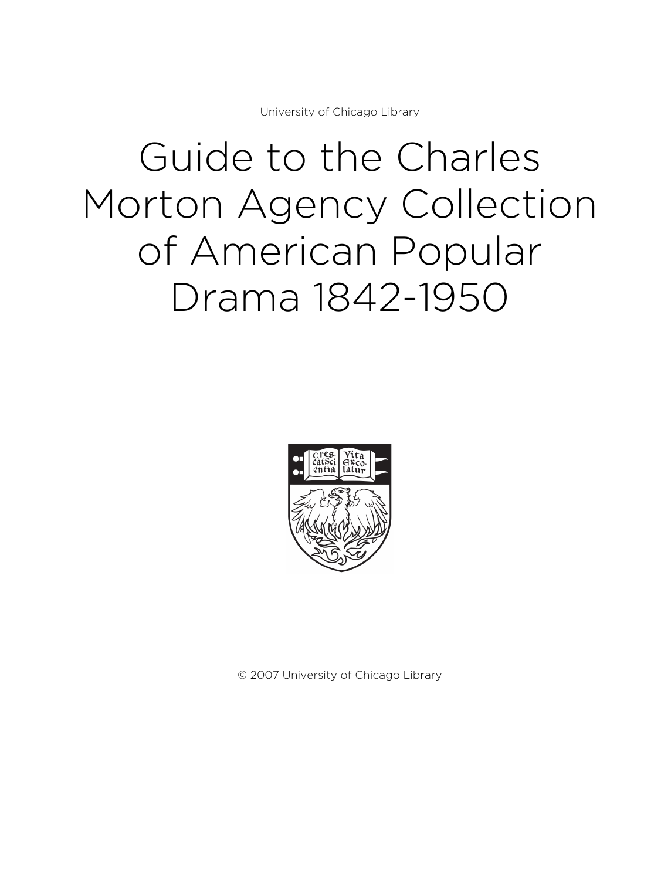University of Chicago Library

# Guide to the Charles Morton Agency Collection of American Popular Drama 1842-1950



© 2007 University of Chicago Library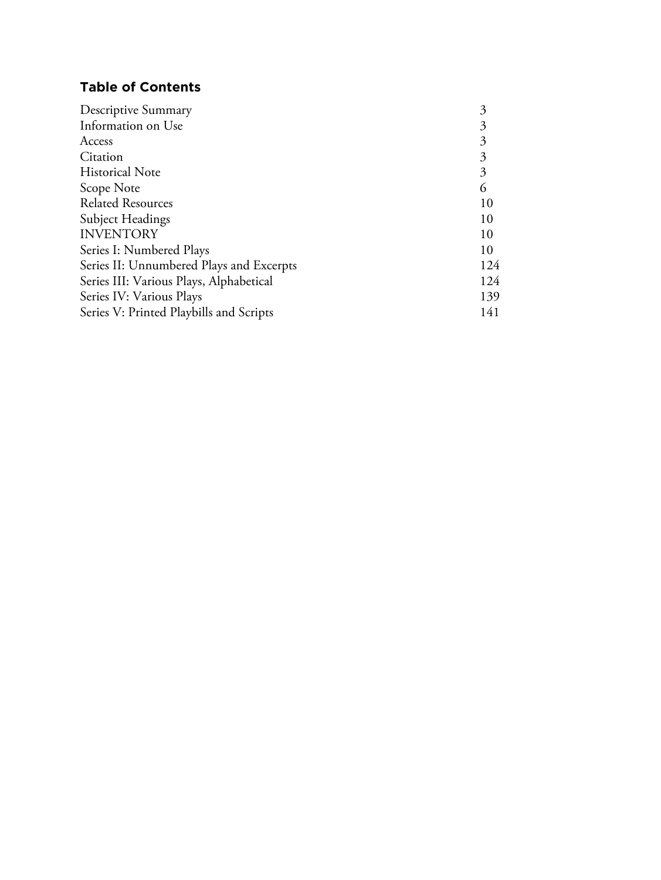# **Table of Contents**

| Descriptive Summary                      | 3   |
|------------------------------------------|-----|
| Information on Use                       |     |
| Access                                   |     |
| Citation                                 | 3   |
| <b>Historical Note</b>                   | 3   |
| Scope Note                               | 6   |
| <b>Related Resources</b>                 | 10  |
| <b>Subject Headings</b>                  | 10  |
| <b>INVENTORY</b>                         | 10  |
| Series I: Numbered Plays                 | 10  |
| Series II: Unnumbered Plays and Excerpts | 124 |
| Series III: Various Plays, Alphabetical  | 124 |
| Series IV: Various Plays                 | 139 |
| Series V: Printed Playbills and Scripts  | 141 |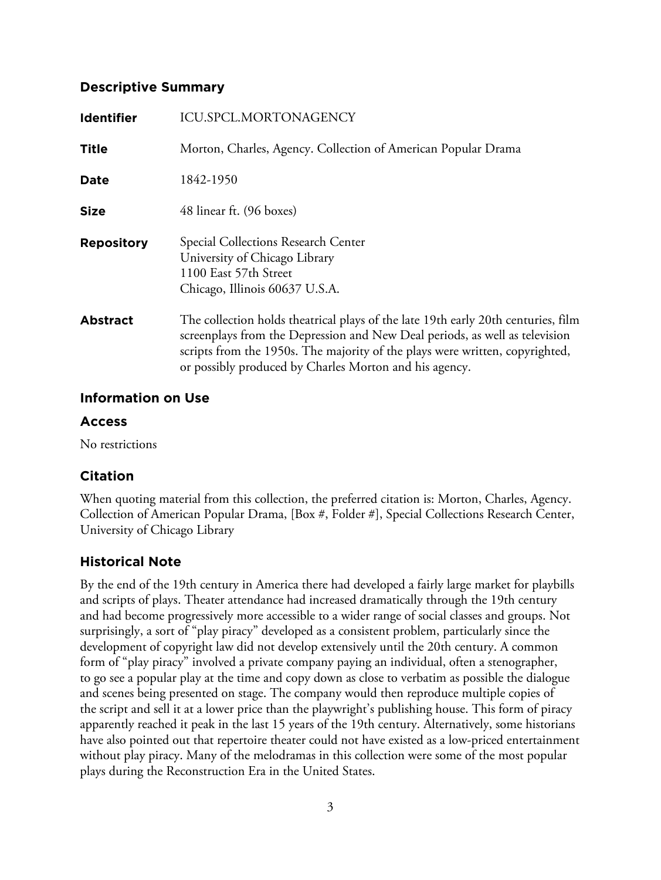# **Descriptive Summary**

| <b>Identifier</b> | <b>ICU.SPCL.MORTONAGENCY</b>                                                                                                                                                                                                                                                                               |  |
|-------------------|------------------------------------------------------------------------------------------------------------------------------------------------------------------------------------------------------------------------------------------------------------------------------------------------------------|--|
| <b>Title</b>      | Morton, Charles, Agency. Collection of American Popular Drama                                                                                                                                                                                                                                              |  |
| Date              | 1842-1950                                                                                                                                                                                                                                                                                                  |  |
| <b>Size</b>       | 48 linear ft. (96 boxes)                                                                                                                                                                                                                                                                                   |  |
| <b>Repository</b> | Special Collections Research Center<br>University of Chicago Library<br>1100 East 57th Street<br>Chicago, Illinois 60637 U.S.A.                                                                                                                                                                            |  |
| <b>Abstract</b>   | The collection holds theatrical plays of the late 19th early 20th centuries, film<br>screenplays from the Depression and New Deal periods, as well as television<br>scripts from the 1950s. The majority of the plays were written, copyrighted,<br>or possibly produced by Charles Morton and his agency. |  |

# **Information on Use**

# **Access**

No restrictions

# **Citation**

When quoting material from this collection, the preferred citation is: Morton, Charles, Agency. Collection of American Popular Drama, [Box #, Folder #], Special Collections Research Center, University of Chicago Library

# **Historical Note**

By the end of the 19th century in America there had developed a fairly large market for playbills and scripts of plays. Theater attendance had increased dramatically through the 19th century and had become progressively more accessible to a wider range of social classes and groups. Not surprisingly, a sort of "play piracy" developed as a consistent problem, particularly since the development of copyright law did not develop extensively until the 20th century. A common form of "play piracy" involved a private company paying an individual, often a stenographer, to go see a popular play at the time and copy down as close to verbatim as possible the dialogue and scenes being presented on stage. The company would then reproduce multiple copies of the script and sell it at a lower price than the playwright's publishing house. This form of piracy apparently reached it peak in the last 15 years of the 19th century. Alternatively, some historians have also pointed out that repertoire theater could not have existed as a low-priced entertainment without play piracy. Many of the melodramas in this collection were some of the most popular plays during the Reconstruction Era in the United States.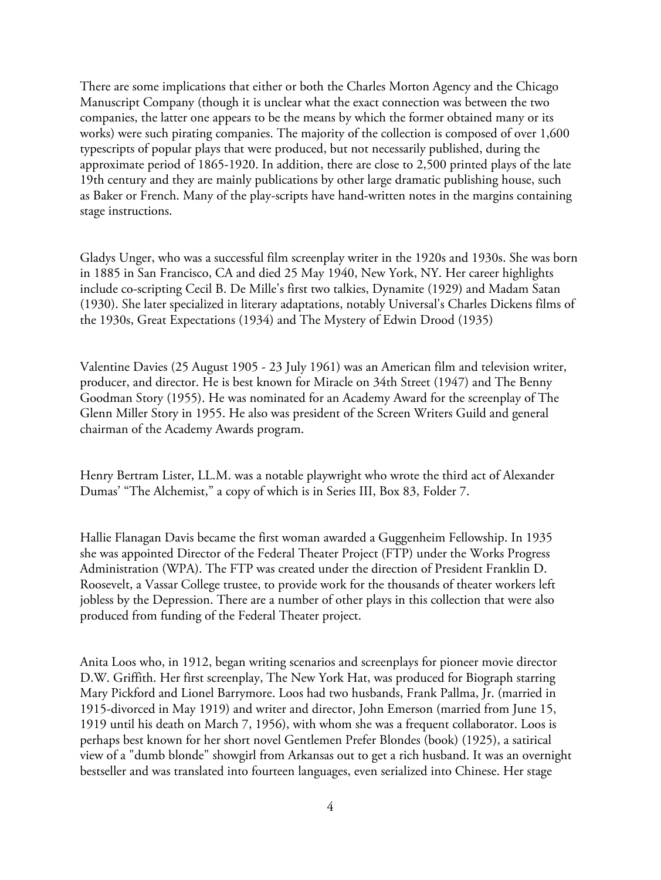There are some implications that either or both the Charles Morton Agency and the Chicago Manuscript Company (though it is unclear what the exact connection was between the two companies, the latter one appears to be the means by which the former obtained many or its works) were such pirating companies. The majority of the collection is composed of over 1,600 typescripts of popular plays that were produced, but not necessarily published, during the approximate period of 1865-1920. In addition, there are close to 2,500 printed plays of the late 19th century and they are mainly publications by other large dramatic publishing house, such as Baker or French. Many of the play-scripts have hand-written notes in the margins containing stage instructions.

Gladys Unger, who was a successful film screenplay writer in the 1920s and 1930s. She was born in 1885 in San Francisco, CA and died 25 May 1940, New York, NY. Her career highlights include co-scripting Cecil B. De Mille's first two talkies, Dynamite (1929) and Madam Satan (1930). She later specialized in literary adaptations, notably Universal's Charles Dickens films of the 1930s, Great Expectations (1934) and The Mystery of Edwin Drood (1935)

Valentine Davies (25 August 1905 - 23 July 1961) was an American film and television writer, producer, and director. He is best known for Miracle on 34th Street (1947) and The Benny Goodman Story (1955). He was nominated for an Academy Award for the screenplay of The Glenn Miller Story in 1955. He also was president of the Screen Writers Guild and general chairman of the Academy Awards program.

Henry Bertram Lister, LL.M. was a notable playwright who wrote the third act of Alexander Dumas' "The Alchemist," a copy of which is in Series III, Box 83, Folder 7.

Hallie Flanagan Davis became the first woman awarded a Guggenheim Fellowship. In 1935 she was appointed Director of the Federal Theater Project (FTP) under the Works Progress Administration (WPA). The FTP was created under the direction of President Franklin D. Roosevelt, a Vassar College trustee, to provide work for the thousands of theater workers left jobless by the Depression. There are a number of other plays in this collection that were also produced from funding of the Federal Theater project.

Anita Loos who, in 1912, began writing scenarios and screenplays for pioneer movie director D.W. Griffith. Her first screenplay, The New York Hat, was produced for Biograph starring Mary Pickford and Lionel Barrymore. Loos had two husbands, Frank Pallma, Jr. (married in 1915-divorced in May 1919) and writer and director, John Emerson (married from June 15, 1919 until his death on March 7, 1956), with whom she was a frequent collaborator. Loos is perhaps best known for her short novel Gentlemen Prefer Blondes (book) (1925), a satirical view of a "dumb blonde" showgirl from Arkansas out to get a rich husband. It was an overnight bestseller and was translated into fourteen languages, even serialized into Chinese. Her stage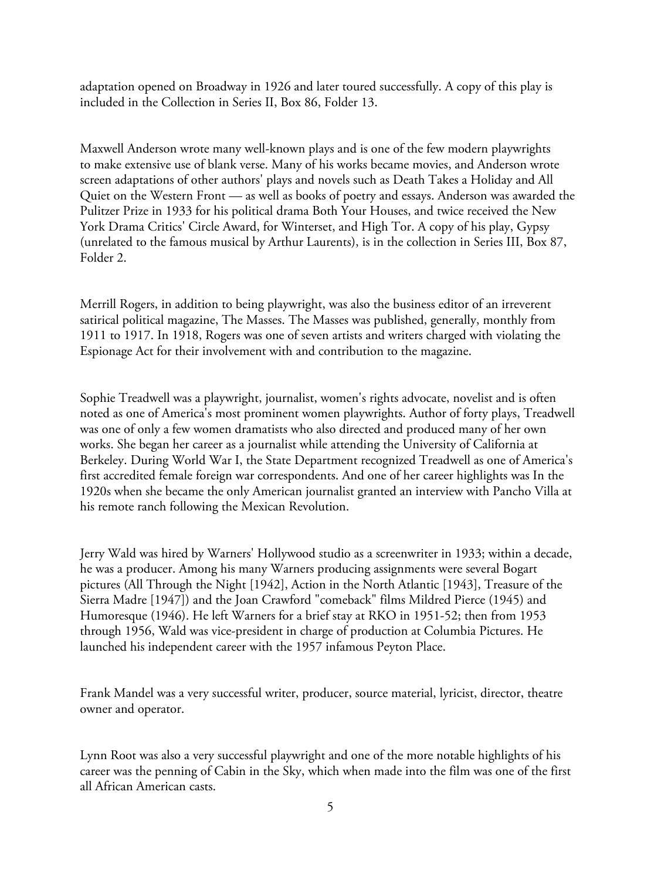adaptation opened on Broadway in 1926 and later toured successfully. A copy of this play is included in the Collection in Series II, Box 86, Folder 13.

Maxwell Anderson wrote many well-known plays and is one of the few modern playwrights to make extensive use of blank verse. Many of his works became movies, and Anderson wrote screen adaptations of other authors' plays and novels such as Death Takes a Holiday and All Quiet on the Western Front — as well as books of poetry and essays. Anderson was awarded the Pulitzer Prize in 1933 for his political drama Both Your Houses, and twice received the New York Drama Critics' Circle Award, for Winterset, and High Tor. A copy of his play, Gypsy (unrelated to the famous musical by Arthur Laurents), is in the collection in Series III, Box 87, Folder 2.

Merrill Rogers, in addition to being playwright, was also the business editor of an irreverent satirical political magazine, The Masses. The Masses was published, generally, monthly from 1911 to 1917. In 1918, Rogers was one of seven artists and writers charged with violating the Espionage Act for their involvement with and contribution to the magazine.

Sophie Treadwell was a playwright, journalist, women's rights advocate, novelist and is often noted as one of America's most prominent women playwrights. Author of forty plays, Treadwell was one of only a few women dramatists who also directed and produced many of her own works. She began her career as a journalist while attending the University of California at Berkeley. During World War I, the State Department recognized Treadwell as one of America's first accredited female foreign war correspondents. And one of her career highlights was In the 1920s when she became the only American journalist granted an interview with Pancho Villa at his remote ranch following the Mexican Revolution.

Jerry Wald was hired by Warners' Hollywood studio as a screenwriter in 1933; within a decade, he was a producer. Among his many Warners producing assignments were several Bogart pictures (All Through the Night [1942], Action in the North Atlantic [1943], Treasure of the Sierra Madre [1947]) and the Joan Crawford "comeback" films Mildred Pierce (1945) and Humoresque (1946). He left Warners for a brief stay at RKO in 1951-52; then from 1953 through 1956, Wald was vice-president in charge of production at Columbia Pictures. He launched his independent career with the 1957 infamous Peyton Place.

Frank Mandel was a very successful writer, producer, source material, lyricist, director, theatre owner and operator.

Lynn Root was also a very successful playwright and one of the more notable highlights of his career was the penning of Cabin in the Sky, which when made into the film was one of the first all African American casts.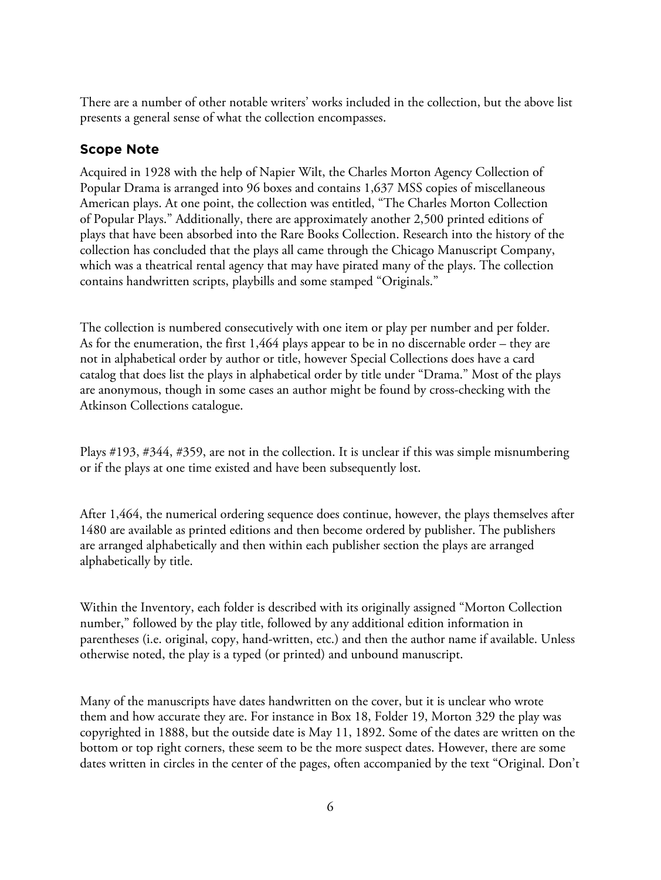There are a number of other notable writers' works included in the collection, but the above list presents a general sense of what the collection encompasses.

# **Scope Note**

Acquired in 1928 with the help of Napier Wilt, the Charles Morton Agency Collection of Popular Drama is arranged into 96 boxes and contains 1,637 MSS copies of miscellaneous American plays. At one point, the collection was entitled, "The Charles Morton Collection of Popular Plays." Additionally, there are approximately another 2,500 printed editions of plays that have been absorbed into the Rare Books Collection. Research into the history of the collection has concluded that the plays all came through the Chicago Manuscript Company, which was a theatrical rental agency that may have pirated many of the plays. The collection contains handwritten scripts, playbills and some stamped "Originals."

The collection is numbered consecutively with one item or play per number and per folder. As for the enumeration, the first 1,464 plays appear to be in no discernable order – they are not in alphabetical order by author or title, however Special Collections does have a card catalog that does list the plays in alphabetical order by title under "Drama." Most of the plays are anonymous, though in some cases an author might be found by cross-checking with the Atkinson Collections catalogue.

Plays #193, #344, #359, are not in the collection. It is unclear if this was simple misnumbering or if the plays at one time existed and have been subsequently lost.

After 1,464, the numerical ordering sequence does continue, however, the plays themselves after 1480 are available as printed editions and then become ordered by publisher. The publishers are arranged alphabetically and then within each publisher section the plays are arranged alphabetically by title.

Within the Inventory, each folder is described with its originally assigned "Morton Collection number," followed by the play title, followed by any additional edition information in parentheses (i.e. original, copy, hand-written, etc.) and then the author name if available. Unless otherwise noted, the play is a typed (or printed) and unbound manuscript.

Many of the manuscripts have dates handwritten on the cover, but it is unclear who wrote them and how accurate they are. For instance in Box 18, Folder 19, Morton 329 the play was copyrighted in 1888, but the outside date is May 11, 1892. Some of the dates are written on the bottom or top right corners, these seem to be the more suspect dates. However, there are some dates written in circles in the center of the pages, often accompanied by the text "Original. Don't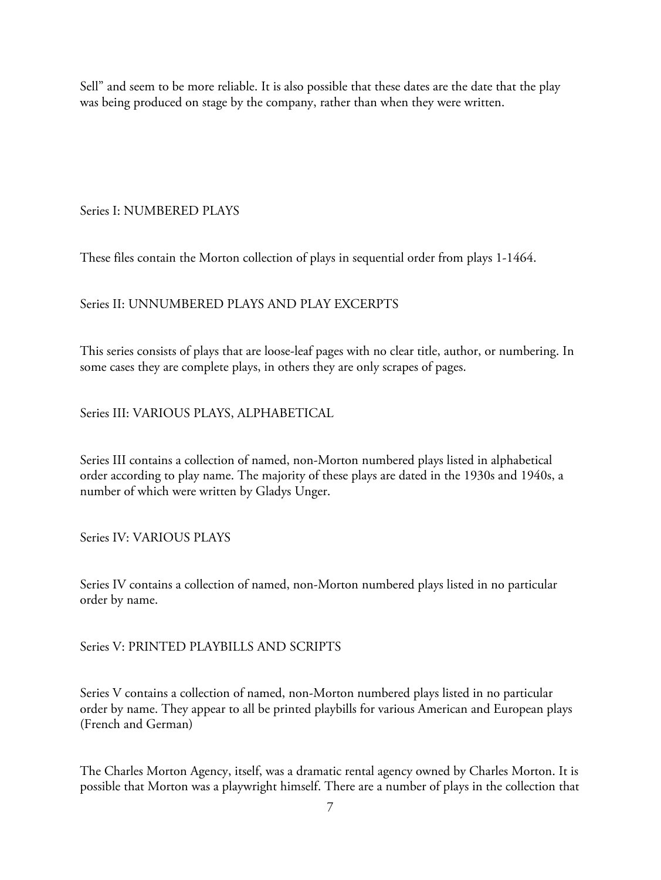Sell" and seem to be more reliable. It is also possible that these dates are the date that the play was being produced on stage by the company, rather than when they were written.

# Series I: NUMBERED PLAYS

These files contain the Morton collection of plays in sequential order from plays 1-1464.

# Series II: UNNUMBERED PLAYS AND PLAY EXCERPTS

This series consists of plays that are loose-leaf pages with no clear title, author, or numbering. In some cases they are complete plays, in others they are only scrapes of pages.

Series III: VARIOUS PLAYS, ALPHABETICAL

Series III contains a collection of named, non-Morton numbered plays listed in alphabetical order according to play name. The majority of these plays are dated in the 1930s and 1940s, a number of which were written by Gladys Unger.

Series IV: VARIOUS PLAYS

Series IV contains a collection of named, non-Morton numbered plays listed in no particular order by name.

Series V: PRINTED PLAYBILLS AND SCRIPTS

Series V contains a collection of named, non-Morton numbered plays listed in no particular order by name. They appear to all be printed playbills for various American and European plays (French and German)

The Charles Morton Agency, itself, was a dramatic rental agency owned by Charles Morton. It is possible that Morton was a playwright himself. There are a number of plays in the collection that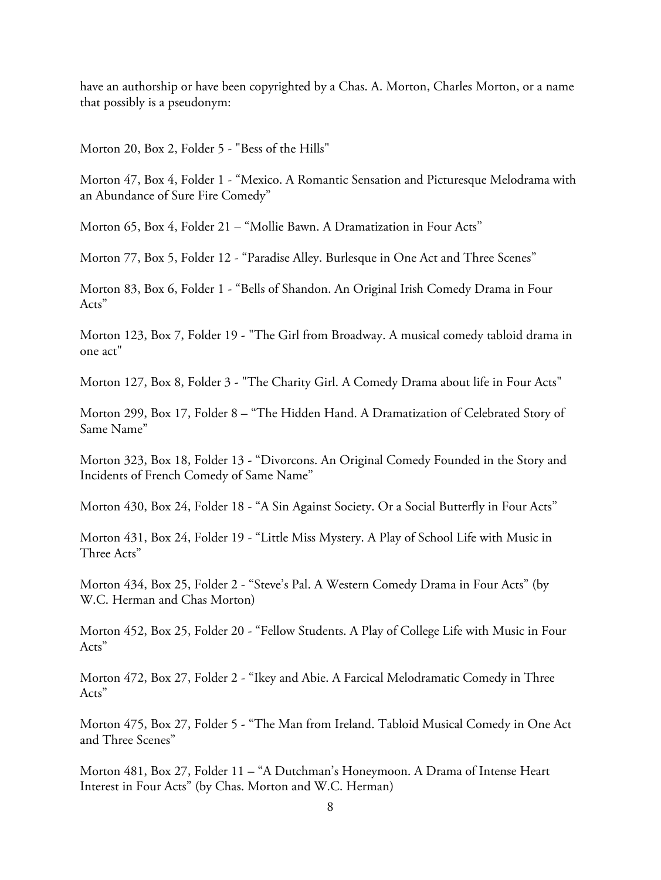have an authorship or have been copyrighted by a Chas. A. Morton, Charles Morton, or a name that possibly is a pseudonym:

Morton 20, Box 2, Folder 5 - "Bess of the Hills"

Morton 47, Box 4, Folder 1 - "Mexico. A Romantic Sensation and Picturesque Melodrama with an Abundance of Sure Fire Comedy"

Morton 65, Box 4, Folder 21 – "Mollie Bawn. A Dramatization in Four Acts"

Morton 77, Box 5, Folder 12 - "Paradise Alley. Burlesque in One Act and Three Scenes"

Morton 83, Box 6, Folder 1 - "Bells of Shandon. An Original Irish Comedy Drama in Four Acts"

Morton 123, Box 7, Folder 19 - "The Girl from Broadway. A musical comedy tabloid drama in one act"

Morton 127, Box 8, Folder 3 - "The Charity Girl. A Comedy Drama about life in Four Acts"

Morton 299, Box 17, Folder 8 – "The Hidden Hand. A Dramatization of Celebrated Story of Same Name"

Morton 323, Box 18, Folder 13 - "Divorcons. An Original Comedy Founded in the Story and Incidents of French Comedy of Same Name"

Morton 430, Box 24, Folder 18 - "A Sin Against Society. Or a Social Butterfly in Four Acts"

Morton 431, Box 24, Folder 19 - "Little Miss Mystery. A Play of School Life with Music in Three Acts"

Morton 434, Box 25, Folder 2 - "Steve's Pal. A Western Comedy Drama in Four Acts" (by W.C. Herman and Chas Morton)

Morton 452, Box 25, Folder 20 - "Fellow Students. A Play of College Life with Music in Four Acts"

Morton 472, Box 27, Folder 2 - "Ikey and Abie. A Farcical Melodramatic Comedy in Three Acts"

Morton 475, Box 27, Folder 5 - "The Man from Ireland. Tabloid Musical Comedy in One Act and Three Scenes"

Morton 481, Box 27, Folder 11 – "A Dutchman's Honeymoon. A Drama of Intense Heart Interest in Four Acts" (by Chas. Morton and W.C. Herman)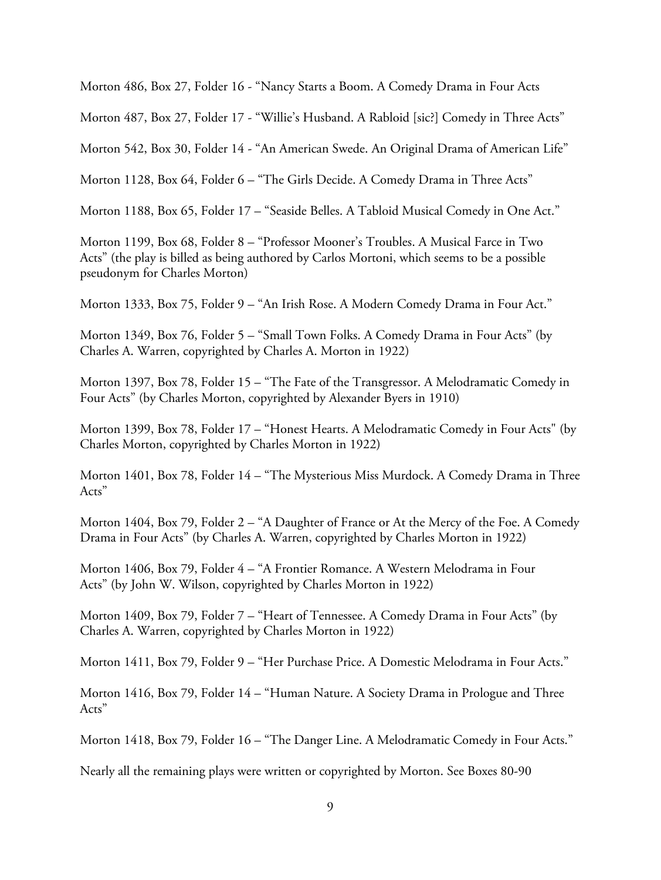Morton 486, Box 27, Folder 16 - "Nancy Starts a Boom. A Comedy Drama in Four Acts

Morton 487, Box 27, Folder 17 - "Willie's Husband. A Rabloid [sic?] Comedy in Three Acts"

Morton 542, Box 30, Folder 14 - "An American Swede. An Original Drama of American Life"

Morton 1128, Box 64, Folder 6 – "The Girls Decide. A Comedy Drama in Three Acts"

Morton 1188, Box 65, Folder 17 – "Seaside Belles. A Tabloid Musical Comedy in One Act."

Morton 1199, Box 68, Folder 8 – "Professor Mooner's Troubles. A Musical Farce in Two Acts" (the play is billed as being authored by Carlos Mortoni, which seems to be a possible pseudonym for Charles Morton)

Morton 1333, Box 75, Folder 9 – "An Irish Rose. A Modern Comedy Drama in Four Act."

Morton 1349, Box 76, Folder 5 – "Small Town Folks. A Comedy Drama in Four Acts" (by Charles A. Warren, copyrighted by Charles A. Morton in 1922)

Morton 1397, Box 78, Folder 15 – "The Fate of the Transgressor. A Melodramatic Comedy in Four Acts" (by Charles Morton, copyrighted by Alexander Byers in 1910)

Morton 1399, Box 78, Folder 17 – "Honest Hearts. A Melodramatic Comedy in Four Acts" (by Charles Morton, copyrighted by Charles Morton in 1922)

Morton 1401, Box 78, Folder 14 – "The Mysterious Miss Murdock. A Comedy Drama in Three Acts"

Morton 1404, Box 79, Folder 2 – "A Daughter of France or At the Mercy of the Foe. A Comedy Drama in Four Acts" (by Charles A. Warren, copyrighted by Charles Morton in 1922)

Morton 1406, Box 79, Folder 4 – "A Frontier Romance. A Western Melodrama in Four Acts" (by John W. Wilson, copyrighted by Charles Morton in 1922)

Morton 1409, Box 79, Folder 7 – "Heart of Tennessee. A Comedy Drama in Four Acts" (by Charles A. Warren, copyrighted by Charles Morton in 1922)

Morton 1411, Box 79, Folder 9 – "Her Purchase Price. A Domestic Melodrama in Four Acts."

Morton 1416, Box 79, Folder 14 – "Human Nature. A Society Drama in Prologue and Three Acts"

Morton 1418, Box 79, Folder 16 – "The Danger Line. A Melodramatic Comedy in Four Acts."

Nearly all the remaining plays were written or copyrighted by Morton. See Boxes 80-90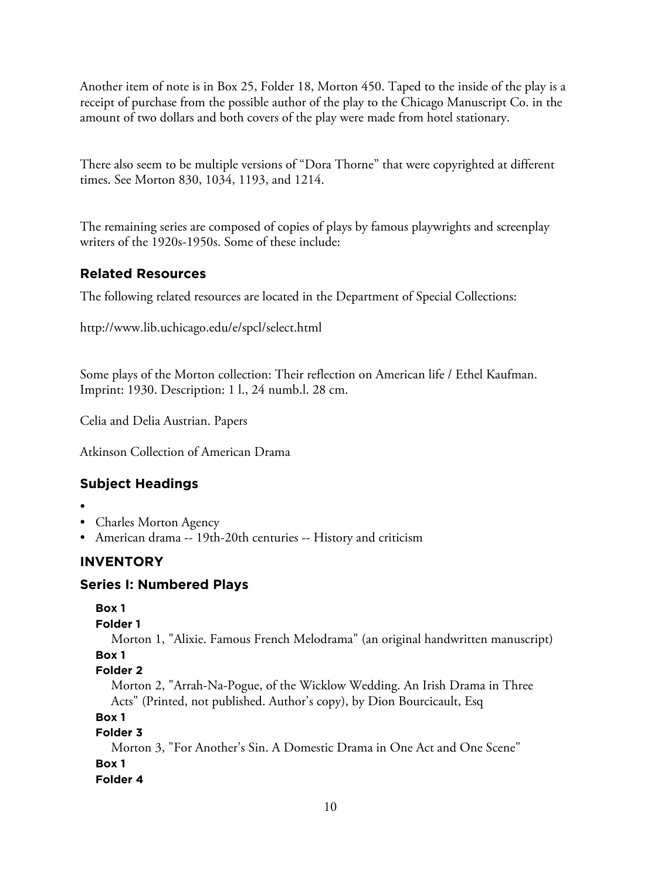Another item of note is in Box 25, Folder 18, Morton 450. Taped to the inside of the play is a receipt of purchase from the possible author of the play to the Chicago Manuscript Co. in the amount of two dollars and both covers of the play were made from hotel stationary.

There also seem to be multiple versions of "Dora Thorne" that were copyrighted at different times. See Morton 830, 1034, 1193, and 1214.

The remaining series are composed of copies of plays by famous playwrights and screenplay writers of the 1920s-1950s. Some of these include:

# **Related Resources**

The following related resources are located in the Department of Special Collections:

http://www.lib.uchicago.edu/e/spcl/select.html

Some plays of the Morton collection: Their reflection on American life / Ethel Kaufman. Imprint: 1930. Description: 1 l., 24 numb.l. 28 cm.

Celia and Delia Austrian. Papers

Atkinson Collection of American Drama

# **Subject Headings**

- •
- Charles Morton Agency
- American drama -- 19th-20th centuries -- History and criticism

# **INVENTORY**

# **Series I: Numbered Plays**

```
Box 1
```

```
Folder 1
```
Morton 1, "Alixie. Famous French Melodrama" (an original handwritten manuscript) **Box 1**

```
Folder 2
```
Morton 2, "Arrah-Na-Pogue, of the Wicklow Wedding. An Irish Drama in Three Acts" (Printed, not published. Author's copy), by Dion Bourcicault, Esq

```
Box 1
```
#### **Folder 3**

Morton 3, "For Another's Sin. A Domestic Drama in One Act and One Scene" **Box 1**

**Folder 4**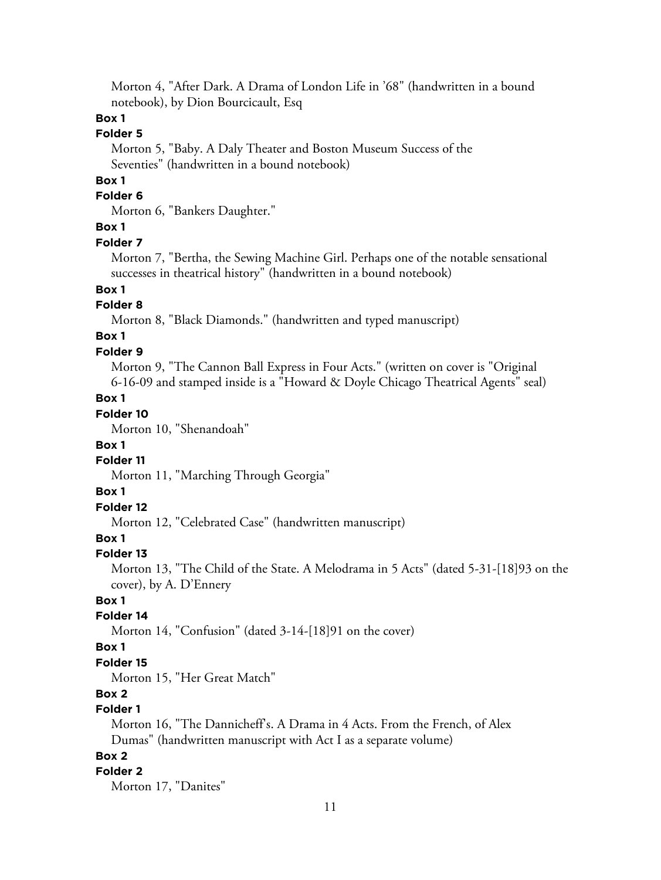Morton 4, "After Dark. A Drama of London Life in '68" (handwritten in a bound notebook), by Dion Bourcicault, Esq

# **Box 1**

# **Folder 5**

Morton 5, "Baby. A Daly Theater and Boston Museum Success of the Seventies" (handwritten in a bound notebook)

# **Box 1**

# **Folder 6**

Morton 6, "Bankers Daughter."

### **Box 1**

#### **Folder 7**

Morton 7, "Bertha, the Sewing Machine Girl. Perhaps one of the notable sensational successes in theatrical history" (handwritten in a bound notebook)

# **Box 1**

# **Folder 8**

Morton 8, "Black Diamonds." (handwritten and typed manuscript)

# **Box 1**

#### **Folder 9**

Morton 9, "The Cannon Ball Express in Four Acts." (written on cover is "Original 6-16-09 and stamped inside is a "Howard & Doyle Chicago Theatrical Agents" seal)

# **Box 1**

# **Folder 10**

Morton 10, "Shenandoah"

### **Box 1**

# **Folder 11**

Morton 11, "Marching Through Georgia"

#### **Box 1**

# **Folder 12**

Morton 12, "Celebrated Case" (handwritten manuscript)

# **Box 1**

#### **Folder 13**

Morton 13, "The Child of the State. A Melodrama in 5 Acts" (dated 5-31-[18]93 on the cover), by A. D'Ennery

#### **Box 1**

### **Folder 14**

Morton 14, "Confusion" (dated 3-14-[18]91 on the cover)

### **Box 1**

#### **Folder 15**

Morton 15, "Her Great Match"

# **Box 2**

# **Folder 1**

Morton 16, "The Dannicheff's. A Drama in 4 Acts. From the French, of Alex Dumas" (handwritten manuscript with Act I as a separate volume)

# **Box 2**

#### **Folder 2**

Morton 17, "Danites"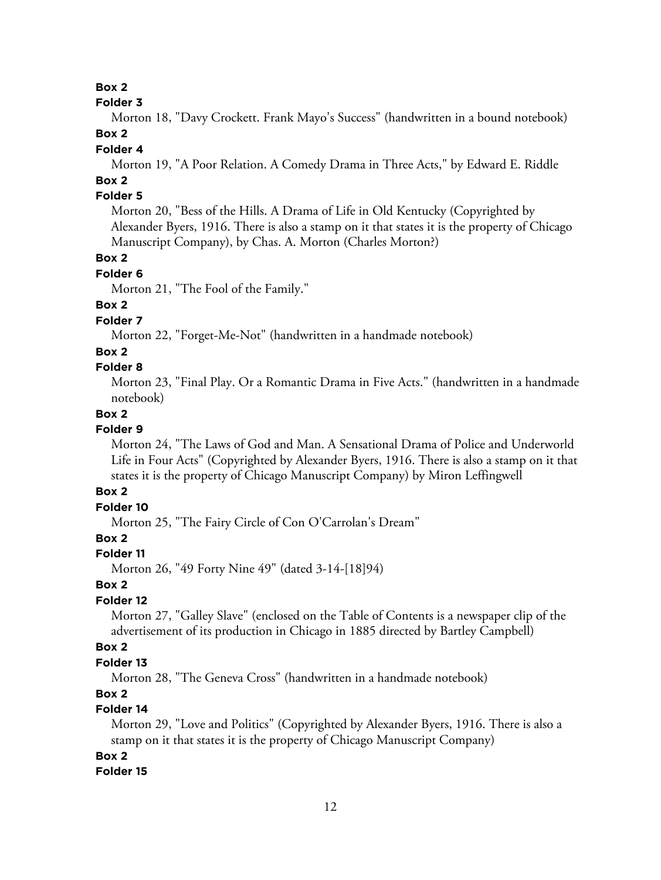#### **Folder 3**

Morton 18, "Davy Crockett. Frank Mayo's Success" (handwritten in a bound notebook)

# **Box 2**

# **Folder 4**

Morton 19, "A Poor Relation. A Comedy Drama in Three Acts," by Edward E. Riddle

# **Box 2**

# **Folder 5**

Morton 20, "Bess of the Hills. A Drama of Life in Old Kentucky (Copyrighted by Alexander Byers, 1916. There is also a stamp on it that states it is the property of Chicago Manuscript Company), by Chas. A. Morton (Charles Morton?)

# **Box 2**

#### **Folder 6**

Morton 21, "The Fool of the Family."

# **Box 2**

# **Folder 7**

Morton 22, "Forget-Me-Not" (handwritten in a handmade notebook)

### **Box 2**

### **Folder 8**

Morton 23, "Final Play. Or a Romantic Drama in Five Acts." (handwritten in a handmade notebook)

# **Box 2**

# **Folder 9**

Morton 24, "The Laws of God and Man. A Sensational Drama of Police and Underworld Life in Four Acts" (Copyrighted by Alexander Byers, 1916. There is also a stamp on it that states it is the property of Chicago Manuscript Company) by Miron Leffingwell

# **Box 2**

# **Folder 10**

Morton 25, "The Fairy Circle of Con O'Carrolan's Dream"

# **Box 2**

# **Folder 11**

Morton 26, "49 Forty Nine 49" (dated 3-14-[18]94)

#### **Box 2**

# **Folder 12**

Morton 27, "Galley Slave" (enclosed on the Table of Contents is a newspaper clip of the advertisement of its production in Chicago in 1885 directed by Bartley Campbell)

# **Box 2**

# **Folder 13**

Morton 28, "The Geneva Cross" (handwritten in a handmade notebook)

# **Box 2**

# **Folder 14**

Morton 29, "Love and Politics" (Copyrighted by Alexander Byers, 1916. There is also a stamp on it that states it is the property of Chicago Manuscript Company)

### **Box 2**

# **Folder 15**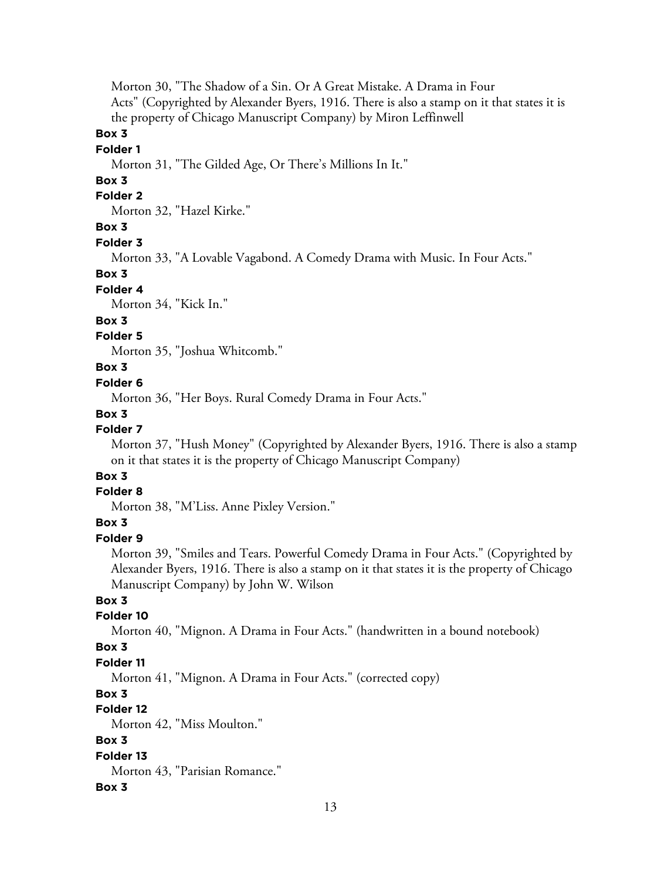Morton 30, "The Shadow of a Sin. Or A Great Mistake. A Drama in Four Acts" (Copyrighted by Alexander Byers, 1916. There is also a stamp on it that states it is the property of Chicago Manuscript Company) by Miron Leffinwell

# **Box 3**

# **Folder 1**

Morton 31, "The Gilded Age, Or There's Millions In It."

# **Box 3**

# **Folder 2**

Morton 32, "Hazel Kirke."

# **Box 3**

#### **Folder 3**

Morton 33, "A Lovable Vagabond. A Comedy Drama with Music. In Four Acts."

#### **Box 3**

#### **Folder 4**

Morton 34, "Kick In."

# **Box 3**

# **Folder 5**

Morton 35, "Joshua Whitcomb."

# **Box 3**

# **Folder 6**

Morton 36, "Her Boys. Rural Comedy Drama in Four Acts."

#### **Box 3**

# **Folder 7**

Morton 37, "Hush Money" (Copyrighted by Alexander Byers, 1916. There is also a stamp on it that states it is the property of Chicago Manuscript Company)

# **Box 3**

# **Folder 8**

Morton 38, "M'Liss. Anne Pixley Version."

# **Box 3**

# **Folder 9**

Morton 39, "Smiles and Tears. Powerful Comedy Drama in Four Acts." (Copyrighted by Alexander Byers, 1916. There is also a stamp on it that states it is the property of Chicago Manuscript Company) by John W. Wilson

# **Box 3**

# **Folder 10**

Morton 40, "Mignon. A Drama in Four Acts." (handwritten in a bound notebook)

### **Box 3**

#### **Folder 11**

Morton 41, "Mignon. A Drama in Four Acts." (corrected copy)

#### **Box 3**

### **Folder 12**

Morton 42, "Miss Moulton."

# **Box 3**

### **Folder 13**

Morton 43, "Parisian Romance."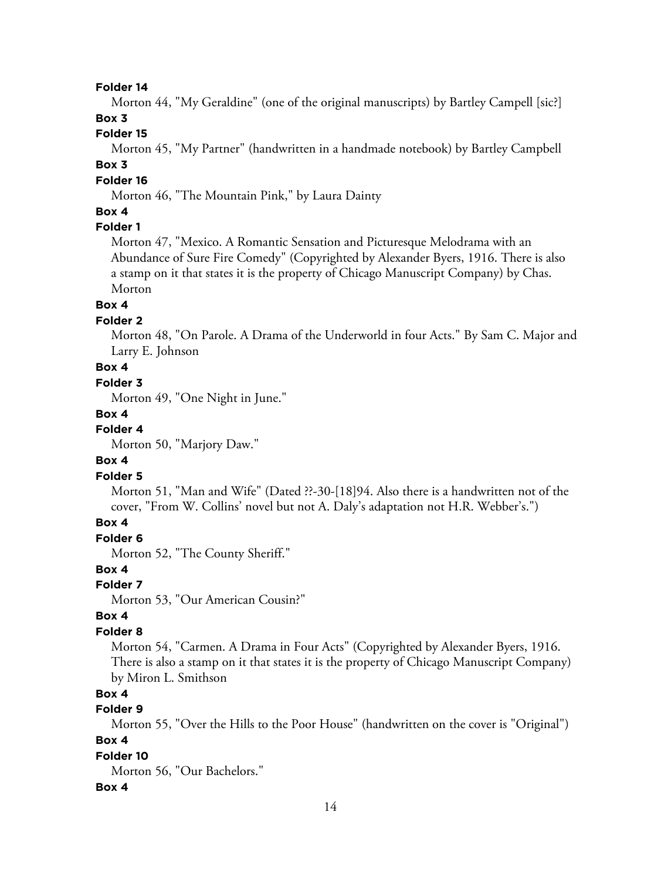Morton 44, "My Geraldine" (one of the original manuscripts) by Bartley Campell [sic?]

# **Box 3**

# **Folder 15**

Morton 45, "My Partner" (handwritten in a handmade notebook) by Bartley Campbell

# **Box 3**

# **Folder 16**

Morton 46, "The Mountain Pink," by Laura Dainty

# **Box 4**

# **Folder 1**

Morton 47, "Mexico. A Romantic Sensation and Picturesque Melodrama with an Abundance of Sure Fire Comedy" (Copyrighted by Alexander Byers, 1916. There is also a stamp on it that states it is the property of Chicago Manuscript Company) by Chas. Morton

### **Box 4**

# **Folder 2**

Morton 48, "On Parole. A Drama of the Underworld in four Acts." By Sam C. Major and Larry E. Johnson

# **Box 4**

# **Folder 3**

Morton 49, "One Night in June."

#### **Box 4**

#### **Folder 4**

Morton 50, "Marjory Daw."

### **Box 4**

#### **Folder 5**

Morton 51, "Man and Wife" (Dated ??-30-[18]94. Also there is a handwritten not of the cover, "From W. Collins' novel but not A. Daly's adaptation not H.R. Webber's.")

# **Box 4**

#### **Folder 6**

Morton 52, "The County Sheriff."

### **Box 4**

#### **Folder 7**

Morton 53, "Our American Cousin?"

#### **Box 4**

### **Folder 8**

Morton 54, "Carmen. A Drama in Four Acts" (Copyrighted by Alexander Byers, 1916. There is also a stamp on it that states it is the property of Chicago Manuscript Company) by Miron L. Smithson

# **Box 4**

# **Folder 9**

Morton 55, "Over the Hills to the Poor House" (handwritten on the cover is "Original") **Box 4**

# **Folder 10**

Morton 56, "Our Bachelors."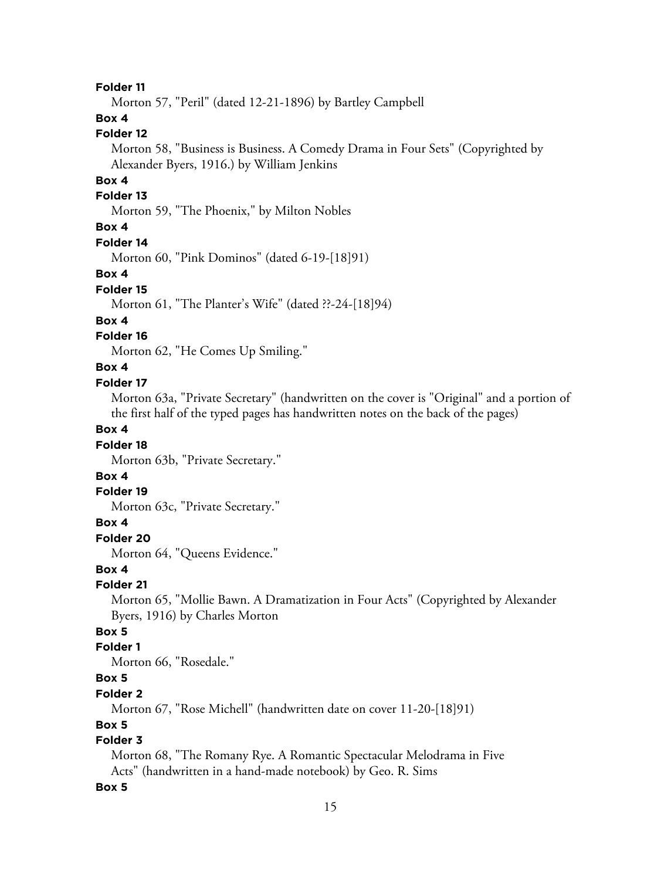Morton 57, "Peril" (dated 12-21-1896) by Bartley Campbell

# **Box 4**

# **Folder 12**

Morton 58, "Business is Business. A Comedy Drama in Four Sets" (Copyrighted by Alexander Byers, 1916.) by William Jenkins

# **Box 4**

# **Folder 13**

Morton 59, "The Phoenix," by Milton Nobles

# **Box 4**

#### **Folder 14**

Morton 60, "Pink Dominos" (dated 6-19-[18]91)

#### **Box 4**

#### **Folder 15**

Morton 61, "The Planter's Wife" (dated ??-24-[18]94)

# **Box 4**

# **Folder 16**

Morton 62, "He Comes Up Smiling."

# **Box 4**

# **Folder 17**

Morton 63a, "Private Secretary" (handwritten on the cover is "Original" and a portion of the first half of the typed pages has handwritten notes on the back of the pages)

# **Box 4**

### **Folder 18**

Morton 63b, "Private Secretary."

# **Box 4**

#### **Folder 19**

Morton 63c, "Private Secretary."

### **Box 4**

#### **Folder 20**

Morton 64, "Queens Evidence."

#### **Box 4**

#### **Folder 21**

Morton 65, "Mollie Bawn. A Dramatization in Four Acts" (Copyrighted by Alexander Byers, 1916) by Charles Morton

# **Box 5**

# **Folder 1**

Morton 66, "Rosedale."

# **Box 5**

# **Folder 2**

Morton 67, "Rose Michell" (handwritten date on cover 11-20-[18]91)

# **Box 5**

# **Folder 3**

Morton 68, "The Romany Rye. A Romantic Spectacular Melodrama in Five Acts" (handwritten in a hand-made notebook) by Geo. R. Sims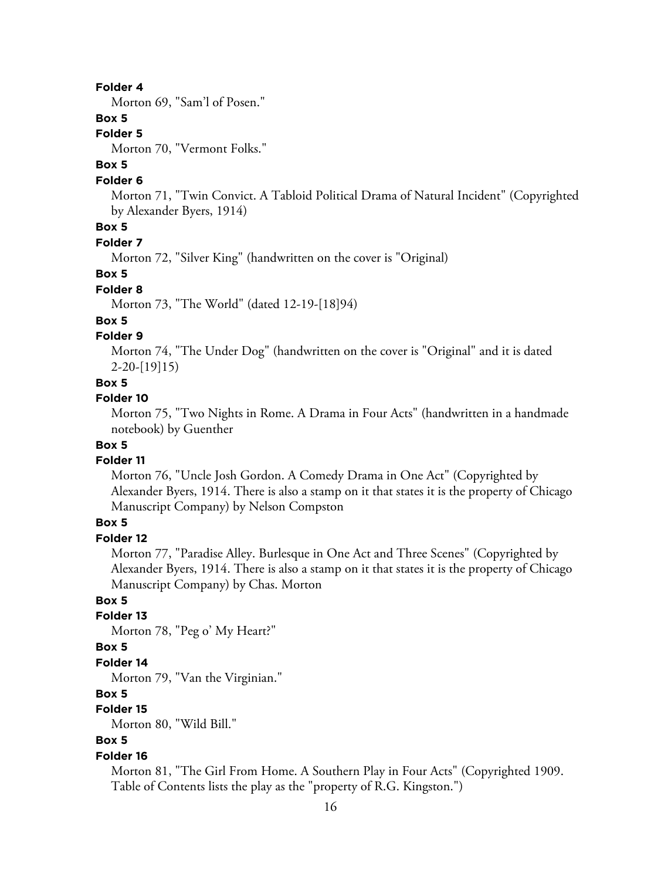Morton 69, "Sam'l of Posen."

# **Box 5**

#### **Folder 5**

Morton 70, "Vermont Folks."

# **Box 5**

#### **Folder 6**

Morton 71, "Twin Convict. A Tabloid Political Drama of Natural Incident" (Copyrighted by Alexander Byers, 1914)

# **Box 5**

# **Folder 7**

Morton 72, "Silver King" (handwritten on the cover is "Original)

#### **Box 5**

#### **Folder 8**

Morton 73, "The World" (dated 12-19-[18]94)

### **Box 5**

# **Folder 9**

Morton 74, "The Under Dog" (handwritten on the cover is "Original" and it is dated 2-20-[19]15)

# **Box 5**

### **Folder 10**

Morton 75, "Two Nights in Rome. A Drama in Four Acts" (handwritten in a handmade notebook) by Guenther

### **Box 5**

#### **Folder 11**

Morton 76, "Uncle Josh Gordon. A Comedy Drama in One Act" (Copyrighted by Alexander Byers, 1914. There is also a stamp on it that states it is the property of Chicago Manuscript Company) by Nelson Compston

# **Box 5**

# **Folder 12**

Morton 77, "Paradise Alley. Burlesque in One Act and Three Scenes" (Copyrighted by Alexander Byers, 1914. There is also a stamp on it that states it is the property of Chicago Manuscript Company) by Chas. Morton

# **Box 5**

# **Folder 13**

Morton 78, "Peg o' My Heart?"

# **Box 5**

### **Folder 14**

Morton 79, "Van the Virginian."

#### **Box 5**

### **Folder 15**

Morton 80, "Wild Bill."

# **Box 5**

#### **Folder 16**

Morton 81, "The Girl From Home. A Southern Play in Four Acts" (Copyrighted 1909. Table of Contents lists the play as the "property of R.G. Kingston.")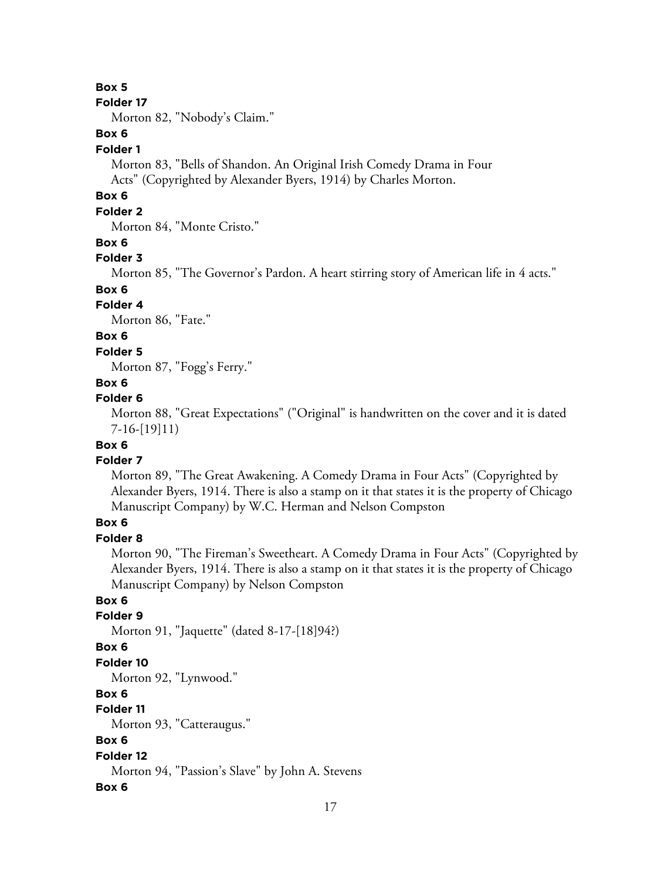#### **Folder 17**

Morton 82, "Nobody's Claim."

# **Box 6**

# **Folder 1**

Morton 83, "Bells of Shandon. An Original Irish Comedy Drama in Four Acts" (Copyrighted by Alexander Byers, 1914) by Charles Morton.

# **Box 6**

# **Folder 2**

Morton 84, "Monte Cristo."

# **Box 6**

# **Folder 3**

Morton 85, "The Governor's Pardon. A heart stirring story of American life in 4 acts."

# **Box 6**

# **Folder 4**

Morton 86, "Fate."

# **Box 6**

### **Folder 5**

Morton 87, "Fogg's Ferry."

# **Box 6**

# **Folder 6**

Morton 88, "Great Expectations" ("Original" is handwritten on the cover and it is dated 7-16-[19]11)

# **Box 6**

# **Folder 7**

Morton 89, "The Great Awakening. A Comedy Drama in Four Acts" (Copyrighted by Alexander Byers, 1914. There is also a stamp on it that states it is the property of Chicago Manuscript Company) by W.C. Herman and Nelson Compston

# **Box 6**

# **Folder 8**

Morton 90, "The Fireman's Sweetheart. A Comedy Drama in Four Acts" (Copyrighted by Alexander Byers, 1914. There is also a stamp on it that states it is the property of Chicago Manuscript Company) by Nelson Compston

# **Box 6**

# **Folder 9**

Morton 91, "Jaquette" (dated 8-17-[18]94?)

# **Box 6**

# **Folder 10**

Morton 92, "Lynwood."

# **Box 6**

# **Folder 11**

Morton 93, "Catteraugus."

# **Box 6**

# **Folder 12**

Morton 94, "Passion's Slave" by John A. Stevens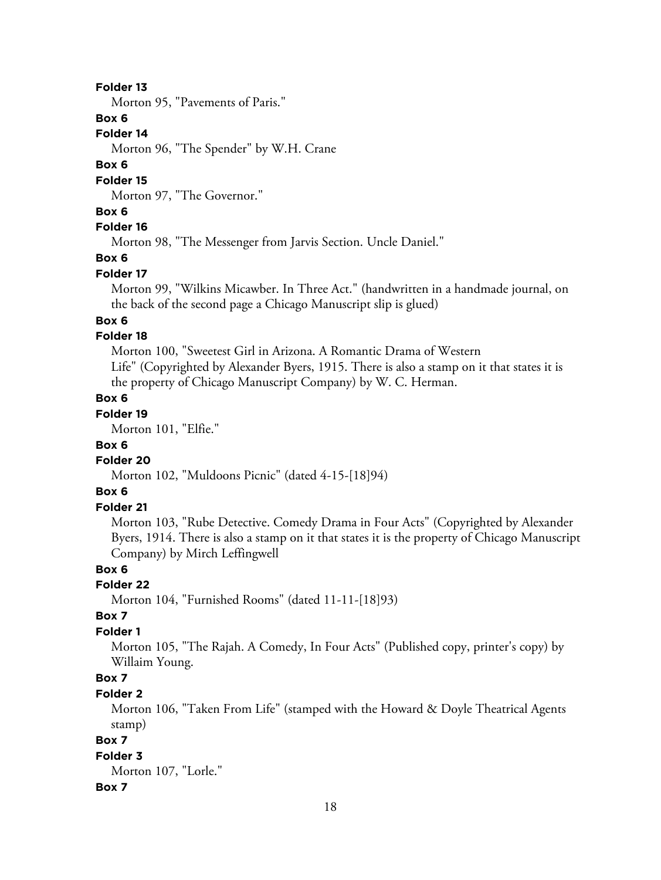Morton 95, "Pavements of Paris."

### **Box 6**

#### **Folder 14**

Morton 96, "The Spender" by W.H. Crane

#### **Box 6**

#### **Folder 15**

Morton 97, "The Governor."

# **Box 6**

### **Folder 16**

Morton 98, "The Messenger from Jarvis Section. Uncle Daniel."

#### **Box 6**

#### **Folder 17**

Morton 99, "Wilkins Micawber. In Three Act." (handwritten in a handmade journal, on the back of the second page a Chicago Manuscript slip is glued)

### **Box 6**

# **Folder 18**

Morton 100, "Sweetest Girl in Arizona. A Romantic Drama of Western Life" (Copyrighted by Alexander Byers, 1915. There is also a stamp on it that states it is the property of Chicago Manuscript Company) by W. C. Herman.

### **Box 6**

# **Folder 19**

Morton 101, "Elfie."

### **Box 6**

#### **Folder 20**

Morton 102, "Muldoons Picnic" (dated 4-15-[18]94)

# **Box 6**

# **Folder 21**

Morton 103, "Rube Detective. Comedy Drama in Four Acts" (Copyrighted by Alexander Byers, 1914. There is also a stamp on it that states it is the property of Chicago Manuscript Company) by Mirch Leffingwell

#### **Box 6**

# **Folder 22**

Morton 104, "Furnished Rooms" (dated 11-11-[18]93)

# **Box 7**

# **Folder 1**

Morton 105, "The Rajah. A Comedy, In Four Acts" (Published copy, printer's copy) by Willaim Young.

# **Box 7**

# **Folder 2**

Morton 106, "Taken From Life" (stamped with the Howard & Doyle Theatrical Agents stamp)

# **Box 7**

# **Folder 3**

Morton 107, "Lorle."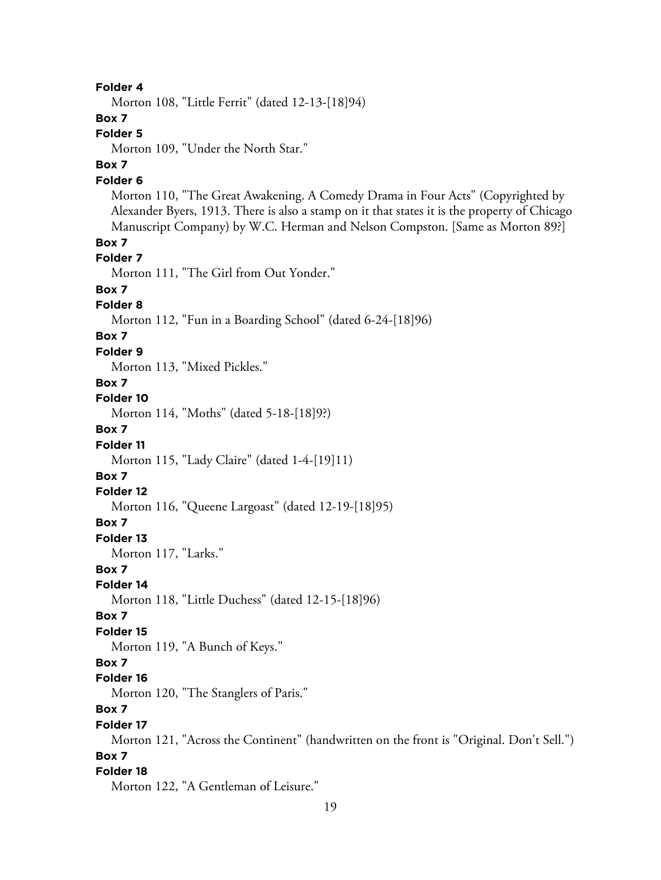Morton 108, "Little Ferrit" (dated 12-13-[18]94)

### **Box 7**

# **Folder 5**

Morton 109, "Under the North Star."

# **Box 7**

### **Folder 6**

Morton 110, "The Great Awakening. A Comedy Drama in Four Acts" (Copyrighted by Alexander Byers, 1913. There is also a stamp on it that states it is the property of Chicago Manuscript Company) by W.C. Herman and Nelson Compston. [Same as Morton 89?]

#### **Box 7**

#### **Folder 7**

Morton 111, "The Girl from Out Yonder."

# **Box 7**

#### **Folder 8**

Morton 112, "Fun in a Boarding School" (dated 6-24-[18]96)

# **Box 7**

#### **Folder 9**

Morton 113, "Mixed Pickles."

### **Box 7**

# **Folder 10**

Morton 114, "Moths" (dated 5-18-[18]9?)

# **Box 7**

#### **Folder 11**

Morton 115, "Lady Claire" (dated 1-4-[19]11)

# **Box 7**

# **Folder 12**

Morton 116, "Queene Largoast" (dated 12-19-[18]95)

# **Box 7**

**Folder 13** Morton 117, "Larks."

#### **Box 7**

#### **Folder 14**

Morton 118, "Little Duchess" (dated 12-15-[18]96)

#### **Box 7**

#### **Folder 15**

Morton 119, "A Bunch of Keys."

### **Box 7**

**Folder 16**

# Morton 120, "The Stanglers of Paris."

# **Box 7**

**Folder 17** Morton 121, "Across the Continent" (handwritten on the front is "Original. Don't Sell.")

#### **Box 7**

#### **Folder 18**

Morton 122, "A Gentleman of Leisure."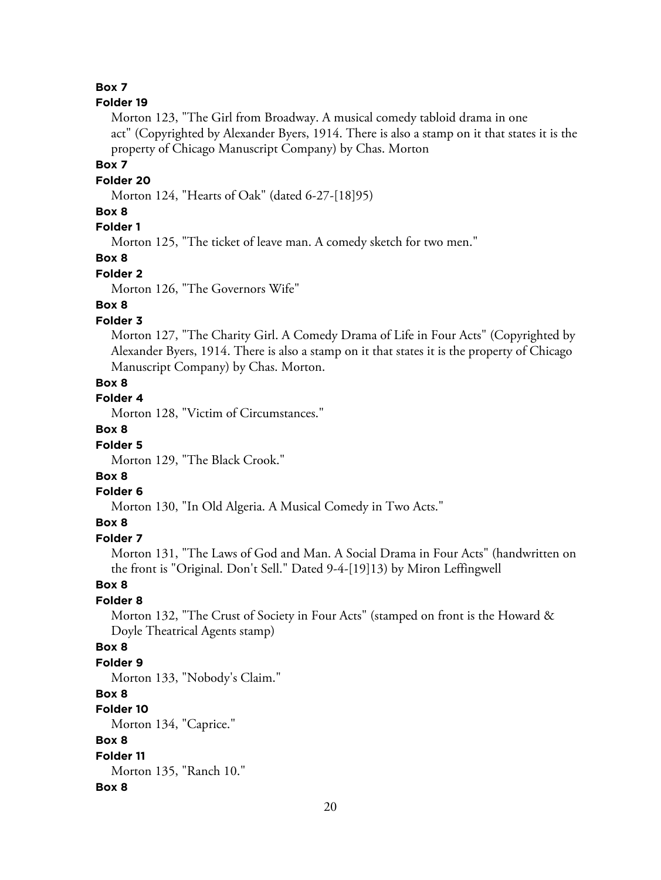#### **Folder 19**

Morton 123, "The Girl from Broadway. A musical comedy tabloid drama in one act" (Copyrighted by Alexander Byers, 1914. There is also a stamp on it that states it is the property of Chicago Manuscript Company) by Chas. Morton

#### **Box 7**

#### **Folder 20**

Morton 124, "Hearts of Oak" (dated 6-27-[18]95)

# **Box 8**

# **Folder 1**

Morton 125, "The ticket of leave man. A comedy sketch for two men."

#### **Box 8**

#### **Folder 2**

Morton 126, "The Governors Wife"

# **Box 8**

### **Folder 3**

Morton 127, "The Charity Girl. A Comedy Drama of Life in Four Acts" (Copyrighted by Alexander Byers, 1914. There is also a stamp on it that states it is the property of Chicago Manuscript Company) by Chas. Morton.

# **Box 8**

# **Folder 4**

Morton 128, "Victim of Circumstances."

# **Box 8**

# **Folder 5**

Morton 129, "The Black Crook."

# **Box 8**

#### **Folder 6**

Morton 130, "In Old Algeria. A Musical Comedy in Two Acts."

# **Box 8**

# **Folder 7**

Morton 131, "The Laws of God and Man. A Social Drama in Four Acts" (handwritten on the front is "Original. Don't Sell." Dated 9-4-[19]13) by Miron Leffingwell

#### **Box 8**

#### **Folder 8**

Morton 132, "The Crust of Society in Four Acts" (stamped on front is the Howard & Doyle Theatrical Agents stamp)

# **Box 8**

#### **Folder 9**

Morton 133, "Nobody's Claim."

#### **Box 8**

### **Folder 10**

Morton 134, "Caprice."

# **Box 8**

#### **Folder 11** Morton 135, "Ranch 10."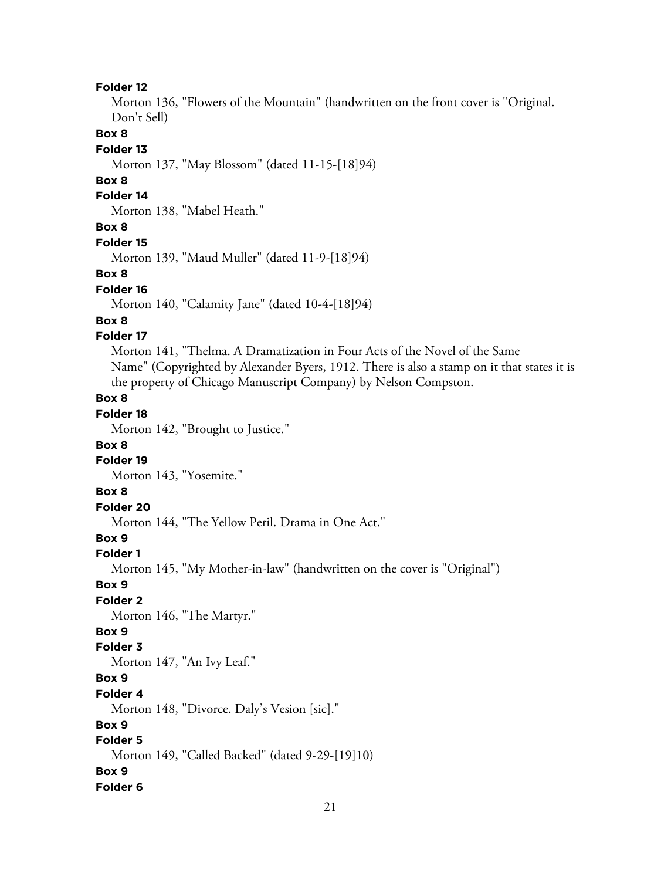Morton 136, "Flowers of the Mountain" (handwritten on the front cover is "Original. Don't Sell)

### **Box 8**

#### **Folder 13**

Morton 137, "May Blossom" (dated 11-15-[18]94)

### **Box 8**

#### **Folder 14**

Morton 138, "Mabel Heath."

# **Box 8**

#### **Folder 15**

Morton 139, "Maud Muller" (dated 11-9-[18]94)

#### **Box 8**

#### **Folder 16**

Morton 140, "Calamity Jane" (dated 10-4-[18]94)

# **Box 8**

# **Folder 17**

Morton 141, "Thelma. A Dramatization in Four Acts of the Novel of the Same Name" (Copyrighted by Alexander Byers, 1912. There is also a stamp on it that states it is the property of Chicago Manuscript Company) by Nelson Compston.

# **Box 8**

# **Folder 18**

Morton 142, "Brought to Justice."

#### **Box 8**

#### **Folder 19**

Morton 143, "Yosemite."

# **Box 8**

# **Folder 20**

Morton 144, "The Yellow Peril. Drama in One Act."

# **Box 9**

#### **Folder 1**

Morton 145, "My Mother-in-law" (handwritten on the cover is "Original")

#### **Box 9**

### **Folder 2**

Morton 146, "The Martyr."

# **Box 9**

# **Folder 3**

Morton 147, "An Ivy Leaf."

# **Box 9**

# **Folder 4**

Morton 148, "Divorce. Daly's Vesion [sic]."

# **Box 9**

# **Folder 5**

Morton 149, "Called Backed" (dated 9-29-[19]10)

### **Box 9**

#### **Folder 6**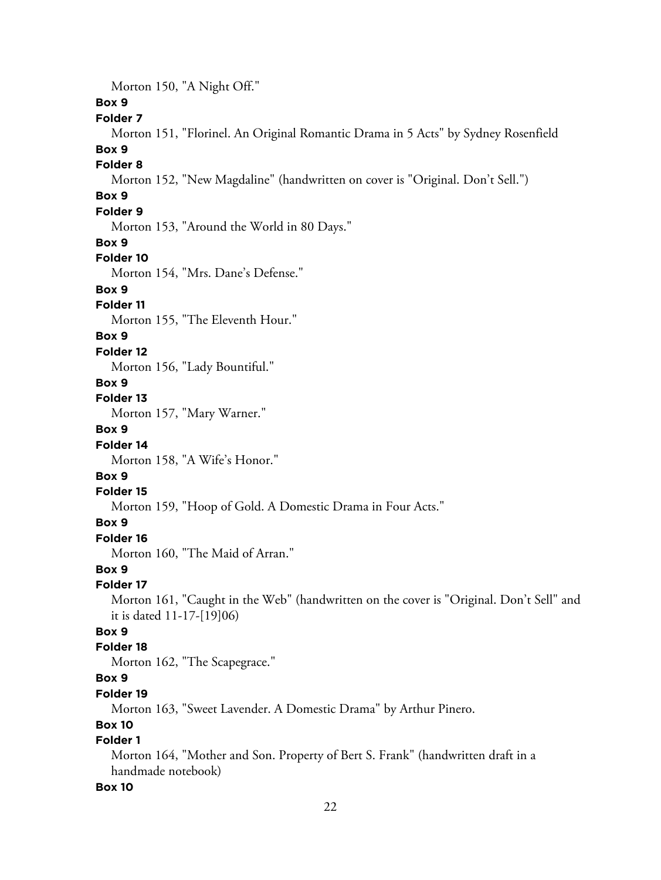Morton 150, "A Night Off."

# **Box 9**

### **Folder 7**

Morton 151, "Florinel. An Original Romantic Drama in 5 Acts" by Sydney Rosenfield

#### **Box 9**

#### **Folder 8**

Morton 152, "New Magdaline" (handwritten on cover is "Original. Don't Sell.")

# **Box 9**

# **Folder 9**

Morton 153, "Around the World in 80 Days."

#### **Box 9**

#### **Folder 10**

Morton 154, "Mrs. Dane's Defense."

# **Box 9**

### **Folder 11**

Morton 155, "The Eleventh Hour."

### **Box 9**

#### **Folder 12**

Morton 156, "Lady Bountiful."

### **Box 9**

# **Folder 13**

Morton 157, "Mary Warner."

# **Box 9**

# **Folder 14**

Morton 158, "A Wife's Honor."

# **Box 9**

# **Folder 15**

Morton 159, "Hoop of Gold. A Domestic Drama in Four Acts."

# **Box 9**

#### **Folder 16**

Morton 160, "The Maid of Arran."

### **Box 9**

#### **Folder 17**

Morton 161, "Caught in the Web" (handwritten on the cover is "Original. Don't Sell" and it is dated 11-17-[19]06)

# **Box 9**

# **Folder 18**

Morton 162, "The Scapegrace."

# **Box 9**

# **Folder 19**

Morton 163, "Sweet Lavender. A Domestic Drama" by Arthur Pinero.

# **Box 10**

# **Folder 1**

Morton 164, "Mother and Son. Property of Bert S. Frank" (handwritten draft in a handmade notebook)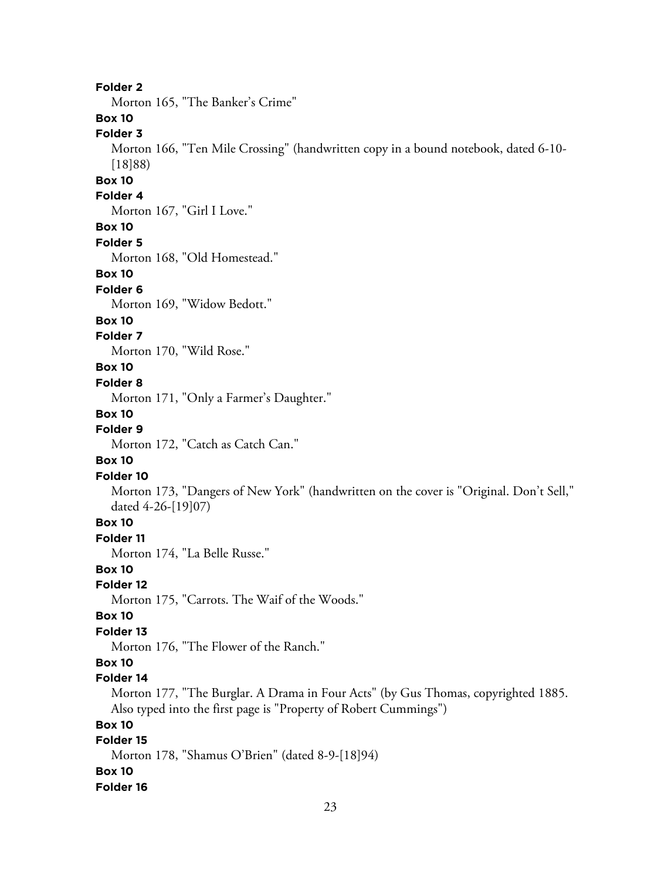Morton 165, "The Banker's Crime"

# **Box 10**

# **Folder 3**

Morton 166, "Ten Mile Crossing" (handwritten copy in a bound notebook, dated 6-10- [18]88)

# **Box 10**

### **Folder 4**

Morton 167, "Girl I Love."

### **Box 10**

**Folder 5**

Morton 168, "Old Homestead."

#### **Box 10**

#### **Folder 6**

Morton 169, "Widow Bedott."

#### **Box 10**

#### **Folder 7**

Morton 170, "Wild Rose."

#### **Box 10**

#### **Folder 8**

Morton 171, "Only a Farmer's Daughter."

#### **Box 10**

#### **Folder 9**

Morton 172, "Catch as Catch Can."

#### **Box 10**

#### **Folder 10**

Morton 173, "Dangers of New York" (handwritten on the cover is "Original. Don't Sell," dated 4-26-[19]07)

# **Box 10**

#### **Folder 11**

Morton 174, "La Belle Russe."

# **Box 10**

#### **Folder 12**

Morton 175, "Carrots. The Waif of the Woods."

### **Box 10**

# **Folder 13**

Morton 176, "The Flower of the Ranch."

#### **Box 10**

### **Folder 14**

Morton 177, "The Burglar. A Drama in Four Acts" (by Gus Thomas, copyrighted 1885. Also typed into the first page is "Property of Robert Cummings")

# **Box 10**

# **Folder 15**

Morton 178, "Shamus O'Brien" (dated 8-9-[18]94) **Box 10**

#### **Folder 16**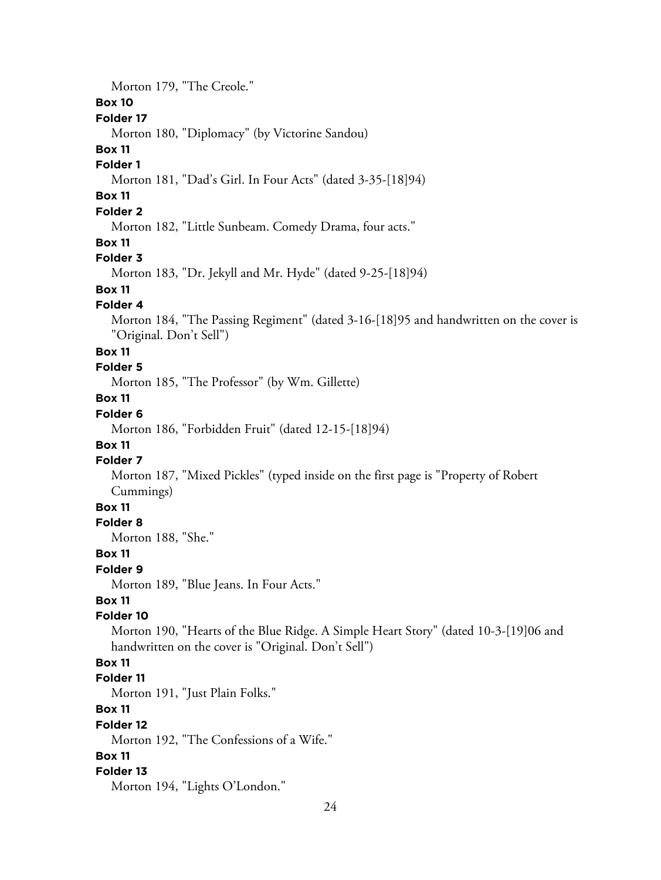Morton 179, "The Creole."

# **Box 10**

# **Folder 17**

Morton 180, "Diplomacy" (by Victorine Sandou)

### **Box 11**

#### **Folder 1**

Morton 181, "Dad's Girl. In Four Acts" (dated 3-35-[18]94)

# **Box 11**

# **Folder 2**

Morton 182, "Little Sunbeam. Comedy Drama, four acts."

#### **Box 11**

### **Folder 3**

Morton 183, "Dr. Jekyll and Mr. Hyde" (dated 9-25-[18]94)

# **Box 11**

#### **Folder 4**

Morton 184, "The Passing Regiment" (dated 3-16-[18]95 and handwritten on the cover is "Original. Don't Sell")

#### **Box 11**

# **Folder 5**

Morton 185, "The Professor" (by Wm. Gillette)

# **Box 11**

# **Folder 6**

Morton 186, "Forbidden Fruit" (dated 12-15-[18]94)

# **Box 11**

# **Folder 7**

Morton 187, "Mixed Pickles" (typed inside on the first page is "Property of Robert Cummings)

# **Box 11**

# **Folder 8**

Morton 188, "She."

#### **Box 11**

#### **Folder 9**

Morton 189, "Blue Jeans. In Four Acts."

# **Box 11**

# **Folder 10**

Morton 190, "Hearts of the Blue Ridge. A Simple Heart Story" (dated 10-3-[19]06 and handwritten on the cover is "Original. Don't Sell")

# **Box 11**

#### **Folder 11**

Morton 191, "Just Plain Folks."

### **Box 11**

#### **Folder 12**

Morton 192, "The Confessions of a Wife."

#### **Box 11**

#### **Folder 13**

Morton 194, "Lights O'London."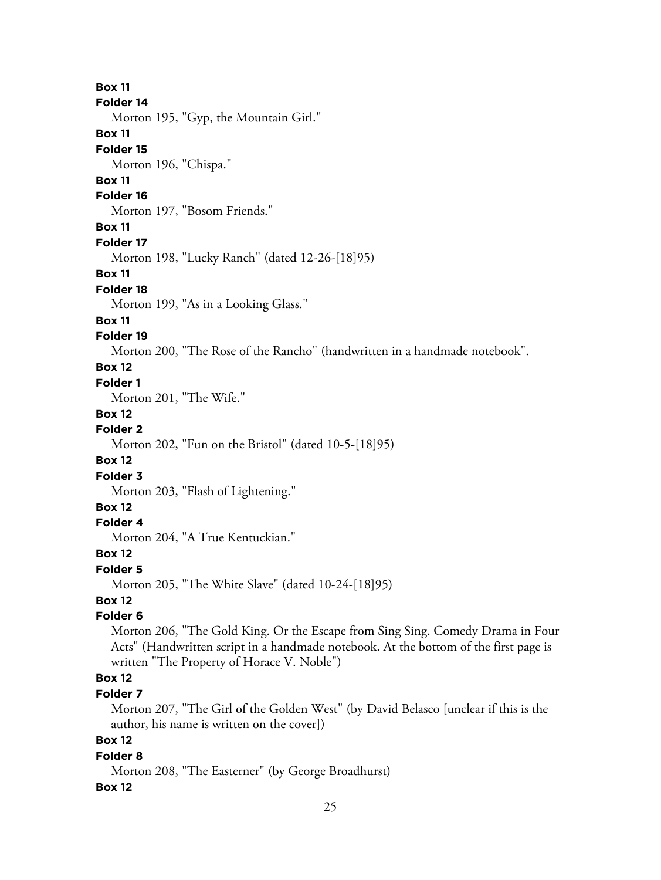**Box 11 Folder 14** Morton 195, "Gyp, the Mountain Girl." **Box 11 Folder 15** Morton 196, "Chispa." **Box 11 Folder 16** Morton 197, "Bosom Friends." **Box 11 Folder 17** Morton 198, "Lucky Ranch" (dated 12-26-[18]95) **Box 11 Folder 18** Morton 199, "As in a Looking Glass." **Box 11 Folder 19** Morton 200, "The Rose of the Rancho" (handwritten in a handmade notebook". **Box 12 Folder 1** Morton 201, "The Wife." **Box 12 Folder 2** Morton 202, "Fun on the Bristol" (dated 10-5-[18]95) **Box 12 Folder 3** Morton 203, "Flash of Lightening." **Box 12 Folder 4** Morton 204, "A True Kentuckian." **Box 12 Folder 5** Morton 205, "The White Slave" (dated 10-24-[18]95) **Box 12 Folder 6** Morton 206, "The Gold King. Or the Escape from Sing Sing. Comedy Drama in Four Acts" (Handwritten script in a handmade notebook. At the bottom of the first page is written "The Property of Horace V. Noble") **Box 12 Folder 7** Morton 207, "The Girl of the Golden West" (by David Belasco [unclear if this is the author, his name is written on the cover]) **Box 12**

### **Folder 8**

Morton 208, "The Easterner" (by George Broadhurst)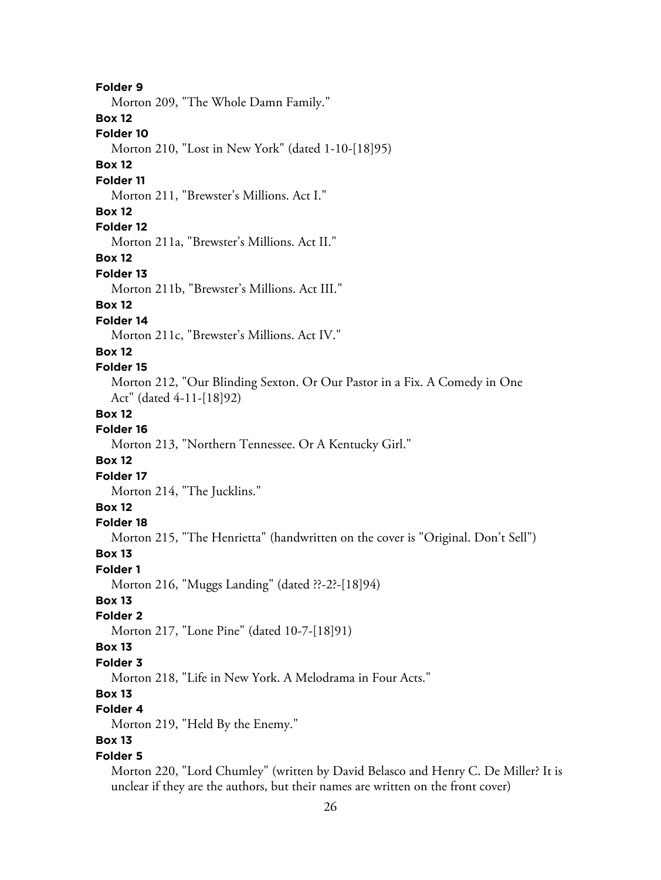**Folder 9** Morton 209, "The Whole Damn Family." **Box 12 Folder 10** Morton 210, "Lost in New York" (dated 1-10-[18]95) **Box 12 Folder 11** Morton 211, "Brewster's Millions. Act I." **Box 12 Folder 12** Morton 211a, "Brewster's Millions. Act II." **Box 12 Folder 13** Morton 211b, "Brewster's Millions. Act III." **Box 12 Folder 14** Morton 211c, "Brewster's Millions. Act IV." **Box 12 Folder 15** Morton 212, "Our Blinding Sexton. Or Our Pastor in a Fix. A Comedy in One Act" (dated 4-11-[18]92) **Box 12 Folder 16** Morton 213, "Northern Tennessee. Or A Kentucky Girl." **Box 12 Folder 17** Morton 214, "The Jucklins." **Box 12 Folder 18** Morton 215, "The Henrietta" (handwritten on the cover is "Original. Don't Sell") **Box 13 Folder 1** Morton 216, "Muggs Landing" (dated ??-2?-[18]94) **Box 13 Folder 2** Morton 217, "Lone Pine" (dated 10-7-[18]91) **Box 13 Folder 3** Morton 218, "Life in New York. A Melodrama in Four Acts." **Box 13 Folder 4** Morton 219, "Held By the Enemy." **Box 13 Folder 5** Morton 220, "Lord Chumley" (written by David Belasco and Henry C. De Miller? It is unclear if they are the authors, but their names are written on the front cover)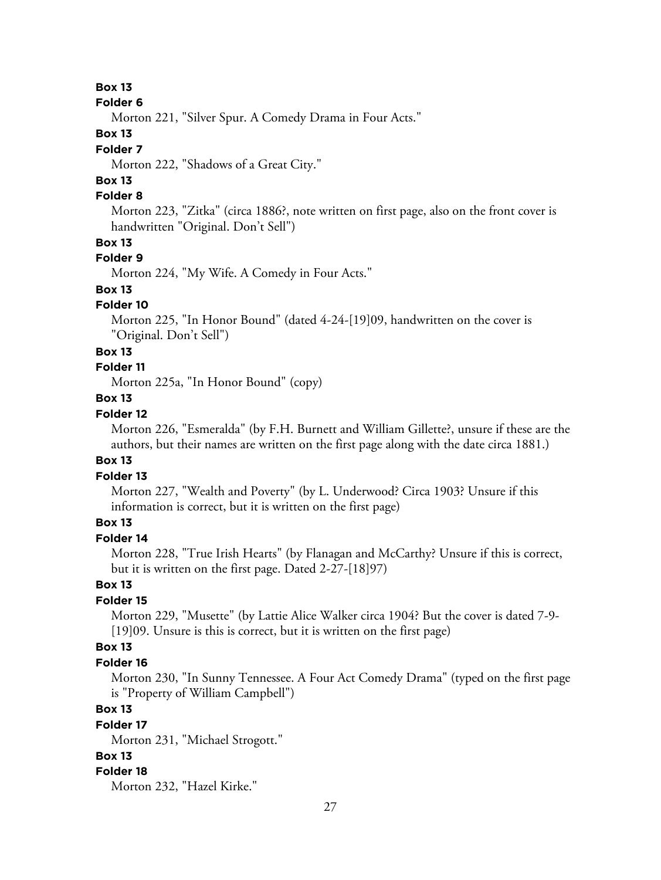#### **Folder 6**

Morton 221, "Silver Spur. A Comedy Drama in Four Acts."

# **Box 13**

# **Folder 7**

Morton 222, "Shadows of a Great City."

# **Box 13**

# **Folder 8**

Morton 223, "Zitka" (circa 1886?, note written on first page, also on the front cover is handwritten "Original. Don't Sell")

# **Box 13**

# **Folder 9**

Morton 224, "My Wife. A Comedy in Four Acts."

# **Box 13**

#### **Folder 10**

Morton 225, "In Honor Bound" (dated 4-24-[19]09, handwritten on the cover is "Original. Don't Sell")

#### **Box 13**

# **Folder 11**

Morton 225a, "In Honor Bound" (copy)

# **Box 13**

# **Folder 12**

Morton 226, "Esmeralda" (by F.H. Burnett and William Gillette?, unsure if these are the authors, but their names are written on the first page along with the date circa 1881.)

### **Box 13**

### **Folder 13**

Morton 227, "Wealth and Poverty" (by L. Underwood? Circa 1903? Unsure if this information is correct, but it is written on the first page)

# **Box 13**

# **Folder 14**

Morton 228, "True Irish Hearts" (by Flanagan and McCarthy? Unsure if this is correct, but it is written on the first page. Dated 2-27-[18]97)

### **Box 13**

# **Folder 15**

Morton 229, "Musette" (by Lattie Alice Walker circa 1904? But the cover is dated 7-9- [19]09. Unsure is this is correct, but it is written on the first page)

# **Box 13**

#### **Folder 16**

Morton 230, "In Sunny Tennessee. A Four Act Comedy Drama" (typed on the first page is "Property of William Campbell")

# **Box 13**

# **Folder 17**

Morton 231, "Michael Strogott."

# **Box 13**

#### **Folder 18**

Morton 232, "Hazel Kirke."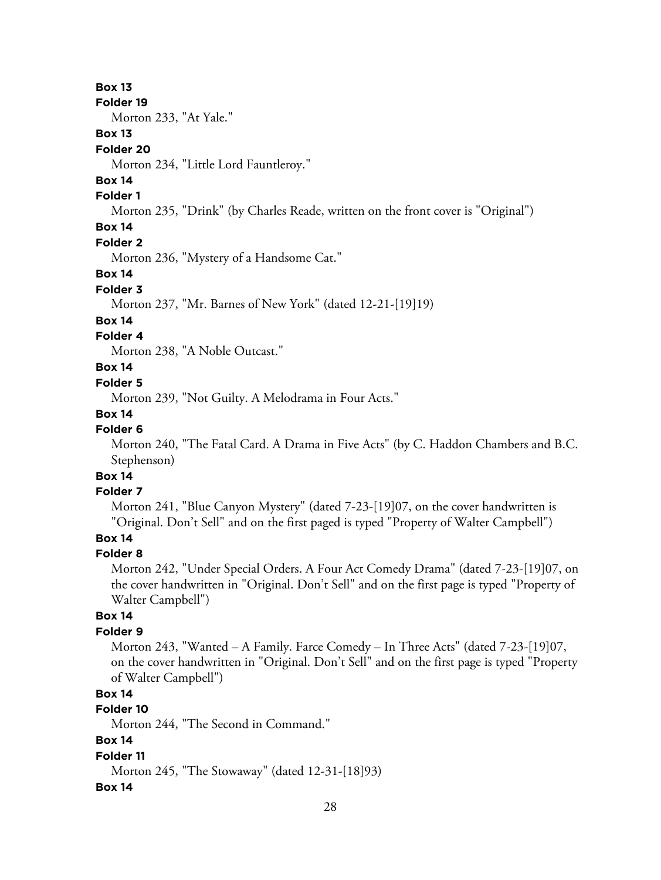#### **Folder 19**

Morton 233, "At Yale."

# **Box 13**

### **Folder 20**

Morton 234, "Little Lord Fauntleroy."

# **Box 14**

### **Folder 1**

Morton 235, "Drink" (by Charles Reade, written on the front cover is "Original")

# **Box 14**

#### **Folder 2**

Morton 236, "Mystery of a Handsome Cat."

#### **Box 14**

#### **Folder 3**

Morton 237, "Mr. Barnes of New York" (dated 12-21-[19]19)

# **Box 14**

# **Folder 4**

Morton 238, "A Noble Outcast."

# **Box 14**

#### **Folder 5**

Morton 239, "Not Guilty. A Melodrama in Four Acts."

# **Box 14**

#### **Folder 6**

Morton 240, "The Fatal Card. A Drama in Five Acts" (by C. Haddon Chambers and B.C. Stephenson)

# **Box 14**

# **Folder 7**

Morton 241, "Blue Canyon Mystery" (dated 7-23-[19]07, on the cover handwritten is "Original. Don't Sell" and on the first paged is typed "Property of Walter Campbell")

# **Box 14**

# **Folder 8**

Morton 242, "Under Special Orders. A Four Act Comedy Drama" (dated 7-23-[19]07, on the cover handwritten in "Original. Don't Sell" and on the first page is typed "Property of Walter Campbell")

# **Box 14**

# **Folder 9**

Morton 243, "Wanted – A Family. Farce Comedy – In Three Acts" (dated 7-23-[19]07, on the cover handwritten in "Original. Don't Sell" and on the first page is typed "Property of Walter Campbell")

# **Box 14**

# **Folder 10**

Morton 244, "The Second in Command."

# **Box 14**

# **Folder 11**

Morton 245, "The Stowaway" (dated 12-31-[18]93)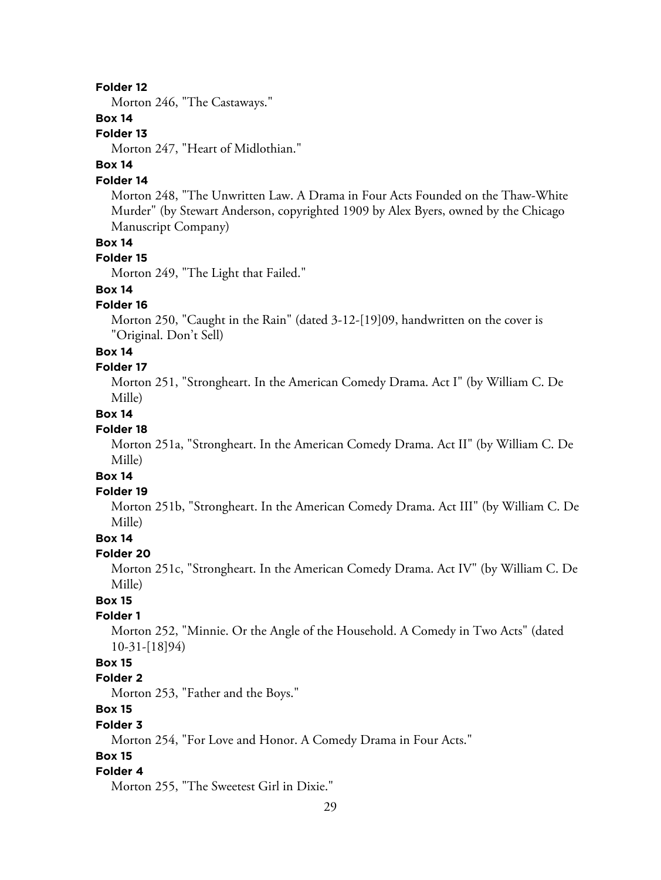Morton 246, "The Castaways."

# **Box 14**

#### **Folder 13**

Morton 247, "Heart of Midlothian."

# **Box 14**

# **Folder 14**

Morton 248, "The Unwritten Law. A Drama in Four Acts Founded on the Thaw-White Murder" (by Stewart Anderson, copyrighted 1909 by Alex Byers, owned by the Chicago Manuscript Company)

### **Box 14**

# **Folder 15**

Morton 249, "The Light that Failed."

# **Box 14**

### **Folder 16**

Morton 250, "Caught in the Rain" (dated 3-12-[19]09, handwritten on the cover is "Original. Don't Sell)

#### **Box 14**

#### **Folder 17**

Morton 251, "Strongheart. In the American Comedy Drama. Act I" (by William C. De Mille)

# **Box 14**

# **Folder 18**

Morton 251a, "Strongheart. In the American Comedy Drama. Act II" (by William C. De Mille)

# **Box 14**

#### **Folder 19**

Morton 251b, "Strongheart. In the American Comedy Drama. Act III" (by William C. De Mille)

# **Box 14**

#### **Folder 20**

Morton 251c, "Strongheart. In the American Comedy Drama. Act IV" (by William C. De Mille)

# **Box 15**

# **Folder 1**

Morton 252, "Minnie. Or the Angle of the Household. A Comedy in Two Acts" (dated 10-31-[18]94)

# **Box 15**

#### **Folder 2**

Morton 253, "Father and the Boys."

# **Box 15**

#### **Folder 3**

Morton 254, "For Love and Honor. A Comedy Drama in Four Acts."

# **Box 15**

#### **Folder 4**

Morton 255, "The Sweetest Girl in Dixie."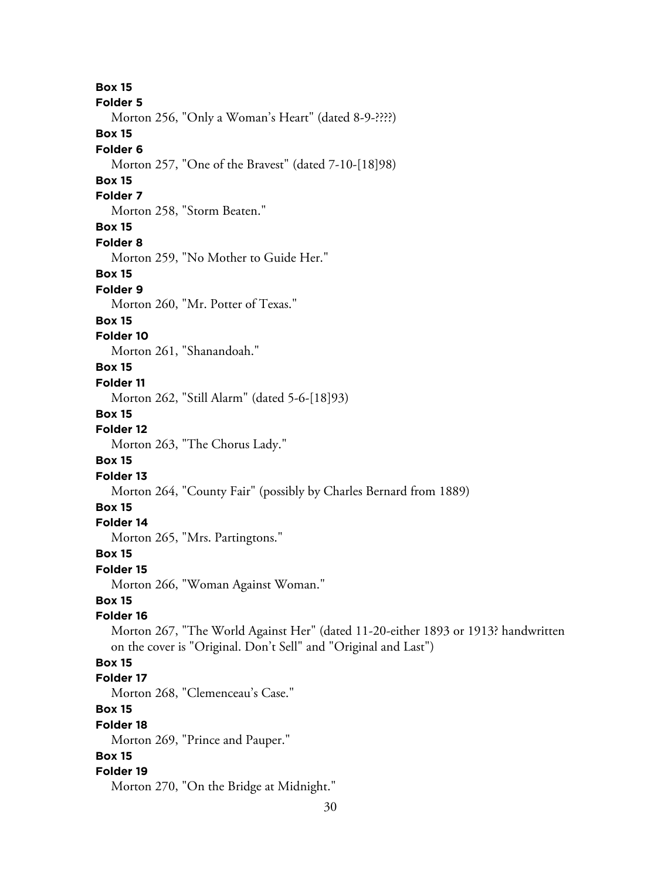30 **Box 15 Folder 5** Morton 256, "Only a Woman's Heart" (dated 8-9-????) **Box 15 Folder 6** Morton 257, "One of the Bravest" (dated 7-10-[18]98) **Box 15 Folder 7** Morton 258, "Storm Beaten." **Box 15 Folder 8** Morton 259, "No Mother to Guide Her." **Box 15 Folder 9** Morton 260, "Mr. Potter of Texas." **Box 15 Folder 10** Morton 261, "Shanandoah." **Box 15 Folder 11** Morton 262, "Still Alarm" (dated 5-6-[18]93) **Box 15 Folder 12** Morton 263, "The Chorus Lady." **Box 15 Folder 13** Morton 264, "County Fair" (possibly by Charles Bernard from 1889) **Box 15 Folder 14** Morton 265, "Mrs. Partingtons." **Box 15 Folder 15** Morton 266, "Woman Against Woman." **Box 15 Folder 16** Morton 267, "The World Against Her" (dated 11-20-either 1893 or 1913? handwritten on the cover is "Original. Don't Sell" and "Original and Last") **Box 15 Folder 17** Morton 268, "Clemenceau's Case." **Box 15 Folder 18** Morton 269, "Prince and Pauper." **Box 15 Folder 19** Morton 270, "On the Bridge at Midnight."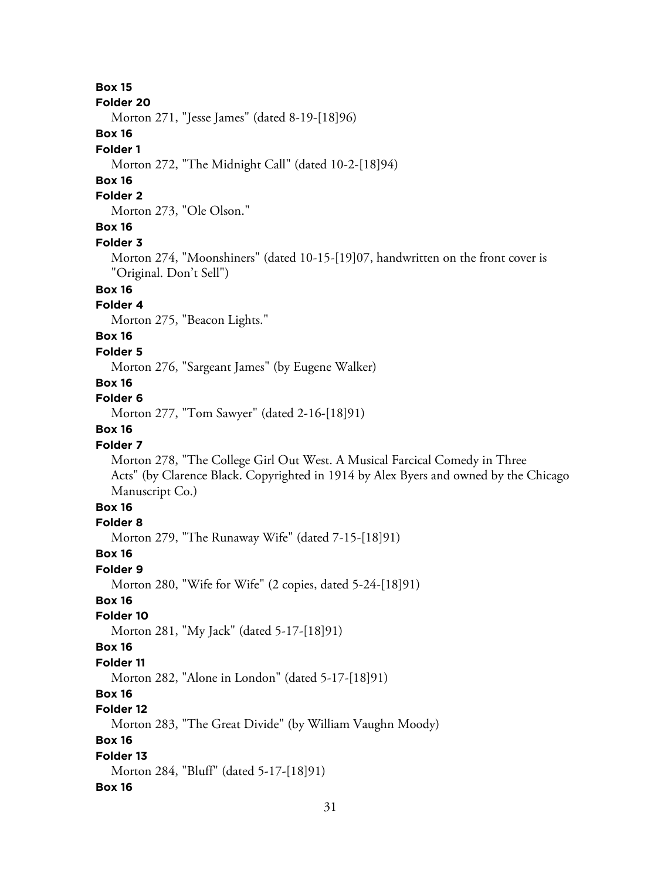#### **Folder 20**

Morton 271, "Jesse James" (dated 8-19-[18]96)

# **Box 16**

#### **Folder 1**

Morton 272, "The Midnight Call" (dated 10-2-[18]94)

### **Box 16**

### **Folder 2**

Morton 273, "Ole Olson."

# **Box 16**

#### **Folder 3**

Morton 274, "Moonshiners" (dated 10-15-[19]07, handwritten on the front cover is "Original. Don't Sell")

# **Box 16**

# **Folder 4**

Morton 275, "Beacon Lights."

# **Box 16**

#### **Folder 5**

Morton 276, "Sargeant James" (by Eugene Walker)

# **Box 16**

# **Folder 6**

Morton 277, "Tom Sawyer" (dated 2-16-[18]91)

# **Box 16**

#### **Folder 7**

Morton 278, "The College Girl Out West. A Musical Farcical Comedy in Three Acts" (by Clarence Black. Copyrighted in 1914 by Alex Byers and owned by the Chicago Manuscript Co.)

# **Box 16**

# **Folder 8**

Morton 279, "The Runaway Wife" (dated 7-15-[18]91)

# **Box 16**

#### **Folder 9**

Morton 280, "Wife for Wife" (2 copies, dated 5-24-[18]91)

# **Box 16**

### **Folder 10**

Morton 281, "My Jack" (dated 5-17-[18]91)

# **Box 16**

#### **Folder 11**

Morton 282, "Alone in London" (dated 5-17-[18]91)

# **Box 16**

#### **Folder 12**

Morton 283, "The Great Divide" (by William Vaughn Moody)

# **Box 16**

#### **Folder 13**

Morton 284, "Bluff" (dated 5-17-[18]91)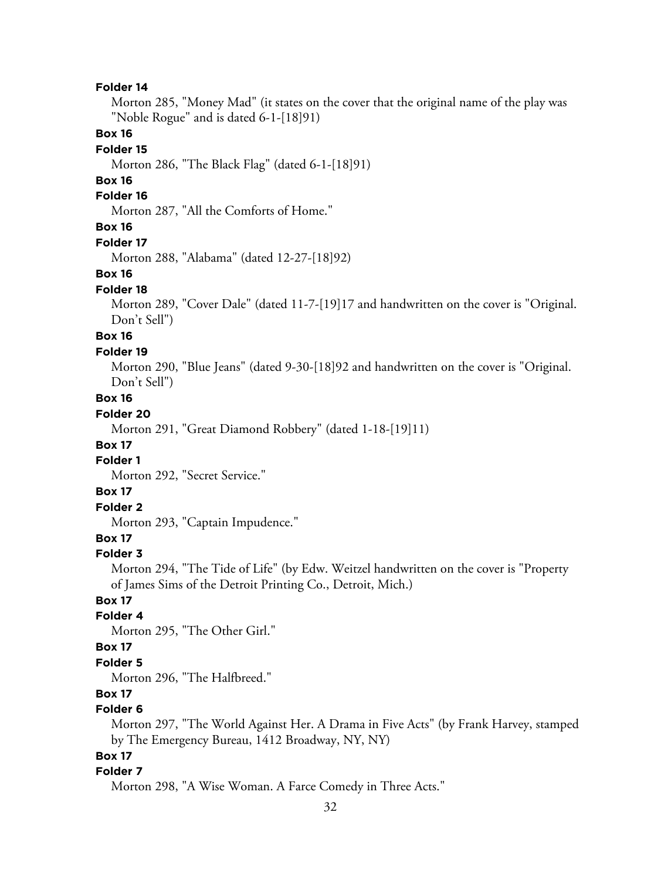Morton 285, "Money Mad" (it states on the cover that the original name of the play was "Noble Rogue" and is dated 6-1-[18]91)

# **Box 16**

#### **Folder 15**

Morton 286, "The Black Flag" (dated 6-1-[18]91)

### **Box 16**

#### **Folder 16**

Morton 287, "All the Comforts of Home."

# **Box 16**

#### **Folder 17**

Morton 288, "Alabama" (dated 12-27-[18]92)

#### **Box 16**

#### **Folder 18**

Morton 289, "Cover Dale" (dated 11-7-[19]17 and handwritten on the cover is "Original. Don't Sell")

# **Box 16**

#### **Folder 19**

Morton 290, "Blue Jeans" (dated 9-30-[18]92 and handwritten on the cover is "Original. Don't Sell")

# **Box 16**

# **Folder 20**

Morton 291, "Great Diamond Robbery" (dated 1-18-[19]11)

#### **Box 17**

### **Folder 1**

Morton 292, "Secret Service."

#### **Box 17**

# **Folder 2**

Morton 293, "Captain Impudence."

# **Box 17**

#### **Folder 3**

Morton 294, "The Tide of Life" (by Edw. Weitzel handwritten on the cover is "Property of James Sims of the Detroit Printing Co., Detroit, Mich.)

# **Box 17**

# **Folder 4**

Morton 295, "The Other Girl."

# **Box 17**

### **Folder 5**

Morton 296, "The Halfbreed."

# **Box 17**

# **Folder 6**

Morton 297, "The World Against Her. A Drama in Five Acts" (by Frank Harvey, stamped by The Emergency Bureau, 1412 Broadway, NY, NY)

# **Box 17**

#### **Folder 7**

Morton 298, "A Wise Woman. A Farce Comedy in Three Acts."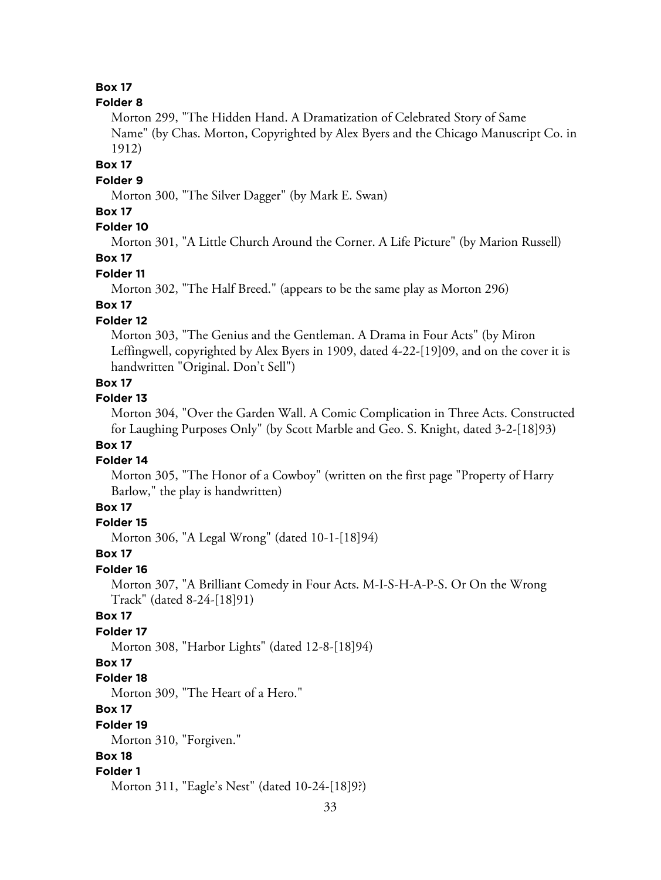### **Folder 8**

Morton 299, "The Hidden Hand. A Dramatization of Celebrated Story of Same Name" (by Chas. Morton, Copyrighted by Alex Byers and the Chicago Manuscript Co. in 1912)

**Box 17**

### **Folder 9**

Morton 300, "The Silver Dagger" (by Mark E. Swan)

#### **Box 17**

# **Folder 10**

Morton 301, "A Little Church Around the Corner. A Life Picture" (by Marion Russell) **Box 17**

# **Folder 11**

Morton 302, "The Half Breed." (appears to be the same play as Morton 296)

# **Box 17**

### **Folder 12**

Morton 303, "The Genius and the Gentleman. A Drama in Four Acts" (by Miron Leffingwell, copyrighted by Alex Byers in 1909, dated 4-22-[19]09, and on the cover it is handwritten "Original. Don't Sell")

# **Box 17**

#### **Folder 13**

Morton 304, "Over the Garden Wall. A Comic Complication in Three Acts. Constructed for Laughing Purposes Only" (by Scott Marble and Geo. S. Knight, dated 3-2-[18]93)

# **Box 17**

### **Folder 14**

Morton 305, "The Honor of a Cowboy" (written on the first page "Property of Harry Barlow," the play is handwritten)

# **Box 17**

### **Folder 15**

Morton 306, "A Legal Wrong" (dated 10-1-[18]94)

#### **Box 17**

#### **Folder 16**

Morton 307, "A Brilliant Comedy in Four Acts. M-I-S-H-A-P-S. Or On the Wrong Track" (dated 8-24-[18]91)

# **Box 17**

# **Folder 17**

Morton 308, "Harbor Lights" (dated 12-8-[18]94)

### **Box 17**

#### **Folder 18**

Morton 309, "The Heart of a Hero."

### **Box 17**

#### **Folder 19**

Morton 310, "Forgiven."

# **Box 18**

#### **Folder 1**

Morton 311, "Eagle's Nest" (dated 10-24-[18]9?)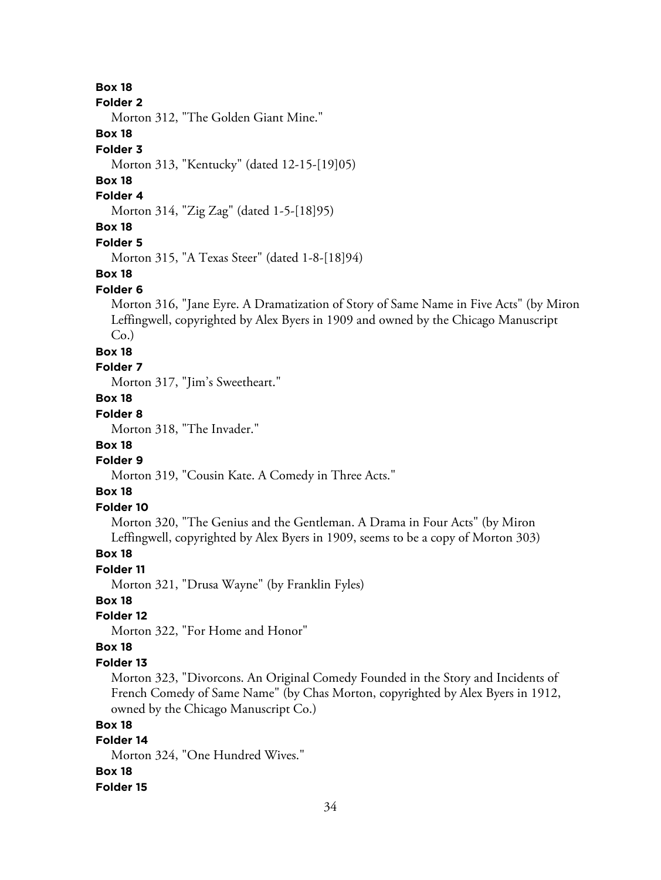#### **Folder 2**

Morton 312, "The Golden Giant Mine."

# **Box 18**

### **Folder 3**

Morton 313, "Kentucky" (dated 12-15-[19]05)

# **Box 18**

#### **Folder 4**

Morton 314, "Zig Zag" (dated 1-5-[18]95)

# **Box 18**

#### **Folder 5**

Morton 315, "A Texas Steer" (dated 1-8-[18]94)

#### **Box 18**

#### **Folder 6**

Morton 316, "Jane Eyre. A Dramatization of Story of Same Name in Five Acts" (by Miron Leffingwell, copyrighted by Alex Byers in 1909 and owned by the Chicago Manuscript  $Co.$ )

#### **Box 18**

#### **Folder 7**

Morton 317, "Jim's Sweetheart."

# **Box 18**

# **Folder 8**

Morton 318, "The Invader."

# **Box 18**

# **Folder 9**

Morton 319, "Cousin Kate. A Comedy in Three Acts."

# **Box 18**

# **Folder 10**

Morton 320, "The Genius and the Gentleman. A Drama in Four Acts" (by Miron Leffingwell, copyrighted by Alex Byers in 1909, seems to be a copy of Morton 303)

# **Box 18**

### **Folder 11**

Morton 321, "Drusa Wayne" (by Franklin Fyles)

# **Box 18**

# **Folder 12**

Morton 322, "For Home and Honor"

### **Box 18**

#### **Folder 13**

Morton 323, "Divorcons. An Original Comedy Founded in the Story and Incidents of French Comedy of Same Name" (by Chas Morton, copyrighted by Alex Byers in 1912, owned by the Chicago Manuscript Co.)

# **Box 18**

# **Folder 14**

Morton 324, "One Hundred Wives." **Box 18**

# **Folder 15**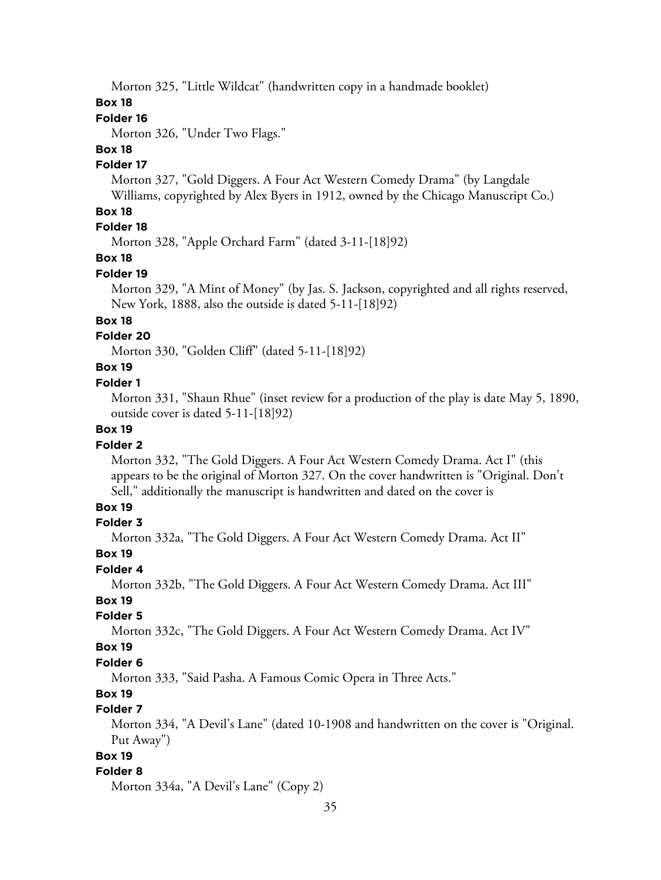Morton 325, "Little Wildcat" (handwritten copy in a handmade booklet)

# **Box 18**

# **Folder 16**

Morton 326, "Under Two Flags."

### **Box 18**

#### **Folder 17**

Morton 327, "Gold Diggers. A Four Act Western Comedy Drama" (by Langdale Williams, copyrighted by Alex Byers in 1912, owned by the Chicago Manuscript Co.)

# **Box 18**

# **Folder 18**

Morton 328, "Apple Orchard Farm" (dated 3-11-[18]92)

# **Box 18**

### **Folder 19**

Morton 329, "A Mint of Money" (by Jas. S. Jackson, copyrighted and all rights reserved, New York, 1888, also the outside is dated 5-11-[18]92)

#### **Box 18**

#### **Folder 20**

Morton 330, "Golden Cliff" (dated 5-11-[18]92)

# **Box 19**

#### **Folder 1**

Morton 331, "Shaun Rhue" (inset review for a production of the play is date May 5, 1890, outside cover is dated 5-11-[18]92)

# **Box 19**

### **Folder 2**

Morton 332, "The Gold Diggers. A Four Act Western Comedy Drama. Act I" (this appears to be the original of Morton 327. On the cover handwritten is "Original. Don't Sell," additionally the manuscript is handwritten and dated on the cover is

# **Box 19**

### **Folder 3**

Morton 332a, "The Gold Diggers. A Four Act Western Comedy Drama. Act II"

#### **Box 19**

#### **Folder 4**

Morton 332b, "The Gold Diggers. A Four Act Western Comedy Drama. Act III"

# **Box 19**

# **Folder 5**

Morton 332c, "The Gold Diggers. A Four Act Western Comedy Drama. Act IV"

#### **Box 19**

#### **Folder 6**

Morton 333, "Said Pasha. A Famous Comic Opera in Three Acts."

# **Box 19**

# **Folder 7**

Morton 334, "A Devil's Lane" (dated 10-1908 and handwritten on the cover is "Original. Put Away")

# **Box 19**

# **Folder 8**

Morton 334a, "A Devil's Lane" (Copy 2)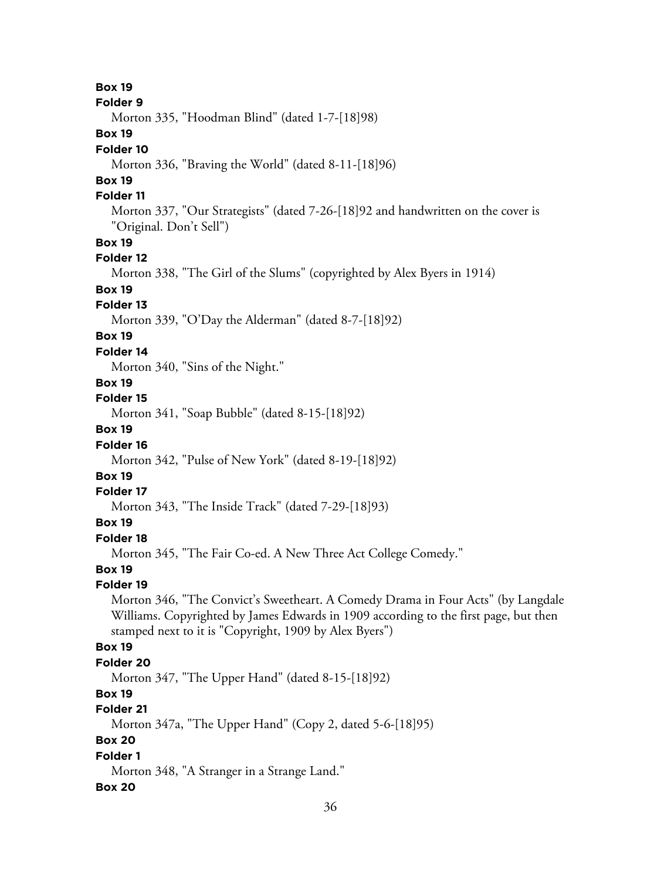#### **Folder 9**

Morton 335, "Hoodman Blind" (dated 1-7-[18]98)

# **Box 19**

#### **Folder 10**

Morton 336, "Braving the World" (dated 8-11-[18]96)

# **Box 19**

### **Folder 11**

Morton 337, "Our Strategists" (dated 7-26-[18]92 and handwritten on the cover is "Original. Don't Sell")

# **Box 19**

### **Folder 12**

Morton 338, "The Girl of the Slums" (copyrighted by Alex Byers in 1914)

# **Box 19**

#### **Folder 13**

Morton 339, "O'Day the Alderman" (dated 8-7-[18]92)

# **Box 19**

#### **Folder 14**

Morton 340, "Sins of the Night."

# **Box 19**

#### **Folder 15**

Morton 341, "Soap Bubble" (dated 8-15-[18]92)

# **Box 19**

#### **Folder 16**

Morton 342, "Pulse of New York" (dated 8-19-[18]92)

# **Box 19**

#### **Folder 17**

Morton 343, "The Inside Track" (dated 7-29-[18]93)

# **Box 19**

# **Folder 18**

Morton 345, "The Fair Co-ed. A New Three Act College Comedy."

### **Box 19**

#### **Folder 19**

Morton 346, "The Convict's Sweetheart. A Comedy Drama in Four Acts" (by Langdale Williams. Copyrighted by James Edwards in 1909 according to the first page, but then stamped next to it is "Copyright, 1909 by Alex Byers")

# **Box 19**

#### **Folder 20**

Morton 347, "The Upper Hand" (dated 8-15-[18]92)

# **Box 19**

# **Folder 21**

Morton 347a, "The Upper Hand" (Copy 2, dated 5-6-[18]95)

# **Box 20**

# **Folder 1**

Morton 348, "A Stranger in a Strange Land."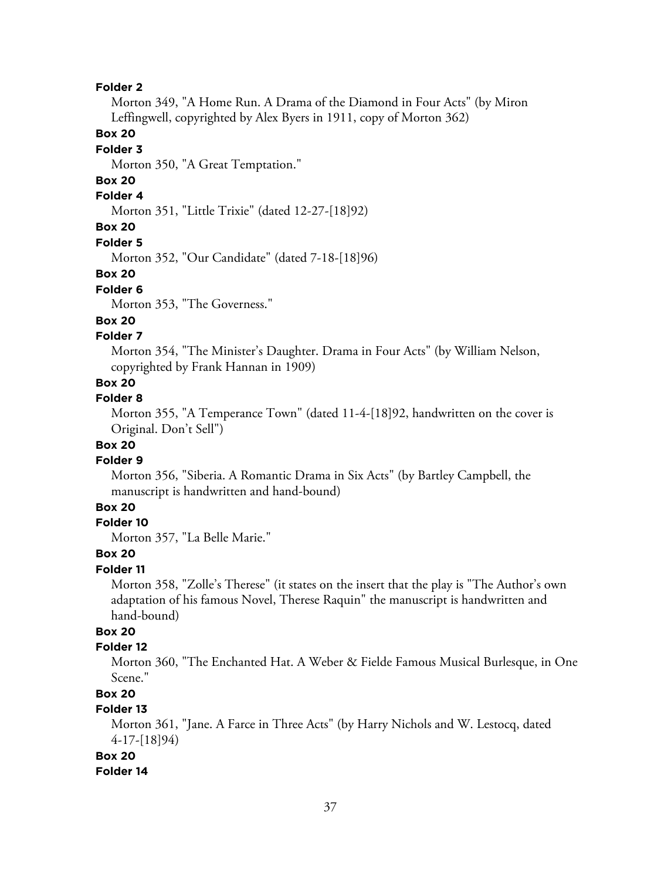Morton 349, "A Home Run. A Drama of the Diamond in Four Acts" (by Miron Leffingwell, copyrighted by Alex Byers in 1911, copy of Morton 362)

### **Box 20**

### **Folder 3**

Morton 350, "A Great Temptation."

# **Box 20**

# **Folder 4**

Morton 351, "Little Trixie" (dated 12-27-[18]92)

### **Box 20**

**Folder 5**

Morton 352, "Our Candidate" (dated 7-18-[18]96)

#### **Box 20**

#### **Folder 6**

Morton 353, "The Governess."

### **Box 20**

### **Folder 7**

Morton 354, "The Minister's Daughter. Drama in Four Acts" (by William Nelson, copyrighted by Frank Hannan in 1909)

### **Box 20**

#### **Folder 8**

Morton 355, "A Temperance Town" (dated 11-4-[18]92, handwritten on the cover is Original. Don't Sell")

# **Box 20**

## **Folder 9**

Morton 356, "Siberia. A Romantic Drama in Six Acts" (by Bartley Campbell, the manuscript is handwritten and hand-bound)

### **Box 20**

# **Folder 10**

Morton 357, "La Belle Marie."

### **Box 20**

### **Folder 11**

Morton 358, "Zolle's Therese" (it states on the insert that the play is "The Author's own adaptation of his famous Novel, Therese Raquin" the manuscript is handwritten and hand-bound)

# **Box 20**

### **Folder 12**

Morton 360, "The Enchanted Hat. A Weber & Fielde Famous Musical Burlesque, in One Scene."

# **Box 20**

# **Folder 13**

Morton 361, "Jane. A Farce in Three Acts" (by Harry Nichols and W. Lestocq, dated 4-17-[18]94)

### **Box 20**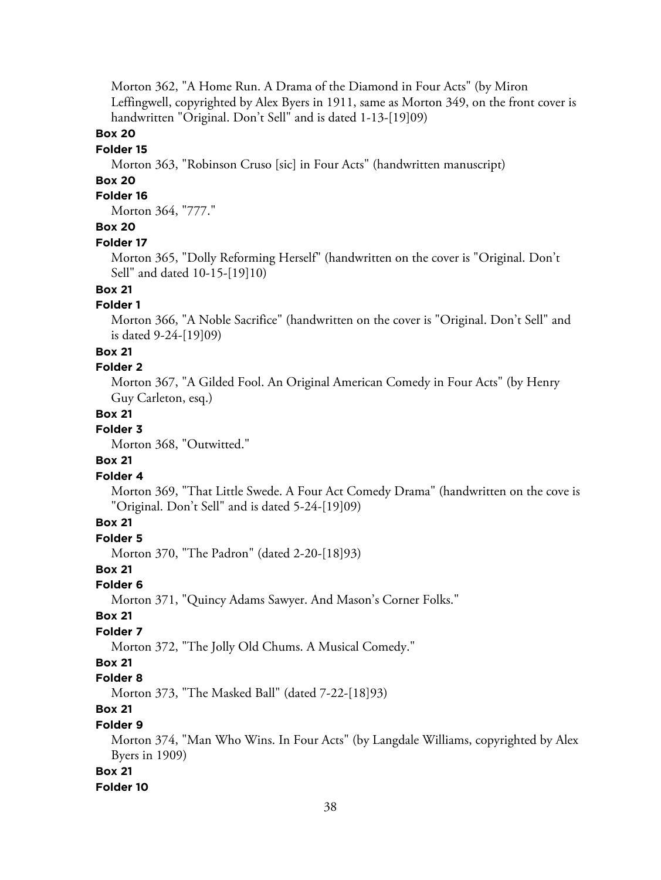Morton 362, "A Home Run. A Drama of the Diamond in Four Acts" (by Miron Leffingwell, copyrighted by Alex Byers in 1911, same as Morton 349, on the front cover is handwritten "Original. Don't Sell" and is dated 1-13-[19]09)

### **Box 20**

### **Folder 15**

Morton 363, "Robinson Cruso [sic] in Four Acts" (handwritten manuscript)

### **Box 20**

### **Folder 16**

Morton 364, "777."

## **Box 20**

### **Folder 17**

Morton 365, "Dolly Reforming Herself" (handwritten on the cover is "Original. Don't Sell" and dated 10-15-[19]10)

## **Box 21**

### **Folder 1**

Morton 366, "A Noble Sacrifice" (handwritten on the cover is "Original. Don't Sell" and is dated 9-24-[19]09)

### **Box 21**

#### **Folder 2**

Morton 367, "A Gilded Fool. An Original American Comedy in Four Acts" (by Henry Guy Carleton, esq.)

### **Box 21**

#### **Folder 3**

Morton 368, "Outwitted."

### **Box 21**

### **Folder 4**

Morton 369, "That Little Swede. A Four Act Comedy Drama" (handwritten on the cove is "Original. Don't Sell" and is dated 5-24-[19]09)

## **Box 21**

**Folder 5**

Morton 370, "The Padron" (dated 2-20-[18]93)

### **Box 21**

### **Folder 6**

Morton 371, "Quincy Adams Sawyer. And Mason's Corner Folks."

#### **Box 21**

#### **Folder 7**

Morton 372, "The Jolly Old Chums. A Musical Comedy."

#### **Box 21**

#### **Folder 8**

Morton 373, "The Masked Ball" (dated 7-22-[18]93)

# **Box 21**

### **Folder 9**

Morton 374, "Man Who Wins. In Four Acts" (by Langdale Williams, copyrighted by Alex Byers in 1909)

#### **Box 21**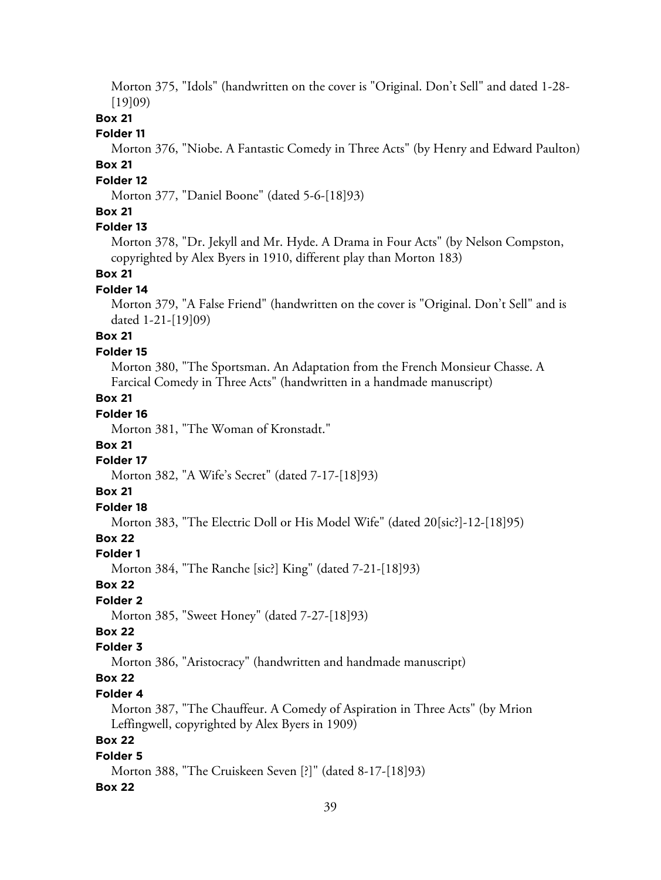Morton 375, "Idols" (handwritten on the cover is "Original. Don't Sell" and dated 1-28- [19]09)

# **Box 21**

### **Folder 11**

Morton 376, "Niobe. A Fantastic Comedy in Three Acts" (by Henry and Edward Paulton) **Box 21**

#### **Folder 12**

Morton 377, "Daniel Boone" (dated 5-6-[18]93)

## **Box 21**

## **Folder 13**

Morton 378, "Dr. Jekyll and Mr. Hyde. A Drama in Four Acts" (by Nelson Compston, copyrighted by Alex Byers in 1910, different play than Morton 183)

#### **Box 21**

#### **Folder 14**

Morton 379, "A False Friend" (handwritten on the cover is "Original. Don't Sell" and is dated 1-21-[19]09)

# **Box 21**

### **Folder 15**

Morton 380, "The Sportsman. An Adaptation from the French Monsieur Chasse. A Farcical Comedy in Three Acts" (handwritten in a handmade manuscript)

## **Box 21**

# **Folder 16**

Morton 381, "The Woman of Kronstadt."

### **Box 21**

# **Folder 17**

Morton 382, "A Wife's Secret" (dated 7-17-[18]93)

### **Box 21**

# **Folder 18**

Morton 383, "The Electric Doll or His Model Wife" (dated 20[sic?]-12-[18]95)

# **Box 22**

#### **Folder 1**

Morton 384, "The Ranche [sic?] King" (dated 7-21-[18]93)

### **Box 22**

## **Folder 2**

Morton 385, "Sweet Honey" (dated 7-27-[18]93)

# **Box 22**

## **Folder 3**

Morton 386, "Aristocracy" (handwritten and handmade manuscript)

# **Box 22**

### **Folder 4**

Morton 387, "The Chauffeur. A Comedy of Aspiration in Three Acts" (by Mrion Leffingwell, copyrighted by Alex Byers in 1909)

# **Box 22**

## **Folder 5**

Morton 388, "The Cruiskeen Seven [?]" (dated 8-17-[18]93)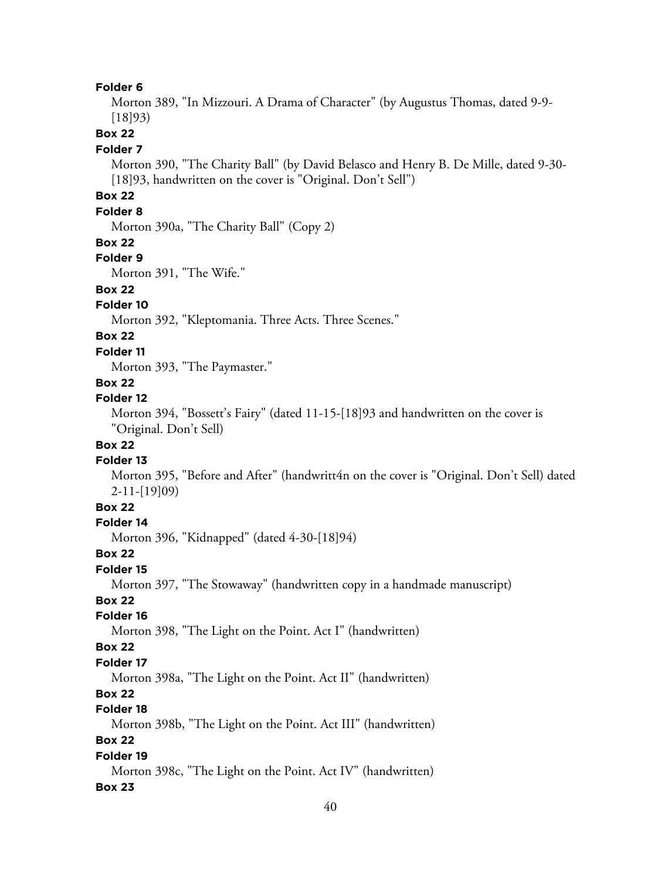Morton 389, "In Mizzouri. A Drama of Character" (by Augustus Thomas, dated 9-9- [18]93)

**Box 22**

#### **Folder 7**

Morton 390, "The Charity Ball" (by David Belasco and Henry B. De Mille, dated 9-30- [18]93, handwritten on the cover is "Original. Don't Sell")

# **Box 22**

### **Folder 8**

Morton 390a, "The Charity Ball" (Copy 2)

#### **Box 22**

#### **Folder 9**

Morton 391, "The Wife."

### **Box 22**

### **Folder 10**

Morton 392, "Kleptomania. Three Acts. Three Scenes."

# **Box 22**

### **Folder 11**

Morton 393, "The Paymaster."

### **Box 22**

#### **Folder 12**

Morton 394, "Bossett's Fairy" (dated 11-15-[18]93 and handwritten on the cover is "Original. Don't Sell)

### **Box 22**

### **Folder 13**

Morton 395, "Before and After" (handwritt4n on the cover is "Original. Don't Sell) dated 2-11-[19]09)

### **Box 22**

#### **Folder 14**

Morton 396, "Kidnapped" (dated 4-30-[18]94)

#### **Box 22**

#### **Folder 15**

Morton 397, "The Stowaway" (handwritten copy in a handmade manuscript)

### **Box 22**

### **Folder 16**

Morton 398, "The Light on the Point. Act I" (handwritten)

### **Box 22**

#### **Folder 17**

Morton 398a, "The Light on the Point. Act II" (handwritten)

### **Box 22**

# **Folder 18**

Morton 398b, "The Light on the Point. Act III" (handwritten)

### **Box 22**

### **Folder 19**

Morton 398c, "The Light on the Point. Act IV" (handwritten)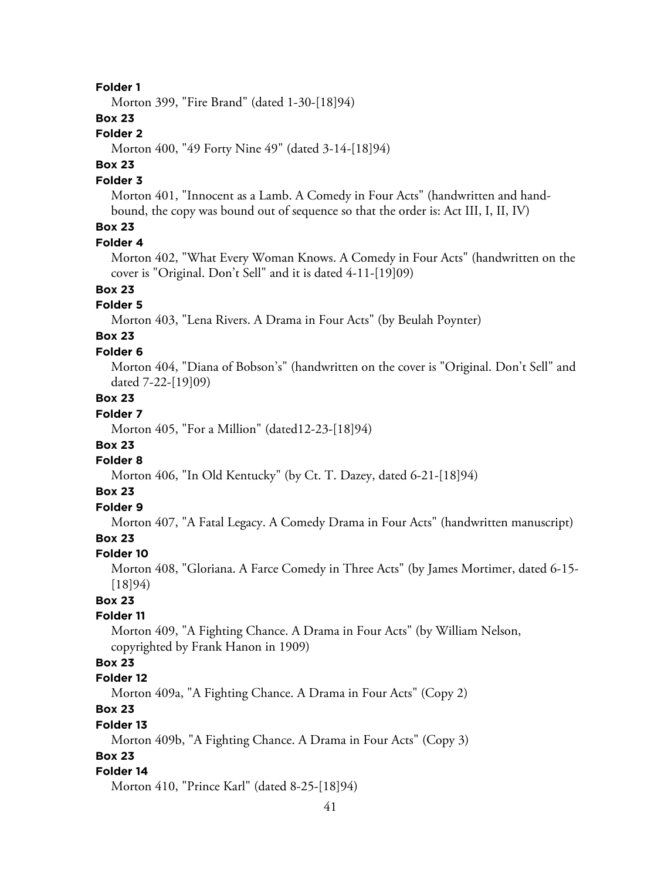Morton 399, "Fire Brand" (dated 1-30-[18]94)

### **Box 23**

### **Folder 2**

Morton 400, "49 Forty Nine 49" (dated 3-14-[18]94)

# **Box 23**

## **Folder 3**

Morton 401, "Innocent as a Lamb. A Comedy in Four Acts" (handwritten and handbound, the copy was bound out of sequence so that the order is: Act III, I, II, IV)

# **Box 23**

#### **Folder 4**

Morton 402, "What Every Woman Knows. A Comedy in Four Acts" (handwritten on the cover is "Original. Don't Sell" and it is dated 4-11-[19]09)

# **Box 23**

# **Folder 5**

Morton 403, "Lena Rivers. A Drama in Four Acts" (by Beulah Poynter)

# **Box 23**

### **Folder 6**

Morton 404, "Diana of Bobson's" (handwritten on the cover is "Original. Don't Sell" and dated 7-22-[19]09)

## **Box 23**

# **Folder 7**

Morton 405, "For a Million" (dated12-23-[18]94)

# **Box 23**

# **Folder 8**

Morton 406, "In Old Kentucky" (by Ct. T. Dazey, dated 6-21-[18]94)

### **Box 23**

# **Folder 9**

Morton 407, "A Fatal Legacy. A Comedy Drama in Four Acts" (handwritten manuscript)

# **Box 23**

### **Folder 10**

Morton 408, "Gloriana. A Farce Comedy in Three Acts" (by James Mortimer, dated 6-15- [18]94)

## **Box 23**

### **Folder 11**

Morton 409, "A Fighting Chance. A Drama in Four Acts" (by William Nelson, copyrighted by Frank Hanon in 1909)

# **Box 23**

### **Folder 12**

Morton 409a, "A Fighting Chance. A Drama in Four Acts" (Copy 2)

# **Box 23**

#### **Folder 13**

Morton 409b, "A Fighting Chance. A Drama in Four Acts" (Copy 3)

### **Box 23**

### **Folder 14**

Morton 410, "Prince Karl" (dated 8-25-[18]94)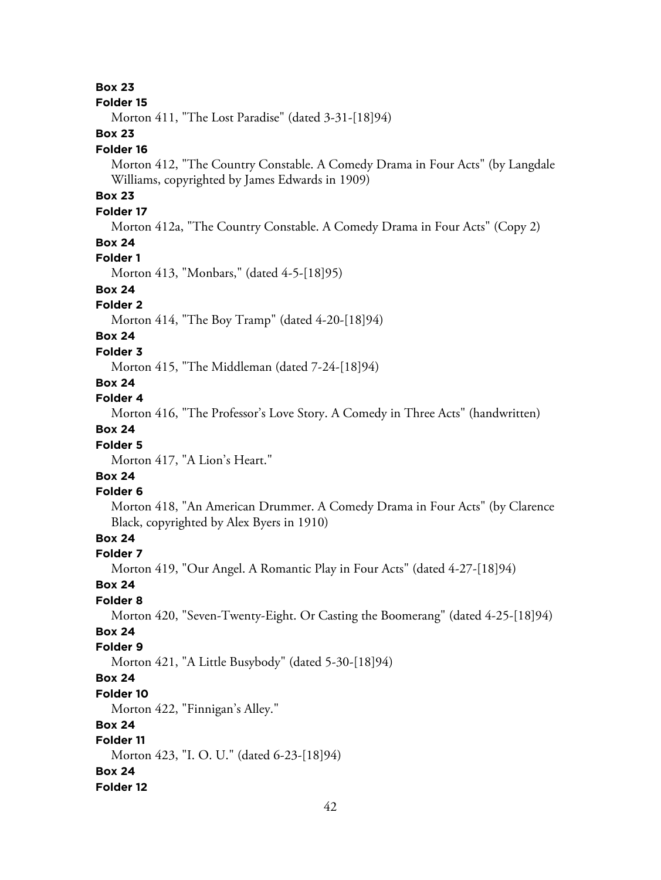**Box 23**

#### **Folder 15**

Morton 411, "The Lost Paradise" (dated 3-31-[18]94)

## **Box 23**

#### **Folder 16**

Morton 412, "The Country Constable. A Comedy Drama in Four Acts" (by Langdale Williams, copyrighted by James Edwards in 1909)

# **Box 23**

# **Folder 17**

Morton 412a, "The Country Constable. A Comedy Drama in Four Acts" (Copy 2)

### **Box 24**

### **Folder 1**

Morton 413, "Monbars," (dated 4-5-[18]95)

# **Box 24**

# **Folder 2**

Morton 414, "The Boy Tramp" (dated 4-20-[18]94)

# **Box 24**

### **Folder 3**

Morton 415, "The Middleman (dated 7-24-[18]94)

## **Box 24**

## **Folder 4**

Morton 416, "The Professor's Love Story. A Comedy in Three Acts" (handwritten)

# **Box 24**

### **Folder 5**

Morton 417, "A Lion's Heart."

# **Box 24**

### **Folder 6**

Morton 418, "An American Drummer. A Comedy Drama in Four Acts" (by Clarence Black, copyrighted by Alex Byers in 1910)

# **Box 24**

### **Folder 7**

Morton 419, "Our Angel. A Romantic Play in Four Acts" (dated 4-27-[18]94)

### **Box 24**

### **Folder 8**

Morton 420, "Seven-Twenty-Eight. Or Casting the Boomerang" (dated 4-25-[18]94)

# **Box 24**

### **Folder 9**

Morton 421, "A Little Busybody" (dated 5-30-[18]94)

# **Box 24**

### **Folder 10**

Morton 422, "Finnigan's Alley."

### **Box 24**

# **Folder 11**

Morton 423, "I. O. U." (dated 6-23-[18]94)

### **Box 24**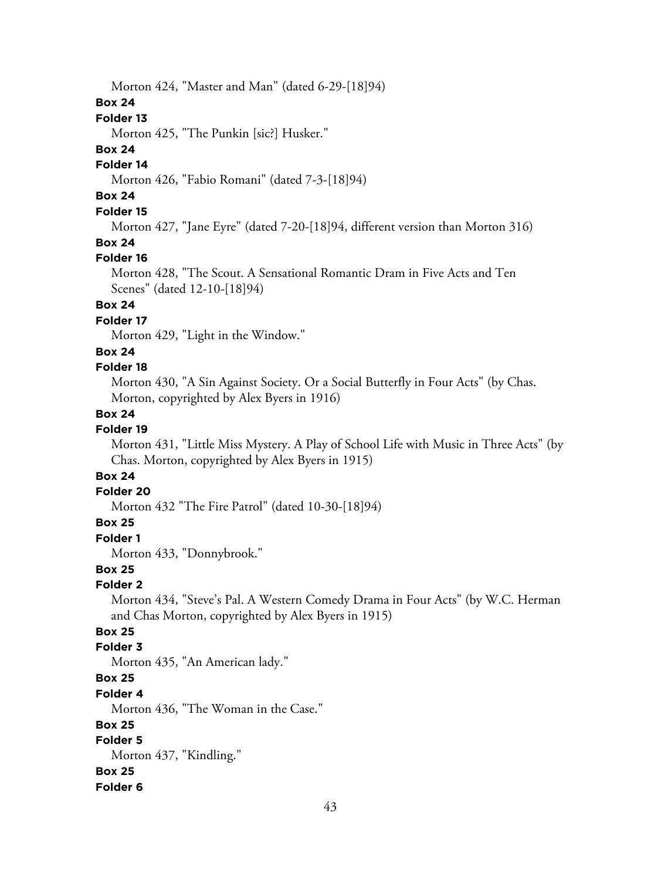Morton 424, "Master and Man" (dated 6-29-[18]94)

### **Box 24**

### **Folder 13**

Morton 425, "The Punkin [sic?] Husker."

### **Box 24**

# **Folder 14**

Morton 426, "Fabio Romani" (dated 7-3-[18]94)

# **Box 24**

# **Folder 15**

Morton 427, "Jane Eyre" (dated 7-20-[18]94, different version than Morton 316)

# **Box 24**

### **Folder 16**

Morton 428, "The Scout. A Sensational Romantic Dram in Five Acts and Ten Scenes" (dated 12-10-[18]94)

# **Box 24**

## **Folder 17**

Morton 429, "Light in the Window."

### **Box 24**

### **Folder 18**

Morton 430, "A Sin Against Society. Or a Social Butterfly in Four Acts" (by Chas. Morton, copyrighted by Alex Byers in 1916)

### **Box 24**

# **Folder 19**

Morton 431, "Little Miss Mystery. A Play of School Life with Music in Three Acts" (by Chas. Morton, copyrighted by Alex Byers in 1915)

# **Box 24**

### **Folder 20**

Morton 432 "The Fire Patrol" (dated 10-30-[18]94)

## **Box 25**

**Folder 1**

Morton 433, "Donnybrook."

### **Box 25**

### **Folder 2**

Morton 434, "Steve's Pal. A Western Comedy Drama in Four Acts" (by W.C. Herman and Chas Morton, copyrighted by Alex Byers in 1915)

# **Box 25**

### **Folder 3**

Morton 435, "An American lady."

# **Box 25**

#### **Folder 4**

Morton 436, "The Woman in the Case."

### **Box 25**

# **Folder 5**

Morton 437, "Kindling."

### **Box 25**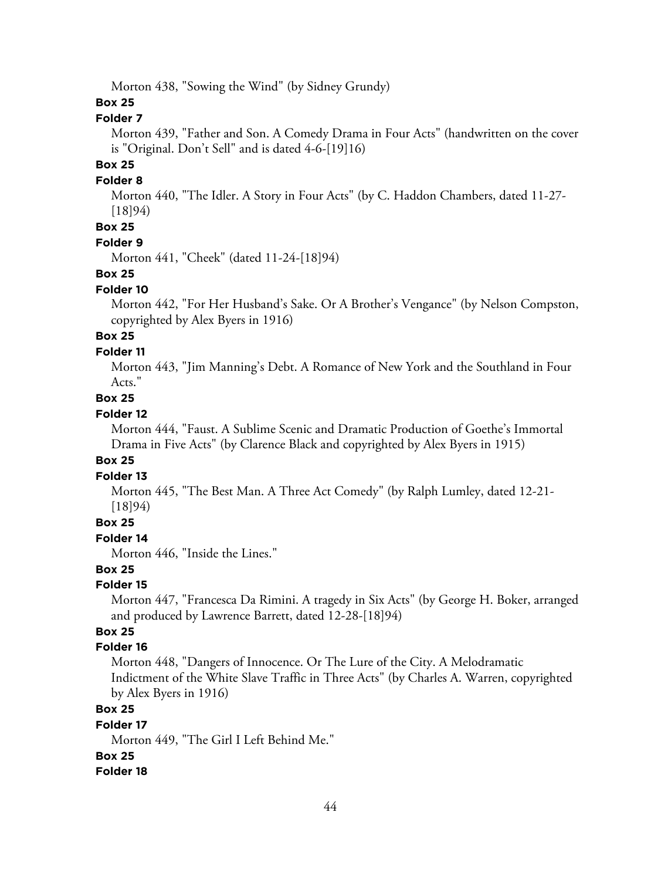Morton 438, "Sowing the Wind" (by Sidney Grundy)

### **Box 25**

# **Folder 7**

Morton 439, "Father and Son. A Comedy Drama in Four Acts" (handwritten on the cover is "Original. Don't Sell" and is dated 4-6-[19]16)

## **Box 25**

#### **Folder 8**

Morton 440, "The Idler. A Story in Four Acts" (by C. Haddon Chambers, dated 11-27- [18]94)

# **Box 25**

#### **Folder 9**

Morton 441, "Cheek" (dated 11-24-[18]94)

#### **Box 25**

#### **Folder 10**

Morton 442, "For Her Husband's Sake. Or A Brother's Vengance" (by Nelson Compston, copyrighted by Alex Byers in 1916)

# **Box 25**

#### **Folder 11**

Morton 443, "Jim Manning's Debt. A Romance of New York and the Southland in Four Acts."

## **Box 25**

### **Folder 12**

Morton 444, "Faust. A Sublime Scenic and Dramatic Production of Goethe's Immortal Drama in Five Acts" (by Clarence Black and copyrighted by Alex Byers in 1915)

### **Box 25**

#### **Folder 13**

Morton 445, "The Best Man. A Three Act Comedy" (by Ralph Lumley, dated 12-21- [18]94)

#### **Box 25**

#### **Folder 14**

Morton 446, "Inside the Lines."

## **Box 25**

### **Folder 15**

Morton 447, "Francesca Da Rimini. A tragedy in Six Acts" (by George H. Boker, arranged and produced by Lawrence Barrett, dated 12-28-[18]94)

# **Box 25**

### **Folder 16**

Morton 448, "Dangers of Innocence. Or The Lure of the City. A Melodramatic Indictment of the White Slave Traffic in Three Acts" (by Charles A. Warren, copyrighted by Alex Byers in 1916)

# **Box 25**

#### **Folder 17**

Morton 449, "The Girl I Left Behind Me."

### **Box 25**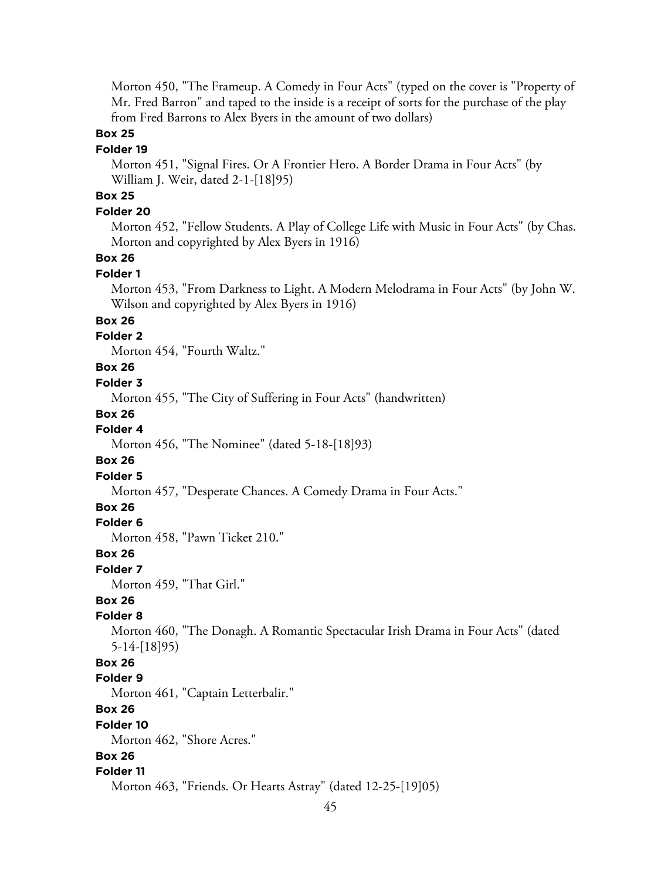Morton 450, "The Frameup. A Comedy in Four Acts" (typed on the cover is "Property of Mr. Fred Barron" and taped to the inside is a receipt of sorts for the purchase of the play from Fred Barrons to Alex Byers in the amount of two dollars)

### **Box 25**

#### **Folder 19**

Morton 451, "Signal Fires. Or A Frontier Hero. A Border Drama in Four Acts" (by William J. Weir, dated 2-1-[18]95)

# **Box 25**

### **Folder 20**

Morton 452, "Fellow Students. A Play of College Life with Music in Four Acts" (by Chas. Morton and copyrighted by Alex Byers in 1916)

# **Box 26**

#### **Folder 1**

Morton 453, "From Darkness to Light. A Modern Melodrama in Four Acts" (by John W. Wilson and copyrighted by Alex Byers in 1916)

### **Box 26**

### **Folder 2**

Morton 454, "Fourth Waltz."

### **Box 26**

### **Folder 3**

Morton 455, "The City of Suffering in Four Acts" (handwritten)

#### **Box 26**

### **Folder 4**

Morton 456, "The Nominee" (dated 5-18-[18]93)

### **Box 26**

#### **Folder 5**

Morton 457, "Desperate Chances. A Comedy Drama in Four Acts."

### **Box 26**

### **Folder 6**

Morton 458, "Pawn Ticket 210."

#### **Box 26**

#### **Folder 7**

Morton 459, "That Girl."

## **Box 26**

### **Folder 8**

Morton 460, "The Donagh. A Romantic Spectacular Irish Drama in Four Acts" (dated 5-14-[18]95)

### **Box 26**

#### **Folder 9**

Morton 461, "Captain Letterbalir."

# **Box 26**

#### **Folder 10**

Morton 462, "Shore Acres."

# **Box 26**

#### **Folder 11**

Morton 463, "Friends. Or Hearts Astray" (dated 12-25-[19]05)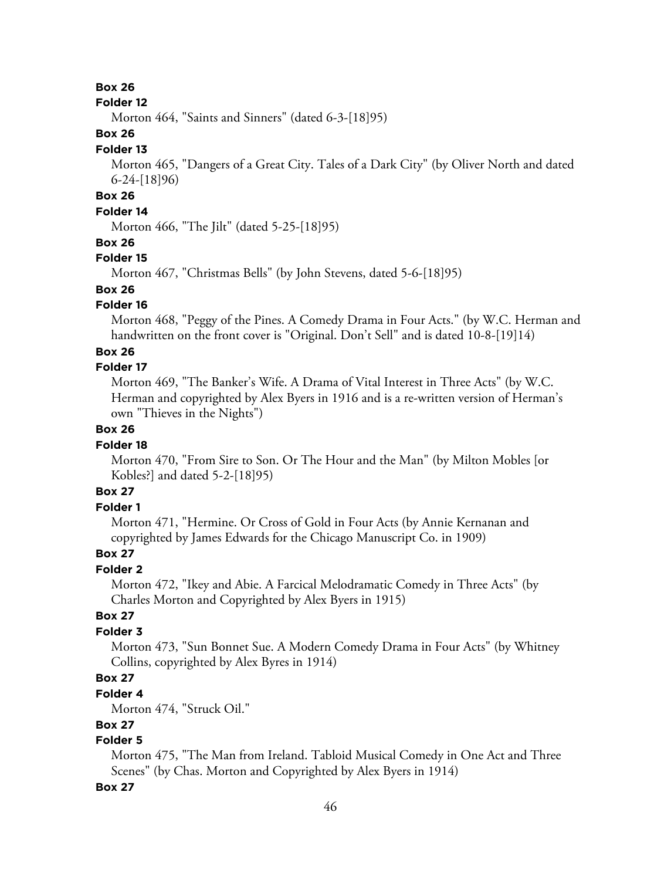### **Box 26**

#### **Folder 12**

Morton 464, "Saints and Sinners" (dated 6-3-[18]95)

### **Box 26**

#### **Folder 13**

Morton 465, "Dangers of a Great City. Tales of a Dark City" (by Oliver North and dated 6-24-[18]96)

# **Box 26**

# **Folder 14**

Morton 466, "The Jilt" (dated 5-25-[18]95)

### **Box 26**

### **Folder 15**

Morton 467, "Christmas Bells" (by John Stevens, dated 5-6-[18]95)

# **Box 26**

## **Folder 16**

Morton 468, "Peggy of the Pines. A Comedy Drama in Four Acts." (by W.C. Herman and handwritten on the front cover is "Original. Don't Sell" and is dated 10-8-[19]14)

### **Box 26**

### **Folder 17**

Morton 469, "The Banker's Wife. A Drama of Vital Interest in Three Acts" (by W.C. Herman and copyrighted by Alex Byers in 1916 and is a re-written version of Herman's own "Thieves in the Nights")

# **Box 26**

### **Folder 18**

Morton 470, "From Sire to Son. Or The Hour and the Man" (by Milton Mobles [or Kobles?] and dated 5-2-[18]95)

# **Box 27**

# **Folder 1**

Morton 471, "Hermine. Or Cross of Gold in Four Acts (by Annie Kernanan and copyrighted by James Edwards for the Chicago Manuscript Co. in 1909)

## **Box 27**

### **Folder 2**

Morton 472, "Ikey and Abie. A Farcical Melodramatic Comedy in Three Acts" (by Charles Morton and Copyrighted by Alex Byers in 1915)

### **Box 27**

### **Folder 3**

Morton 473, "Sun Bonnet Sue. A Modern Comedy Drama in Four Acts" (by Whitney Collins, copyrighted by Alex Byres in 1914)

# **Box 27**

### **Folder 4**

Morton 474, "Struck Oil."

# **Box 27**

# **Folder 5**

Morton 475, "The Man from Ireland. Tabloid Musical Comedy in One Act and Three Scenes" (by Chas. Morton and Copyrighted by Alex Byers in 1914)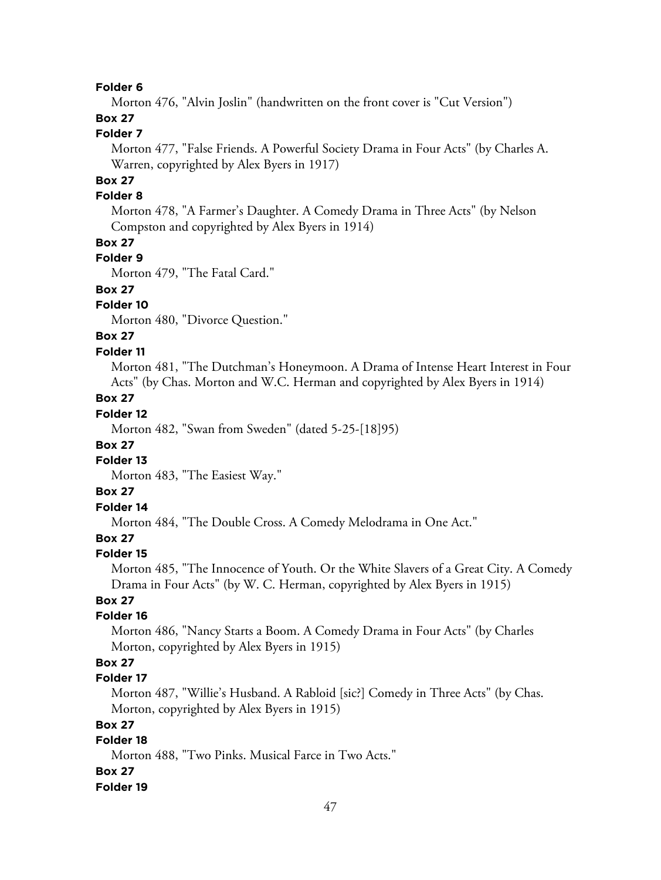Morton 476, "Alvin Joslin" (handwritten on the front cover is "Cut Version")

# **Box 27**

# **Folder 7**

Morton 477, "False Friends. A Powerful Society Drama in Four Acts" (by Charles A. Warren, copyrighted by Alex Byers in 1917)

# **Box 27**

### **Folder 8**

Morton 478, "A Farmer's Daughter. A Comedy Drama in Three Acts" (by Nelson Compston and copyrighted by Alex Byers in 1914)

### **Box 27**

## **Folder 9**

Morton 479, "The Fatal Card."

## **Box 27**

## **Folder 10**

Morton 480, "Divorce Question."

# **Box 27**

### **Folder 11**

Morton 481, "The Dutchman's Honeymoon. A Drama of Intense Heart Interest in Four Acts" (by Chas. Morton and W.C. Herman and copyrighted by Alex Byers in 1914)

# **Box 27**

# **Folder 12**

Morton 482, "Swan from Sweden" (dated 5-25-[18]95)

### **Box 27**

### **Folder 13**

Morton 483, "The Easiest Way."

### **Box 27**

### **Folder 14**

Morton 484, "The Double Cross. A Comedy Melodrama in One Act."

# **Box 27**

#### **Folder 15**

Morton 485, "The Innocence of Youth. Or the White Slavers of a Great City. A Comedy Drama in Four Acts" (by W. C. Herman, copyrighted by Alex Byers in 1915)

# **Box 27**

### **Folder 16**

Morton 486, "Nancy Starts a Boom. A Comedy Drama in Four Acts" (by Charles Morton, copyrighted by Alex Byers in 1915)

# **Box 27**

### **Folder 17**

Morton 487, "Willie's Husband. A Rabloid [sic?] Comedy in Three Acts" (by Chas. Morton, copyrighted by Alex Byers in 1915)

# **Box 27**

# **Folder 18**

Morton 488, "Two Pinks. Musical Farce in Two Acts."

#### **Box 27**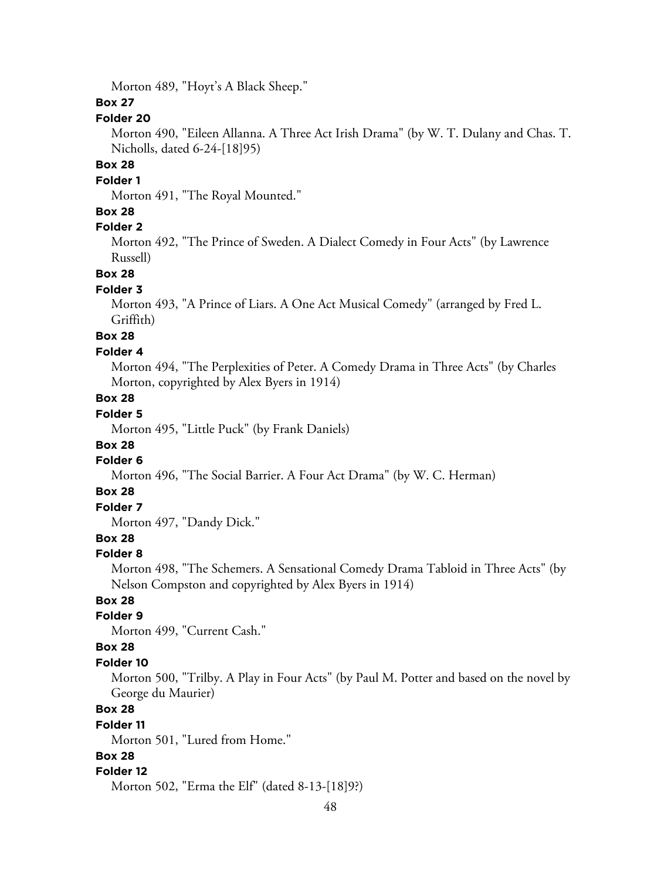Morton 489, "Hoyt's A Black Sheep."

## **Box 27**

### **Folder 20**

Morton 490, "Eileen Allanna. A Three Act Irish Drama" (by W. T. Dulany and Chas. T. Nicholls, dated 6-24-[18]95)

### **Box 28**

#### **Folder 1**

Morton 491, "The Royal Mounted."

### **Box 28**

### **Folder 2**

Morton 492, "The Prince of Sweden. A Dialect Comedy in Four Acts" (by Lawrence Russell)

### **Box 28**

### **Folder 3**

Morton 493, "A Prince of Liars. A One Act Musical Comedy" (arranged by Fred L. Griffith)

# **Box 28**

### **Folder 4**

Morton 494, "The Perplexities of Peter. A Comedy Drama in Three Acts" (by Charles Morton, copyrighted by Alex Byers in 1914)

## **Box 28**

# **Folder 5**

Morton 495, "Little Puck" (by Frank Daniels)

# **Box 28**

# **Folder 6**

Morton 496, "The Social Barrier. A Four Act Drama" (by W. C. Herman)

### **Box 28**

# **Folder 7**

Morton 497, "Dandy Dick."

# **Box 28**

#### **Folder 8**

Morton 498, "The Schemers. A Sensational Comedy Drama Tabloid in Three Acts" (by Nelson Compston and copyrighted by Alex Byers in 1914)

# **Box 28**

# **Folder 9**

Morton 499, "Current Cash."

### **Box 28**

#### **Folder 10**

Morton 500, "Trilby. A Play in Four Acts" (by Paul M. Potter and based on the novel by George du Maurier)

## **Box 28**

#### **Folder 11**

Morton 501, "Lured from Home."

## **Box 28**

#### **Folder 12**

Morton 502, "Erma the Elf" (dated 8-13-[18]9?)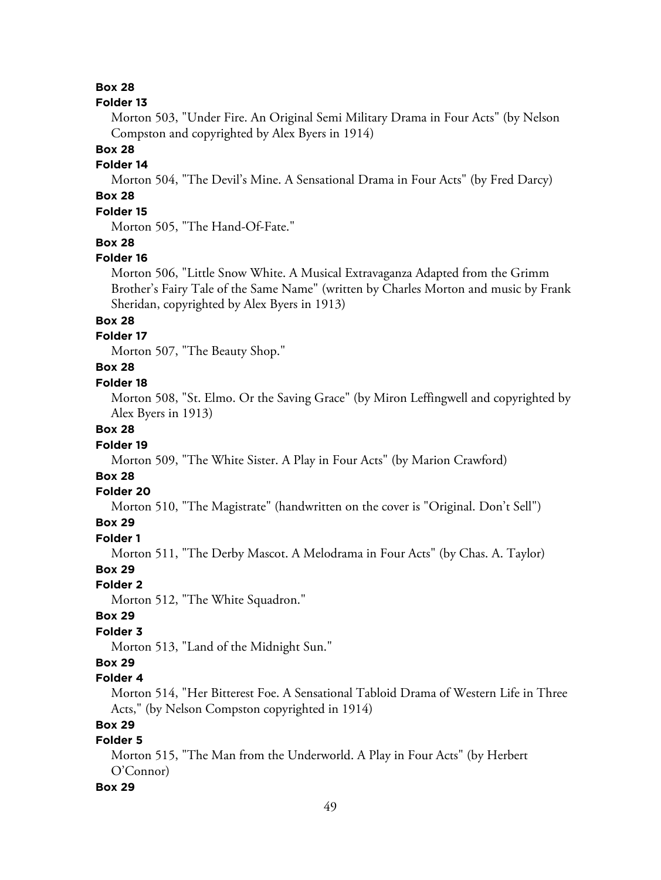### **Box 28**

#### **Folder 13**

Morton 503, "Under Fire. An Original Semi Military Drama in Four Acts" (by Nelson Compston and copyrighted by Alex Byers in 1914)

#### **Box 28**

### **Folder 14**

Morton 504, "The Devil's Mine. A Sensational Drama in Four Acts" (by Fred Darcy)

# **Box 28**

# **Folder 15**

Morton 505, "The Hand-Of-Fate."

#### **Box 28**

#### **Folder 16**

Morton 506, "Little Snow White. A Musical Extravaganza Adapted from the Grimm Brother's Fairy Tale of the Same Name" (written by Charles Morton and music by Frank Sheridan, copyrighted by Alex Byers in 1913)

#### **Box 28**

### **Folder 17**

Morton 507, "The Beauty Shop."

# **Box 28**

### **Folder 18**

Morton 508, "St. Elmo. Or the Saving Grace" (by Miron Leffingwell and copyrighted by Alex Byers in 1913)

## **Box 28**

#### **Folder 19**

Morton 509, "The White Sister. A Play in Four Acts" (by Marion Crawford)

## **Box 28**

#### **Folder 20**

Morton 510, "The Magistrate" (handwritten on the cover is "Original. Don't Sell")

#### **Box 29**

#### **Folder 1**

Morton 511, "The Derby Mascot. A Melodrama in Four Acts" (by Chas. A. Taylor)

## **Box 29**

#### **Folder 2**

Morton 512, "The White Squadron."

#### **Box 29**

#### **Folder 3**

Morton 513, "Land of the Midnight Sun."

### **Box 29**

#### **Folder 4**

Morton 514, "Her Bitterest Foe. A Sensational Tabloid Drama of Western Life in Three Acts," (by Nelson Compston copyrighted in 1914)

## **Box 29**

# **Folder 5**

Morton 515, "The Man from the Underworld. A Play in Four Acts" (by Herbert O'Connor)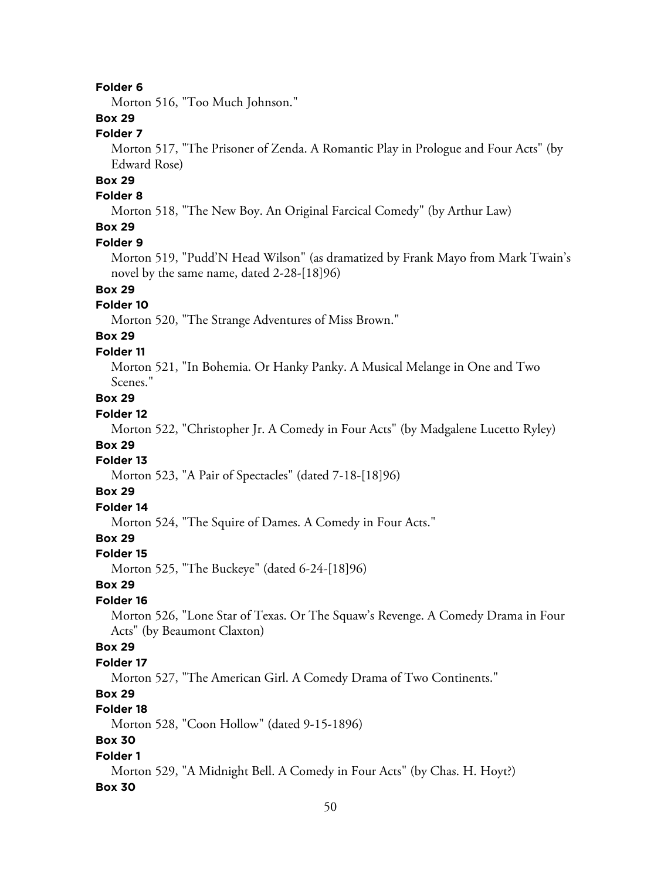Morton 516, "Too Much Johnson."

# **Box 29**

### **Folder 7**

Morton 517, "The Prisoner of Zenda. A Romantic Play in Prologue and Four Acts" (by Edward Rose)

# **Box 29**

## **Folder 8**

Morton 518, "The New Boy. An Original Farcical Comedy" (by Arthur Law)

# **Box 29**

### **Folder 9**

Morton 519, "Pudd'N Head Wilson" (as dramatized by Frank Mayo from Mark Twain's novel by the same name, dated 2-28-[18]96)

# **Box 29**

### **Folder 10**

Morton 520, "The Strange Adventures of Miss Brown."

# **Box 29**

### **Folder 11**

Morton 521, "In Bohemia. Or Hanky Panky. A Musical Melange in One and Two Scenes."

# **Box 29**

### **Folder 12**

Morton 522, "Christopher Jr. A Comedy in Four Acts" (by Madgalene Lucetto Ryley)

# **Box 29**

# **Folder 13**

Morton 523, "A Pair of Spectacles" (dated 7-18-[18]96)

### **Box 29**

# **Folder 14**

Morton 524, "The Squire of Dames. A Comedy in Four Acts."

# **Box 29**

#### **Folder 15**

Morton 525, "The Buckeye" (dated 6-24-[18]96)

### **Box 29**

#### **Folder 16**

Morton 526, "Lone Star of Texas. Or The Squaw's Revenge. A Comedy Drama in Four Acts" (by Beaumont Claxton)

## **Box 29**

#### **Folder 17**

Morton 527, "The American Girl. A Comedy Drama of Two Continents."

# **Box 29**

# **Folder 18**

Morton 528, "Coon Hollow" (dated 9-15-1896)

### **Box 30**

#### **Folder 1**

Morton 529, "A Midnight Bell. A Comedy in Four Acts" (by Chas. H. Hoyt?)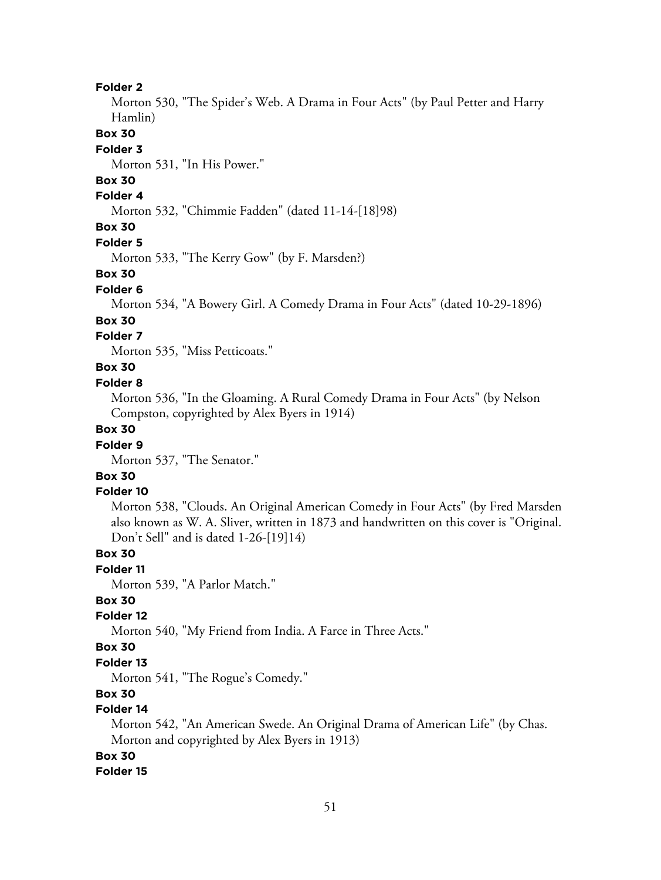Morton 530, "The Spider's Web. A Drama in Four Acts" (by Paul Petter and Harry Hamlin)

#### **Box 30**

#### **Folder 3**

Morton 531, "In His Power."

# **Box 30**

# **Folder 4**

Morton 532, "Chimmie Fadden" (dated 11-14-[18]98)

### **Box 30**

#### **Folder 5**

Morton 533, "The Kerry Gow" (by F. Marsden?)

#### **Box 30**

#### **Folder 6**

Morton 534, "A Bowery Girl. A Comedy Drama in Four Acts" (dated 10-29-1896)

#### **Box 30**

### **Folder 7**

Morton 535, "Miss Petticoats."

# **Box 30**

### **Folder 8**

Morton 536, "In the Gloaming. A Rural Comedy Drama in Four Acts" (by Nelson Compston, copyrighted by Alex Byers in 1914)

## **Box 30**

### **Folder 9**

Morton 537, "The Senator."

## **Box 30**

### **Folder 10**

Morton 538, "Clouds. An Original American Comedy in Four Acts" (by Fred Marsden also known as W. A. Sliver, written in 1873 and handwritten on this cover is "Original. Don't Sell" and is dated 1-26-[19]14)

#### **Box 30**

**Folder 11**

Morton 539, "A Parlor Match."

### **Box 30**

### **Folder 12**

Morton 540, "My Friend from India. A Farce in Three Acts."

### **Box 30**

### **Folder 13**

Morton 541, "The Rogue's Comedy."

### **Box 30**

### **Folder 14**

Morton 542, "An American Swede. An Original Drama of American Life" (by Chas. Morton and copyrighted by Alex Byers in 1913)

### **Box 30**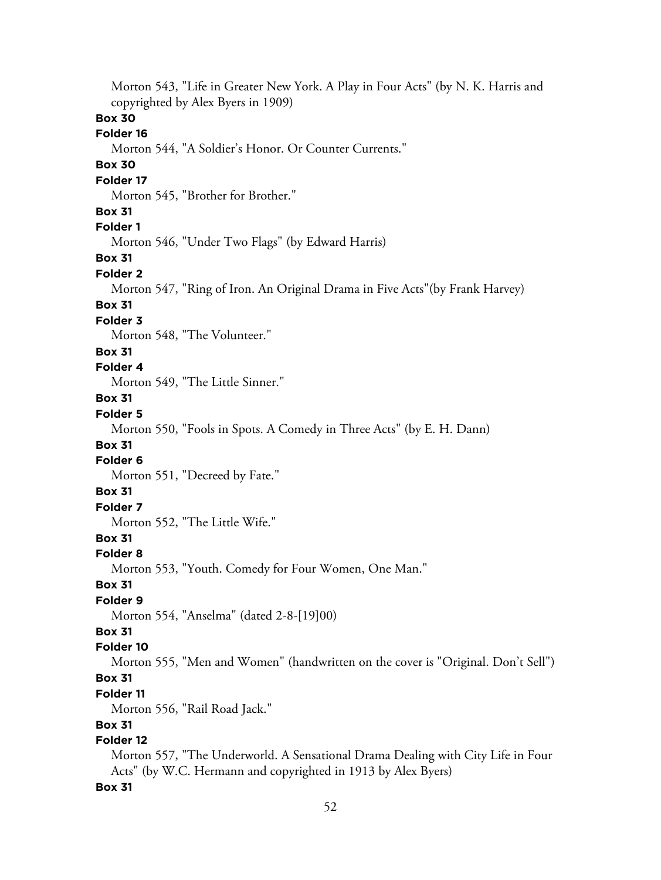Morton 543, "Life in Greater New York. A Play in Four Acts" (by N. K. Harris and copyrighted by Alex Byers in 1909) **Box 30 Folder 16** Morton 544, "A Soldier's Honor. Or Counter Currents." **Box 30 Folder 17** Morton 545, "Brother for Brother." **Box 31 Folder 1** Morton 546, "Under Two Flags" (by Edward Harris) **Box 31 Folder 2** Morton 547, "Ring of Iron. An Original Drama in Five Acts"(by Frank Harvey) **Box 31 Folder 3** Morton 548, "The Volunteer." **Box 31 Folder 4** Morton 549, "The Little Sinner." **Box 31 Folder 5** Morton 550, "Fools in Spots. A Comedy in Three Acts" (by E. H. Dann) **Box 31 Folder 6** Morton 551, "Decreed by Fate." **Box 31 Folder 7** Morton 552, "The Little Wife." **Box 31 Folder 8** Morton 553, "Youth. Comedy for Four Women, One Man." **Box 31 Folder 9** Morton 554, "Anselma" (dated 2-8-[19]00) **Box 31 Folder 10** Morton 555, "Men and Women" (handwritten on the cover is "Original. Don't Sell") **Box 31 Folder 11** Morton 556, "Rail Road Jack." **Box 31 Folder 12** Morton 557, "The Underworld. A Sensational Drama Dealing with City Life in Four Acts" (by W.C. Hermann and copyrighted in 1913 by Alex Byers)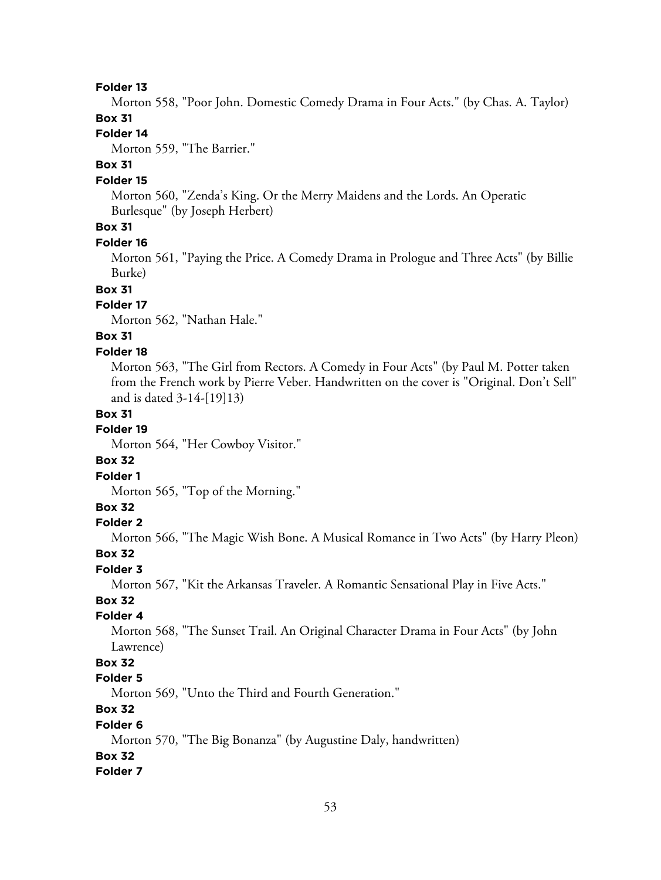Morton 558, "Poor John. Domestic Comedy Drama in Four Acts." (by Chas. A. Taylor) **Box 31**

# **Folder 14**

Morton 559, "The Barrier."

#### **Box 31**

#### **Folder 15**

Morton 560, "Zenda's King. Or the Merry Maidens and the Lords. An Operatic Burlesque" (by Joseph Herbert)

# **Box 31**

#### **Folder 16**

Morton 561, "Paying the Price. A Comedy Drama in Prologue and Three Acts" (by Billie Burke)

### **Box 31**

### **Folder 17**

Morton 562, "Nathan Hale."

# **Box 31**

#### **Folder 18**

Morton 563, "The Girl from Rectors. A Comedy in Four Acts" (by Paul M. Potter taken from the French work by Pierre Veber. Handwritten on the cover is "Original. Don't Sell" and is dated 3-14-[19]13)

### **Box 31**

### **Folder 19**

Morton 564, "Her Cowboy Visitor."

#### **Box 32**

#### **Folder 1**

Morton 565, "Top of the Morning."

### **Box 32**

### **Folder 2**

Morton 566, "The Magic Wish Bone. A Musical Romance in Two Acts" (by Harry Pleon)

#### **Box 32**

**Folder 3**

Morton 567, "Kit the Arkansas Traveler. A Romantic Sensational Play in Five Acts."

## **Box 32**

# **Folder 4**

Morton 568, "The Sunset Trail. An Original Character Drama in Four Acts" (by John Lawrence)

### **Box 32**

### **Folder 5**

Morton 569, "Unto the Third and Fourth Generation."

# **Box 32**

#### **Folder 6**

Morton 570, "The Big Bonanza" (by Augustine Daly, handwritten)

# **Box 32**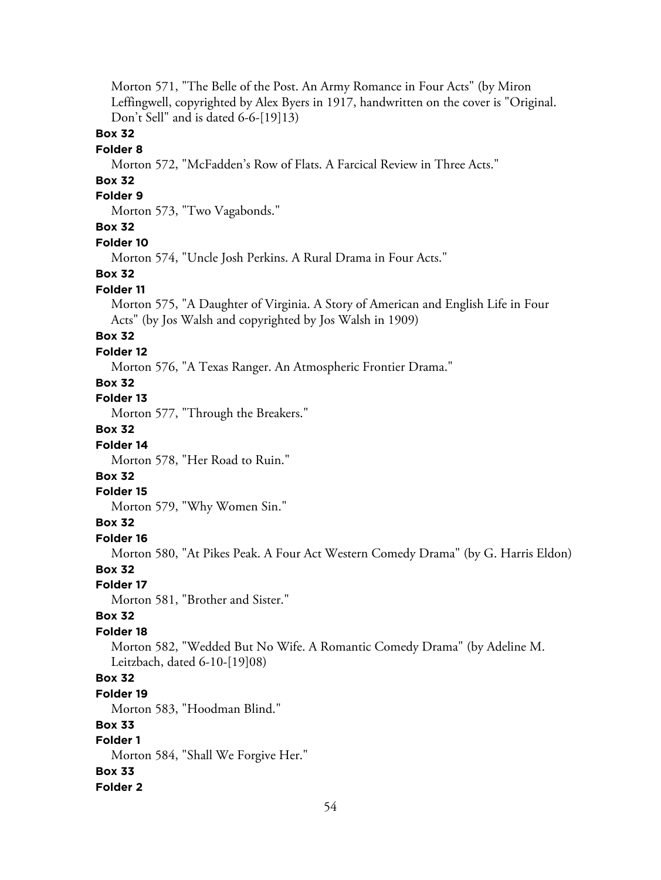Morton 571, "The Belle of the Post. An Army Romance in Four Acts" (by Miron Leffingwell, copyrighted by Alex Byers in 1917, handwritten on the cover is "Original. Don't Sell" and is dated 6-6-[19]13)

### **Box 32**

#### **Folder 8**

Morton 572, "McFadden's Row of Flats. A Farcical Review in Three Acts."

# **Box 32**

# **Folder 9**

Morton 573, "Two Vagabonds."

# **Box 32**

#### **Folder 10**

Morton 574, "Uncle Josh Perkins. A Rural Drama in Four Acts."

### **Box 32**

#### **Folder 11**

Morton 575, "A Daughter of Virginia. A Story of American and English Life in Four Acts" (by Jos Walsh and copyrighted by Jos Walsh in 1909)

# **Box 32**

### **Folder 12**

Morton 576, "A Texas Ranger. An Atmospheric Frontier Drama."

## **Box 32**

**Folder 13**

Morton 577, "Through the Breakers."

# **Box 32**

### **Folder 14**

Morton 578, "Her Road to Ruin."

## **Box 32**

### **Folder 15**

Morton 579, "Why Women Sin."

### **Box 32**

### **Folder 16**

Morton 580, "At Pikes Peak. A Four Act Western Comedy Drama" (by G. Harris Eldon)

### **Box 32**

#### **Folder 17**

Morton 581, "Brother and Sister."

### **Box 32**

### **Folder 18**

Morton 582, "Wedded But No Wife. A Romantic Comedy Drama" (by Adeline M. Leitzbach, dated 6-10-[19]08)

### **Box 32**

### **Folder 19**

Morton 583, "Hoodman Blind."

### **Box 33**

# **Folder 1**

Morton 584, "Shall We Forgive Her."

### **Box 33**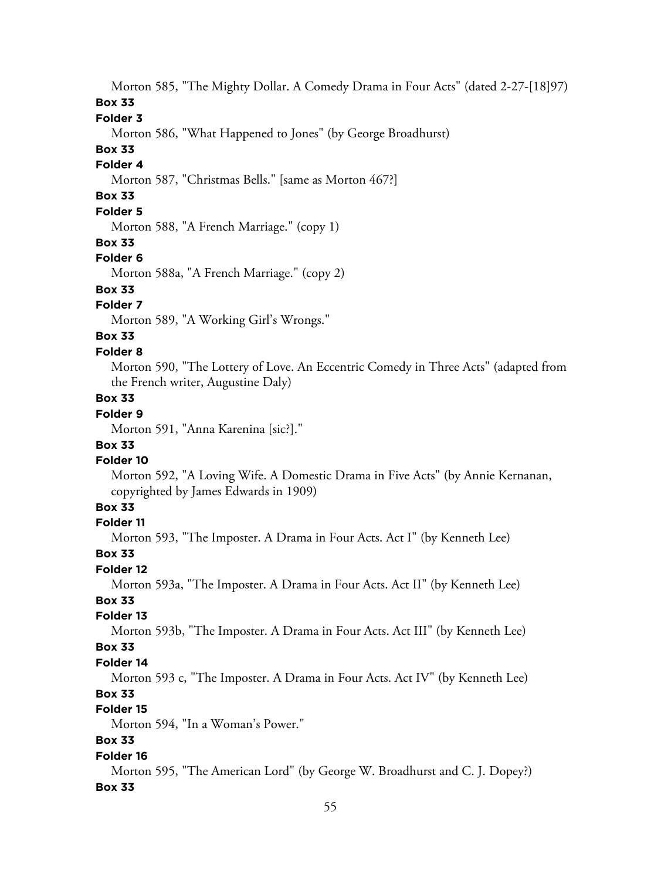Morton 585, "The Mighty Dollar. A Comedy Drama in Four Acts" (dated 2-27-[18]97)

### **Box 33**

### **Folder 3**

Morton 586, "What Happened to Jones" (by George Broadhurst)

# **Box 33**

# **Folder 4**

Morton 587, "Christmas Bells." [same as Morton 467?]

# **Box 33**

# **Folder 5**

Morton 588, "A French Marriage." (copy 1)

#### **Box 33**

#### **Folder 6**

Morton 588a, "A French Marriage." (copy 2)

## **Box 33**

# **Folder 7**

Morton 589, "A Working Girl's Wrongs."

# **Box 33**

### **Folder 8**

Morton 590, "The Lottery of Love. An Eccentric Comedy in Three Acts" (adapted from the French writer, Augustine Daly)

# **Box 33**

# **Folder 9**

Morton 591, "Anna Karenina [sic?]."

## **Box 33**

### **Folder 10**

Morton 592, "A Loving Wife. A Domestic Drama in Five Acts" (by Annie Kernanan, copyrighted by James Edwards in 1909)

### **Box 33**

### **Folder 11**

Morton 593, "The Imposter. A Drama in Four Acts. Act I" (by Kenneth Lee)

#### **Box 33**

#### **Folder 12**

Morton 593a, "The Imposter. A Drama in Four Acts. Act II" (by Kenneth Lee)

# **Box 33**

# **Folder 13**

Morton 593b, "The Imposter. A Drama in Four Acts. Act III" (by Kenneth Lee)

### **Box 33**

#### **Folder 14**

Morton 593 c, "The Imposter. A Drama in Four Acts. Act IV" (by Kenneth Lee)

# **Box 33**

# **Folder 15**

Morton 594, "In a Woman's Power."

# **Box 33**

#### **Folder 16**

Morton 595, "The American Lord" (by George W. Broadhurst and C. J. Dopey?) **Box 33**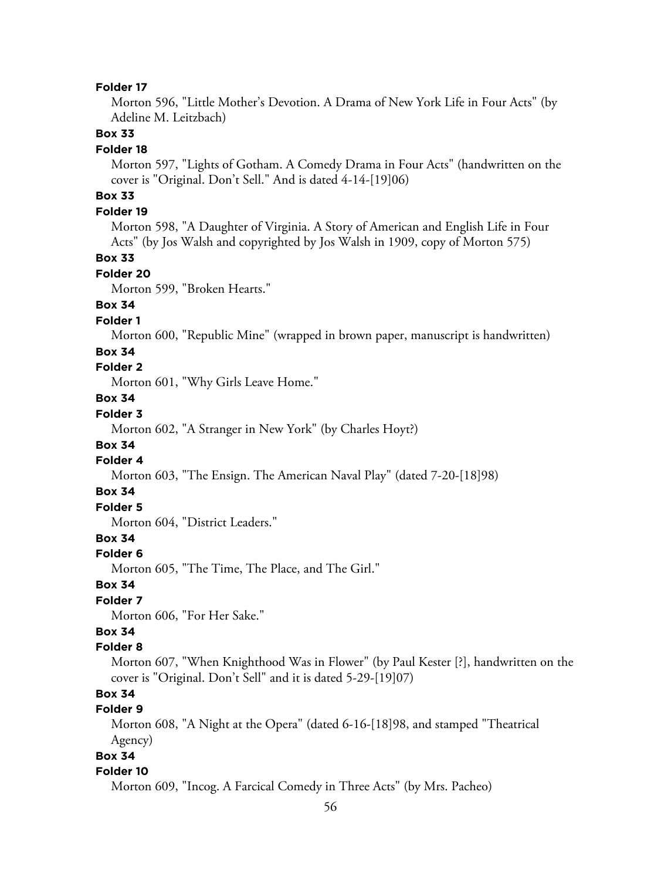Morton 596, "Little Mother's Devotion. A Drama of New York Life in Four Acts" (by Adeline M. Leitzbach)

### **Box 33**

#### **Folder 18**

Morton 597, "Lights of Gotham. A Comedy Drama in Four Acts" (handwritten on the cover is "Original. Don't Sell." And is dated 4-14-[19]06)

# **Box 33**

### **Folder 19**

Morton 598, "A Daughter of Virginia. A Story of American and English Life in Four Acts" (by Jos Walsh and copyrighted by Jos Walsh in 1909, copy of Morton 575)

### **Box 33**

#### **Folder 20**

Morton 599, "Broken Hearts."

## **Box 34**

#### **Folder 1**

Morton 600, "Republic Mine" (wrapped in brown paper, manuscript is handwritten)

### **Box 34**

## **Folder 2**

Morton 601, "Why Girls Leave Home."

### **Box 34**

## **Folder 3**

Morton 602, "A Stranger in New York" (by Charles Hoyt?)

### **Box 34**

# **Folder 4**

Morton 603, "The Ensign. The American Naval Play" (dated 7-20-[18]98)

#### **Box 34**

# **Folder 5**

Morton 604, "District Leaders."

# **Box 34**

#### **Folder 6**

Morton 605, "The Time, The Place, and The Girl."

### **Box 34**

# **Folder 7**

Morton 606, "For Her Sake."

# **Box 34**

### **Folder 8**

Morton 607, "When Knighthood Was in Flower" (by Paul Kester [?], handwritten on the cover is "Original. Don't Sell" and it is dated 5-29-[19]07)

# **Box 34**

## **Folder 9**

Morton 608, "A Night at the Opera" (dated 6-16-[18]98, and stamped "Theatrical Agency)

# **Box 34**

#### **Folder 10**

Morton 609, "Incog. A Farcical Comedy in Three Acts" (by Mrs. Pacheo)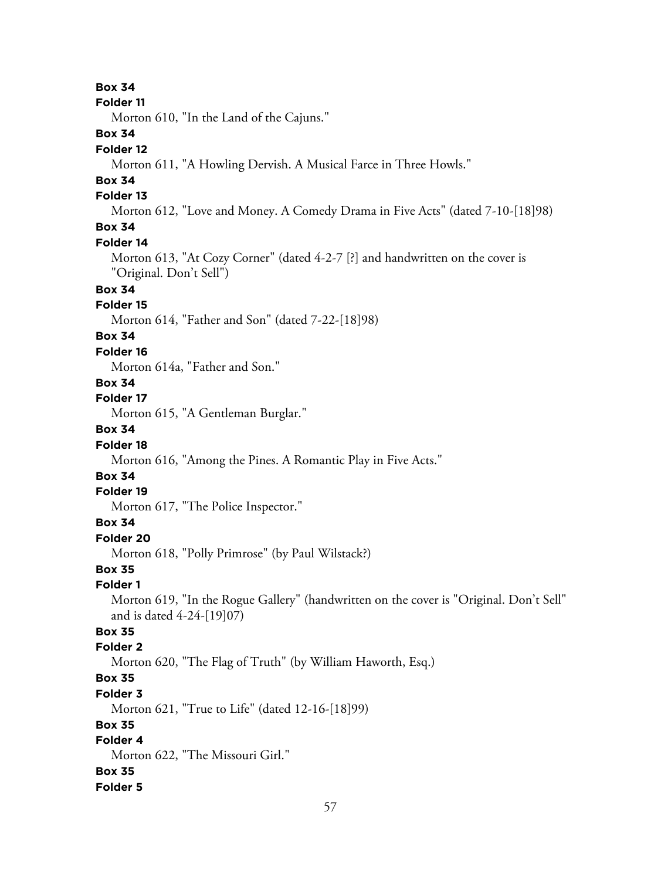**Box 34**

#### **Folder 11**

Morton 610, "In the Land of the Cajuns."

# **Box 34**

### **Folder 12**

Morton 611, "A Howling Dervish. A Musical Farce in Three Howls."

# **Box 34**

### **Folder 13**

Morton 612, "Love and Money. A Comedy Drama in Five Acts" (dated 7-10-[18]98)

# **Box 34**

### **Folder 14**

Morton 613, "At Cozy Corner" (dated 4-2-7 [?] and handwritten on the cover is "Original. Don't Sell")

# **Box 34**

### **Folder 15**

Morton 614, "Father and Son" (dated 7-22-[18]98)

# **Box 34**

### **Folder 16**

Morton 614a, "Father and Son."

# **Box 34**

## **Folder 17**

Morton 615, "A Gentleman Burglar."

# **Box 34**

## **Folder 18**

Morton 616, "Among the Pines. A Romantic Play in Five Acts."

# **Box 34**

### **Folder 19**

Morton 617, "The Police Inspector."

## **Box 34**

### **Folder 20**

Morton 618, "Polly Primrose" (by Paul Wilstack?)

### **Box 35**

### **Folder 1**

Morton 619, "In the Rogue Gallery" (handwritten on the cover is "Original. Don't Sell" and is dated 4-24-[19]07)

### **Box 35**

### **Folder 2**

Morton 620, "The Flag of Truth" (by William Haworth, Esq.)

# **Box 35**

### **Folder 3**

Morton 621, "True to Life" (dated 12-16-[18]99)

### **Box 35**

# **Folder 4**

Morton 622, "The Missouri Girl."

# **Box 35**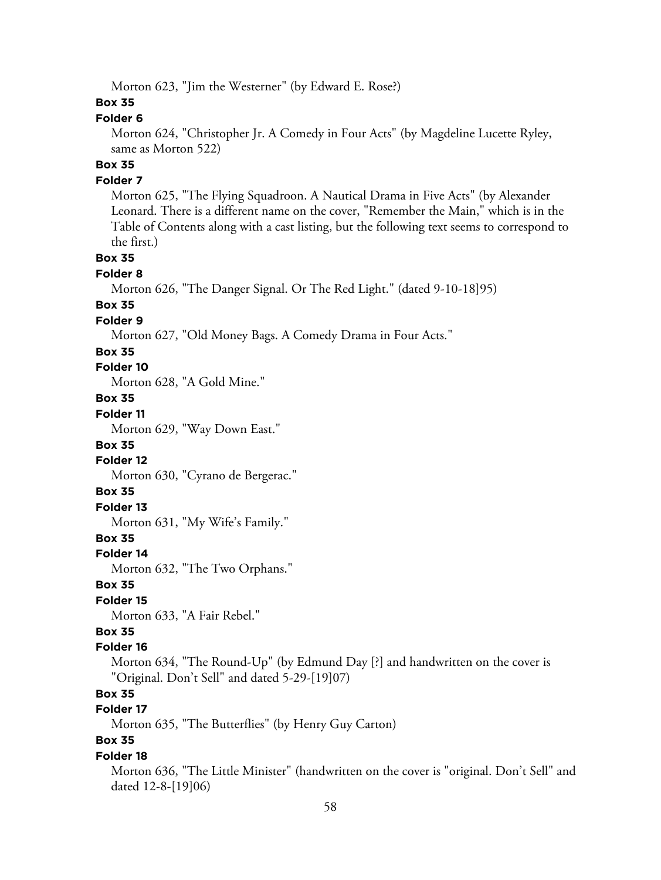Morton 623, "Jim the Westerner" (by Edward E. Rose?)

## **Box 35**

### **Folder 6**

Morton 624, "Christopher Jr. A Comedy in Four Acts" (by Magdeline Lucette Ryley, same as Morton 522)

# **Box 35**

### **Folder 7**

Morton 625, "The Flying Squadroon. A Nautical Drama in Five Acts" (by Alexander Leonard. There is a different name on the cover, "Remember the Main," which is in the Table of Contents along with a cast listing, but the following text seems to correspond to the first.)

### **Box 35**

### **Folder 8**

Morton 626, "The Danger Signal. Or The Red Light." (dated 9-10-18]95)

### **Box 35**

### **Folder 9**

Morton 627, "Old Money Bags. A Comedy Drama in Four Acts."

### **Box 35**

### **Folder 10**

Morton 628, "A Gold Mine."

### **Box 35**

# **Folder 11**

Morton 629, "Way Down East."

#### **Box 35**

### **Folder 12**

Morton 630, "Cyrano de Bergerac."

### **Box 35**

### **Folder 13**

Morton 631, "My Wife's Family."

### **Box 35**

#### **Folder 14**

Morton 632, "The Two Orphans."

### **Box 35**

### **Folder 15**

Morton 633, "A Fair Rebel."

# **Box 35**

### **Folder 16**

Morton 634, "The Round-Up" (by Edmund Day [?] and handwritten on the cover is "Original. Don't Sell" and dated 5-29-[19]07)

# **Box 35**

### **Folder 17**

Morton 635, "The Butterflies" (by Henry Guy Carton)

# **Box 35**

#### **Folder 18**

Morton 636, "The Little Minister" (handwritten on the cover is "original. Don't Sell" and dated 12-8-[19]06)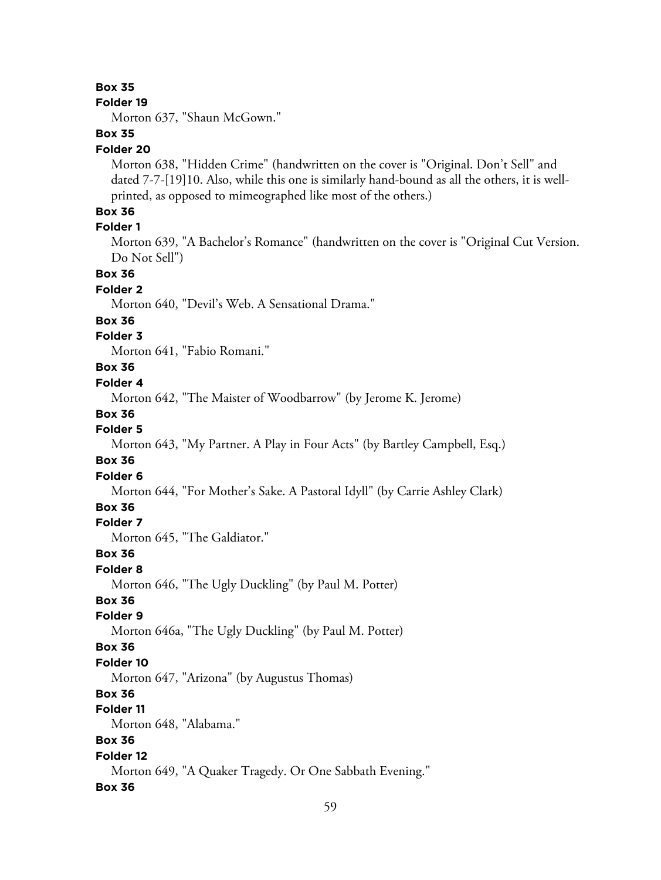### **Box 35**

#### **Folder 19**

Morton 637, "Shaun McGown."

## **Box 35**

### **Folder 20**

Morton 638, "Hidden Crime" (handwritten on the cover is "Original. Don't Sell" and dated 7-7-[19]10. Also, while this one is similarly hand-bound as all the others, it is wellprinted, as opposed to mimeographed like most of the others.)

### **Box 36**

### **Folder 1**

Morton 639, "A Bachelor's Romance" (handwritten on the cover is "Original Cut Version. Do Not Sell")

### **Box 36**

### **Folder 2**

Morton 640, "Devil's Web. A Sensational Drama."

#### **Box 36**

### **Folder 3**

Morton 641, "Fabio Romani."

# **Box 36**

### **Folder 4**

Morton 642, "The Maister of Woodbarrow" (by Jerome K. Jerome)

#### **Box 36**

### **Folder 5**

Morton 643, "My Partner. A Play in Four Acts" (by Bartley Campbell, Esq.)

### **Box 36**

### **Folder 6**

Morton 644, "For Mother's Sake. A Pastoral Idyll" (by Carrie Ashley Clark)

### **Box 36**

### **Folder 7**

Morton 645, "The Galdiator."

## **Box 36**

#### **Folder 8**

Morton 646, "The Ugly Duckling" (by Paul M. Potter)

### **Box 36**

### **Folder 9**

Morton 646a, "The Ugly Duckling" (by Paul M. Potter)

# **Box 36**

#### **Folder 10**

Morton 647, "Arizona" (by Augustus Thomas)

## **Box 36**

# **Folder 11**

Morton 648, "Alabama."

# **Box 36**

# **Folder 12**

Morton 649, "A Quaker Tragedy. Or One Sabbath Evening."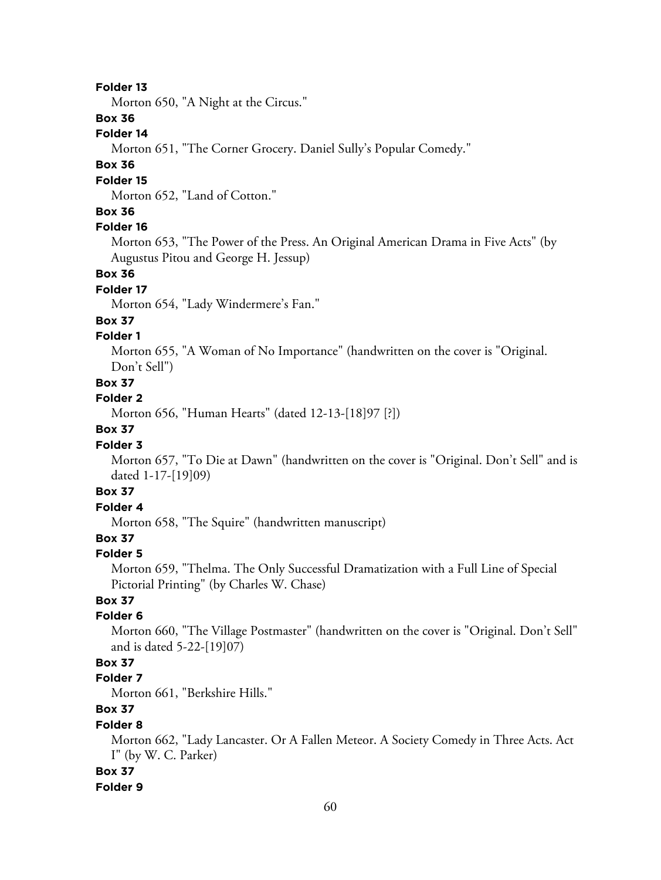Morton 650, "A Night at the Circus."

### **Box 36**

### **Folder 14**

Morton 651, "The Corner Grocery. Daniel Sully's Popular Comedy."

### **Box 36**

#### **Folder 15**

Morton 652, "Land of Cotton."

### **Box 36**

### **Folder 16**

Morton 653, "The Power of the Press. An Original American Drama in Five Acts" (by Augustus Pitou and George H. Jessup)

### **Box 36**

#### **Folder 17**

Morton 654, "Lady Windermere's Fan."

#### **Box 37**

### **Folder 1**

Morton 655, "A Woman of No Importance" (handwritten on the cover is "Original. Don't Sell")

## **Box 37**

### **Folder 2**

Morton 656, "Human Hearts" (dated 12-13-[18]97 [?])

# **Box 37**

### **Folder 3**

Morton 657, "To Die at Dawn" (handwritten on the cover is "Original. Don't Sell" and is dated 1-17-[19]09)

# **Box 37**

# **Folder 4**

Morton 658, "The Squire" (handwritten manuscript)

# **Box 37**

#### **Folder 5**

Morton 659, "Thelma. The Only Successful Dramatization with a Full Line of Special Pictorial Printing" (by Charles W. Chase)

# **Box 37**

### **Folder 6**

Morton 660, "The Village Postmaster" (handwritten on the cover is "Original. Don't Sell" and is dated 5-22-[19]07)

### **Box 37**

#### **Folder 7**

Morton 661, "Berkshire Hills."

# **Box 37**

### **Folder 8**

Morton 662, "Lady Lancaster. Or A Fallen Meteor. A Society Comedy in Three Acts. Act I" (by W. C. Parker)

#### **Box 37**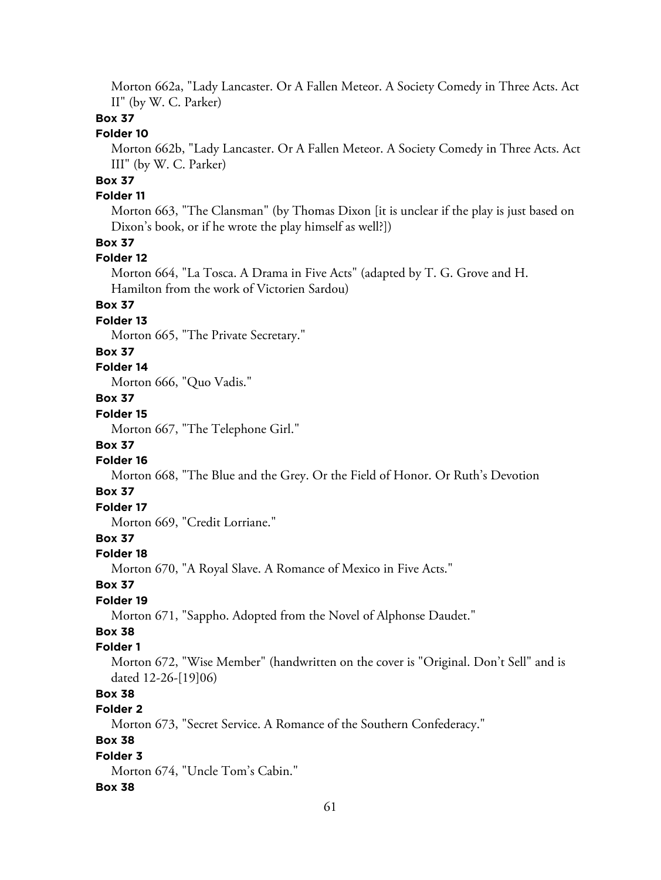Morton 662a, "Lady Lancaster. Or A Fallen Meteor. A Society Comedy in Three Acts. Act II" (by W. C. Parker)

### **Box 37**

# **Folder 10**

Morton 662b, "Lady Lancaster. Or A Fallen Meteor. A Society Comedy in Three Acts. Act III" (by W. C. Parker)

# **Box 37**

### **Folder 11**

Morton 663, "The Clansman" (by Thomas Dixon [it is unclear if the play is just based on Dixon's book, or if he wrote the play himself as well?])

## **Box 37**

#### **Folder 12**

Morton 664, "La Tosca. A Drama in Five Acts" (adapted by T. G. Grove and H. Hamilton from the work of Victorien Sardou)

### **Box 37**

### **Folder 13**

Morton 665, "The Private Secretary."

### **Box 37**

### **Folder 14**

Morton 666, "Quo Vadis."

## **Box 37**

# **Folder 15**

Morton 667, "The Telephone Girl."

### **Box 37**

### **Folder 16**

Morton 668, "The Blue and the Grey. Or the Field of Honor. Or Ruth's Devotion

### **Box 37**

# **Folder 17**

Morton 669, "Credit Lorriane."

# **Box 37**

#### **Folder 18**

Morton 670, "A Royal Slave. A Romance of Mexico in Five Acts."

#### **Box 37**

### **Folder 19**

Morton 671, "Sappho. Adopted from the Novel of Alphonse Daudet."

# **Box 38**

# **Folder 1**

Morton 672, "Wise Member" (handwritten on the cover is "Original. Don't Sell" and is dated 12-26-[19]06)

# **Box 38**

# **Folder 2**

Morton 673, "Secret Service. A Romance of the Southern Confederacy."

### **Box 38**

### **Folder 3**

Morton 674, "Uncle Tom's Cabin."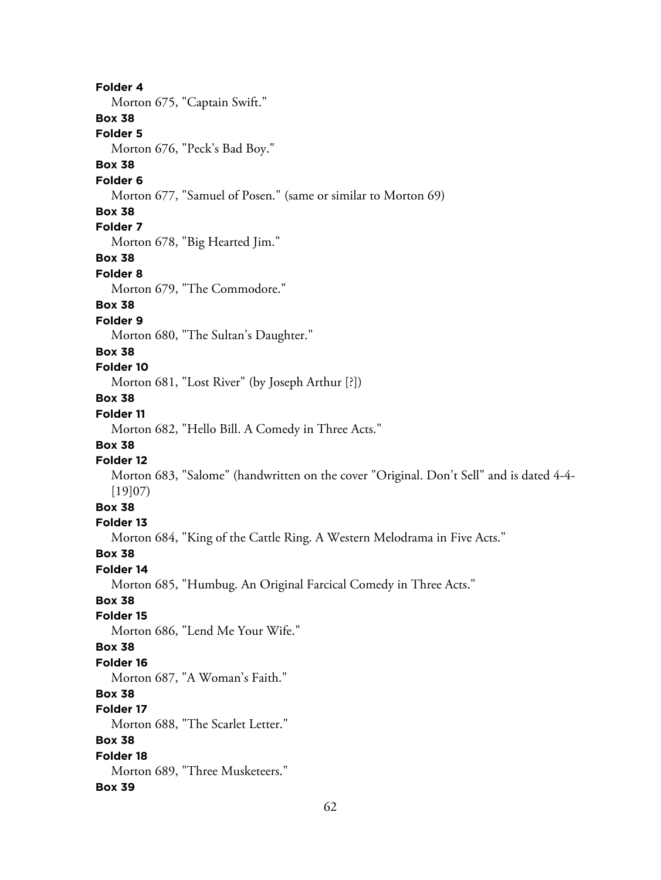**Folder 4** Morton 675, "Captain Swift." **Box 38 Folder 5** Morton 676, "Peck's Bad Boy." **Box 38 Folder 6** Morton 677, "Samuel of Posen." (same or similar to Morton 69) **Box 38 Folder 7** Morton 678, "Big Hearted Jim." **Box 38 Folder 8** Morton 679, "The Commodore." **Box 38 Folder 9** Morton 680, "The Sultan's Daughter." **Box 38 Folder 10** Morton 681, "Lost River" (by Joseph Arthur [?]) **Box 38 Folder 11** Morton 682, "Hello Bill. A Comedy in Three Acts." **Box 38 Folder 12** Morton 683, "Salome" (handwritten on the cover "Original. Don't Sell" and is dated 4-4- [19]07) **Box 38 Folder 13** Morton 684, "King of the Cattle Ring. A Western Melodrama in Five Acts." **Box 38 Folder 14** Morton 685, "Humbug. An Original Farcical Comedy in Three Acts." **Box 38 Folder 15** Morton 686, "Lend Me Your Wife." **Box 38 Folder 16** Morton 687, "A Woman's Faith." **Box 38 Folder 17** Morton 688, "The Scarlet Letter." **Box 38 Folder 18** Morton 689, "Three Musketeers." **Box 39**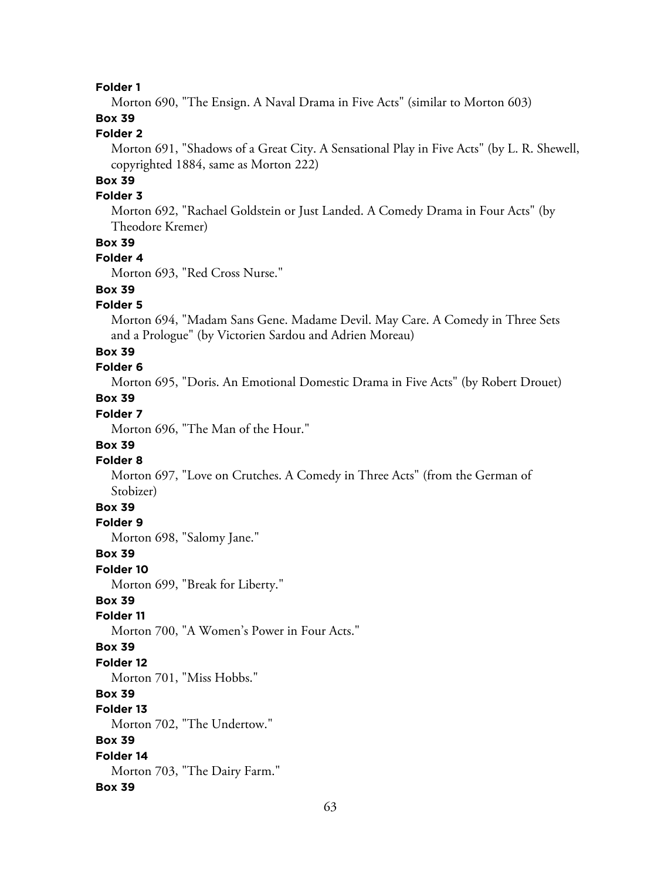Morton 690, "The Ensign. A Naval Drama in Five Acts" (similar to Morton 603)

# **Box 39**

# **Folder 2**

Morton 691, "Shadows of a Great City. A Sensational Play in Five Acts" (by L. R. Shewell, copyrighted 1884, same as Morton 222)

# **Box 39**

### **Folder 3**

Morton 692, "Rachael Goldstein or Just Landed. A Comedy Drama in Four Acts" (by Theodore Kremer)

#### **Box 39**

### **Folder 4**

Morton 693, "Red Cross Nurse."

# **Box 39**

### **Folder 5**

Morton 694, "Madam Sans Gene. Madame Devil. May Care. A Comedy in Three Sets and a Prologue" (by Victorien Sardou and Adrien Moreau)

### **Box 39**

### **Folder 6**

Morton 695, "Doris. An Emotional Domestic Drama in Five Acts" (by Robert Drouet)

# **Box 39**

# **Folder 7**

Morton 696, "The Man of the Hour."

## **Box 39**

# **Folder 8**

Morton 697, "Love on Crutches. A Comedy in Three Acts" (from the German of Stobizer)

### **Box 39**

### **Folder 9**

Morton 698, "Salomy Jane."

### **Box 39**

**Folder 10**

Morton 699, "Break for Liberty."

# **Box 39**

### **Folder 11**

Morton 700, "A Women's Power in Four Acts."

### **Box 39**

### **Folder 12**

Morton 701, "Miss Hobbs."

# **Box 39**

### **Folder 13**

Morton 702, "The Undertow."

#### **Box 39**

#### **Folder 14**

Morton 703, "The Dairy Farm."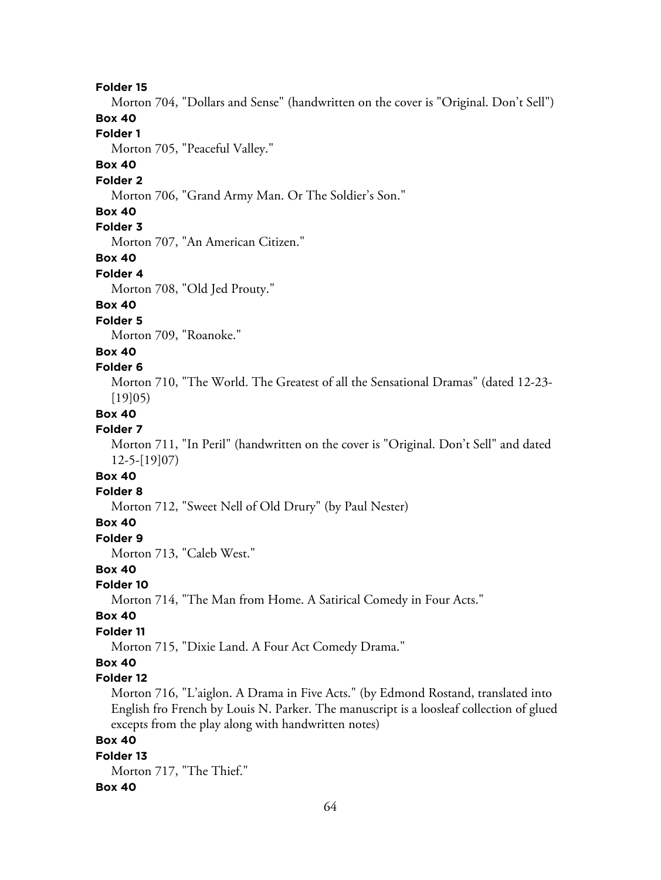Morton 704, "Dollars and Sense" (handwritten on the cover is "Original. Don't Sell")

### **Box 40**

# **Folder 1**

Morton 705, "Peaceful Valley."

# **Box 40**

#### **Folder 2**

Morton 706, "Grand Army Man. Or The Soldier's Son."

#### **Box 40**

## **Folder 3**

Morton 707, "An American Citizen."

#### **Box 40**

#### **Folder 4**

Morton 708, "Old Jed Prouty."

### **Box 40**

#### **Folder 5**

Morton 709, "Roanoke."

### **Box 40**

#### **Folder 6**

Morton 710, "The World. The Greatest of all the Sensational Dramas" (dated 12-23- [19]05)

### **Box 40**

### **Folder 7**

Morton 711, "In Peril" (handwritten on the cover is "Original. Don't Sell" and dated 12-5-[19]07)

# **Box 40**

### **Folder 8**

Morton 712, "Sweet Nell of Old Drury" (by Paul Nester)

### **Box 40**

**Folder 9** Morton 713, "Caleb West."

#### **Box 40**

#### **Folder 10**

Morton 714, "The Man from Home. A Satirical Comedy in Four Acts."

#### **Box 40**

#### **Folder 11**

Morton 715, "Dixie Land. A Four Act Comedy Drama."

# **Box 40**

### **Folder 12**

Morton 716, "L'aiglon. A Drama in Five Acts." (by Edmond Rostand, translated into English fro French by Louis N. Parker. The manuscript is a loosleaf collection of glued excepts from the play along with handwritten notes)

### **Box 40**

#### **Folder 13** Morton 717, "The Thief."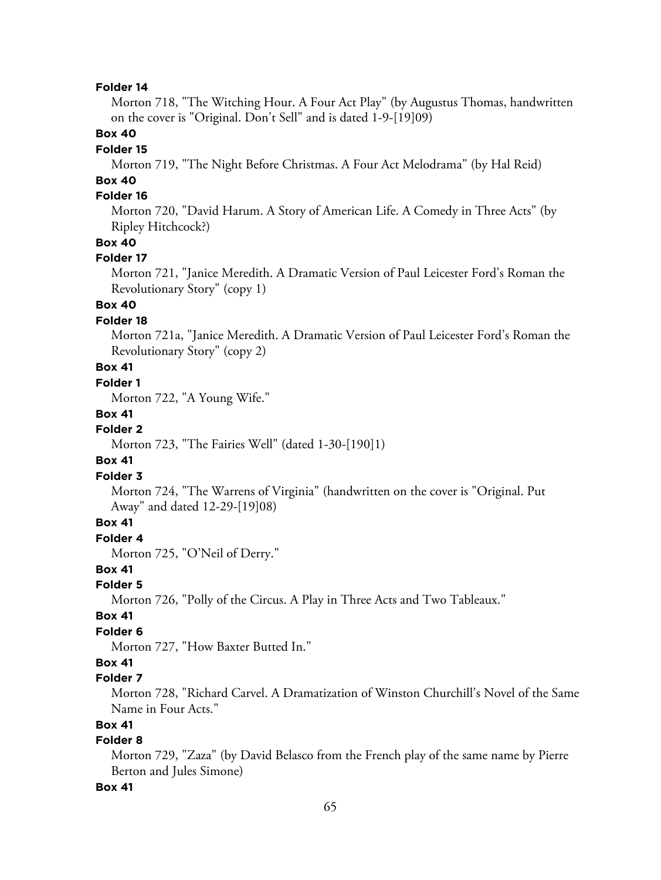Morton 718, "The Witching Hour. A Four Act Play" (by Augustus Thomas, handwritten on the cover is "Original. Don't Sell" and is dated 1-9-[19]09)

### **Box 40**

#### **Folder 15**

Morton 719, "The Night Before Christmas. A Four Act Melodrama" (by Hal Reid)

# **Box 40**

# **Folder 16**

Morton 720, "David Harum. A Story of American Life. A Comedy in Three Acts" (by Ripley Hitchcock?)

# **Box 40**

#### **Folder 17**

Morton 721, "Janice Meredith. A Dramatic Version of Paul Leicester Ford's Roman the Revolutionary Story" (copy 1)

## **Box 40**

### **Folder 18**

Morton 721a, "Janice Meredith. A Dramatic Version of Paul Leicester Ford's Roman the Revolutionary Story" (copy 2)

# **Box 41**

### **Folder 1**

Morton 722, "A Young Wife."

#### **Box 41**

### **Folder 2**

Morton 723, "The Fairies Well" (dated 1-30-[190]1)

#### **Box 41**

### **Folder 3**

Morton 724, "The Warrens of Virginia" (handwritten on the cover is "Original. Put Away" and dated 12-29-[19]08)

## **Box 41**

# **Folder 4**

Morton 725, "O'Neil of Derry."

### **Box 41**

# **Folder 5**

Morton 726, "Polly of the Circus. A Play in Three Acts and Two Tableaux."

#### **Box 41**

#### **Folder 6**

Morton 727, "How Baxter Butted In."

# **Box 41**

## **Folder 7**

Morton 728, "Richard Carvel. A Dramatization of Winston Churchill's Novel of the Same Name in Four Acts."

## **Box 41**

### **Folder 8**

Morton 729, "Zaza" (by David Belasco from the French play of the same name by Pierre Berton and Jules Simone)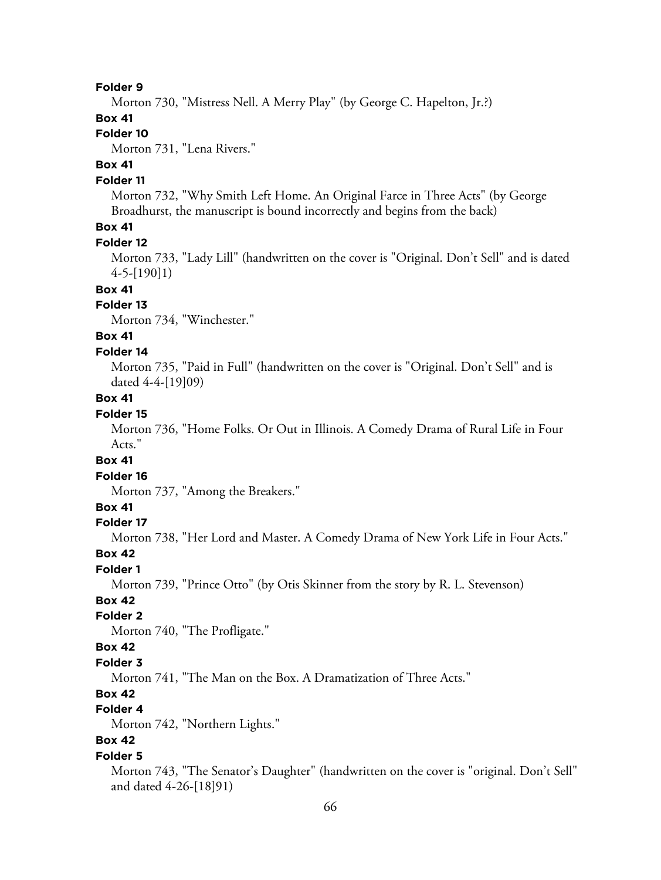Morton 730, "Mistress Nell. A Merry Play" (by George C. Hapelton, Jr.?)

### **Box 41**

# **Folder 10**

Morton 731, "Lena Rivers."

# **Box 41**

#### **Folder 11**

Morton 732, "Why Smith Left Home. An Original Farce in Three Acts" (by George Broadhurst, the manuscript is bound incorrectly and begins from the back)

# **Box 41**

#### **Folder 12**

Morton 733, "Lady Lill" (handwritten on the cover is "Original. Don't Sell" and is dated 4-5-[190]1)

### **Box 41**

### **Folder 13**

Morton 734, "Winchester."

# **Box 41**

#### **Folder 14**

Morton 735, "Paid in Full" (handwritten on the cover is "Original. Don't Sell" and is dated 4-4-[19]09)

## **Box 41**

## **Folder 15**

Morton 736, "Home Folks. Or Out in Illinois. A Comedy Drama of Rural Life in Four Acts."

### **Box 41**

#### **Folder 16**

Morton 737, "Among the Breakers."

### **Box 41**

#### **Folder 17**

Morton 738, "Her Lord and Master. A Comedy Drama of New York Life in Four Acts."

#### **Box 42**

#### **Folder 1**

Morton 739, "Prince Otto" (by Otis Skinner from the story by R. L. Stevenson)

### **Box 42**

### **Folder 2**

Morton 740, "The Profligate."

### **Box 42**

#### **Folder 3**

Morton 741, "The Man on the Box. A Dramatization of Three Acts."

### **Box 42**

# **Folder 4**

Morton 742, "Northern Lights."

### **Box 42**

#### **Folder 5**

Morton 743, "The Senator's Daughter" (handwritten on the cover is "original. Don't Sell" and dated 4-26-[18]91)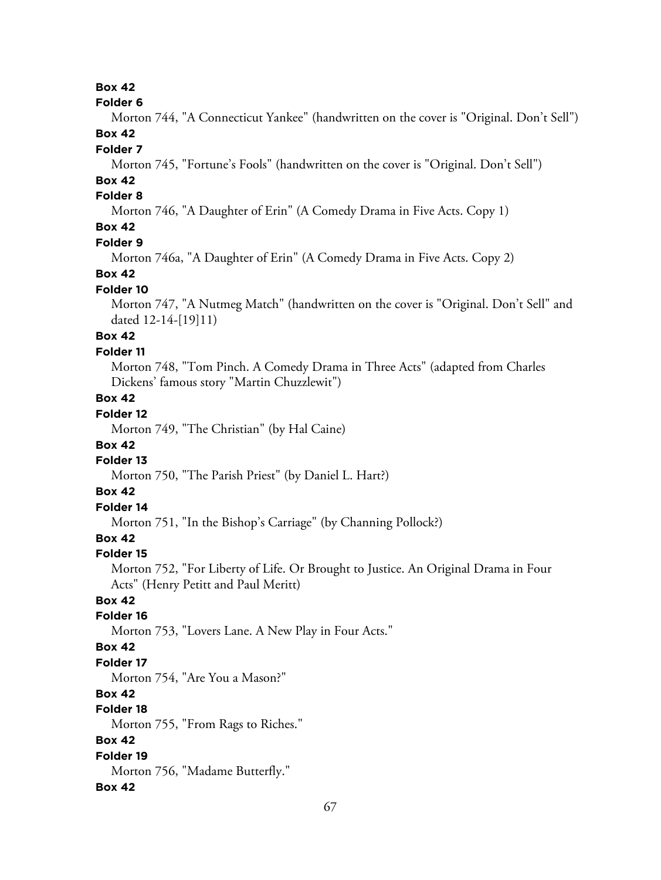# **Box 42**

#### **Folder 6**

Morton 744, "A Connecticut Yankee" (handwritten on the cover is "Original. Don't Sell") **Box 42**

#### **Folder 7**

Morton 745, "Fortune's Fools" (handwritten on the cover is "Original. Don't Sell")

# **Box 42**

### **Folder 8**

Morton 746, "A Daughter of Erin" (A Comedy Drama in Five Acts. Copy 1)

# **Box 42**

### **Folder 9**

Morton 746a, "A Daughter of Erin" (A Comedy Drama in Five Acts. Copy 2)

### **Box 42**

### **Folder 10**

Morton 747, "A Nutmeg Match" (handwritten on the cover is "Original. Don't Sell" and dated 12-14-[19]11)

# **Box 42**

### **Folder 11**

Morton 748, "Tom Pinch. A Comedy Drama in Three Acts" (adapted from Charles Dickens' famous story "Martin Chuzzlewit")

## **Box 42**

# **Folder 12**

Morton 749, "The Christian" (by Hal Caine)

#### **Box 42**

# **Folder 13**

Morton 750, "The Parish Priest" (by Daniel L. Hart?)

# **Box 42**

# **Folder 14**

Morton 751, "In the Bishop's Carriage" (by Channing Pollock?)

## **Box 42**

#### **Folder 15**

Morton 752, "For Liberty of Life. Or Brought to Justice. An Original Drama in Four Acts" (Henry Petitt and Paul Meritt)

### **Box 42**

### **Folder 16**

Morton 753, "Lovers Lane. A New Play in Four Acts."

### **Box 42**

#### **Folder 17**

Morton 754, "Are You a Mason?"

# **Box 42**

# **Folder 18**

Morton 755, "From Rags to Riches."

### **Box 42**

**Folder 19** Morton 756, "Madame Butterfly."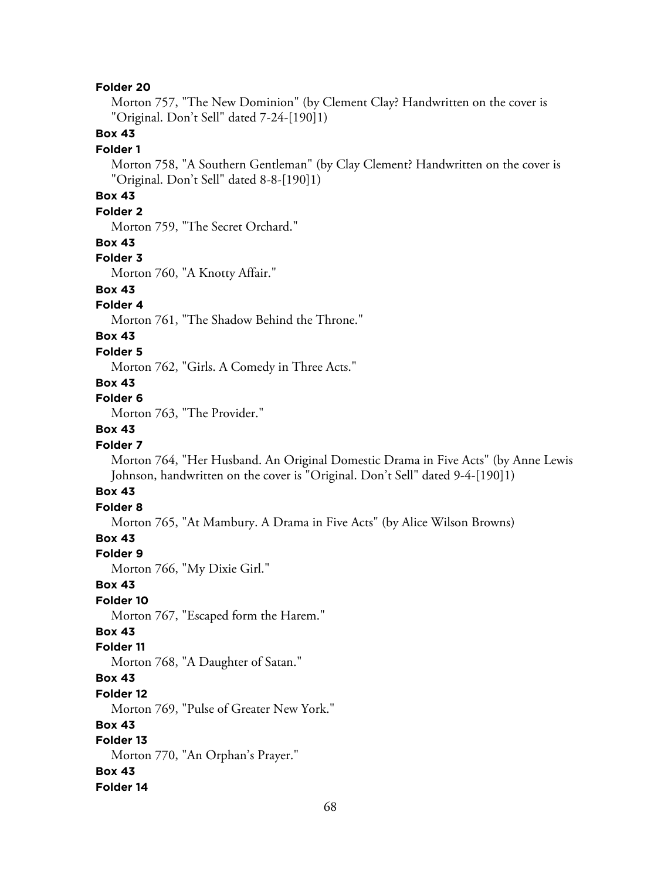Morton 757, "The New Dominion" (by Clement Clay? Handwritten on the cover is "Original. Don't Sell" dated 7-24-[190]1)

## **Box 43**

#### **Folder 1**

Morton 758, "A Southern Gentleman" (by Clay Clement? Handwritten on the cover is "Original. Don't Sell" dated 8-8-[190]1)

# **Box 43**

### **Folder 2**

Morton 759, "The Secret Orchard."

#### **Box 43**

#### **Folder 3**

Morton 760, "A Knotty Affair."

# **Box 43**

## **Folder 4**

Morton 761, "The Shadow Behind the Throne."

## **Box 43**

#### **Folder 5**

Morton 762, "Girls. A Comedy in Three Acts."

#### **Box 43**

### **Folder 6**

Morton 763, "The Provider."

## **Box 43**

#### **Folder 7**

Morton 764, "Her Husband. An Original Domestic Drama in Five Acts" (by Anne Lewis Johnson, handwritten on the cover is "Original. Don't Sell" dated 9-4-[190]1)

# **Box 43**

### **Folder 8**

Morton 765, "At Mambury. A Drama in Five Acts" (by Alice Wilson Browns)

## **Box 43**

#### **Folder 9**

Morton 766, "My Dixie Girl."

#### **Box 43**

#### **Folder 10**

Morton 767, "Escaped form the Harem."

### **Box 43**

#### **Folder 11**

Morton 768, "A Daughter of Satan."

### **Box 43**

#### **Folder 12**

Morton 769, "Pulse of Greater New York."

#### **Box 43**

# **Folder 13**

Morton 770, "An Orphan's Prayer."

### **Box 43**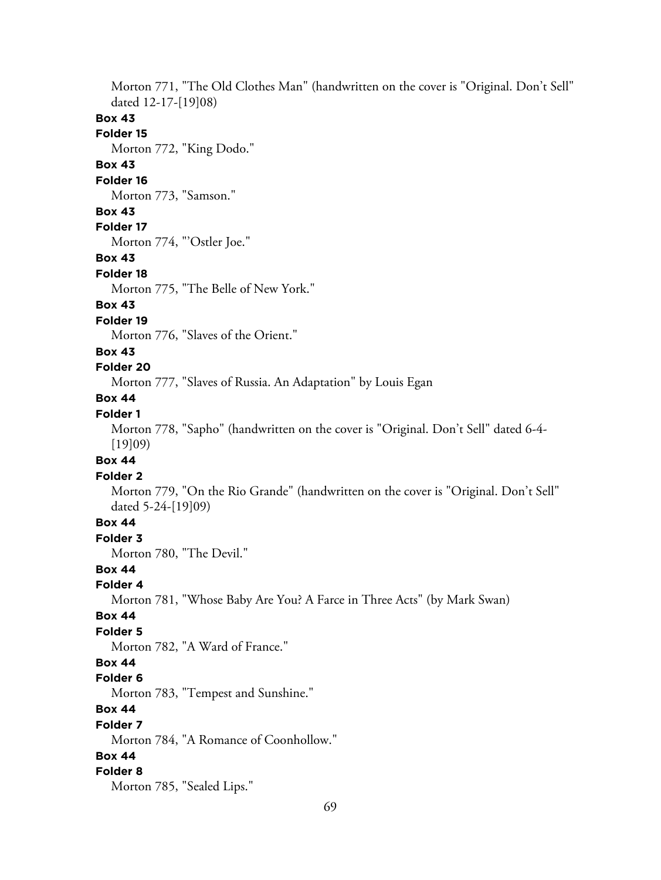Morton 771, "The Old Clothes Man" (handwritten on the cover is "Original. Don't Sell" dated 12-17-[19]08)

### **Box 43**

### **Folder 15**

Morton 772, "King Dodo."

# **Box 43**

### **Folder 16**

Morton 773, "Samson."

#### **Box 43**

## **Folder 17**

Morton 774, "'Ostler Joe."

#### **Box 43**

#### **Folder 18**

Morton 775, "The Belle of New York."

### **Box 43**

#### **Folder 19**

Morton 776, "Slaves of the Orient."

### **Box 43**

#### **Folder 20**

Morton 777, "Slaves of Russia. An Adaptation" by Louis Egan

# **Box 44**

## **Folder 1**

Morton 778, "Sapho" (handwritten on the cover is "Original. Don't Sell" dated 6-4- [19]09)

### **Box 44**

#### **Folder 2**

Morton 779, "On the Rio Grande" (handwritten on the cover is "Original. Don't Sell" dated 5-24-[19]09)

### **Box 44**

# **Folder 3**

Morton 780, "The Devil."

# **Box 44**

#### **Folder 4**

Morton 781, "Whose Baby Are You? A Farce in Three Acts" (by Mark Swan)

#### **Box 44**

### **Folder 5**

Morton 782, "A Ward of France."

### **Box 44**

#### **Folder 6**

Morton 783, "Tempest and Sunshine."

### **Box 44**

#### **Folder 7**

Morton 784, "A Romance of Coonhollow."

### **Box 44**

#### **Folder 8**

Morton 785, "Sealed Lips."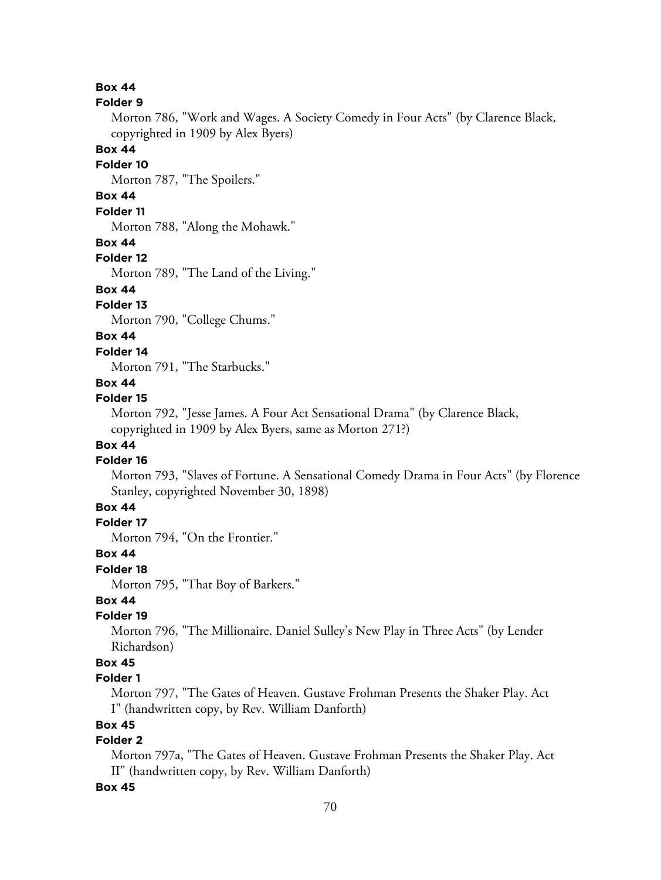### **Box 44**

#### **Folder 9**

Morton 786, "Work and Wages. A Society Comedy in Four Acts" (by Clarence Black, copyrighted in 1909 by Alex Byers)

#### **Box 44**

#### **Folder 10**

Morton 787, "The Spoilers."

## **Box 44**

# **Folder 11**

Morton 788, "Along the Mohawk."

### **Box 44**

### **Folder 12**

Morton 789, "The Land of the Living."

# **Box 44**

## **Folder 13**

Morton 790, "College Chums."

# **Box 44**

#### **Folder 14**

Morton 791, "The Starbucks."

#### **Box 44**

#### **Folder 15**

Morton 792, "Jesse James. A Four Act Sensational Drama" (by Clarence Black, copyrighted in 1909 by Alex Byers, same as Morton 271?)

## **Box 44**

### **Folder 16**

Morton 793, "Slaves of Fortune. A Sensational Comedy Drama in Four Acts" (by Florence Stanley, copyrighted November 30, 1898)

# **Box 44**

# **Folder 17**

Morton 794, "On the Frontier."

### **Box 44**

**Folder 18**

Morton 795, "That Boy of Barkers."

# **Box 44**

### **Folder 19**

Morton 796, "The Millionaire. Daniel Sulley's New Play in Three Acts" (by Lender Richardson)

## **Box 45**

### **Folder 1**

Morton 797, "The Gates of Heaven. Gustave Frohman Presents the Shaker Play. Act I" (handwritten copy, by Rev. William Danforth)

### **Box 45**

# **Folder 2**

Morton 797a, "The Gates of Heaven. Gustave Frohman Presents the Shaker Play. Act II" (handwritten copy, by Rev. William Danforth)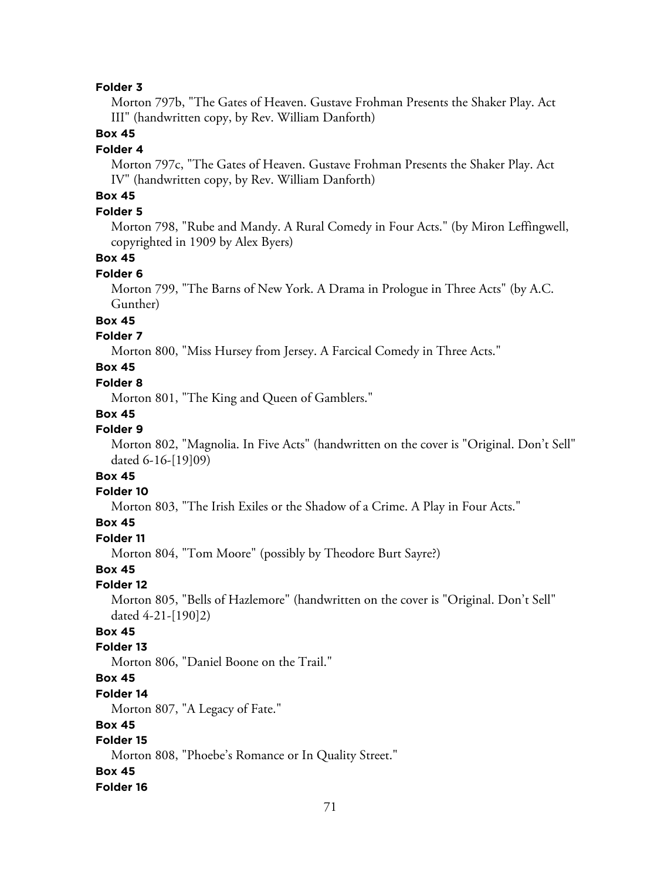Morton 797b, "The Gates of Heaven. Gustave Frohman Presents the Shaker Play. Act III" (handwritten copy, by Rev. William Danforth)

## **Box 45**

#### **Folder 4**

Morton 797c, "The Gates of Heaven. Gustave Frohman Presents the Shaker Play. Act IV" (handwritten copy, by Rev. William Danforth)

# **Box 45**

### **Folder 5**

Morton 798, "Rube and Mandy. A Rural Comedy in Four Acts." (by Miron Leffingwell, copyrighted in 1909 by Alex Byers)

### **Box 45**

### **Folder 6**

Morton 799, "The Barns of New York. A Drama in Prologue in Three Acts" (by A.C. Gunther)

### **Box 45**

### **Folder 7**

Morton 800, "Miss Hursey from Jersey. A Farcical Comedy in Three Acts."

# **Box 45**

### **Folder 8**

Morton 801, "The King and Queen of Gamblers."

### **Box 45**

### **Folder 9**

Morton 802, "Magnolia. In Five Acts" (handwritten on the cover is "Original. Don't Sell" dated 6-16-[19]09)

# **Box 45**

### **Folder 10**

Morton 803, "The Irish Exiles or the Shadow of a Crime. A Play in Four Acts."

### **Box 45**

#### **Folder 11**

Morton 804, "Tom Moore" (possibly by Theodore Burt Sayre?)

### **Box 45**

#### **Folder 12**

Morton 805, "Bells of Hazlemore" (handwritten on the cover is "Original. Don't Sell" dated 4-21-[190]2)

### **Box 45**

### **Folder 13**

Morton 806, "Daniel Boone on the Trail."

# **Box 45**

### **Folder 14**

Morton 807, "A Legacy of Fate."

### **Box 45**

# **Folder 15**

Morton 808, "Phoebe's Romance or In Quality Street."

#### **Box 45**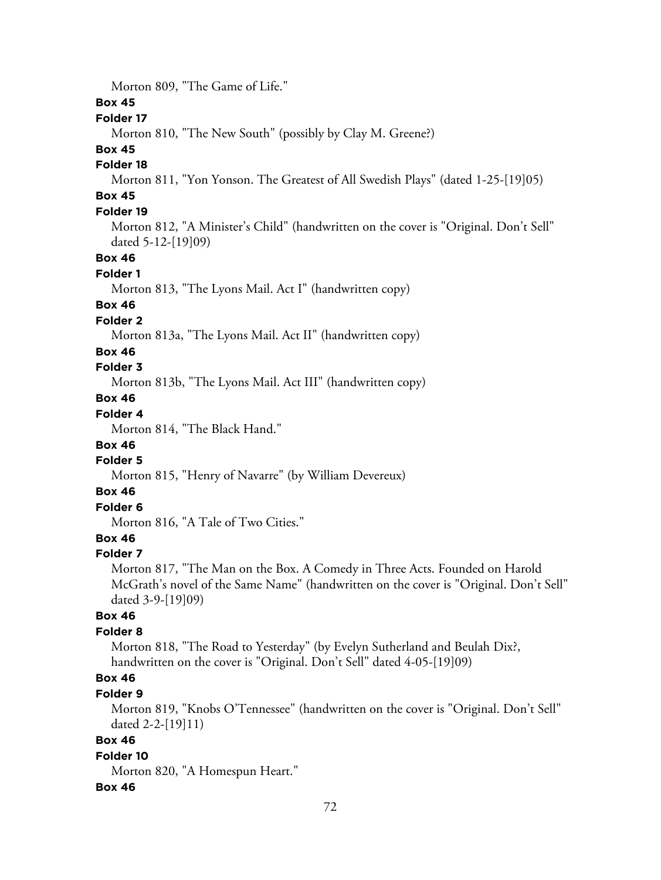Morton 809, "The Game of Life."

### **Box 45**

### **Folder 17**

Morton 810, "The New South" (possibly by Clay M. Greene?)

# **Box 45**

### **Folder 18**

Morton 811, "Yon Yonson. The Greatest of All Swedish Plays" (dated 1-25-[19]05)

# **Box 45**

### **Folder 19**

Morton 812, "A Minister's Child" (handwritten on the cover is "Original. Don't Sell" dated 5-12-[19]09)

### **Box 46**

### **Folder 1**

Morton 813, "The Lyons Mail. Act I" (handwritten copy)

### **Box 46**

### **Folder 2**

Morton 813a, "The Lyons Mail. Act II" (handwritten copy)

### **Box 46**

### **Folder 3**

Morton 813b, "The Lyons Mail. Act III" (handwritten copy)

# **Box 46**

# **Folder 4**

Morton 814, "The Black Hand."

### **Box 46**

## **Folder 5**

Morton 815, "Henry of Navarre" (by William Devereux)

### **Box 46**

# **Folder 6**

Morton 816, "A Tale of Two Cities."

# **Box 46**

#### **Folder 7**

Morton 817, "The Man on the Box. A Comedy in Three Acts. Founded on Harold McGrath's novel of the Same Name" (handwritten on the cover is "Original. Don't Sell" dated 3-9-[19]09)

### **Box 46**

### **Folder 8**

Morton 818, "The Road to Yesterday" (by Evelyn Sutherland and Beulah Dix?, handwritten on the cover is "Original. Don't Sell" dated 4-05-[19]09)

# **Box 46**

### **Folder 9**

Morton 819, "Knobs O'Tennessee" (handwritten on the cover is "Original. Don't Sell" dated 2-2-[19]11)

### **Box 46**

#### **Folder 10**

Morton 820, "A Homespun Heart."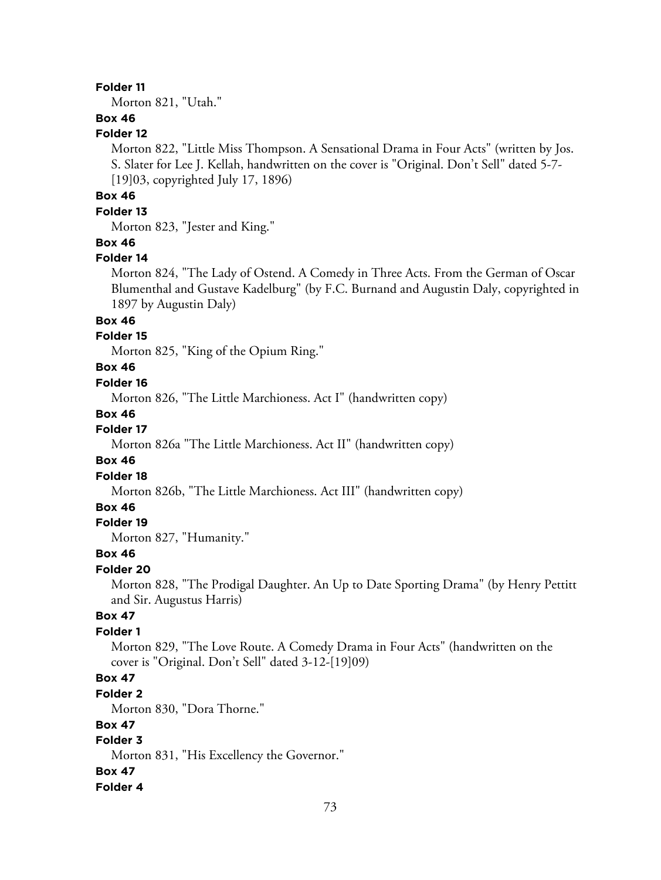Morton 821, "Utah."

# **Box 46**

# **Folder 12**

Morton 822, "Little Miss Thompson. A Sensational Drama in Four Acts" (written by Jos. S. Slater for Lee J. Kellah, handwritten on the cover is "Original. Don't Sell" dated 5-7- [19]03, copyrighted July 17, 1896)

# **Box 46**

## **Folder 13**

Morton 823, "Jester and King."

## **Box 46**

#### **Folder 14**

Morton 824, "The Lady of Ostend. A Comedy in Three Acts. From the German of Oscar Blumenthal and Gustave Kadelburg" (by F.C. Burnand and Augustin Daly, copyrighted in 1897 by Augustin Daly)

## **Box 46**

#### **Folder 15**

Morton 825, "King of the Opium Ring."

# **Box 46**

#### **Folder 16**

Morton 826, "The Little Marchioness. Act I" (handwritten copy)

#### **Box 46**

# **Folder 17**

Morton 826a "The Little Marchioness. Act II" (handwritten copy)

## **Box 46**

#### **Folder 18**

Morton 826b, "The Little Marchioness. Act III" (handwritten copy)

#### **Box 46**

#### **Folder 19**

Morton 827, "Humanity."

#### **Box 46**

#### **Folder 20**

Morton 828, "The Prodigal Daughter. An Up to Date Sporting Drama" (by Henry Pettitt and Sir. Augustus Harris)

## **Box 47**

#### **Folder 1**

Morton 829, "The Love Route. A Comedy Drama in Four Acts" (handwritten on the cover is "Original. Don't Sell" dated 3-12-[19]09)

# **Box 47**

#### **Folder 2**

Morton 830, "Dora Thorne."

## **Box 47**

# **Folder 3**

Morton 831, "His Excellency the Governor."

#### **Box 47**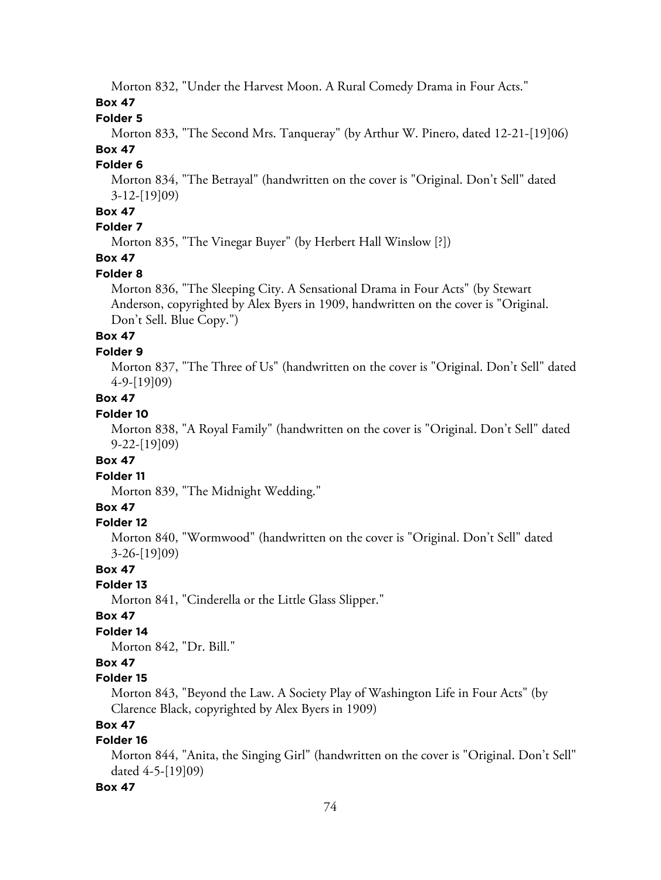Morton 832, "Under the Harvest Moon. A Rural Comedy Drama in Four Acts."

**Box 47**

**Folder 5**

Morton 833, "The Second Mrs. Tanqueray" (by Arthur W. Pinero, dated 12-21-[19]06) **Box 47**

# **Folder 6**

Morton 834, "The Betrayal" (handwritten on the cover is "Original. Don't Sell" dated 3-12-[19]09)

## **Box 47**

### **Folder 7**

Morton 835, "The Vinegar Buyer" (by Herbert Hall Winslow [?])

# **Box 47**

## **Folder 8**

Morton 836, "The Sleeping City. A Sensational Drama in Four Acts" (by Stewart Anderson, copyrighted by Alex Byers in 1909, handwritten on the cover is "Original. Don't Sell. Blue Copy.")

# **Box 47**

#### **Folder 9**

Morton 837, "The Three of Us" (handwritten on the cover is "Original. Don't Sell" dated 4-9-[19]09)

# **Box 47**

## **Folder 10**

Morton 838, "A Royal Family" (handwritten on the cover is "Original. Don't Sell" dated 9-22-[19]09)

## **Box 47**

## **Folder 11**

Morton 839, "The Midnight Wedding."

## **Box 47**

#### **Folder 12**

Morton 840, "Wormwood" (handwritten on the cover is "Original. Don't Sell" dated 3-26-[19]09)

#### **Box 47**

## **Folder 13**

Morton 841, "Cinderella or the Little Glass Slipper."

## **Box 47**

## **Folder 14**

Morton 842, "Dr. Bill."

## **Box 47**

## **Folder 15**

Morton 843, "Beyond the Law. A Society Play of Washington Life in Four Acts" (by Clarence Black, copyrighted by Alex Byers in 1909)

## **Box 47**

## **Folder 16**

Morton 844, "Anita, the Singing Girl" (handwritten on the cover is "Original. Don't Sell" dated 4-5-[19]09)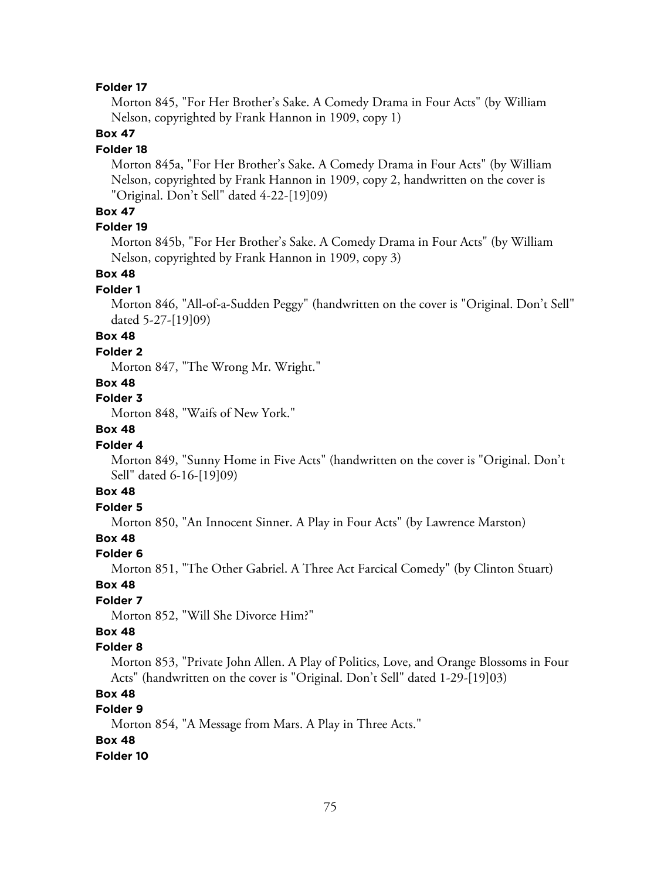Morton 845, "For Her Brother's Sake. A Comedy Drama in Four Acts" (by William Nelson, copyrighted by Frank Hannon in 1909, copy 1)

## **Box 47**

#### **Folder 18**

Morton 845a, "For Her Brother's Sake. A Comedy Drama in Four Acts" (by William Nelson, copyrighted by Frank Hannon in 1909, copy 2, handwritten on the cover is "Original. Don't Sell" dated 4-22-[19]09)

## **Box 47**

## **Folder 19**

Morton 845b, "For Her Brother's Sake. A Comedy Drama in Four Acts" (by William Nelson, copyrighted by Frank Hannon in 1909, copy 3)

## **Box 48**

#### **Folder 1**

Morton 846, "All-of-a-Sudden Peggy" (handwritten on the cover is "Original. Don't Sell" dated 5-27-[19]09)

# **Box 48**

#### **Folder 2**

Morton 847, "The Wrong Mr. Wright."

## **Box 48**

**Folder 3**

Morton 848, "Waifs of New York."

# **Box 48**

#### **Folder 4**

Morton 849, "Sunny Home in Five Acts" (handwritten on the cover is "Original. Don't Sell" dated 6-16-[19]09)

## **Box 48**

## **Folder 5**

Morton 850, "An Innocent Sinner. A Play in Four Acts" (by Lawrence Marston)

# **Box 48**

#### **Folder 6**

Morton 851, "The Other Gabriel. A Three Act Farcical Comedy" (by Clinton Stuart)

#### **Box 48**

## **Folder 7**

Morton 852, "Will She Divorce Him?"

# **Box 48**

#### **Folder 8**

Morton 853, "Private John Allen. A Play of Politics, Love, and Orange Blossoms in Four Acts" (handwritten on the cover is "Original. Don't Sell" dated 1-29-[19]03)

## **Box 48**

## **Folder 9**

Morton 854, "A Message from Mars. A Play in Three Acts."

#### **Box 48**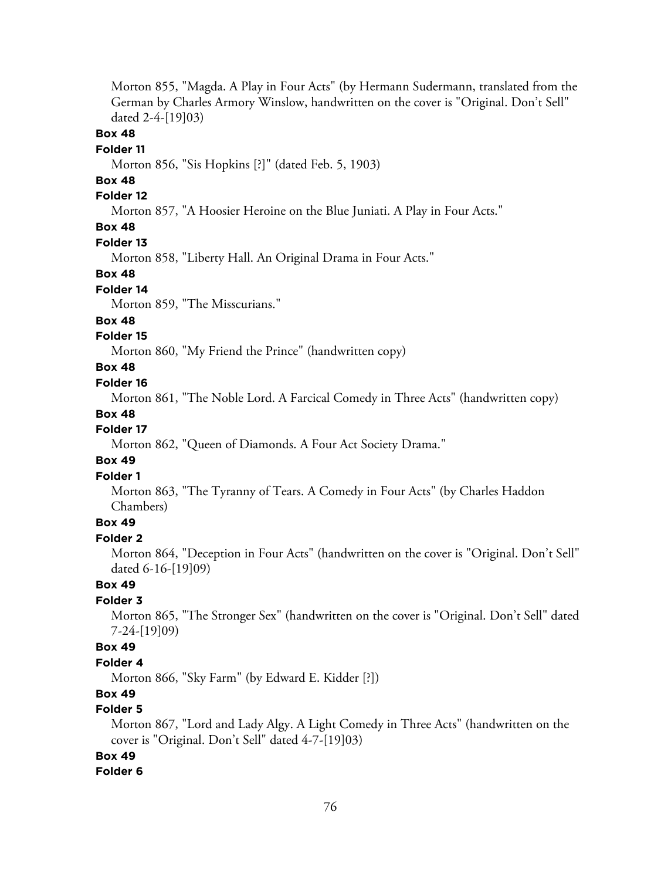Morton 855, "Magda. A Play in Four Acts" (by Hermann Sudermann, translated from the German by Charles Armory Winslow, handwritten on the cover is "Original. Don't Sell" dated 2-4-[19]03)

## **Box 48**

#### **Folder 11**

Morton 856, "Sis Hopkins [?]" (dated Feb. 5, 1903)

## **Box 48**

## **Folder 12**

Morton 857, "A Hoosier Heroine on the Blue Juniati. A Play in Four Acts."

# **Box 48**

#### **Folder 13**

Morton 858, "Liberty Hall. An Original Drama in Four Acts."

#### **Box 48**

#### **Folder 14**

Morton 859, "The Misscurians."

#### **Box 48**

#### **Folder 15**

Morton 860, "My Friend the Prince" (handwritten copy)

# **Box 48**

## **Folder 16**

Morton 861, "The Noble Lord. A Farcical Comedy in Three Acts" (handwritten copy)

#### **Box 48**

#### **Folder 17**

Morton 862, "Queen of Diamonds. A Four Act Society Drama."

#### **Box 49**

#### **Folder 1**

Morton 863, "The Tyranny of Tears. A Comedy in Four Acts" (by Charles Haddon Chambers)

## **Box 49**

## **Folder 2**

Morton 864, "Deception in Four Acts" (handwritten on the cover is "Original. Don't Sell" dated 6-16-[19]09)

# **Box 49**

## **Folder 3**

Morton 865, "The Stronger Sex" (handwritten on the cover is "Original. Don't Sell" dated 7-24-[19]09)

## **Box 49**

#### **Folder 4**

Morton 866, "Sky Farm" (by Edward E. Kidder [?])

# **Box 49**

# **Folder 5**

Morton 867, "Lord and Lady Algy. A Light Comedy in Three Acts" (handwritten on the cover is "Original. Don't Sell" dated 4-7-[19]03)

## **Box 49**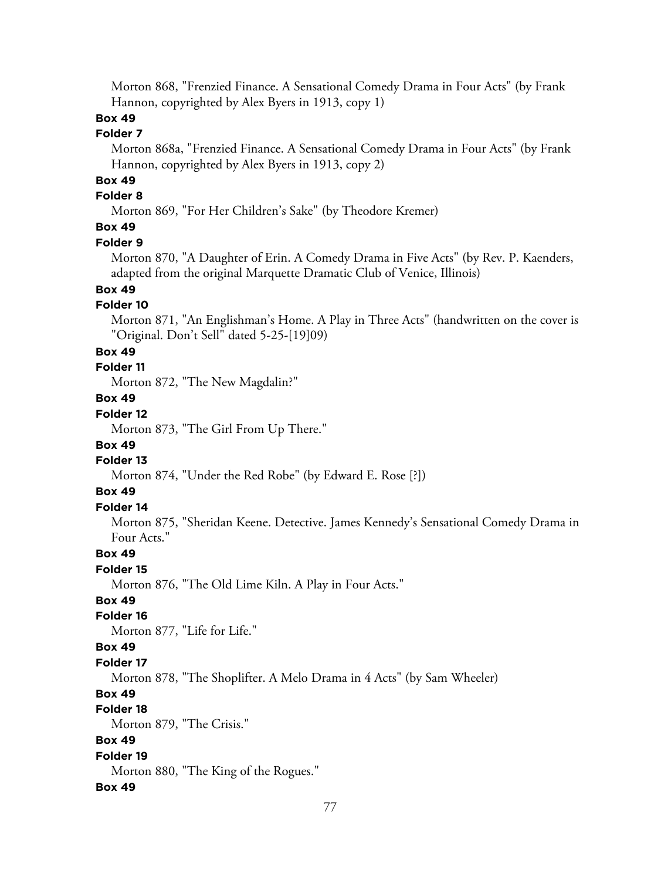Morton 868, "Frenzied Finance. A Sensational Comedy Drama in Four Acts" (by Frank Hannon, copyrighted by Alex Byers in 1913, copy 1)

# **Box 49**

#### **Folder 7**

Morton 868a, "Frenzied Finance. A Sensational Comedy Drama in Four Acts" (by Frank Hannon, copyrighted by Alex Byers in 1913, copy 2)

# **Box 49**

# **Folder 8**

Morton 869, "For Her Children's Sake" (by Theodore Kremer)

# **Box 49**

#### **Folder 9**

Morton 870, "A Daughter of Erin. A Comedy Drama in Five Acts" (by Rev. P. Kaenders, adapted from the original Marquette Dramatic Club of Venice, Illinois)

# **Box 49**

## **Folder 10**

Morton 871, "An Englishman's Home. A Play in Three Acts" (handwritten on the cover is "Original. Don't Sell" dated 5-25-[19]09)

#### **Box 49**

#### **Folder 11**

Morton 872, "The New Magdalin?"

# **Box 49**

# **Folder 12**

Morton 873, "The Girl From Up There."

## **Box 49**

## **Folder 13**

Morton 874, "Under the Red Robe" (by Edward E. Rose [?])

# **Box 49**

## **Folder 14**

Morton 875, "Sheridan Keene. Detective. James Kennedy's Sensational Comedy Drama in Four Acts."

### **Box 49**

### **Folder 15**

Morton 876, "The Old Lime Kiln. A Play in Four Acts."

### **Box 49**

#### **Folder 16**

Morton 877, "Life for Life."

#### **Box 49**

#### **Folder 17**

Morton 878, "The Shoplifter. A Melo Drama in 4 Acts" (by Sam Wheeler)

## **Box 49**

### **Folder 18**

Morton 879, "The Crisis."

# **Box 49**

## **Folder 19**

Morton 880, "The King of the Rogues."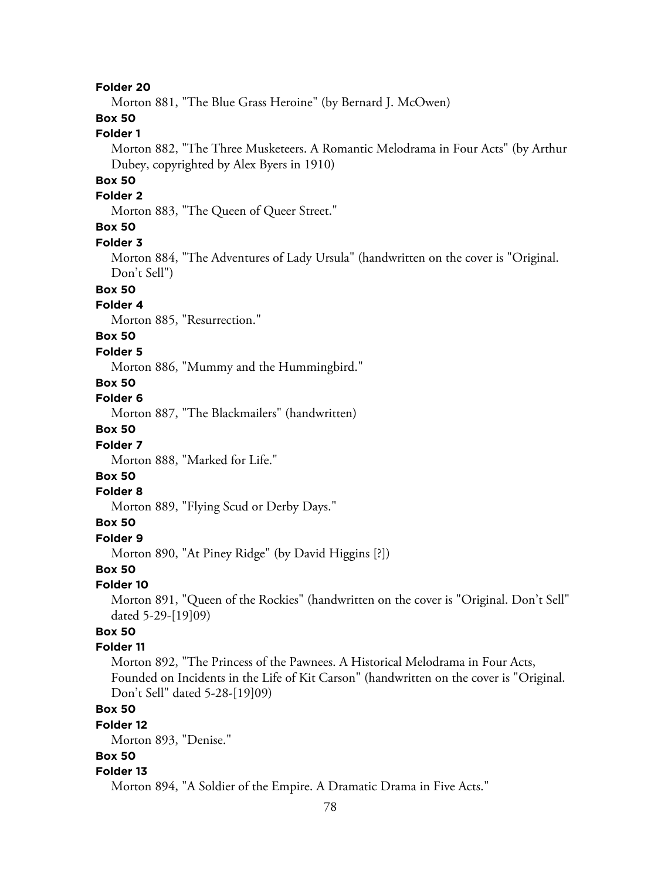Morton 881, "The Blue Grass Heroine" (by Bernard J. McOwen)

# **Box 50**

# **Folder 1**

Morton 882, "The Three Musketeers. A Romantic Melodrama in Four Acts" (by Arthur Dubey, copyrighted by Alex Byers in 1910)

## **Box 50**

## **Folder 2**

Morton 883, "The Queen of Queer Street."

# **Box 50**

#### **Folder 3**

Morton 884, "The Adventures of Lady Ursula" (handwritten on the cover is "Original. Don't Sell")

# **Box 50**

# **Folder 4**

Morton 885, "Resurrection."

# **Box 50**

#### **Folder 5**

Morton 886, "Mummy and the Hummingbird."

# **Box 50**

### **Folder 6**

Morton 887, "The Blackmailers" (handwritten)

# **Box 50**

#### **Folder 7**

Morton 888, "Marked for Life."

# **Box 50**

#### **Folder 8**

Morton 889, "Flying Scud or Derby Days."

## **Box 50**

**Folder 9**

Morton 890, "At Piney Ridge" (by David Higgins [?])

### **Box 50**

#### **Folder 10**

Morton 891, "Queen of the Rockies" (handwritten on the cover is "Original. Don't Sell" dated 5-29-[19]09)

# **Box 50**

## **Folder 11**

Morton 892, "The Princess of the Pawnees. A Historical Melodrama in Four Acts, Founded on Incidents in the Life of Kit Carson" (handwritten on the cover is "Original. Don't Sell" dated 5-28-[19]09)

## **Box 50**

#### **Folder 12**

Morton 893, "Denise."

## **Box 50**

#### **Folder 13**

Morton 894, "A Soldier of the Empire. A Dramatic Drama in Five Acts."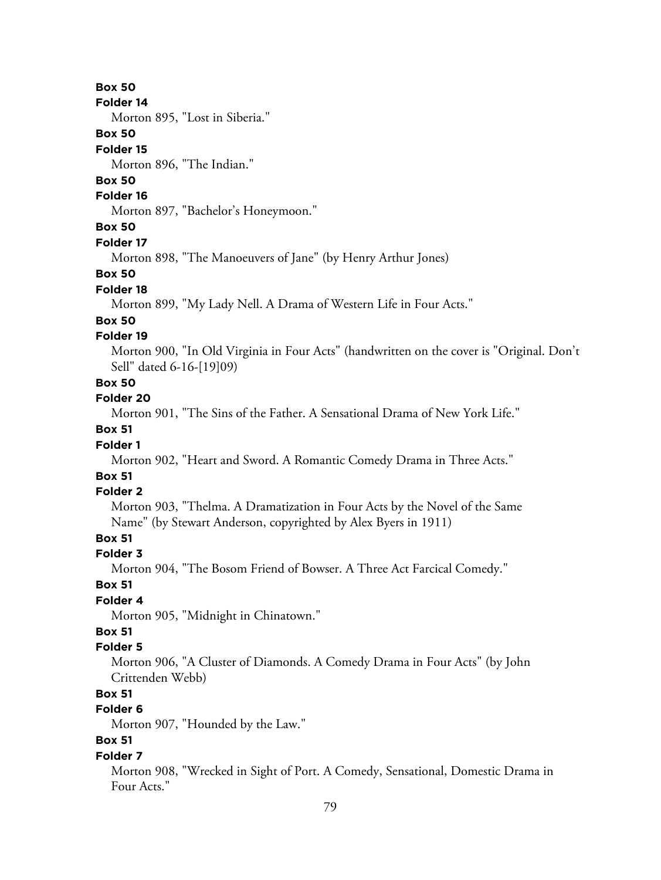#### **Folder 14**

Morton 895, "Lost in Siberia."

## **Box 50**

#### **Folder 15**

Morton 896, "The Indian."

# **Box 50**

## **Folder 16**

Morton 897, "Bachelor's Honeymoon."

# **Box 50**

#### **Folder 17**

Morton 898, "The Manoeuvers of Jane" (by Henry Arthur Jones)

### **Box 50**

#### **Folder 18**

Morton 899, "My Lady Nell. A Drama of Western Life in Four Acts."

## **Box 50**

## **Folder 19**

Morton 900, "In Old Virginia in Four Acts" (handwritten on the cover is "Original. Don't Sell" dated 6-16-[19]09)

# **Box 50**

**Folder 20**

Morton 901, "The Sins of the Father. A Sensational Drama of New York Life."

## **Box 51**

## **Folder 1**

Morton 902, "Heart and Sword. A Romantic Comedy Drama in Three Acts."

# **Box 51**

#### **Folder 2**

Morton 903, "Thelma. A Dramatization in Four Acts by the Novel of the Same Name" (by Stewart Anderson, copyrighted by Alex Byers in 1911)

# **Box 51**

### **Folder 3**

Morton 904, "The Bosom Friend of Bowser. A Three Act Farcical Comedy."

#### **Box 51**

## **Folder 4**

Morton 905, "Midnight in Chinatown."

# **Box 51**

## **Folder 5**

Morton 906, "A Cluster of Diamonds. A Comedy Drama in Four Acts" (by John Crittenden Webb)

# **Box 51**

## **Folder 6**

Morton 907, "Hounded by the Law."

# **Box 51**

#### **Folder 7**

Morton 908, "Wrecked in Sight of Port. A Comedy, Sensational, Domestic Drama in Four Acts."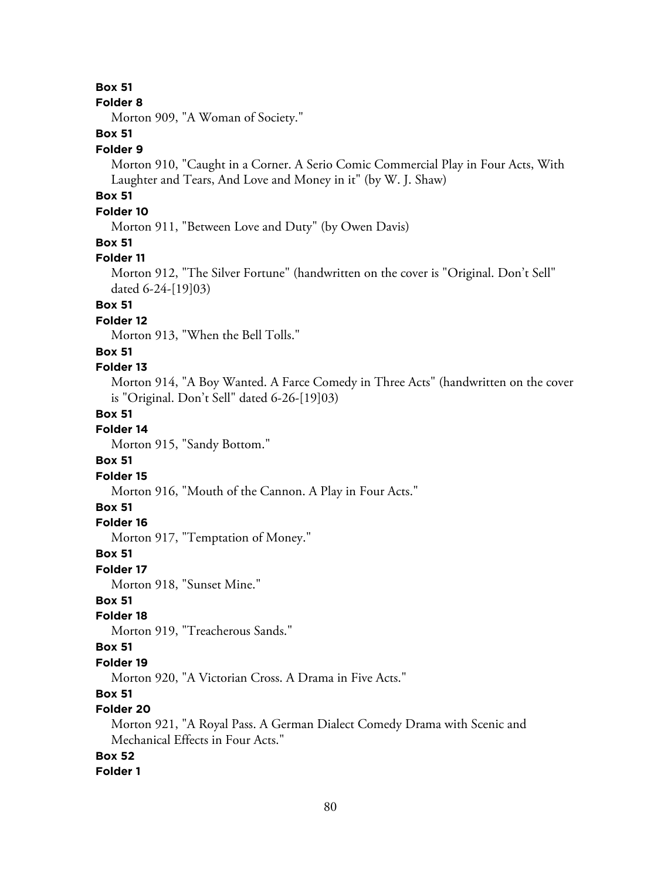#### **Folder 8**

Morton 909, "A Woman of Society."

# **Box 51**

### **Folder 9**

Morton 910, "Caught in a Corner. A Serio Comic Commercial Play in Four Acts, With Laughter and Tears, And Love and Money in it" (by W. J. Shaw)

# **Box 51**

## **Folder 10**

Morton 911, "Between Love and Duty" (by Owen Davis)

## **Box 51**

#### **Folder 11**

Morton 912, "The Silver Fortune" (handwritten on the cover is "Original. Don't Sell" dated 6-24-[19]03)

# **Box 51**

## **Folder 12**

Morton 913, "When the Bell Tolls."

## **Box 51**

### **Folder 13**

Morton 914, "A Boy Wanted. A Farce Comedy in Three Acts" (handwritten on the cover is "Original. Don't Sell" dated 6-26-[19]03)

#### **Box 51**

### **Folder 14**

Morton 915, "Sandy Bottom."

#### **Box 51**

### **Folder 15**

Morton 916, "Mouth of the Cannon. A Play in Four Acts."

## **Box 51**

## **Folder 16**

Morton 917, "Temptation of Money."

#### **Box 51**

#### **Folder 17**

Morton 918, "Sunset Mine."

### **Box 51**

## **Folder 18**

Morton 919, "Treacherous Sands."

## **Box 51**

### **Folder 19**

Morton 920, "A Victorian Cross. A Drama in Five Acts."

### **Box 51**

# **Folder 20**

Morton 921, "A Royal Pass. A German Dialect Comedy Drama with Scenic and Mechanical Effects in Four Acts."

# **Box 52**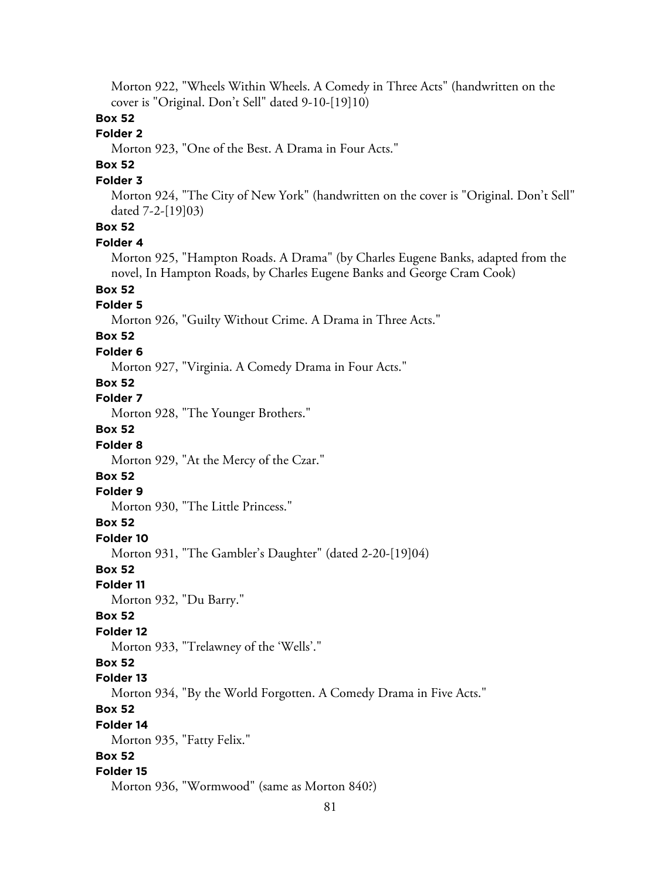Morton 922, "Wheels Within Wheels. A Comedy in Three Acts" (handwritten on the cover is "Original. Don't Sell" dated 9-10-[19]10)

# **Box 52**

# **Folder 2**

Morton 923, "One of the Best. A Drama in Four Acts."

# **Box 52**

#### **Folder 3**

Morton 924, "The City of New York" (handwritten on the cover is "Original. Don't Sell" dated 7-2-[19]03)

# **Box 52**

#### **Folder 4**

Morton 925, "Hampton Roads. A Drama" (by Charles Eugene Banks, adapted from the novel, In Hampton Roads, by Charles Eugene Banks and George Cram Cook)

# **Box 52**

## **Folder 5**

Morton 926, "Guilty Without Crime. A Drama in Three Acts."

# **Box 52**

## **Folder 6**

Morton 927, "Virginia. A Comedy Drama in Four Acts."

## **Box 52**

**Folder 7**

Morton 928, "The Younger Brothers."

# **Box 52**

#### **Folder 8**

Morton 929, "At the Mercy of the Czar."

## **Box 52**

#### **Folder 9**

Morton 930, "The Little Princess."

#### **Box 52**

**Folder 10**

Morton 931, "The Gambler's Daughter" (dated 2-20-[19]04)

#### **Box 52**

#### **Folder 11**

Morton 932, "Du Barry."

#### **Box 52**

#### **Folder 12**

Morton 933, "Trelawney of the 'Wells'."

#### **Box 52**

#### **Folder 13**

Morton 934, "By the World Forgotten. A Comedy Drama in Five Acts."

# **Box 52**

#### **Folder 14**

Morton 935, "Fatty Felix."

# **Box 52**

#### **Folder 15**

Morton 936, "Wormwood" (same as Morton 840?)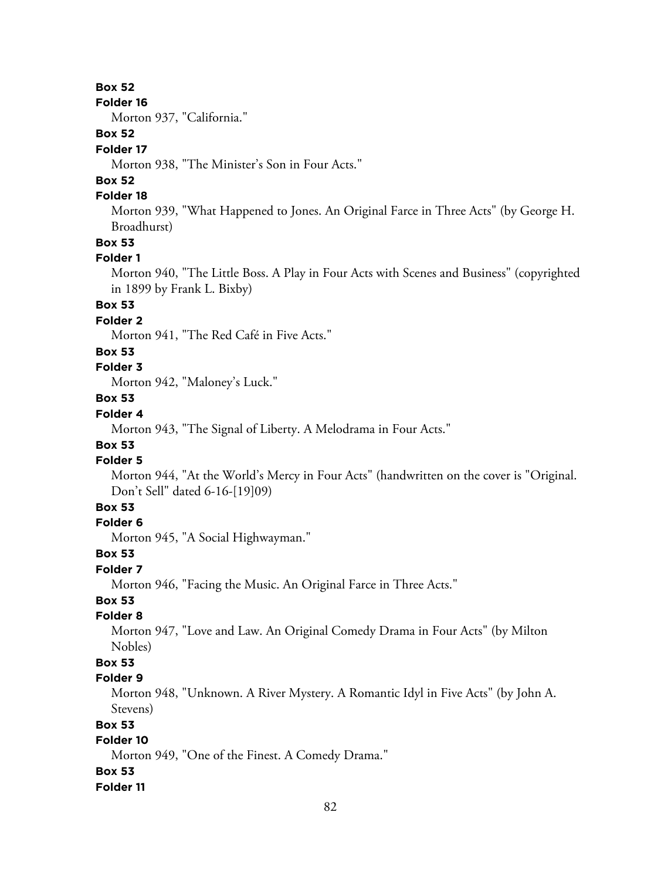#### **Folder 16**

Morton 937, "California."

# **Box 52**

### **Folder 17**

Morton 938, "The Minister's Son in Four Acts."

# **Box 52**

## **Folder 18**

Morton 939, "What Happened to Jones. An Original Farce in Three Acts" (by George H. Broadhurst)

# **Box 53**

#### **Folder 1**

Morton 940, "The Little Boss. A Play in Four Acts with Scenes and Business" (copyrighted in 1899 by Frank L. Bixby)

# **Box 53**

# **Folder 2**

Morton 941, "The Red Café in Five Acts."

#### **Box 53**

## **Folder 3**

Morton 942, "Maloney's Luck."

# **Box 53**

# **Folder 4**

Morton 943, "The Signal of Liberty. A Melodrama in Four Acts."

# **Box 53**

# **Folder 5**

Morton 944, "At the World's Mercy in Four Acts" (handwritten on the cover is "Original. Don't Sell" dated 6-16-[19]09)

# **Box 53**

## **Folder 6**

Morton 945, "A Social Highwayman."

#### **Box 53**

### **Folder 7**

Morton 946, "Facing the Music. An Original Farce in Three Acts."

# **Box 53**

## **Folder 8**

Morton 947, "Love and Law. An Original Comedy Drama in Four Acts" (by Milton Nobles)

## **Box 53**

#### **Folder 9**

Morton 948, "Unknown. A River Mystery. A Romantic Idyl in Five Acts" (by John A. Stevens)

## **Box 53**

## **Folder 10**

Morton 949, "One of the Finest. A Comedy Drama."

#### **Box 53**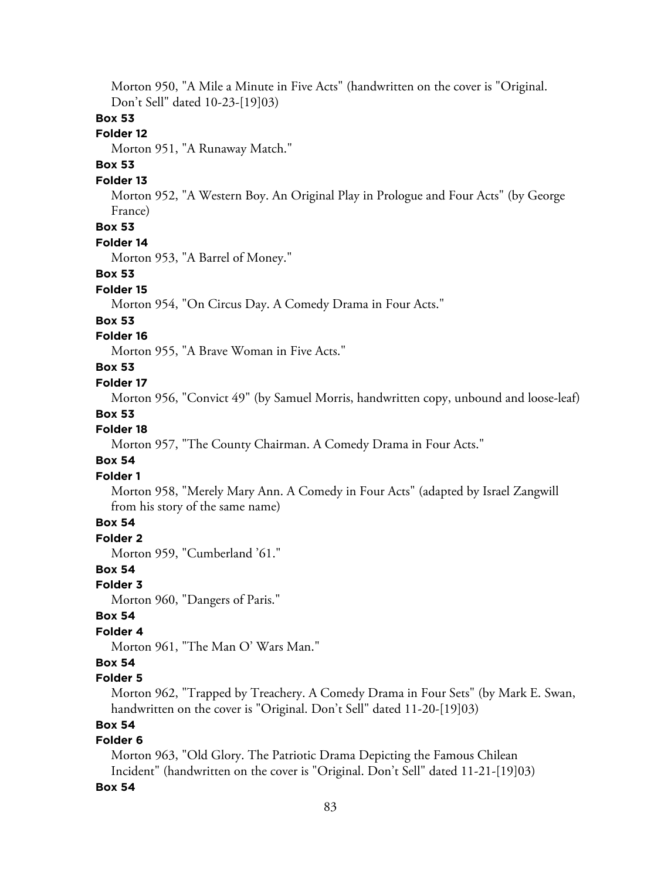Morton 950, "A Mile a Minute in Five Acts" (handwritten on the cover is "Original. Don't Sell" dated 10-23-[19]03)

#### **Box 53**

## **Folder 12**

Morton 951, "A Runaway Match."

# **Box 53**

#### **Folder 13**

Morton 952, "A Western Boy. An Original Play in Prologue and Four Acts" (by George France)

# **Box 53**

#### **Folder 14**

Morton 953, "A Barrel of Money."

#### **Box 53**

#### **Folder 15**

Morton 954, "On Circus Day. A Comedy Drama in Four Acts."

#### **Box 53**

### **Folder 16**

Morton 955, "A Brave Woman in Five Acts."

## **Box 53**

#### **Folder 17**

Morton 956, "Convict 49" (by Samuel Morris, handwritten copy, unbound and loose-leaf)

#### **Box 53**

### **Folder 18**

Morton 957, "The County Chairman. A Comedy Drama in Four Acts."

## **Box 54**

### **Folder 1**

Morton 958, "Merely Mary Ann. A Comedy in Four Acts" (adapted by Israel Zangwill from his story of the same name)

## **Box 54**

**Folder 2**

Morton 959, "Cumberland '61."

# **Box 54**

#### **Folder 3**

Morton 960, "Dangers of Paris."

#### **Box 54**

## **Folder 4**

Morton 961, "The Man O' Wars Man."

## **Box 54**

### **Folder 5**

Morton 962, "Trapped by Treachery. A Comedy Drama in Four Sets" (by Mark E. Swan, handwritten on the cover is "Original. Don't Sell" dated 11-20-[19]03)

## **Box 54**

## **Folder 6**

Morton 963, "Old Glory. The Patriotic Drama Depicting the Famous Chilean Incident" (handwritten on the cover is "Original. Don't Sell" dated 11-21-[19]03)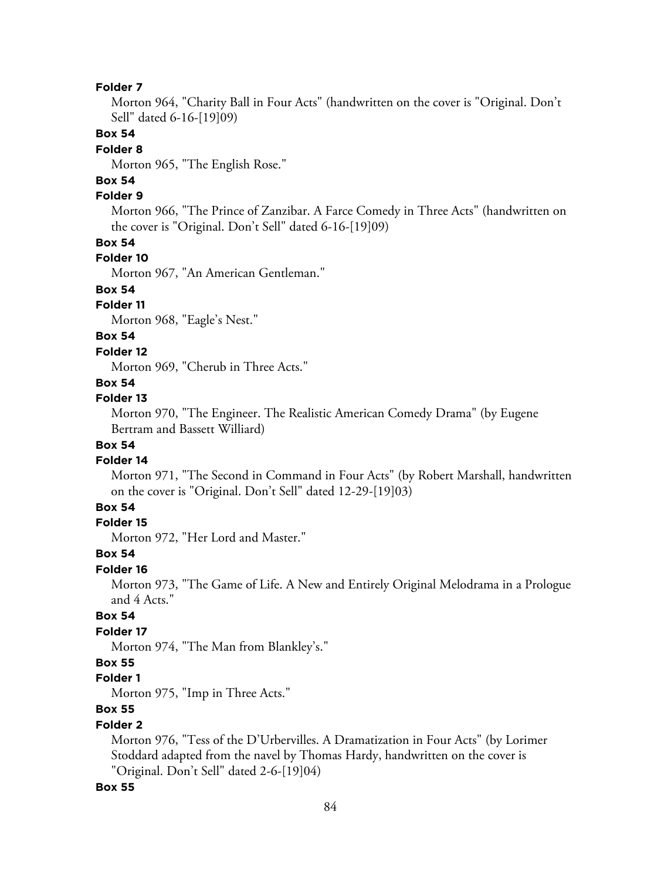Morton 964, "Charity Ball in Four Acts" (handwritten on the cover is "Original. Don't Sell" dated 6-16-[19]09)

## **Box 54**

#### **Folder 8**

Morton 965, "The English Rose."

# **Box 54**

## **Folder 9**

Morton 966, "The Prince of Zanzibar. A Farce Comedy in Three Acts" (handwritten on the cover is "Original. Don't Sell" dated 6-16-[19]09)

#### **Box 54**

#### **Folder 10**

Morton 967, "An American Gentleman."

# **Box 54**

## **Folder 11**

Morton 968, "Eagle's Nest."

## **Box 54**

#### **Folder 12**

Morton 969, "Cherub in Three Acts."

## **Box 54**

#### **Folder 13**

Morton 970, "The Engineer. The Realistic American Comedy Drama" (by Eugene Bertram and Bassett Williard)

### **Box 54**

#### **Folder 14**

Morton 971, "The Second in Command in Four Acts" (by Robert Marshall, handwritten on the cover is "Original. Don't Sell" dated 12-29-[19]03)

## **Box 54**

## **Folder 15**

Morton 972, "Her Lord and Master."

### **Box 54**

## **Folder 16**

Morton 973, "The Game of Life. A New and Entirely Original Melodrama in a Prologue and 4 Acts."

# **Box 54**

## **Folder 17**

Morton 974, "The Man from Blankley's."

### **Box 55**

#### **Folder 1**

Morton 975, "Imp in Three Acts."

## **Box 55**

#### **Folder 2**

Morton 976, "Tess of the D'Urbervilles. A Dramatization in Four Acts" (by Lorimer Stoddard adapted from the navel by Thomas Hardy, handwritten on the cover is "Original. Don't Sell" dated 2-6-[19]04)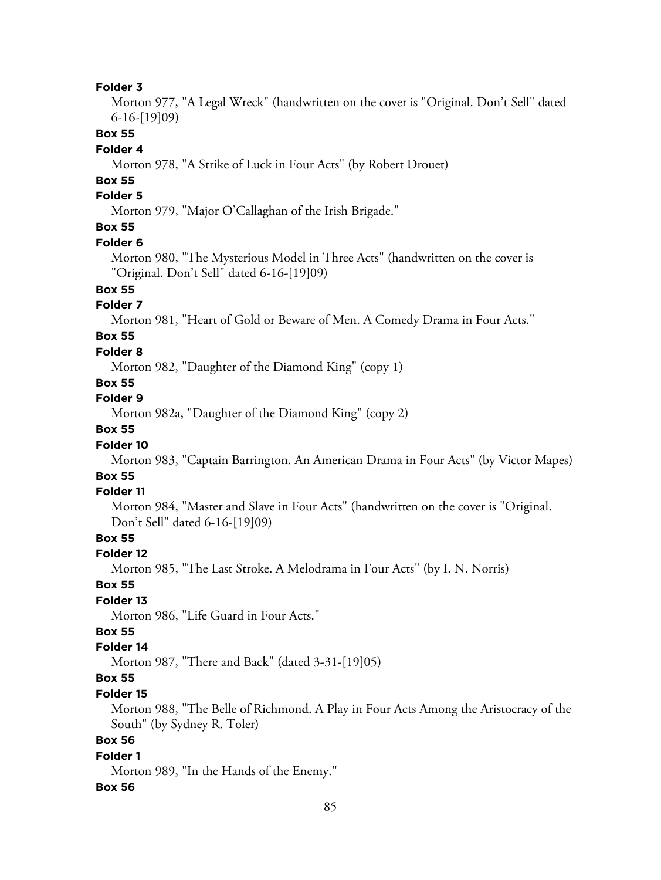Morton 977, "A Legal Wreck" (handwritten on the cover is "Original. Don't Sell" dated 6-16-[19]09)

### **Box 55**

#### **Folder 4**

Morton 978, "A Strike of Luck in Four Acts" (by Robert Drouet)

# **Box 55**

# **Folder 5**

Morton 979, "Major O'Callaghan of the Irish Brigade."

# **Box 55**

#### **Folder 6**

Morton 980, "The Mysterious Model in Three Acts" (handwritten on the cover is "Original. Don't Sell" dated 6-16-[19]09)

## **Box 55**

### **Folder 7**

Morton 981, "Heart of Gold or Beware of Men. A Comedy Drama in Four Acts."

# **Box 55**

### **Folder 8**

Morton 982, "Daughter of the Diamond King" (copy 1)

## **Box 55**

## **Folder 9**

Morton 982a, "Daughter of the Diamond King" (copy 2)

# **Box 55**

#### **Folder 10**

Morton 983, "Captain Barrington. An American Drama in Four Acts" (by Victor Mapes)

### **Box 55**

#### **Folder 11**

Morton 984, "Master and Slave in Four Acts" (handwritten on the cover is "Original. Don't Sell" dated 6-16-[19]09)

### **Box 55**

#### **Folder 12**

Morton 985, "The Last Stroke. A Melodrama in Four Acts" (by I. N. Norris)

#### **Box 55**

#### **Folder 13**

Morton 986, "Life Guard in Four Acts."

## **Box 55**

#### **Folder 14**

Morton 987, "There and Back" (dated 3-31-[19]05)

# **Box 55**

#### **Folder 15**

Morton 988, "The Belle of Richmond. A Play in Four Acts Among the Aristocracy of the South" (by Sydney R. Toler)

## **Box 56**

#### **Folder 1**

Morton 989, "In the Hands of the Enemy."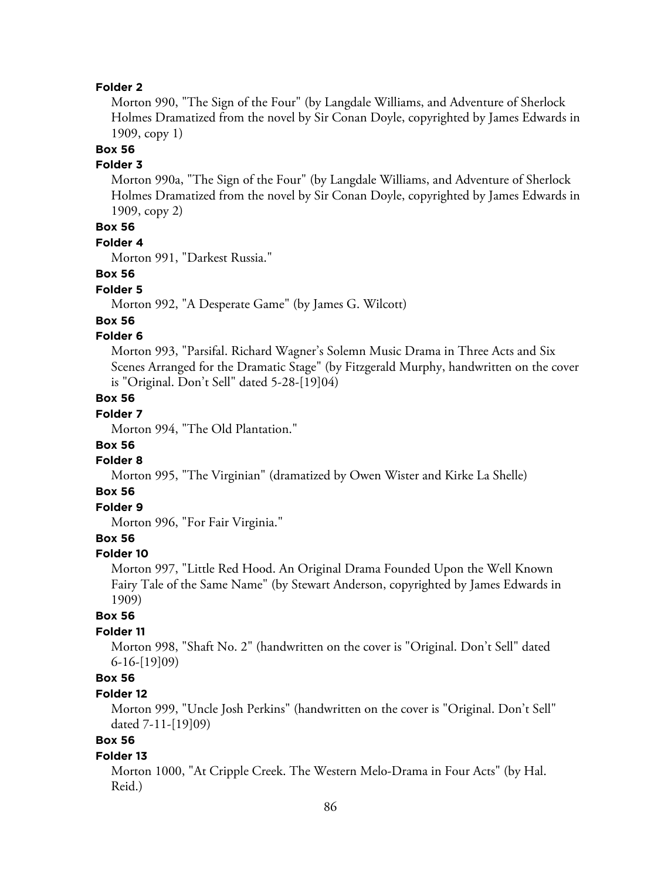Morton 990, "The Sign of the Four" (by Langdale Williams, and Adventure of Sherlock Holmes Dramatized from the novel by Sir Conan Doyle, copyrighted by James Edwards in 1909, copy 1)

# **Box 56**

## **Folder 3**

Morton 990a, "The Sign of the Four" (by Langdale Williams, and Adventure of Sherlock Holmes Dramatized from the novel by Sir Conan Doyle, copyrighted by James Edwards in 1909, copy 2)

# **Box 56**

#### **Folder 4**

Morton 991, "Darkest Russia."

#### **Box 56**

#### **Folder 5**

Morton 992, "A Desperate Game" (by James G. Wilcott)

#### **Box 56**

## **Folder 6**

Morton 993, "Parsifal. Richard Wagner's Solemn Music Drama in Three Acts and Six Scenes Arranged for the Dramatic Stage" (by Fitzgerald Murphy, handwritten on the cover is "Original. Don't Sell" dated 5-28-[19]04)

# **Box 56**

# **Folder 7**

Morton 994, "The Old Plantation."

### **Box 56**

#### **Folder 8**

Morton 995, "The Virginian" (dramatized by Owen Wister and Kirke La Shelle)

## **Box 56**

# **Folder 9**

Morton 996, "For Fair Virginia."

## **Box 56**

#### **Folder 10**

Morton 997, "Little Red Hood. An Original Drama Founded Upon the Well Known Fairy Tale of the Same Name" (by Stewart Anderson, copyrighted by James Edwards in 1909)

#### **Box 56**

## **Folder 11**

Morton 998, "Shaft No. 2" (handwritten on the cover is "Original. Don't Sell" dated 6-16-[19]09)

## **Box 56**

### **Folder 12**

Morton 999, "Uncle Josh Perkins" (handwritten on the cover is "Original. Don't Sell" dated 7-11-[19]09)

# **Box 56**

#### **Folder 13**

Morton 1000, "At Cripple Creek. The Western Melo-Drama in Four Acts" (by Hal. Reid.)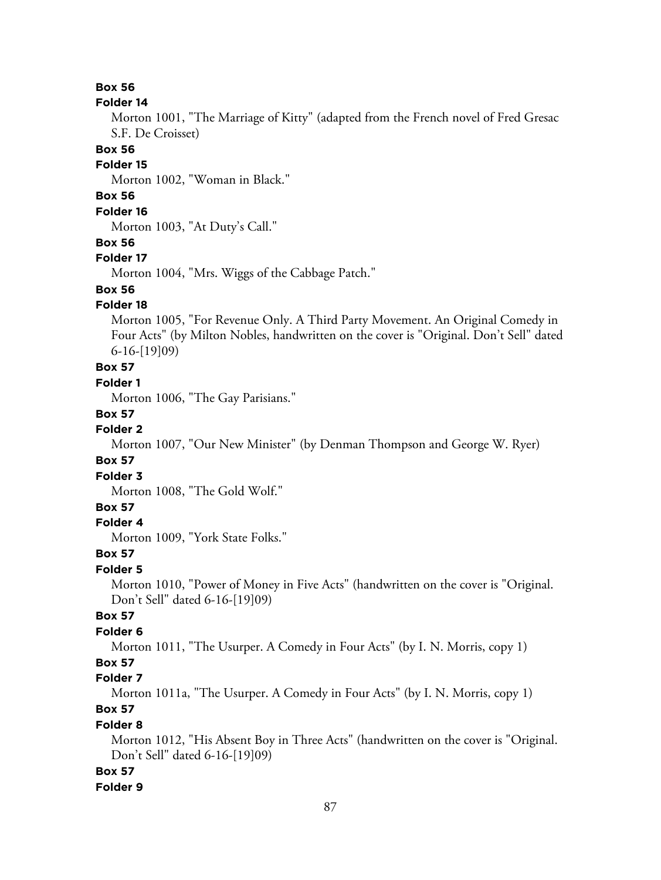#### **Folder 14**

Morton 1001, "The Marriage of Kitty" (adapted from the French novel of Fred Gresac S.F. De Croisset)

#### **Box 56**

#### **Folder 15**

Morton 1002, "Woman in Black."

# **Box 56**

# **Folder 16**

Morton 1003, "At Duty's Call."

### **Box 56**

#### **Folder 17**

Morton 1004, "Mrs. Wiggs of the Cabbage Patch."

## **Box 56**

## **Folder 18**

Morton 1005, "For Revenue Only. A Third Party Movement. An Original Comedy in Four Acts" (by Milton Nobles, handwritten on the cover is "Original. Don't Sell" dated 6-16-[19]09)

# **Box 57**

## **Folder 1**

Morton 1006, "The Gay Parisians."

#### **Box 57**

## **Folder 2**

Morton 1007, "Our New Minister" (by Denman Thompson and George W. Ryer)

## **Box 57**

#### **Folder 3**

Morton 1008, "The Gold Wolf."

## **Box 57**

## **Folder 4**

Morton 1009, "York State Folks."

#### **Box 57**

#### **Folder 5**

Morton 1010, "Power of Money in Five Acts" (handwritten on the cover is "Original. Don't Sell" dated 6-16-[19]09)

## **Box 57**

## **Folder 6**

Morton 1011, "The Usurper. A Comedy in Four Acts" (by I. N. Morris, copy 1)

## **Box 57**

#### **Folder 7**

Morton 1011a, "The Usurper. A Comedy in Four Acts" (by I. N. Morris, copy 1)

# **Box 57**

#### **Folder 8**

Morton 1012, "His Absent Boy in Three Acts" (handwritten on the cover is "Original. Don't Sell" dated 6-16-[19]09)

#### **Box 57**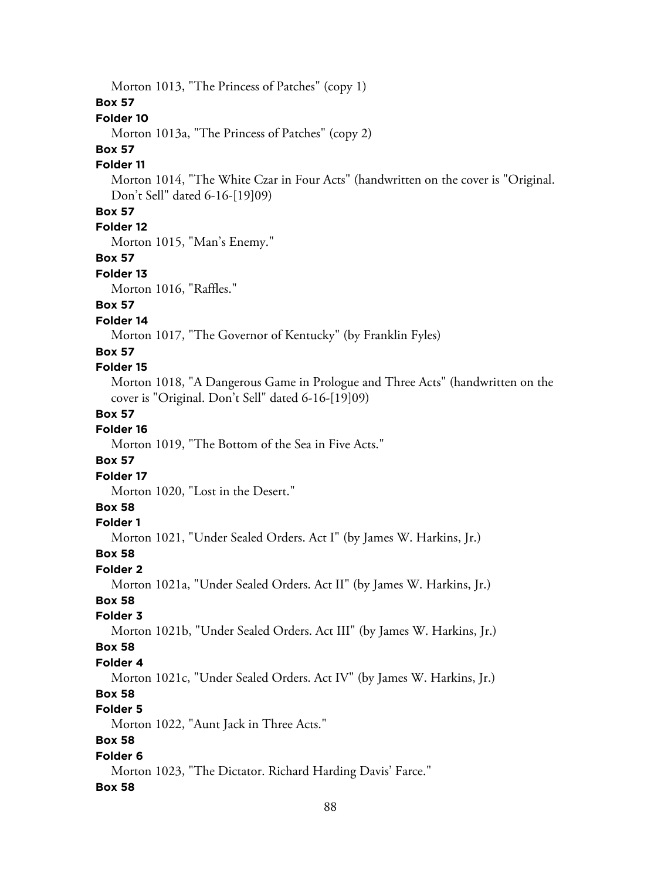Morton 1013, "The Princess of Patches" (copy 1)

## **Box 57**

## **Folder 10**

Morton 1013a, "The Princess of Patches" (copy 2)

# **Box 57**

# **Folder 11**

Morton 1014, "The White Czar in Four Acts" (handwritten on the cover is "Original. Don't Sell" dated 6-16-[19]09)

## **Box 57**

# **Folder 12**

Morton 1015, "Man's Enemy."

#### **Box 57**

#### **Folder 13**

Morton 1016, "Raffles."

# **Box 57**

## **Folder 14**

Morton 1017, "The Governor of Kentucky" (by Franklin Fyles)

#### **Box 57**

## **Folder 15**

Morton 1018, "A Dangerous Game in Prologue and Three Acts" (handwritten on the cover is "Original. Don't Sell" dated 6-16-[19]09)

### **Box 57**

## **Folder 16**

Morton 1019, "The Bottom of the Sea in Five Acts."

### **Box 57**

#### **Folder 17**

Morton 1020, "Lost in the Desert."

#### **Box 58**

#### **Folder 1**

Morton 1021, "Under Sealed Orders. Act I" (by James W. Harkins, Jr.)

#### **Box 58**

#### **Folder 2**

Morton 1021a, "Under Sealed Orders. Act II" (by James W. Harkins, Jr.)

#### **Box 58**

#### **Folder 3**

Morton 1021b, "Under Sealed Orders. Act III" (by James W. Harkins, Jr.)

#### **Box 58**

#### **Folder 4**

Morton 1021c, "Under Sealed Orders. Act IV" (by James W. Harkins, Jr.)

## **Box 58**

# **Folder 5**

Morton 1022, "Aunt Jack in Three Acts."

## **Box 58**

## **Folder 6**

Morton 1023, "The Dictator. Richard Harding Davis' Farce."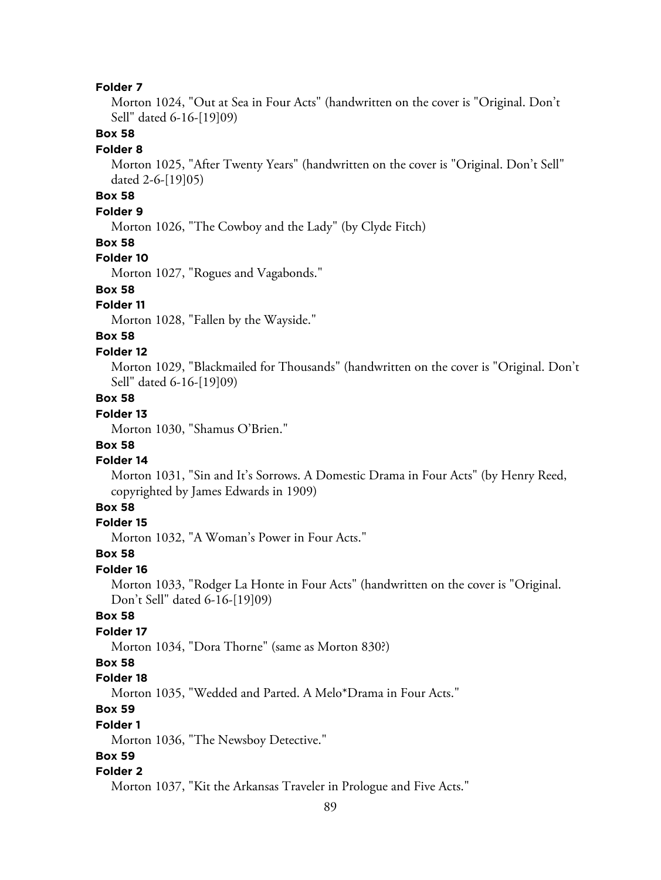Morton 1024, "Out at Sea in Four Acts" (handwritten on the cover is "Original. Don't Sell" dated 6-16-[19]09)

## **Box 58**

#### **Folder 8**

Morton 1025, "After Twenty Years" (handwritten on the cover is "Original. Don't Sell" dated 2-6-[19]05)

# **Box 58**

#### **Folder 9**

Morton 1026, "The Cowboy and the Lady" (by Clyde Fitch)

#### **Box 58**

#### **Folder 10**

Morton 1027, "Rogues and Vagabonds."

## **Box 58**

## **Folder 11**

Morton 1028, "Fallen by the Wayside."

# **Box 58**

#### **Folder 12**

Morton 1029, "Blackmailed for Thousands" (handwritten on the cover is "Original. Don't Sell" dated 6-16-[19]09)

## **Box 58**

# **Folder 13**

Morton 1030, "Shamus O'Brien."

#### **Box 58**

#### **Folder 14**

Morton 1031, "Sin and It's Sorrows. A Domestic Drama in Four Acts" (by Henry Reed, copyrighted by James Edwards in 1909)

## **Box 58**

#### **Folder 15**

Morton 1032, "A Woman's Power in Four Acts."

#### **Box 58**

#### **Folder 16**

Morton 1033, "Rodger La Honte in Four Acts" (handwritten on the cover is "Original. Don't Sell" dated 6-16-[19]09)

## **Box 58**

## **Folder 17**

Morton 1034, "Dora Thorne" (same as Morton 830?)

### **Box 58**

## **Folder 18**

Morton 1035, "Wedded and Parted. A Melo\*Drama in Four Acts."

# **Box 59**

#### **Folder 1**

Morton 1036, "The Newsboy Detective."

## **Box 59**

#### **Folder 2**

Morton 1037, "Kit the Arkansas Traveler in Prologue and Five Acts."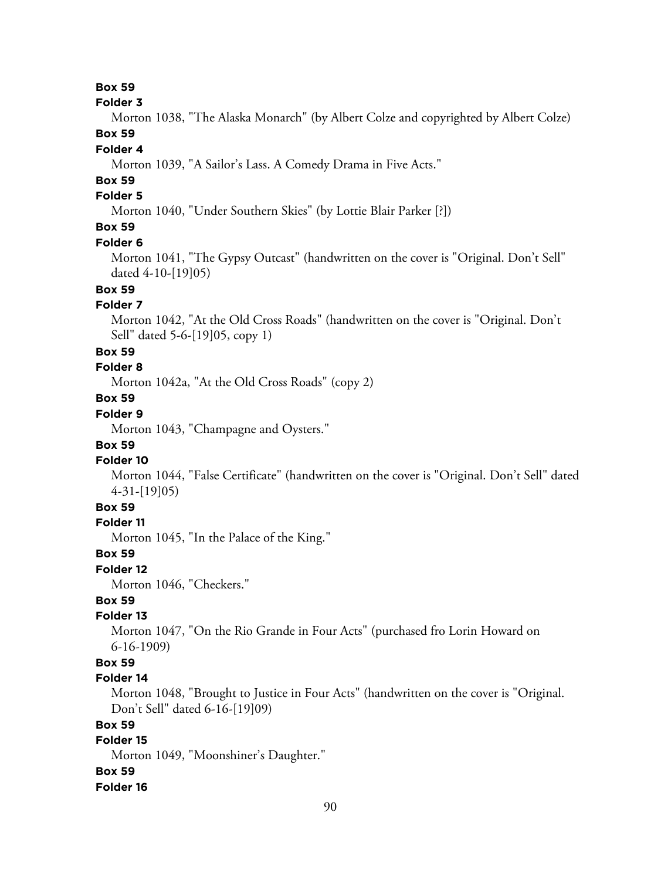#### **Folder 3**

Morton 1038, "The Alaska Monarch" (by Albert Colze and copyrighted by Albert Colze) **Box 59**

#### **Folder 4**

Morton 1039, "A Sailor's Lass. A Comedy Drama in Five Acts."

## **Box 59**

## **Folder 5**

Morton 1040, "Under Southern Skies" (by Lottie Blair Parker [?])

# **Box 59**

#### **Folder 6**

Morton 1041, "The Gypsy Outcast" (handwritten on the cover is "Original. Don't Sell" dated 4-10-[19]05)

# **Box 59**

## **Folder 7**

Morton 1042, "At the Old Cross Roads" (handwritten on the cover is "Original. Don't Sell" dated 5-6-[19]05, copy 1)

#### **Box 59**

#### **Folder 8**

Morton 1042a, "At the Old Cross Roads" (copy 2)

# **Box 59**

# **Folder 9**

Morton 1043, "Champagne and Oysters."

## **Box 59**

#### **Folder 10**

Morton 1044, "False Certificate" (handwritten on the cover is "Original. Don't Sell" dated 4-31-[19]05)

# **Box 59**

## **Folder 11**

Morton 1045, "In the Palace of the King."

#### **Box 59**

#### **Folder 12**

Morton 1046, "Checkers."

## **Box 59**

## **Folder 13**

Morton 1047, "On the Rio Grande in Four Acts" (purchased fro Lorin Howard on 6-16-1909)

## **Box 59**

### **Folder 14**

Morton 1048, "Brought to Justice in Four Acts" (handwritten on the cover is "Original. Don't Sell" dated 6-16-[19]09)

## **Box 59**

# **Folder 15**

Morton 1049, "Moonshiner's Daughter."

#### **Box 59**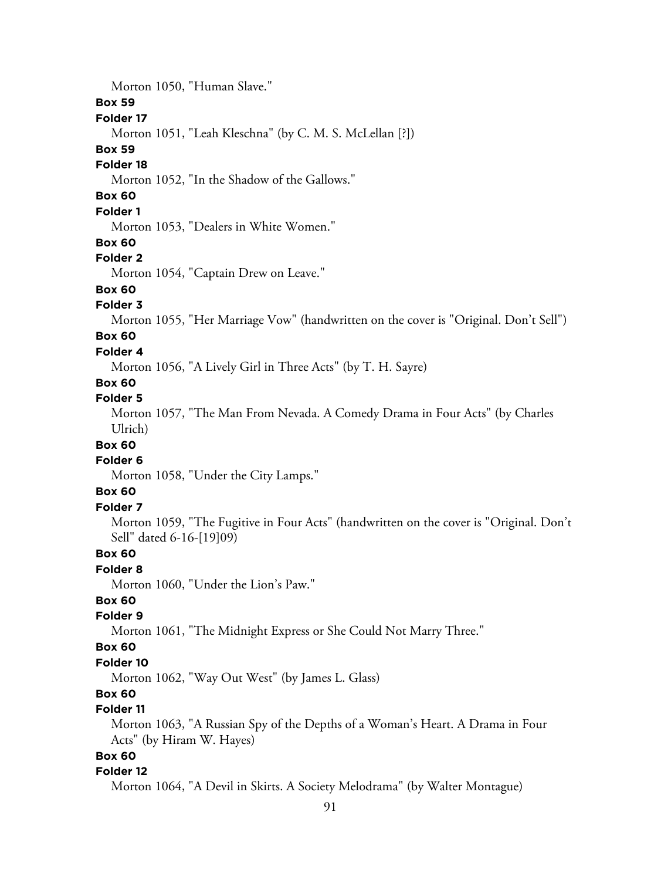Morton 1050, "Human Slave." **Box 59 Folder 17** Morton 1051, "Leah Kleschna" (by C. M. S. McLellan [?]) **Box 59 Folder 18** Morton 1052, "In the Shadow of the Gallows." **Box 60 Folder 1** Morton 1053, "Dealers in White Women." **Box 60 Folder 2** Morton 1054, "Captain Drew on Leave." **Box 60 Folder 3** Morton 1055, "Her Marriage Vow" (handwritten on the cover is "Original. Don't Sell") **Box 60 Folder 4** Morton 1056, "A Lively Girl in Three Acts" (by T. H. Sayre) **Box 60 Folder 5** Morton 1057, "The Man From Nevada. A Comedy Drama in Four Acts" (by Charles Ulrich) **Box 60 Folder 6** Morton 1058, "Under the City Lamps." **Box 60 Folder 7** Morton 1059, "The Fugitive in Four Acts" (handwritten on the cover is "Original. Don't Sell" dated 6-16-[19]09) **Box 60 Folder 8** Morton 1060, "Under the Lion's Paw." **Box 60 Folder 9** Morton 1061, "The Midnight Express or She Could Not Marry Three." **Box 60 Folder 10** Morton 1062, "Way Out West" (by James L. Glass) **Box 60 Folder 11** Morton 1063, "A Russian Spy of the Depths of a Woman's Heart. A Drama in Four Acts" (by Hiram W. Hayes) **Box 60**

#### **Folder 12**

Morton 1064, "A Devil in Skirts. A Society Melodrama" (by Walter Montague)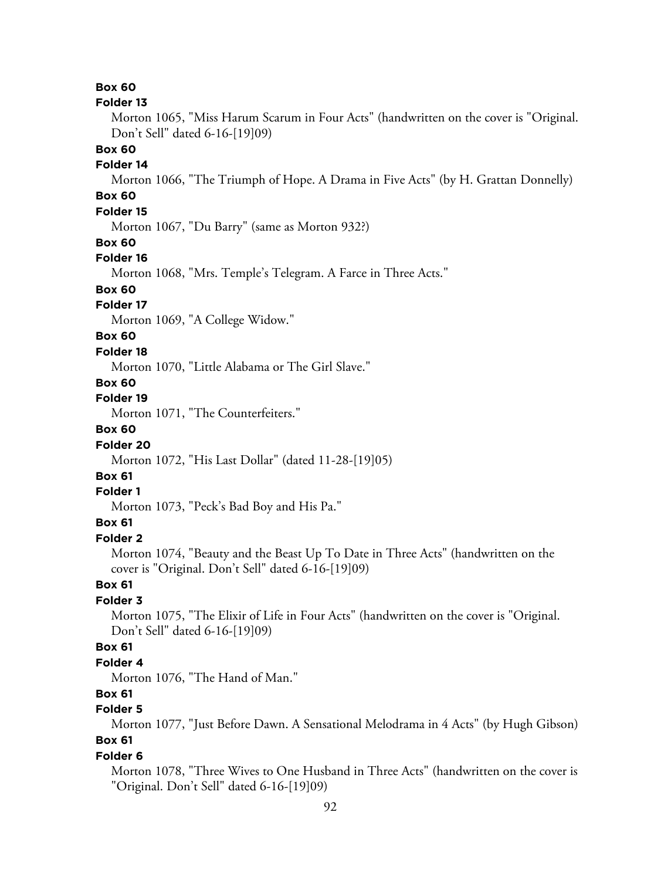#### **Folder 13**

Morton 1065, "Miss Harum Scarum in Four Acts" (handwritten on the cover is "Original. Don't Sell" dated 6-16-[19]09)

#### **Box 60**

#### **Folder 14**

Morton 1066, "The Triumph of Hope. A Drama in Five Acts" (by H. Grattan Donnelly)

# **Box 60**

# **Folder 15**

Morton 1067, "Du Barry" (same as Morton 932?)

#### **Box 60**

#### **Folder 16**

Morton 1068, "Mrs. Temple's Telegram. A Farce in Three Acts."

## **Box 60**

### **Folder 17**

Morton 1069, "A College Widow."

## **Box 60**

#### **Folder 18**

Morton 1070, "Little Alabama or The Girl Slave."

# **Box 60**

# **Folder 19**

Morton 1071, "The Counterfeiters."

# **Box 60**

#### **Folder 20**

Morton 1072, "His Last Dollar" (dated 11-28-[19]05)

### **Box 61**

#### **Folder 1**

Morton 1073, "Peck's Bad Boy and His Pa."

## **Box 61**

## **Folder 2**

Morton 1074, "Beauty and the Beast Up To Date in Three Acts" (handwritten on the cover is "Original. Don't Sell" dated 6-16-[19]09)

### **Box 61**

## **Folder 3**

Morton 1075, "The Elixir of Life in Four Acts" (handwritten on the cover is "Original. Don't Sell" dated 6-16-[19]09)

## **Box 61**

#### **Folder 4**

Morton 1076, "The Hand of Man."

## **Box 61**

## **Folder 5**

Morton 1077, "Just Before Dawn. A Sensational Melodrama in 4 Acts" (by Hugh Gibson) **Box 61**

#### **Folder 6**

Morton 1078, "Three Wives to One Husband in Three Acts" (handwritten on the cover is "Original. Don't Sell" dated 6-16-[19]09)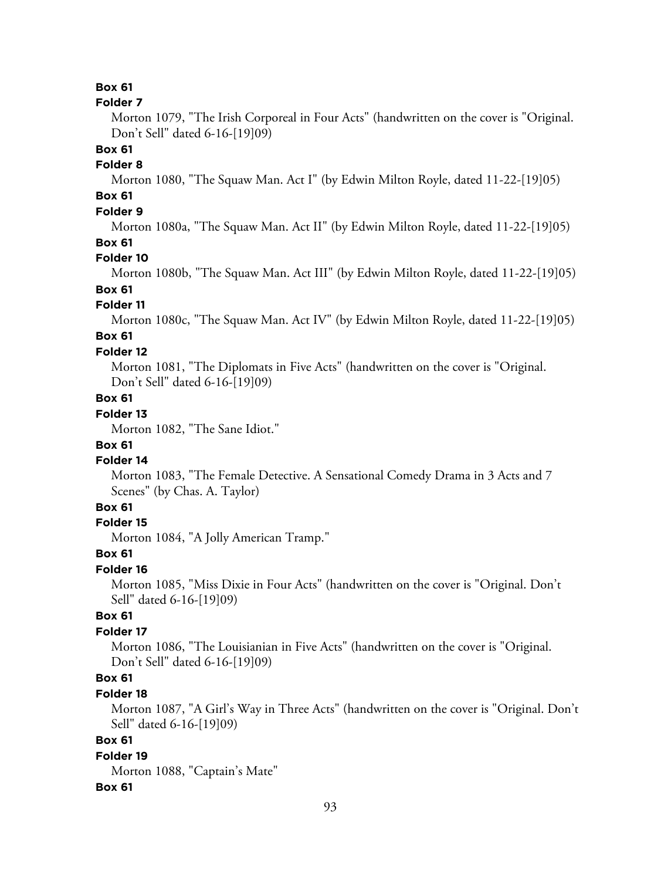#### **Folder 7**

Morton 1079, "The Irish Corporeal in Four Acts" (handwritten on the cover is "Original. Don't Sell" dated 6-16-[19]09)

#### **Box 61**

#### **Folder 8**

Morton 1080, "The Squaw Man. Act I" (by Edwin Milton Royle, dated 11-22-[19]05)

# **Box 61**

# **Folder 9**

Morton 1080a, "The Squaw Man. Act II" (by Edwin Milton Royle, dated 11-22-[19]05)

## **Box 61**

### **Folder 10**

Morton 1080b, "The Squaw Man. Act III" (by Edwin Milton Royle, dated 11-22-[19]05)

## **Box 61**

#### **Folder 11**

Morton 1080c, "The Squaw Man. Act IV" (by Edwin Milton Royle, dated 11-22-[19]05)

# **Box 61**

### **Folder 12**

Morton 1081, "The Diplomats in Five Acts" (handwritten on the cover is "Original. Don't Sell" dated 6-16-[19]09)

## **Box 61**

# **Folder 13**

Morton 1082, "The Sane Idiot."

#### **Box 61**

#### **Folder 14**

Morton 1083, "The Female Detective. A Sensational Comedy Drama in 3 Acts and 7 Scenes" (by Chas. A. Taylor)

# **Box 61**

## **Folder 15**

Morton 1084, "A Jolly American Tramp."

### **Box 61**

#### **Folder 16**

Morton 1085, "Miss Dixie in Four Acts" (handwritten on the cover is "Original. Don't Sell" dated 6-16-[19]09)

## **Box 61**

## **Folder 17**

Morton 1086, "The Louisianian in Five Acts" (handwritten on the cover is "Original. Don't Sell" dated 6-16-[19]09)

## **Box 61**

#### **Folder 18**

Morton 1087, "A Girl's Way in Three Acts" (handwritten on the cover is "Original. Don't Sell" dated 6-16-[19]09)

## **Box 61**

#### **Folder 19**

Morton 1088, "Captain's Mate"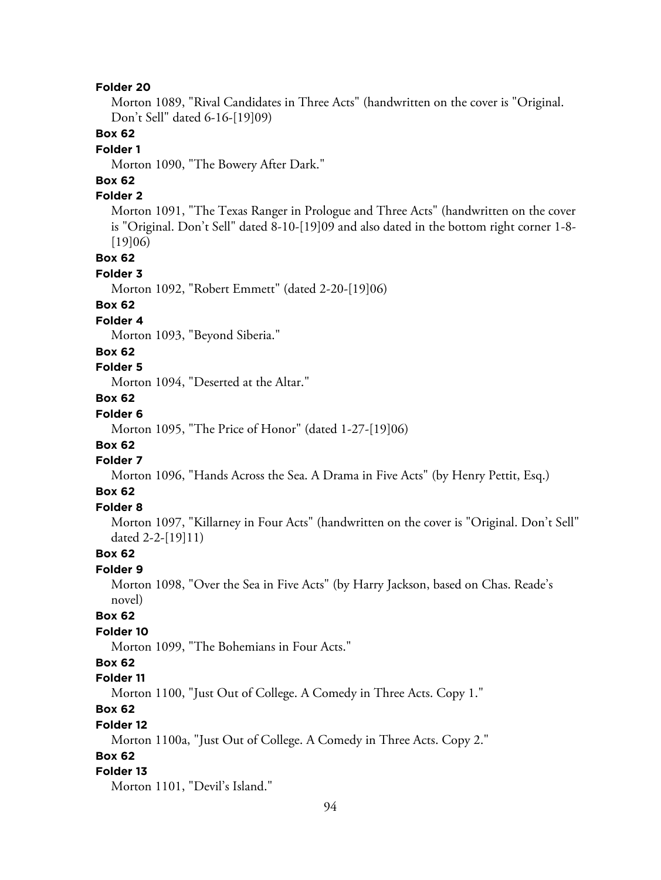Morton 1089, "Rival Candidates in Three Acts" (handwritten on the cover is "Original. Don't Sell" dated 6-16-[19]09)

## **Box 62**

#### **Folder 1**

Morton 1090, "The Bowery After Dark."

# **Box 62**

## **Folder 2**

Morton 1091, "The Texas Ranger in Prologue and Three Acts" (handwritten on the cover is "Original. Don't Sell" dated 8-10-[19]09 and also dated in the bottom right corner 1-8- [19]06)

## **Box 62**

#### **Folder 3**

Morton 1092, "Robert Emmett" (dated 2-20-[19]06)

#### **Box 62**

#### **Folder 4**

Morton 1093, "Beyond Siberia."

### **Box 62**

## **Folder 5**

Morton 1094, "Deserted at the Altar."

# **Box 62**

# **Folder 6**

Morton 1095, "The Price of Honor" (dated 1-27-[19]06)

# **Box 62**

# **Folder 7**

Morton 1096, "Hands Across the Sea. A Drama in Five Acts" (by Henry Pettit, Esq.)

## **Box 62**

## **Folder 8**

Morton 1097, "Killarney in Four Acts" (handwritten on the cover is "Original. Don't Sell" dated 2-2-[19]11)

## **Box 62**

#### **Folder 9**

Morton 1098, "Over the Sea in Five Acts" (by Harry Jackson, based on Chas. Reade's novel)

## **Box 62**

#### **Folder 10**

Morton 1099, "The Bohemians in Four Acts."

### **Box 62**

### **Folder 11**

Morton 1100, "Just Out of College. A Comedy in Three Acts. Copy 1."

# **Box 62**

#### **Folder 12**

Morton 1100a, "Just Out of College. A Comedy in Three Acts. Copy 2."

## **Box 62**

#### **Folder 13**

Morton 1101, "Devil's Island."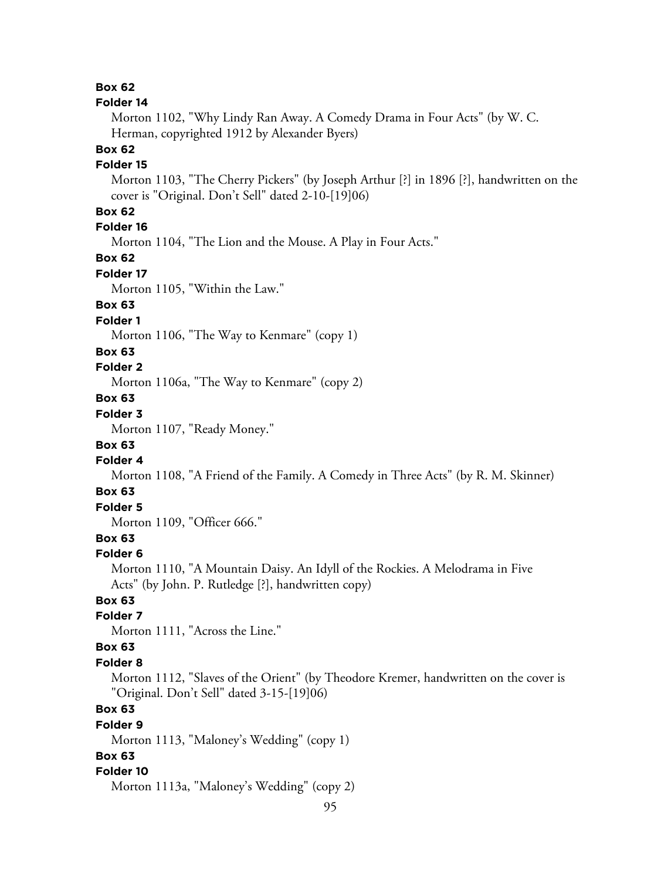#### **Folder 14**

Morton 1102, "Why Lindy Ran Away. A Comedy Drama in Four Acts" (by W. C. Herman, copyrighted 1912 by Alexander Byers)

#### **Box 62**

#### **Folder 15**

Morton 1103, "The Cherry Pickers" (by Joseph Arthur [?] in 1896 [?], handwritten on the cover is "Original. Don't Sell" dated 2-10-[19]06)

# **Box 62**

# **Folder 16**

Morton 1104, "The Lion and the Mouse. A Play in Four Acts."

**Box 62**

### **Folder 17**

Morton 1105, "Within the Law."

# **Box 63**

## **Folder 1**

Morton 1106, "The Way to Kenmare" (copy 1)

#### **Box 63**

#### **Folder 2**

Morton 1106a, "The Way to Kenmare" (copy 2)

# **Box 63**

# **Folder 3**

Morton 1107, "Ready Money."

### **Box 63**

# **Folder 4**

Morton 1108, "A Friend of the Family. A Comedy in Three Acts" (by R. M. Skinner)

## **Box 63**

# **Folder 5**

Morton 1109, "Officer 666."

# **Box 63**

#### **Folder 6**

Morton 1110, "A Mountain Daisy. An Idyll of the Rockies. A Melodrama in Five Acts" (by John. P. Rutledge [?], handwritten copy)

# **Box 63**

# **Folder 7**

Morton 1111, "Across the Line."

## **Box 63**

#### **Folder 8**

Morton 1112, "Slaves of the Orient" (by Theodore Kremer, handwritten on the cover is "Original. Don't Sell" dated 3-15-[19]06)

# **Box 63**

## **Folder 9**

Morton 1113, "Maloney's Wedding" (copy 1)

# **Box 63**

#### **Folder 10**

Morton 1113a, "Maloney's Wedding" (copy 2)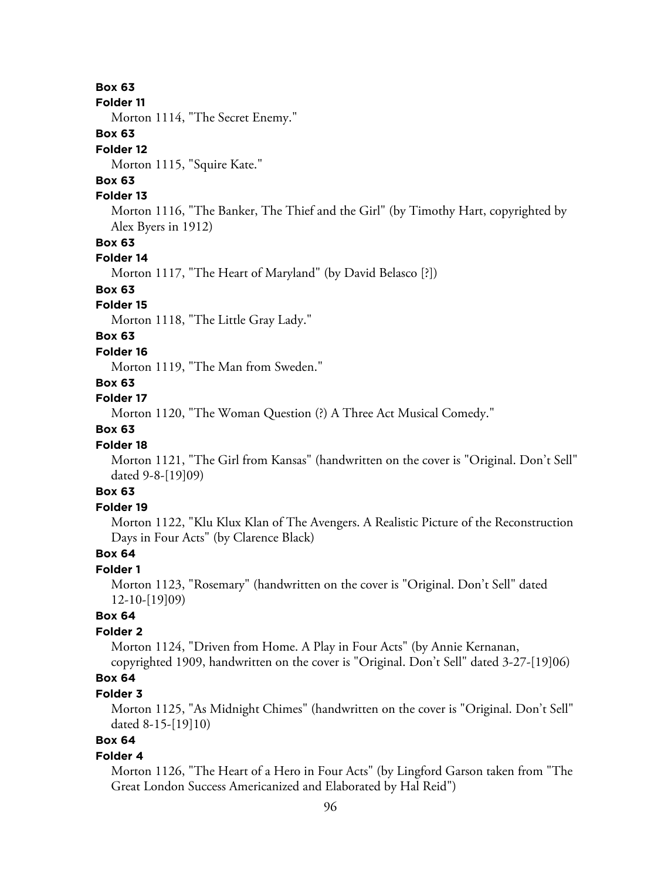#### **Folder 11**

Morton 1114, "The Secret Enemy."

## **Box 63**

#### **Folder 12**

Morton 1115, "Squire Kate."

# **Box 63**

## **Folder 13**

Morton 1116, "The Banker, The Thief and the Girl" (by Timothy Hart, copyrighted by Alex Byers in 1912)

### **Box 63**

#### **Folder 14**

Morton 1117, "The Heart of Maryland" (by David Belasco [?])

### **Box 63**

#### **Folder 15**

Morton 1118, "The Little Gray Lady."

# **Box 63**

#### **Folder 16**

Morton 1119, "The Man from Sweden."

## **Box 63**

## **Folder 17**

Morton 1120, "The Woman Question (?) A Three Act Musical Comedy."

# **Box 63**

#### **Folder 18**

Morton 1121, "The Girl from Kansas" (handwritten on the cover is "Original. Don't Sell" dated 9-8-[19]09)

# **Box 63**

## **Folder 19**

Morton 1122, "Klu Klux Klan of The Avengers. A Realistic Picture of the Reconstruction Days in Four Acts" (by Clarence Black)

## **Box 64**

### **Folder 1**

Morton 1123, "Rosemary" (handwritten on the cover is "Original. Don't Sell" dated 12-10-[19]09)

## **Box 64**

# **Folder 2**

Morton 1124, "Driven from Home. A Play in Four Acts" (by Annie Kernanan, copyrighted 1909, handwritten on the cover is "Original. Don't Sell" dated 3-27-[19]06)

# **Box 64**

## **Folder 3**

Morton 1125, "As Midnight Chimes" (handwritten on the cover is "Original. Don't Sell" dated 8-15-[19]10)

# **Box 64**

#### **Folder 4**

Morton 1126, "The Heart of a Hero in Four Acts" (by Lingford Garson taken from "The Great London Success Americanized and Elaborated by Hal Reid")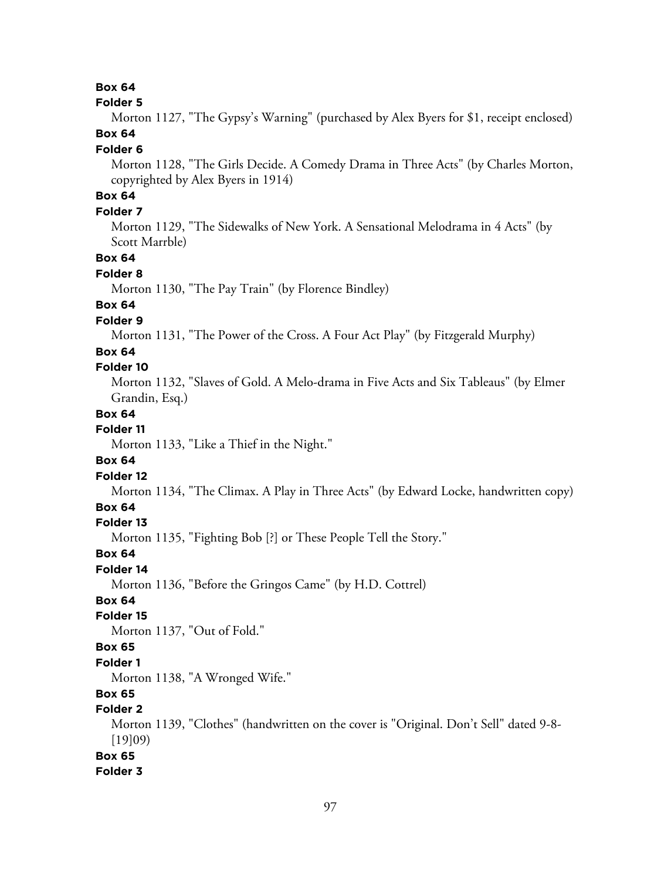#### **Folder 5**

Morton 1127, "The Gypsy's Warning" (purchased by Alex Byers for \$1, receipt enclosed) **Box 64**

#### **Folder 6**

Morton 1128, "The Girls Decide. A Comedy Drama in Three Acts" (by Charles Morton, copyrighted by Alex Byers in 1914)

# **Box 64**

## **Folder 7**

Morton 1129, "The Sidewalks of New York. A Sensational Melodrama in 4 Acts" (by Scott Marrble)

# **Box 64**

#### **Folder 8**

Morton 1130, "The Pay Train" (by Florence Bindley)

## **Box 64**

## **Folder 9**

Morton 1131, "The Power of the Cross. A Four Act Play" (by Fitzgerald Murphy)

#### **Box 64**

## **Folder 10**

Morton 1132, "Slaves of Gold. A Melo-drama in Five Acts and Six Tableaus" (by Elmer Grandin, Esq.)

#### **Box 64**

## **Folder 11**

Morton 1133, "Like a Thief in the Night."

### **Box 64**

#### **Folder 12**

Morton 1134, "The Climax. A Play in Three Acts" (by Edward Locke, handwritten copy)

## **Box 64**

#### **Folder 13**

Morton 1135, "Fighting Bob [?] or These People Tell the Story."

#### **Box 64**

**Folder 14**

Morton 1136, "Before the Gringos Came" (by H.D. Cottrel)

## **Box 64**

## **Folder 15**

Morton 1137, "Out of Fold."

## **Box 65**

#### **Folder 1**

Morton 1138, "A Wronged Wife."

# **Box 65**

# **Folder 2**

Morton 1139, "Clothes" (handwritten on the cover is "Original. Don't Sell" dated 9-8- [19]09)

## **Box 65**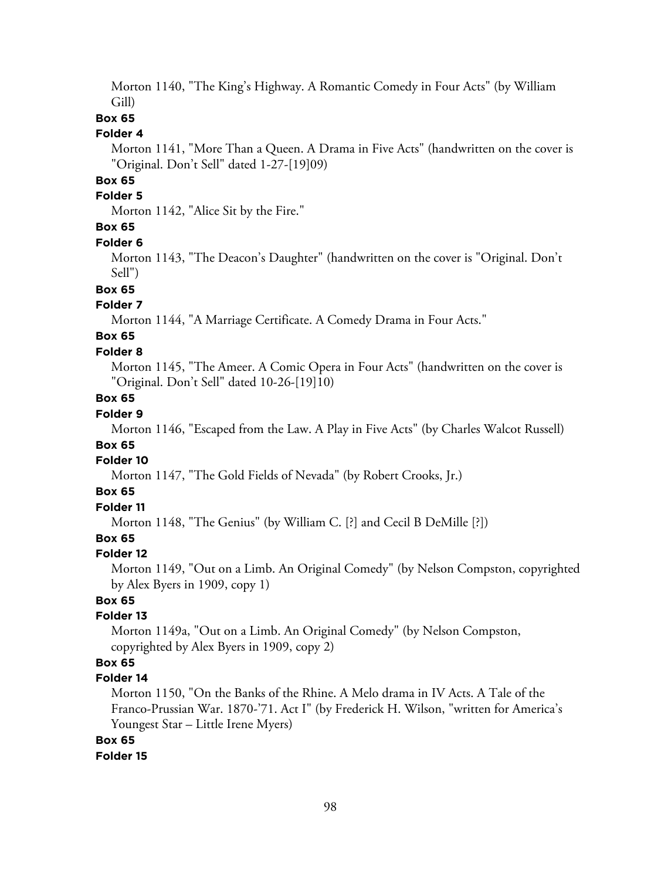Morton 1140, "The King's Highway. A Romantic Comedy in Four Acts" (by William Gill)

# **Box 65**

## **Folder 4**

Morton 1141, "More Than a Queen. A Drama in Five Acts" (handwritten on the cover is "Original. Don't Sell" dated 1-27-[19]09)

## **Box 65**

## **Folder 5**

Morton 1142, "Alice Sit by the Fire."

# **Box 65**

#### **Folder 6**

Morton 1143, "The Deacon's Daughter" (handwritten on the cover is "Original. Don't Sell")

#### **Box 65**

#### **Folder 7**

Morton 1144, "A Marriage Certificate. A Comedy Drama in Four Acts."

# **Box 65**

## **Folder 8**

Morton 1145, "The Ameer. A Comic Opera in Four Acts" (handwritten on the cover is "Original. Don't Sell" dated 10-26-[19]10)

# **Box 65**

# **Folder 9**

Morton 1146, "Escaped from the Law. A Play in Five Acts" (by Charles Walcot Russell)

### **Box 65**

### **Folder 10**

Morton 1147, "The Gold Fields of Nevada" (by Robert Crooks, Jr.)

## **Box 65**

# **Folder 11**

Morton 1148, "The Genius" (by William C. [?] and Cecil B DeMille [?])

# **Box 65**

#### **Folder 12**

Morton 1149, "Out on a Limb. An Original Comedy" (by Nelson Compston, copyrighted by Alex Byers in 1909, copy 1)

# **Box 65**

#### **Folder 13**

Morton 1149a, "Out on a Limb. An Original Comedy" (by Nelson Compston, copyrighted by Alex Byers in 1909, copy 2)

# **Box 65**

# **Folder 14**

Morton 1150, "On the Banks of the Rhine. A Melo drama in IV Acts. A Tale of the Franco-Prussian War. 1870-'71. Act I" (by Frederick H. Wilson, "written for America's Youngest Star – Little Irene Myers)

# **Box 65**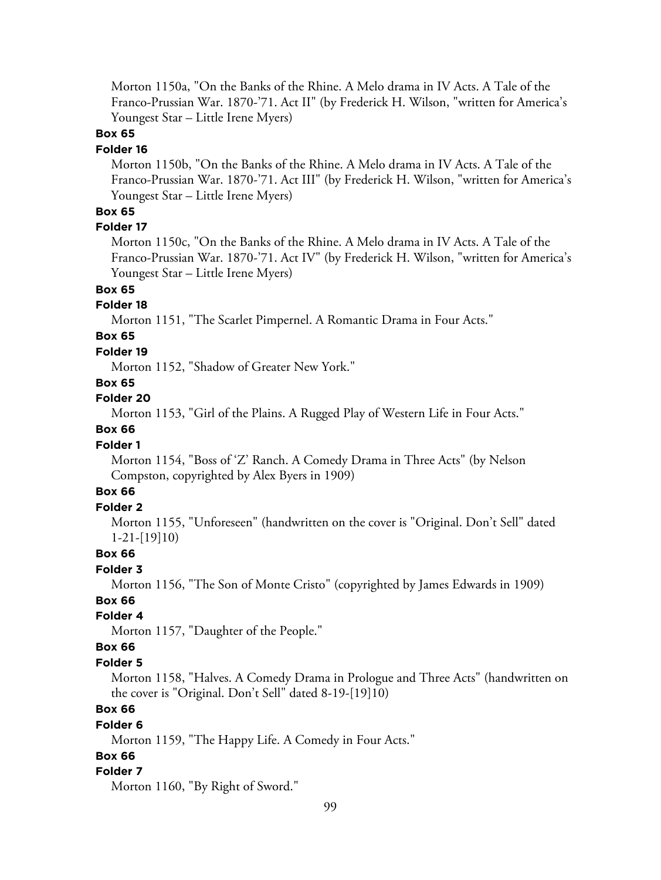Morton 1150a, "On the Banks of the Rhine. A Melo drama in IV Acts. A Tale of the Franco-Prussian War. 1870-'71. Act II" (by Frederick H. Wilson, "written for America's Youngest Star – Little Irene Myers)

## **Box 65**

#### **Folder 16**

Morton 1150b, "On the Banks of the Rhine. A Melo drama in IV Acts. A Tale of the Franco-Prussian War. 1870-'71. Act III" (by Frederick H. Wilson, "written for America's Youngest Star – Little Irene Myers)

## **Box 65**

## **Folder 17**

Morton 1150c, "On the Banks of the Rhine. A Melo drama in IV Acts. A Tale of the Franco-Prussian War. 1870-'71. Act IV" (by Frederick H. Wilson, "written for America's Youngest Star – Little Irene Myers)

# **Box 65**

#### **Folder 18**

Morton 1151, "The Scarlet Pimpernel. A Romantic Drama in Four Acts."

# **Box 65**

## **Folder 19**

Morton 1152, "Shadow of Greater New York."

### **Box 65**

#### **Folder 20**

Morton 1153, "Girl of the Plains. A Rugged Play of Western Life in Four Acts."

## **Box 66**

### **Folder 1**

Morton 1154, "Boss of 'Z' Ranch. A Comedy Drama in Three Acts" (by Nelson Compston, copyrighted by Alex Byers in 1909)

# **Box 66**

# **Folder 2**

Morton 1155, "Unforeseen" (handwritten on the cover is "Original. Don't Sell" dated 1-21-[19]10)

## **Box 66**

#### **Folder 3**

Morton 1156, "The Son of Monte Cristo" (copyrighted by James Edwards in 1909)

## **Box 66**

## **Folder 4**

Morton 1157, "Daughter of the People."

## **Box 66**

#### **Folder 5**

Morton 1158, "Halves. A Comedy Drama in Prologue and Three Acts" (handwritten on the cover is "Original. Don't Sell" dated 8-19-[19]10)

# **Box 66**

#### **Folder 6**

Morton 1159, "The Happy Life. A Comedy in Four Acts."

## **Box 66**

#### **Folder 7**

Morton 1160, "By Right of Sword."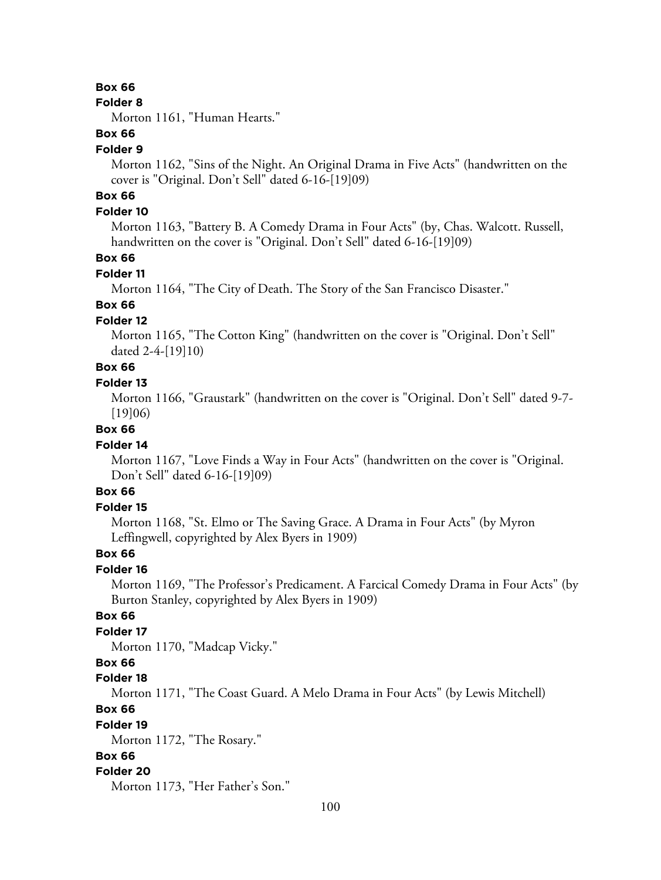#### **Folder 8**

Morton 1161, "Human Hearts."

# **Box 66**

#### **Folder 9**

Morton 1162, "Sins of the Night. An Original Drama in Five Acts" (handwritten on the cover is "Original. Don't Sell" dated 6-16-[19]09)

# **Box 66**

## **Folder 10**

Morton 1163, "Battery B. A Comedy Drama in Four Acts" (by, Chas. Walcott. Russell, handwritten on the cover is "Original. Don't Sell" dated 6-16-[19]09)

## **Box 66**

#### **Folder 11**

Morton 1164, "The City of Death. The Story of the San Francisco Disaster."

# **Box 66**

## **Folder 12**

Morton 1165, "The Cotton King" (handwritten on the cover is "Original. Don't Sell" dated 2-4-[19]10)

# **Box 66**

## **Folder 13**

Morton 1166, "Graustark" (handwritten on the cover is "Original. Don't Sell" dated 9-7- [19]06)

## **Box 66**

#### **Folder 14**

Morton 1167, "Love Finds a Way in Four Acts" (handwritten on the cover is "Original. Don't Sell" dated 6-16-[19]09)

## **Box 66**

#### **Folder 15**

Morton 1168, "St. Elmo or The Saving Grace. A Drama in Four Acts" (by Myron Leffingwell, copyrighted by Alex Byers in 1909)

#### **Box 66**

### **Folder 16**

Morton 1169, "The Professor's Predicament. A Farcical Comedy Drama in Four Acts" (by Burton Stanley, copyrighted by Alex Byers in 1909)

## **Box 66**

# **Folder 17**

Morton 1170, "Madcap Vicky."

### **Box 66**

### **Folder 18**

Morton 1171, "The Coast Guard. A Melo Drama in Four Acts" (by Lewis Mitchell)

## **Box 66**

#### **Folder 19**

Morton 1172, "The Rosary."

## **Box 66**

#### **Folder 20**

Morton 1173, "Her Father's Son."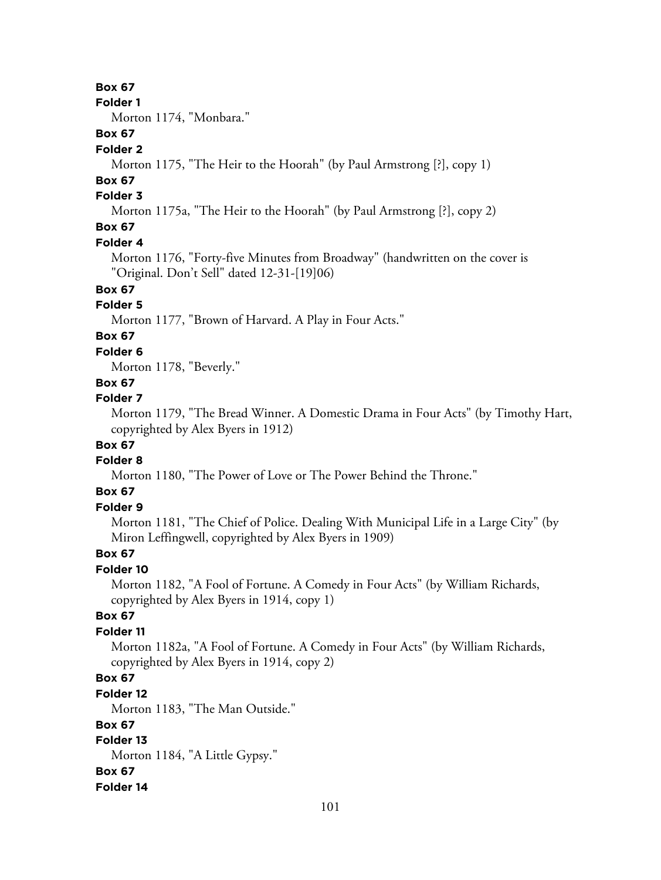**Folder 1**

Morton 1174, "Monbara."

# **Box 67**

## **Folder 2**

Morton 1175, "The Heir to the Hoorah" (by Paul Armstrong [?], copy 1)

# **Box 67**

# **Folder 3**

Morton 1175a, "The Heir to the Hoorah" (by Paul Armstrong [?], copy 2)

# **Box 67**

### **Folder 4**

Morton 1176, "Forty-five Minutes from Broadway" (handwritten on the cover is "Original. Don't Sell" dated 12-31-[19]06)

# **Box 67**

# **Folder 5**

Morton 1177, "Brown of Harvard. A Play in Four Acts."

# **Box 67**

**Folder 6**

Morton 1178, "Beverly."

## **Box 67**

## **Folder 7**

Morton 1179, "The Bread Winner. A Domestic Drama in Four Acts" (by Timothy Hart, copyrighted by Alex Byers in 1912)

## **Box 67**

### **Folder 8**

Morton 1180, "The Power of Love or The Power Behind the Throne."

# **Box 67**

## **Folder 9**

Morton 1181, "The Chief of Police. Dealing With Municipal Life in a Large City" (by Miron Leffingwell, copyrighted by Alex Byers in 1909)

## **Box 67**

## **Folder 10**

Morton 1182, "A Fool of Fortune. A Comedy in Four Acts" (by William Richards, copyrighted by Alex Byers in 1914, copy 1)

## **Box 67**

## **Folder 11**

Morton 1182a, "A Fool of Fortune. A Comedy in Four Acts" (by William Richards, copyrighted by Alex Byers in 1914, copy 2)

# **Box 67**

### **Folder 12**

Morton 1183, "The Man Outside."

## **Box 67**

## **Folder 13** Morton 1184, "A Little Gypsy." **Box 67 Folder 14**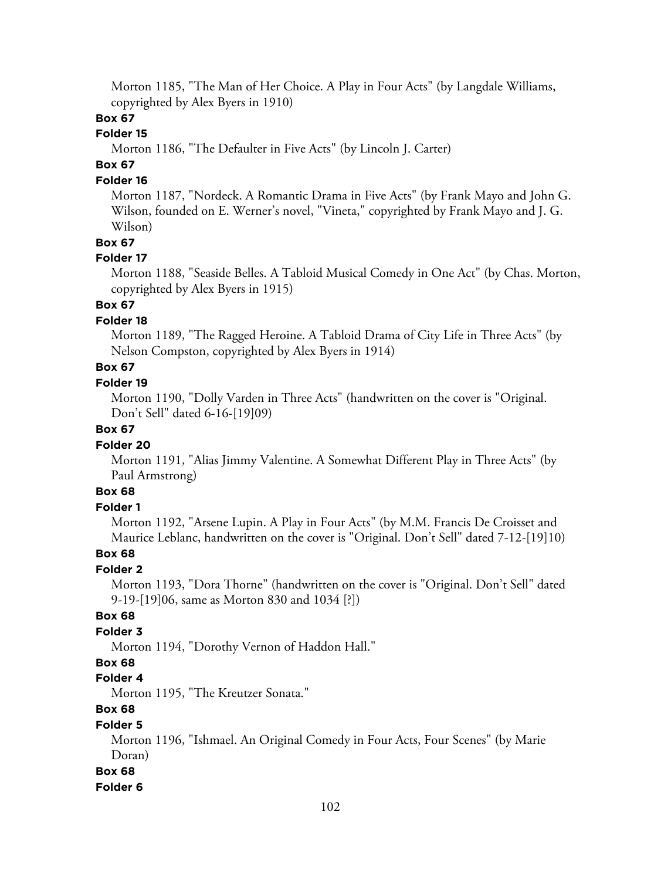Morton 1185, "The Man of Her Choice. A Play in Four Acts" (by Langdale Williams, copyrighted by Alex Byers in 1910)

## **Box 67**

## **Folder 15**

Morton 1186, "The Defaulter in Five Acts" (by Lincoln J. Carter)

# **Box 67**

#### **Folder 16**

Morton 1187, "Nordeck. A Romantic Drama in Five Acts" (by Frank Mayo and John G. Wilson, founded on E. Werner's novel, "Vineta," copyrighted by Frank Mayo and J. G. Wilson)

#### **Box 67**

#### **Folder 17**

Morton 1188, "Seaside Belles. A Tabloid Musical Comedy in One Act" (by Chas. Morton, copyrighted by Alex Byers in 1915)

# **Box 67**

## **Folder 18**

Morton 1189, "The Ragged Heroine. A Tabloid Drama of City Life in Three Acts" (by Nelson Compston, copyrighted by Alex Byers in 1914)

# **Box 67**

#### **Folder 19**

Morton 1190, "Dolly Varden in Three Acts" (handwritten on the cover is "Original. Don't Sell" dated 6-16-[19]09)

## **Box 67**

#### **Folder 20**

Morton 1191, "Alias Jimmy Valentine. A Somewhat Different Play in Three Acts" (by Paul Armstrong)

# **Box 68**

#### **Folder 1**

Morton 1192, "Arsene Lupin. A Play in Four Acts" (by M.M. Francis De Croisset and Maurice Leblanc, handwritten on the cover is "Original. Don't Sell" dated 7-12-[19]10)

#### **Box 68**

### **Folder 2**

Morton 1193, "Dora Thorne" (handwritten on the cover is "Original. Don't Sell" dated 9-19-[19]06, same as Morton 830 and 1034 [?])

# **Box 68**

## **Folder 3**

Morton 1194, "Dorothy Vernon of Haddon Hall."

#### **Box 68**

#### **Folder 4**

Morton 1195, "The Kreutzer Sonata."

# **Box 68**

#### **Folder 5**

Morton 1196, "Ishmael. An Original Comedy in Four Acts, Four Scenes" (by Marie Doran)

#### **Box 68**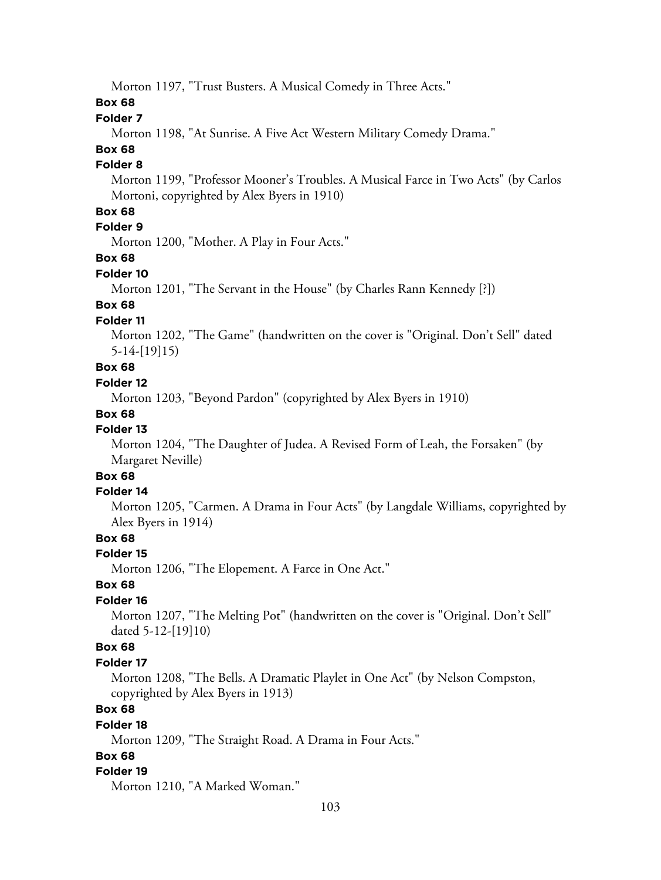Morton 1197, "Trust Busters. A Musical Comedy in Three Acts."

## **Box 68**

## **Folder 7**

Morton 1198, "At Sunrise. A Five Act Western Military Comedy Drama."

# **Box 68**

# **Folder 8**

Morton 1199, "Professor Mooner's Troubles. A Musical Farce in Two Acts" (by Carlos Mortoni, copyrighted by Alex Byers in 1910)

# **Box 68**

# **Folder 9**

Morton 1200, "Mother. A Play in Four Acts."

#### **Box 68**

#### **Folder 10**

Morton 1201, "The Servant in the House" (by Charles Rann Kennedy [?])

## **Box 68**

# **Folder 11**

Morton 1202, "The Game" (handwritten on the cover is "Original. Don't Sell" dated 5-14-[19]15)

# **Box 68**

## **Folder 12**

Morton 1203, "Beyond Pardon" (copyrighted by Alex Byers in 1910)

#### **Box 68**

## **Folder 13**

Morton 1204, "The Daughter of Judea. A Revised Form of Leah, the Forsaken" (by Margaret Neville)

# **Box 68**

## **Folder 14**

Morton 1205, "Carmen. A Drama in Four Acts" (by Langdale Williams, copyrighted by Alex Byers in 1914)

# **Box 68**

#### **Folder 15**

Morton 1206, "The Elopement. A Farce in One Act."

## **Box 68**

#### **Folder 16**

Morton 1207, "The Melting Pot" (handwritten on the cover is "Original. Don't Sell" dated 5-12-[19]10)

## **Box 68**

#### **Folder 17**

Morton 1208, "The Bells. A Dramatic Playlet in One Act" (by Nelson Compston, copyrighted by Alex Byers in 1913)

# **Box 68**

#### **Folder 18**

Morton 1209, "The Straight Road. A Drama in Four Acts."

## **Box 68**

#### **Folder 19**

Morton 1210, "A Marked Woman."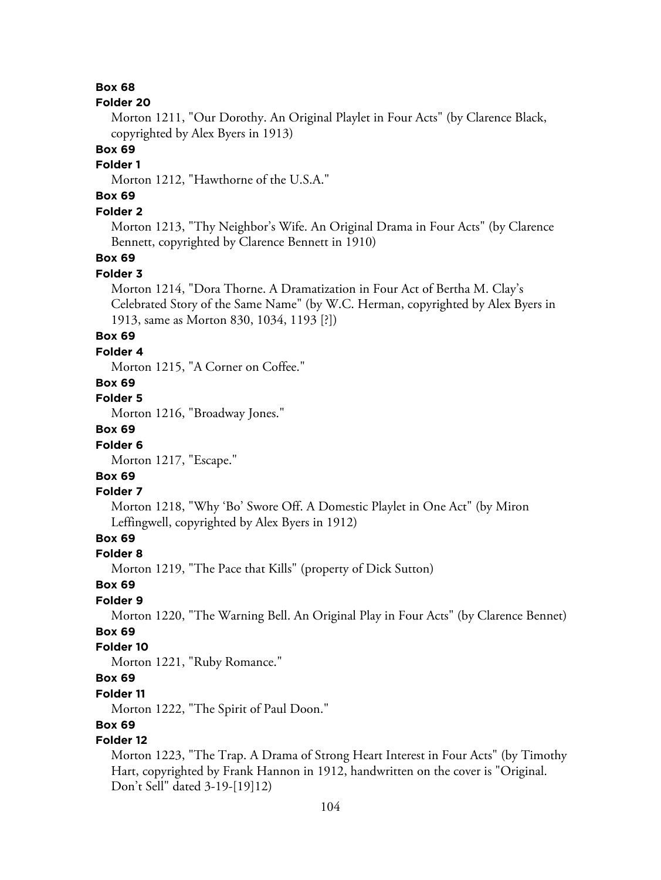#### **Folder 20**

Morton 1211, "Our Dorothy. An Original Playlet in Four Acts" (by Clarence Black, copyrighted by Alex Byers in 1913)

# **Box 69**

# **Folder 1**

Morton 1212, "Hawthorne of the U.S.A."

# **Box 69**

## **Folder 2**

Morton 1213, "Thy Neighbor's Wife. An Original Drama in Four Acts" (by Clarence Bennett, copyrighted by Clarence Bennett in 1910)

### **Box 69**

#### **Folder 3**

Morton 1214, "Dora Thorne. A Dramatization in Four Act of Bertha M. Clay's Celebrated Story of the Same Name" (by W.C. Herman, copyrighted by Alex Byers in 1913, same as Morton 830, 1034, 1193 [?])

## **Box 69**

#### **Folder 4**

Morton 1215, "A Corner on Coffee."

## **Box 69**

### **Folder 5**

Morton 1216, "Broadway Jones."

# **Box 69**

## **Folder 6**

Morton 1217, "Escape."

# **Box 69**

## **Folder 7**

Morton 1218, "Why 'Bo' Swore Off. A Domestic Playlet in One Act" (by Miron Leffingwell, copyrighted by Alex Byers in 1912)

## **Box 69**

#### **Folder 8**

Morton 1219, "The Pace that Kills" (property of Dick Sutton)

#### **Box 69**

## **Folder 9**

Morton 1220, "The Warning Bell. An Original Play in Four Acts" (by Clarence Bennet)

# **Box 69**

# **Folder 10**

Morton 1221, "Ruby Romance."

# **Box 69**

#### **Folder 11**

Morton 1222, "The Spirit of Paul Doon."

## **Box 69**

# **Folder 12**

Morton 1223, "The Trap. A Drama of Strong Heart Interest in Four Acts" (by Timothy Hart, copyrighted by Frank Hannon in 1912, handwritten on the cover is "Original. Don't Sell" dated 3-19-[19]12)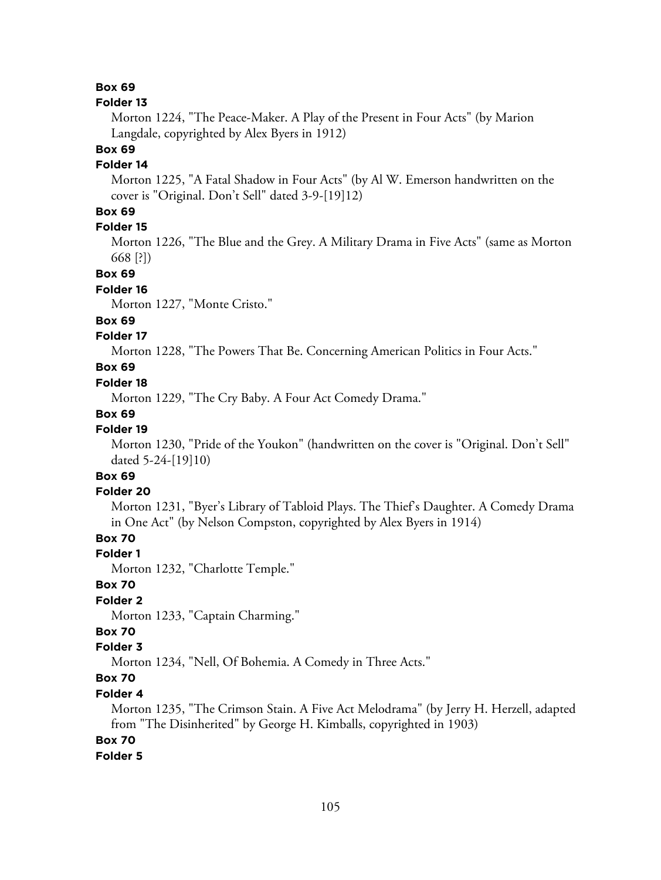#### **Folder 13**

Morton 1224, "The Peace-Maker. A Play of the Present in Four Acts" (by Marion Langdale, copyrighted by Alex Byers in 1912)

## **Box 69**

## **Folder 14**

Morton 1225, "A Fatal Shadow in Four Acts" (by Al W. Emerson handwritten on the cover is "Original. Don't Sell" dated 3-9-[19]12)

# **Box 69**

# **Folder 15**

Morton 1226, "The Blue and the Grey. A Military Drama in Five Acts" (same as Morton 668 [?])

#### **Box 69**

#### **Folder 16**

Morton 1227, "Monte Cristo."

## **Box 69**

## **Folder 17**

Morton 1228, "The Powers That Be. Concerning American Politics in Four Acts."

# **Box 69**

#### **Folder 18**

Morton 1229, "The Cry Baby. A Four Act Comedy Drama."

#### **Box 69**

## **Folder 19**

Morton 1230, "Pride of the Youkon" (handwritten on the cover is "Original. Don't Sell" dated 5-24-[19]10)

# **Box 69**

#### **Folder 20**

Morton 1231, "Byer's Library of Tabloid Plays. The Thief's Daughter. A Comedy Drama in One Act" (by Nelson Compston, copyrighted by Alex Byers in 1914)

# **Box 70**

#### **Folder 1**

Morton 1232, "Charlotte Temple."

### **Box 70**

# **Folder 2**

Morton 1233, "Captain Charming."

# **Box 70**

## **Folder 3**

Morton 1234, "Nell, Of Bohemia. A Comedy in Three Acts."

# **Box 70**

### **Folder 4**

Morton 1235, "The Crimson Stain. A Five Act Melodrama" (by Jerry H. Herzell, adapted from "The Disinherited" by George H. Kimballs, copyrighted in 1903)

#### **Box 70**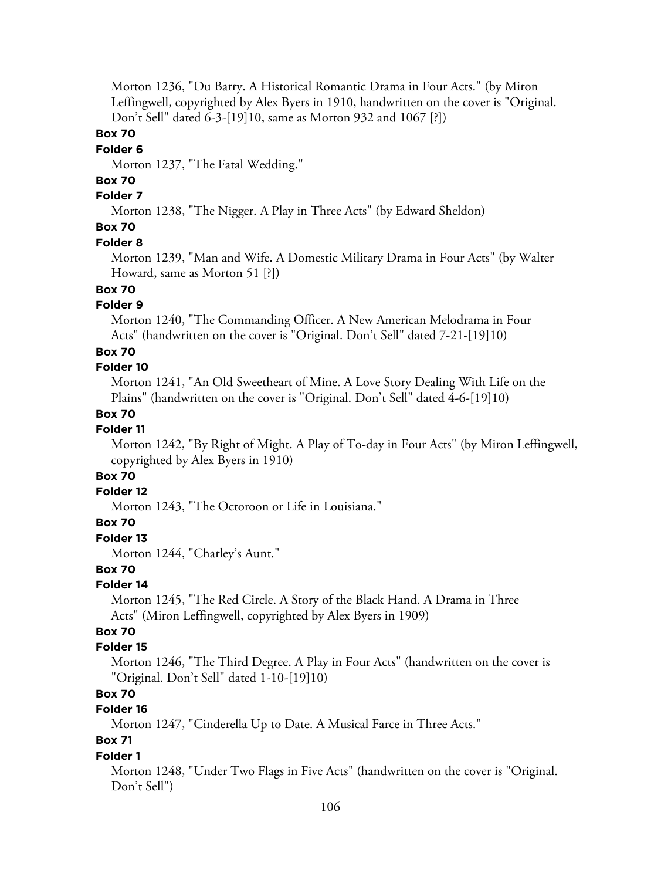Morton 1236, "Du Barry. A Historical Romantic Drama in Four Acts." (by Miron Leffingwell, copyrighted by Alex Byers in 1910, handwritten on the cover is "Original. Don't Sell" dated 6-3-[19]10, same as Morton 932 and 1067 [?])

## **Box 70**

#### **Folder 6**

Morton 1237, "The Fatal Wedding."

# **Box 70**

# **Folder 7**

Morton 1238, "The Nigger. A Play in Three Acts" (by Edward Sheldon)

# **Box 70**

#### **Folder 8**

Morton 1239, "Man and Wife. A Domestic Military Drama in Four Acts" (by Walter Howard, same as Morton 51 [?])

# **Box 70**

## **Folder 9**

Morton 1240, "The Commanding Officer. A New American Melodrama in Four Acts" (handwritten on the cover is "Original. Don't Sell" dated 7-21-[19]10)

#### **Box 70**

#### **Folder 10**

Morton 1241, "An Old Sweetheart of Mine. A Love Story Dealing With Life on the Plains" (handwritten on the cover is "Original. Don't Sell" dated 4-6-[19]10)

#### **Box 70**

### **Folder 11**

Morton 1242, "By Right of Might. A Play of To-day in Four Acts" (by Miron Leffingwell, copyrighted by Alex Byers in 1910)

# **Box 70**

## **Folder 12**

Morton 1243, "The Octoroon or Life in Louisiana."

## **Box 70**

## **Folder 13**

Morton 1244, "Charley's Aunt."

## **Box 70**

#### **Folder 14**

Morton 1245, "The Red Circle. A Story of the Black Hand. A Drama in Three Acts" (Miron Leffingwell, copyrighted by Alex Byers in 1909)

# **Box 70**

## **Folder 15**

Morton 1246, "The Third Degree. A Play in Four Acts" (handwritten on the cover is "Original. Don't Sell" dated 1-10-[19]10)

# **Box 70**

## **Folder 16**

Morton 1247, "Cinderella Up to Date. A Musical Farce in Three Acts."

# **Box 71**

#### **Folder 1**

Morton 1248, "Under Two Flags in Five Acts" (handwritten on the cover is "Original. Don't Sell")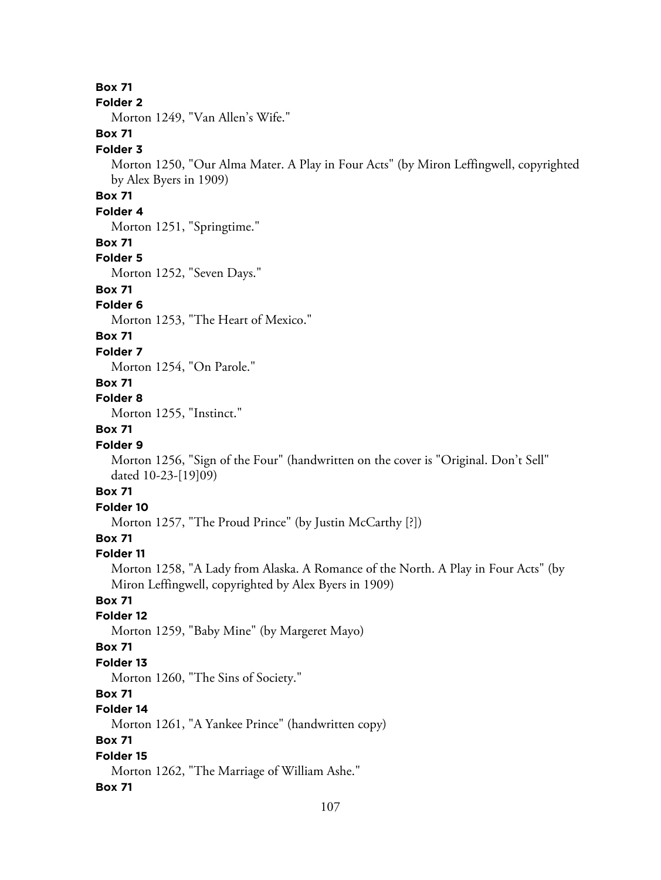#### **Folder 2**

Morton 1249, "Van Allen's Wife."

# **Box 71**

#### **Folder 3**

Morton 1250, "Our Alma Mater. A Play in Four Acts" (by Miron Leffingwell, copyrighted by Alex Byers in 1909)

# **Box 71**

# **Folder 4**

Morton 1251, "Springtime."

### **Box 71**

## **Folder 5**

Morton 1252, "Seven Days."

## **Box 71**

## **Folder 6**

Morton 1253, "The Heart of Mexico."

## **Box 71**

**Folder 7**

Morton 1254, "On Parole."

## **Box 71**

## **Folder 8**

Morton 1255, "Instinct."

# **Box 71**

## **Folder 9**

Morton 1256, "Sign of the Four" (handwritten on the cover is "Original. Don't Sell" dated 10-23-[19]09)

## **Box 71**

# **Folder 10**

Morton 1257, "The Proud Prince" (by Justin McCarthy [?])

# **Box 71**

## **Folder 11**

Morton 1258, "A Lady from Alaska. A Romance of the North. A Play in Four Acts" (by Miron Leffingwell, copyrighted by Alex Byers in 1909)

# **Box 71**

## **Folder 12**

Morton 1259, "Baby Mine" (by Margeret Mayo)

## **Box 71**

## **Folder 13**

Morton 1260, "The Sins of Society."

## **Box 71**

# **Folder 14**

Morton 1261, "A Yankee Prince" (handwritten copy)

# **Box 71**

# **Folder 15**

Morton 1262, "The Marriage of William Ashe."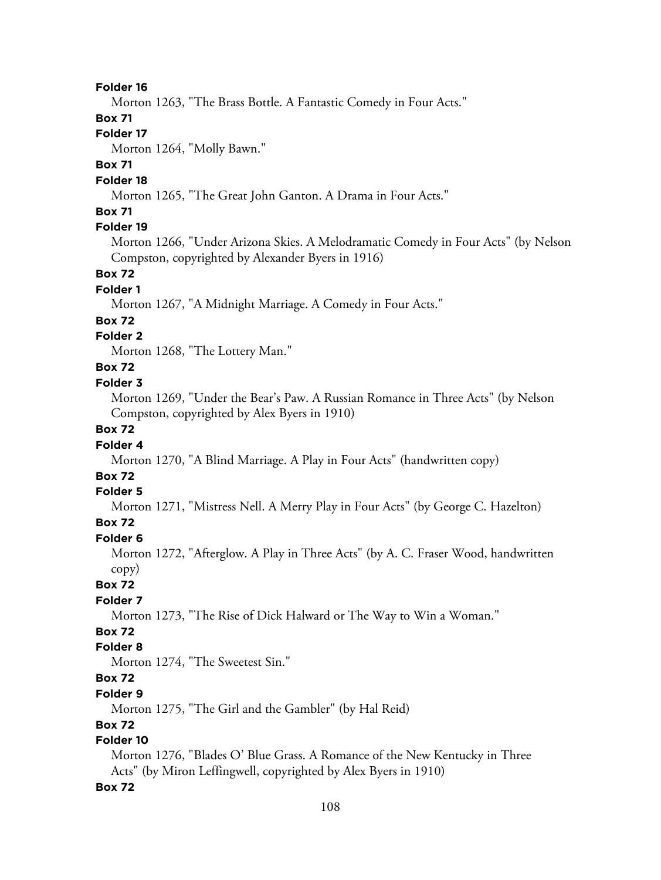Morton 1263, "The Brass Bottle. A Fantastic Comedy in Four Acts."

## **Box 71**

# **Folder 17**

Morton 1264, "Molly Bawn."

## **Box 71**

### **Folder 18**

Morton 1265, "The Great John Ganton. A Drama in Four Acts."

## **Box 71**

# **Folder 19**

Morton 1266, "Under Arizona Skies. A Melodramatic Comedy in Four Acts" (by Nelson Compston, copyrighted by Alexander Byers in 1916)

## **Box 72**

### **Folder 1**

Morton 1267, "A Midnight Marriage. A Comedy in Four Acts."

### **Box 72**

## **Folder 2**

Morton 1268, "The Lottery Man."

# **Box 72**

### **Folder 3**

Morton 1269, "Under the Bear's Paw. A Russian Romance in Three Acts" (by Nelson Compston, copyrighted by Alex Byers in 1910)

# **Box 72**

### **Folder 4**

Morton 1270, "A Blind Marriage. A Play in Four Acts" (handwritten copy)

# **Box 72**

#### **Folder 5**

Morton 1271, "Mistress Nell. A Merry Play in Four Acts" (by George C. Hazelton)

## **Box 72**

#### **Folder 6**

Morton 1272, "Afterglow. A Play in Three Acts" (by A. C. Fraser Wood, handwritten copy)

#### **Box 72**

#### **Folder 7**

Morton 1273, "The Rise of Dick Halward or The Way to Win a Woman."

# **Box 72**

# **Folder 8**

Morton 1274, "The Sweetest Sin."

# **Box 72**

### **Folder 9**

Morton 1275, "The Girl and the Gambler" (by Hal Reid)

#### **Box 72**

# **Folder 10**

Morton 1276, "Blades O' Blue Grass. A Romance of the New Kentucky in Three Acts" (by Miron Leffingwell, copyrighted by Alex Byers in 1910)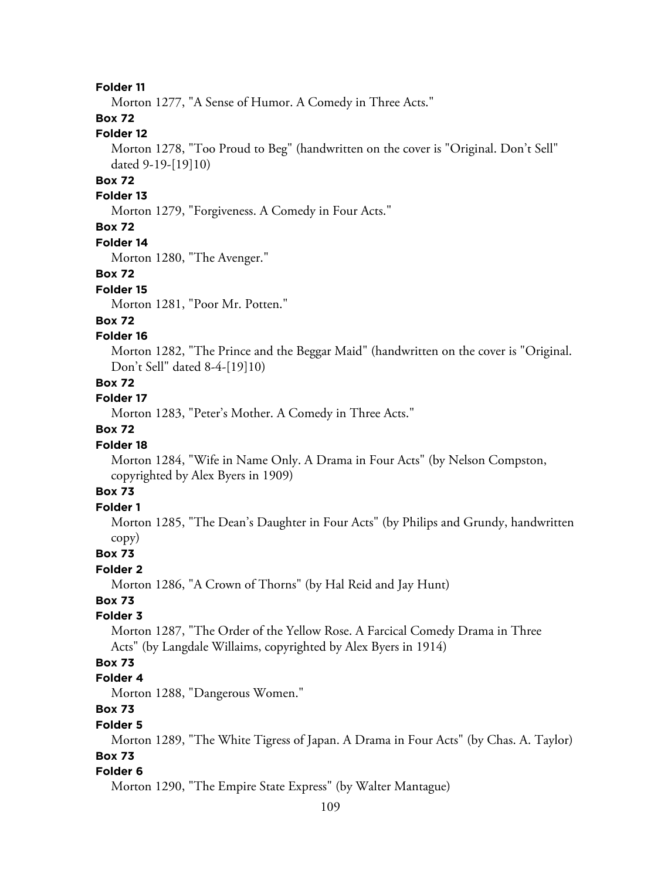Morton 1277, "A Sense of Humor. A Comedy in Three Acts."

# **Box 72**

### **Folder 12**

Morton 1278, "Too Proud to Beg" (handwritten on the cover is "Original. Don't Sell" dated 9-19-[19]10)

# **Box 72**

### **Folder 13**

Morton 1279, "Forgiveness. A Comedy in Four Acts."

# **Box 72**

#### **Folder 14**

Morton 1280, "The Avenger."

#### **Box 72**

#### **Folder 15**

Morton 1281, "Poor Mr. Potten."

### **Box 72**

### **Folder 16**

Morton 1282, "The Prince and the Beggar Maid" (handwritten on the cover is "Original. Don't Sell" dated 8-4-[19]10)

#### **Box 72**

#### **Folder 17**

Morton 1283, "Peter's Mother. A Comedy in Three Acts."

#### **Box 72**

#### **Folder 18**

Morton 1284, "Wife in Name Only. A Drama in Four Acts" (by Nelson Compston, copyrighted by Alex Byers in 1909)

# **Box 73**

#### **Folder 1**

Morton 1285, "The Dean's Daughter in Four Acts" (by Philips and Grundy, handwritten copy)

#### **Box 73**

### **Folder 2**

Morton 1286, "A Crown of Thorns" (by Hal Reid and Jay Hunt)

# **Box 73**

### **Folder 3**

Morton 1287, "The Order of the Yellow Rose. A Farcical Comedy Drama in Three Acts" (by Langdale Willaims, copyrighted by Alex Byers in 1914)

# **Box 73**

#### **Folder 4**

Morton 1288, "Dangerous Women."

# **Box 73**

#### **Folder 5**

Morton 1289, "The White Tigress of Japan. A Drama in Four Acts" (by Chas. A. Taylor)

# **Box 73**

#### **Folder 6**

Morton 1290, "The Empire State Express" (by Walter Mantague)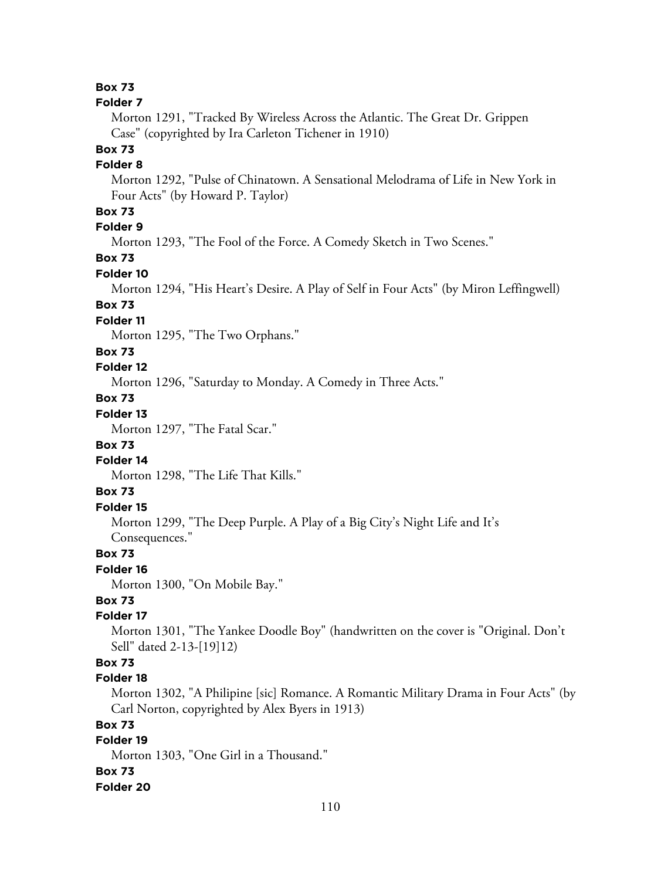#### **Folder 7**

Morton 1291, "Tracked By Wireless Across the Atlantic. The Great Dr. Grippen Case" (copyrighted by Ira Carleton Tichener in 1910)

# **Box 73**

# **Folder 8**

Morton 1292, "Pulse of Chinatown. A Sensational Melodrama of Life in New York in Four Acts" (by Howard P. Taylor)

# **Box 73**

# **Folder 9**

Morton 1293, "The Fool of the Force. A Comedy Sketch in Two Scenes."

# **Box 73**

### **Folder 10**

Morton 1294, "His Heart's Desire. A Play of Self in Four Acts" (by Miron Leffingwell)

# **Box 73**

# **Folder 11**

Morton 1295, "The Two Orphans."

### **Box 73**

# **Folder 12**

Morton 1296, "Saturday to Monday. A Comedy in Three Acts."

# **Box 73**

# **Folder 13**

Morton 1297, "The Fatal Scar."

# **Box 73**

# **Folder 14**

Morton 1298, "The Life That Kills."

# **Box 73**

# **Folder 15**

Morton 1299, "The Deep Purple. A Play of a Big City's Night Life and It's Consequences."

### **Box 73**

#### **Folder 16**

Morton 1300, "On Mobile Bay."

# **Box 73**

# **Folder 17**

Morton 1301, "The Yankee Doodle Boy" (handwritten on the cover is "Original. Don't Sell" dated 2-13-[19]12)

# **Box 73**

### **Folder 18**

Morton 1302, "A Philipine [sic] Romance. A Romantic Military Drama in Four Acts" (by Carl Norton, copyrighted by Alex Byers in 1913)

# **Box 73**

# **Folder 19**

Morton 1303, "One Girl in a Thousand."

#### **Box 73**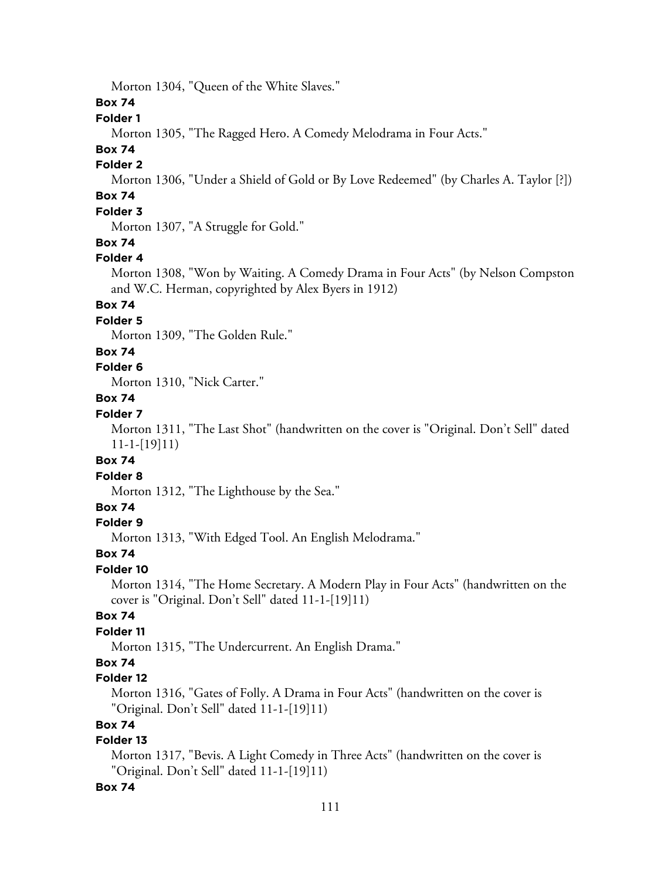Morton 1304, "Queen of the White Slaves."

**Box 74**

# **Folder 1**

Morton 1305, "The Ragged Hero. A Comedy Melodrama in Four Acts."

# **Box 74**

### **Folder 2**

Morton 1306, "Under a Shield of Gold or By Love Redeemed" (by Charles A. Taylor [?])

# **Box 74**

# **Folder 3**

Morton 1307, "A Struggle for Gold."

# **Box 74**

### **Folder 4**

Morton 1308, "Won by Waiting. A Comedy Drama in Four Acts" (by Nelson Compston and W.C. Herman, copyrighted by Alex Byers in 1912)

# **Box 74**

# **Folder 5**

Morton 1309, "The Golden Rule."

# **Box 74**

# **Folder 6**

Morton 1310, "Nick Carter."

# **Box 74**

# **Folder 7**

Morton 1311, "The Last Shot" (handwritten on the cover is "Original. Don't Sell" dated 11-1-[19]11)

### **Box 74**

#### **Folder 8**

Morton 1312, "The Lighthouse by the Sea."

# **Box 74**

### **Folder 9**

Morton 1313, "With Edged Tool. An English Melodrama."

#### **Box 74**

#### **Folder 10**

Morton 1314, "The Home Secretary. A Modern Play in Four Acts" (handwritten on the cover is "Original. Don't Sell" dated 11-1-[19]11)

# **Box 74**

# **Folder 11**

Morton 1315, "The Undercurrent. An English Drama."

# **Box 74**

# **Folder 12**

Morton 1316, "Gates of Folly. A Drama in Four Acts" (handwritten on the cover is "Original. Don't Sell" dated 11-1-[19]11)

# **Box 74**

# **Folder 13**

Morton 1317, "Bevis. A Light Comedy in Three Acts" (handwritten on the cover is "Original. Don't Sell" dated 11-1-[19]11)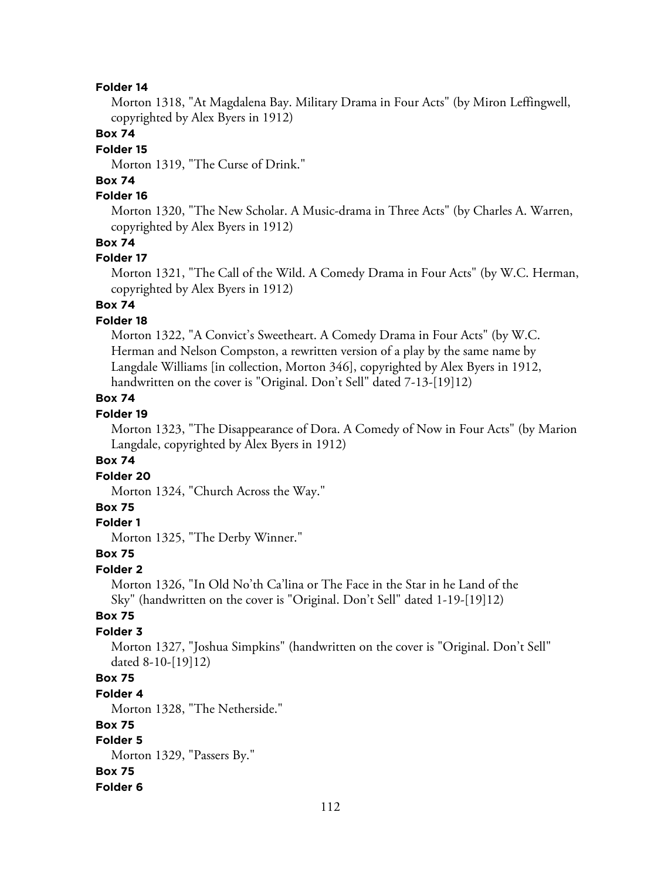Morton 1318, "At Magdalena Bay. Military Drama in Four Acts" (by Miron Leffingwell, copyrighted by Alex Byers in 1912)

# **Box 74**

# **Folder 15**

Morton 1319, "The Curse of Drink."

# **Box 74**

# **Folder 16**

Morton 1320, "The New Scholar. A Music-drama in Three Acts" (by Charles A. Warren, copyrighted by Alex Byers in 1912)

### **Box 74**

#### **Folder 17**

Morton 1321, "The Call of the Wild. A Comedy Drama in Four Acts" (by W.C. Herman, copyrighted by Alex Byers in 1912)

# **Box 74**

### **Folder 18**

Morton 1322, "A Convict's Sweetheart. A Comedy Drama in Four Acts" (by W.C. Herman and Nelson Compston, a rewritten version of a play by the same name by Langdale Williams [in collection, Morton 346], copyrighted by Alex Byers in 1912, handwritten on the cover is "Original. Don't Sell" dated 7-13-[19]12)

# **Box 74**

# **Folder 19**

Morton 1323, "The Disappearance of Dora. A Comedy of Now in Four Acts" (by Marion Langdale, copyrighted by Alex Byers in 1912)

#### **Box 74**

# **Folder 20**

Morton 1324, "Church Across the Way."

### **Box 75**

### **Folder 1**

Morton 1325, "The Derby Winner."

### **Box 75**

#### **Folder 2**

Morton 1326, "In Old No'th Ca'lina or The Face in the Star in he Land of the Sky" (handwritten on the cover is "Original. Don't Sell" dated 1-19-[19]12)

### **Box 75**

### **Folder 3**

Morton 1327, "Joshua Simpkins" (handwritten on the cover is "Original. Don't Sell" dated 8-10-[19]12)

# **Box 75**

**Folder 4**

Morton 1328, "The Netherside."

#### **Box 75**

# **Folder 5**

Morton 1329, "Passers By."

### **Box 75**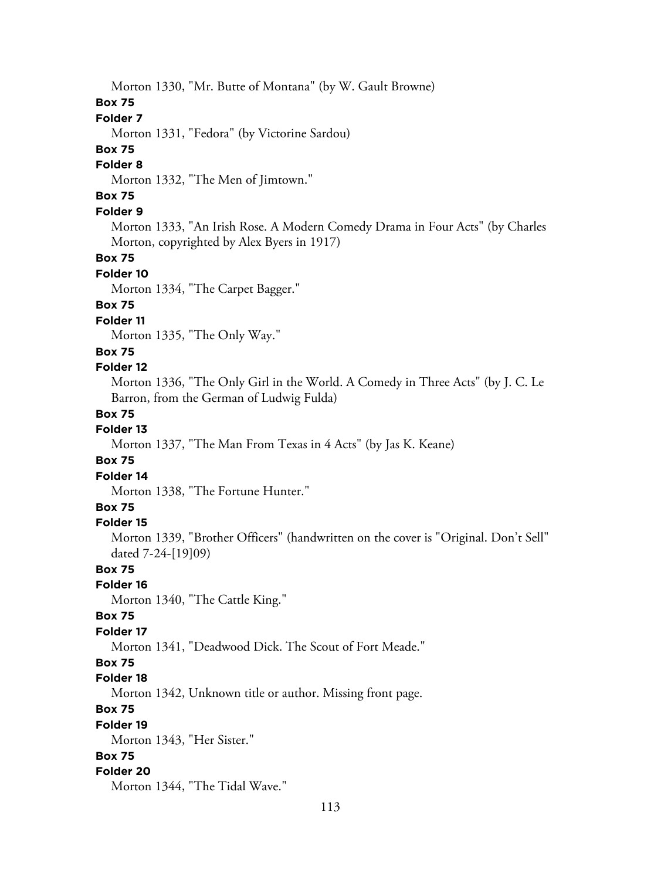Morton 1330, "Mr. Butte of Montana" (by W. Gault Browne)

# **Box 75**

# **Folder 7**

Morton 1331, "Fedora" (by Victorine Sardou)

# **Box 75**

# **Folder 8**

Morton 1332, "The Men of Jimtown."

# **Box 75**

### **Folder 9**

Morton 1333, "An Irish Rose. A Modern Comedy Drama in Four Acts" (by Charles Morton, copyrighted by Alex Byers in 1917)

#### **Box 75**

#### **Folder 10**

Morton 1334, "The Carpet Bagger."

# **Box 75**

### **Folder 11**

Morton 1335, "The Only Way."

# **Box 75**

### **Folder 12**

Morton 1336, "The Only Girl in the World. A Comedy in Three Acts" (by J. C. Le Barron, from the German of Ludwig Fulda)

### **Box 75**

# **Folder 13**

Morton 1337, "The Man From Texas in 4 Acts" (by Jas K. Keane)

# **Box 75**

# **Folder 14**

Morton 1338, "The Fortune Hunter."

# **Box 75**

#### **Folder 15**

Morton 1339, "Brother Officers" (handwritten on the cover is "Original. Don't Sell" dated 7-24-[19]09)

### **Box 75**

#### **Folder 16**

Morton 1340, "The Cattle King."

#### **Box 75**

#### **Folder 17**

Morton 1341, "Deadwood Dick. The Scout of Fort Meade."

# **Box 75**

# **Folder 18**

Morton 1342, Unknown title or author. Missing front page.

# **Box 75**

#### **Folder 19**

Morton 1343, "Her Sister."

# **Box 75**

#### **Folder 20**

Morton 1344, "The Tidal Wave."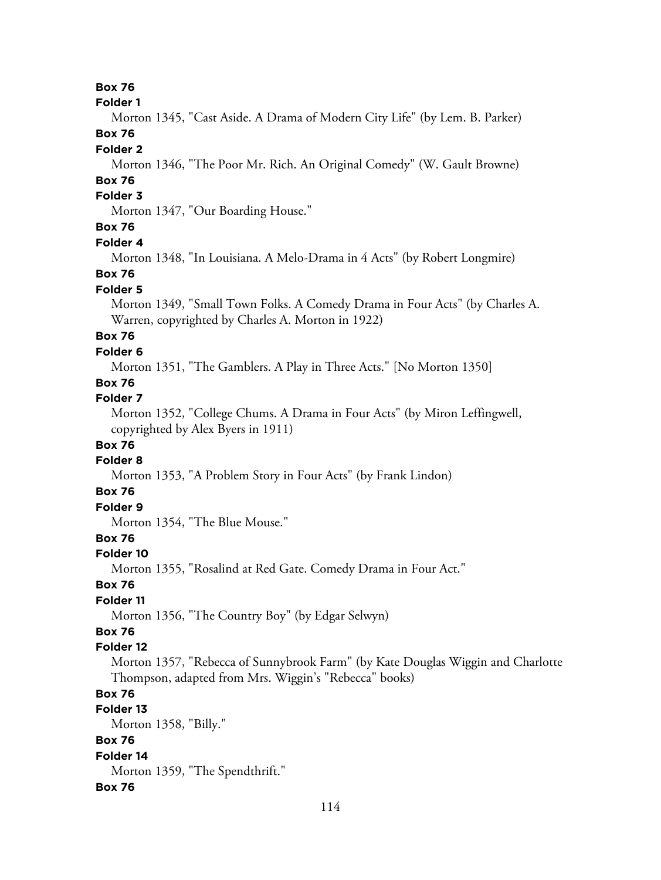#### **Folder 1**

Morton 1345, "Cast Aside. A Drama of Modern City Life" (by Lem. B. Parker) **Box 76**

#### **Folder 2**

Morton 1346, "The Poor Mr. Rich. An Original Comedy" (W. Gault Browne)

# **Box 76**

# **Folder 3**

Morton 1347, "Our Boarding House."

# **Box 76**

### **Folder 4**

Morton 1348, "In Louisiana. A Melo-Drama in 4 Acts" (by Robert Longmire)

#### **Box 76**

#### **Folder 5**

Morton 1349, "Small Town Folks. A Comedy Drama in Four Acts" (by Charles A. Warren, copyrighted by Charles A. Morton in 1922)

# **Box 76**

### **Folder 6**

Morton 1351, "The Gamblers. A Play in Three Acts." [No Morton 1350]

# **Box 76**

### **Folder 7**

Morton 1352, "College Chums. A Drama in Four Acts" (by Miron Leffingwell, copyrighted by Alex Byers in 1911)

# **Box 76**

# **Folder 8**

Morton 1353, "A Problem Story in Four Acts" (by Frank Lindon)

### **Box 76**

# **Folder 9**

Morton 1354, "The Blue Mouse."

# **Box 76**

#### **Folder 10**

Morton 1355, "Rosalind at Red Gate. Comedy Drama in Four Act."

#### **Box 76**

# **Folder 11**

Morton 1356, "The Country Boy" (by Edgar Selwyn)

# **Box 76**

### **Folder 12**

Morton 1357, "Rebecca of Sunnybrook Farm" (by Kate Douglas Wiggin and Charlotte Thompson, adapted from Mrs. Wiggin's "Rebecca" books)

# **Box 76**

# **Folder 13**

Morton 1358, "Billy."

# **Box 76**

# **Folder 14**

Morton 1359, "The Spendthrift."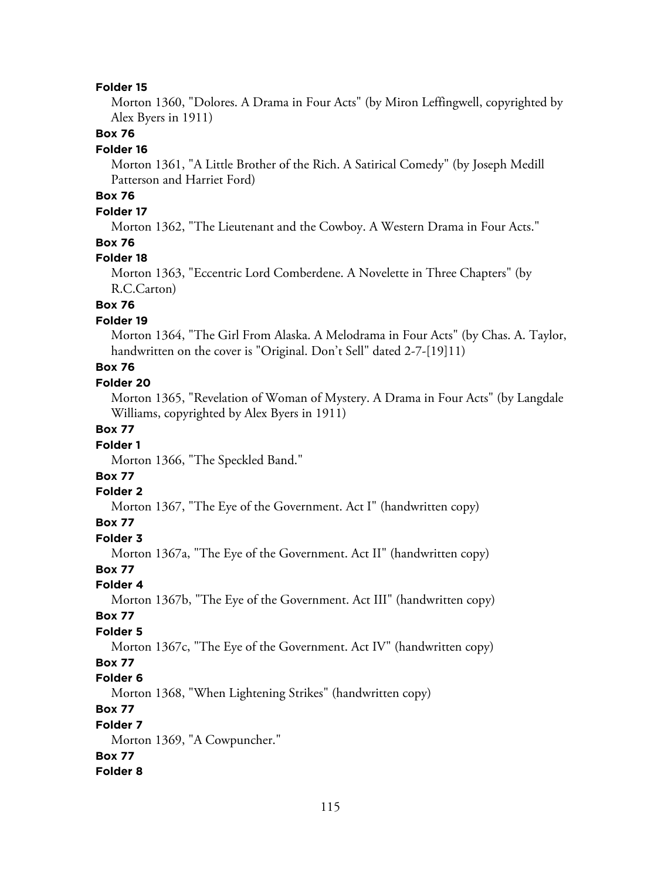Morton 1360, "Dolores. A Drama in Four Acts" (by Miron Leffingwell, copyrighted by Alex Byers in 1911)

# **Box 76**

#### **Folder 16**

Morton 1361, "A Little Brother of the Rich. A Satirical Comedy" (by Joseph Medill Patterson and Harriet Ford)

# **Box 76**

# **Folder 17**

Morton 1362, "The Lieutenant and the Cowboy. A Western Drama in Four Acts."

# **Box 76**

#### **Folder 18**

Morton 1363, "Eccentric Lord Comberdene. A Novelette in Three Chapters" (by R.C.Carton)

# **Box 76**

# **Folder 19**

Morton 1364, "The Girl From Alaska. A Melodrama in Four Acts" (by Chas. A. Taylor, handwritten on the cover is "Original. Don't Sell" dated 2-7-[19]11)

# **Box 76**

### **Folder 20**

Morton 1365, "Revelation of Woman of Mystery. A Drama in Four Acts" (by Langdale Williams, copyrighted by Alex Byers in 1911)

# **Box 77**

### **Folder 1**

Morton 1366, "The Speckled Band."

# **Box 77**

#### **Folder 2**

Morton 1367, "The Eye of the Government. Act I" (handwritten copy)

#### **Box 77**

#### **Folder 3**

Morton 1367a, "The Eye of the Government. Act II" (handwritten copy)

# **Box 77**

# **Folder 4**

Morton 1367b, "The Eye of the Government. Act III" (handwritten copy)

### **Box 77**

### **Folder 5**

Morton 1367c, "The Eye of the Government. Act IV" (handwritten copy)

# **Box 77**

### **Folder 6**

Morton 1368, "When Lightening Strikes" (handwritten copy)

# **Box 77**

#### **Folder 7**

Morton 1369, "A Cowpuncher."

# **Box 77**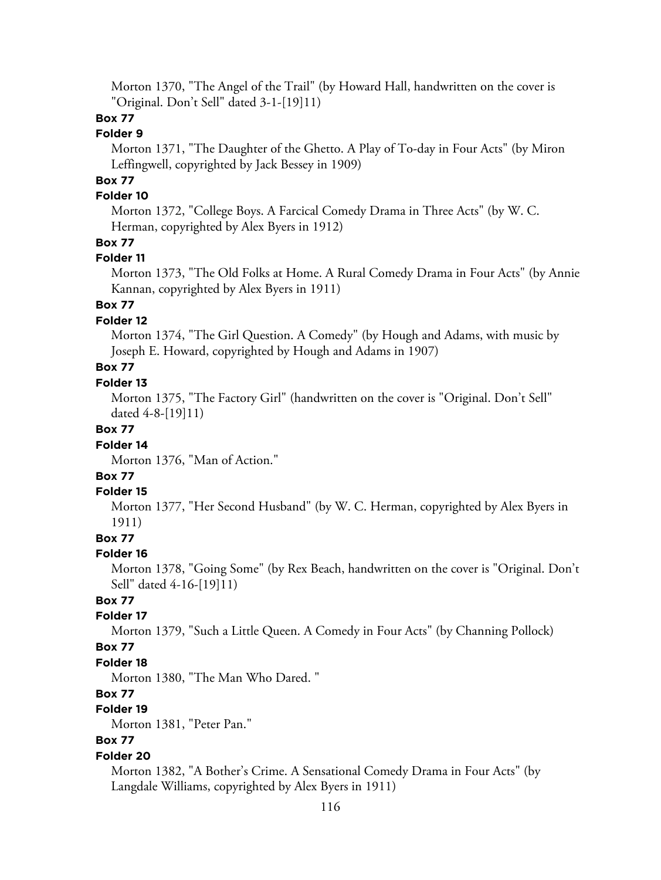Morton 1370, "The Angel of the Trail" (by Howard Hall, handwritten on the cover is "Original. Don't Sell" dated 3-1-[19]11)

# **Box 77**

### **Folder 9**

Morton 1371, "The Daughter of the Ghetto. A Play of To-day in Four Acts" (by Miron Leffingwell, copyrighted by Jack Bessey in 1909)

# **Box 77**

### **Folder 10**

Morton 1372, "College Boys. A Farcical Comedy Drama in Three Acts" (by W. C. Herman, copyrighted by Alex Byers in 1912)

# **Box 77**

### **Folder 11**

Morton 1373, "The Old Folks at Home. A Rural Comedy Drama in Four Acts" (by Annie Kannan, copyrighted by Alex Byers in 1911)

# **Box 77**

### **Folder 12**

Morton 1374, "The Girl Question. A Comedy" (by Hough and Adams, with music by Joseph E. Howard, copyrighted by Hough and Adams in 1907)

# **Box 77**

#### **Folder 13**

Morton 1375, "The Factory Girl" (handwritten on the cover is "Original. Don't Sell" dated 4-8-[19]11)

# **Box 77**

#### **Folder 14**

Morton 1376, "Man of Action."

# **Box 77**

#### **Folder 15**

Morton 1377, "Her Second Husband" (by W. C. Herman, copyrighted by Alex Byers in 1911)

# **Box 77**

# **Folder 16**

Morton 1378, "Going Some" (by Rex Beach, handwritten on the cover is "Original. Don't Sell" dated 4-16-[19]11)

# **Box 77**

#### **Folder 17**

Morton 1379, "Such a Little Queen. A Comedy in Four Acts" (by Channing Pollock)

#### **Box 77**

#### **Folder 18**

Morton 1380, "The Man Who Dared. "

# **Box 77**

# **Folder 19**

Morton 1381, "Peter Pan."

# **Box 77**

# **Folder 20**

Morton 1382, "A Bother's Crime. A Sensational Comedy Drama in Four Acts" (by Langdale Williams, copyrighted by Alex Byers in 1911)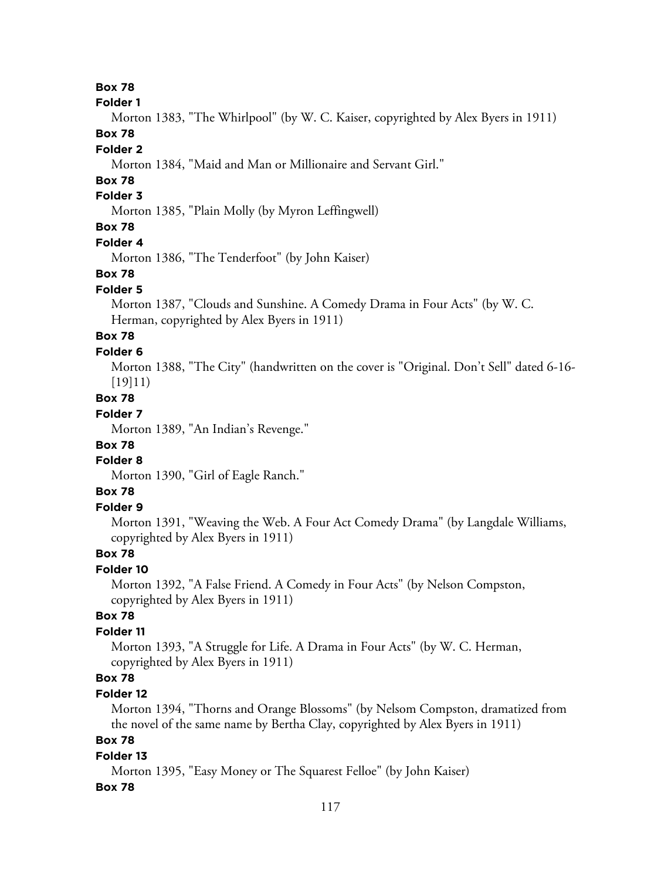**Folder 1**

Morton 1383, "The Whirlpool" (by W. C. Kaiser, copyrighted by Alex Byers in 1911)

# **Box 78**

# **Folder 2**

Morton 1384, "Maid and Man or Millionaire and Servant Girl."

# **Box 78**

# **Folder 3**

Morton 1385, "Plain Molly (by Myron Leffingwell)

# **Box 78**

### **Folder 4**

Morton 1386, "The Tenderfoot" (by John Kaiser)

# **Box 78**

# **Folder 5**

Morton 1387, "Clouds and Sunshine. A Comedy Drama in Four Acts" (by W. C. Herman, copyrighted by Alex Byers in 1911)

# **Box 78**

### **Folder 6**

Morton 1388, "The City" (handwritten on the cover is "Original. Don't Sell" dated 6-16- [19]11)

# **Box 78**

# **Folder 7**

Morton 1389, "An Indian's Revenge."

# **Box 78**

# **Folder 8**

Morton 1390, "Girl of Eagle Ranch."

# **Box 78**

# **Folder 9**

Morton 1391, "Weaving the Web. A Four Act Comedy Drama" (by Langdale Williams, copyrighted by Alex Byers in 1911)

# **Box 78**

# **Folder 10**

Morton 1392, "A False Friend. A Comedy in Four Acts" (by Nelson Compston, copyrighted by Alex Byers in 1911)

# **Box 78**

# **Folder 11**

Morton 1393, "A Struggle for Life. A Drama in Four Acts" (by W. C. Herman, copyrighted by Alex Byers in 1911)

# **Box 78**

# **Folder 12**

Morton 1394, "Thorns and Orange Blossoms" (by Nelsom Compston, dramatized from the novel of the same name by Bertha Clay, copyrighted by Alex Byers in 1911)

# **Box 78**

# **Folder 13**

Morton 1395, "Easy Money or The Squarest Felloe" (by John Kaiser)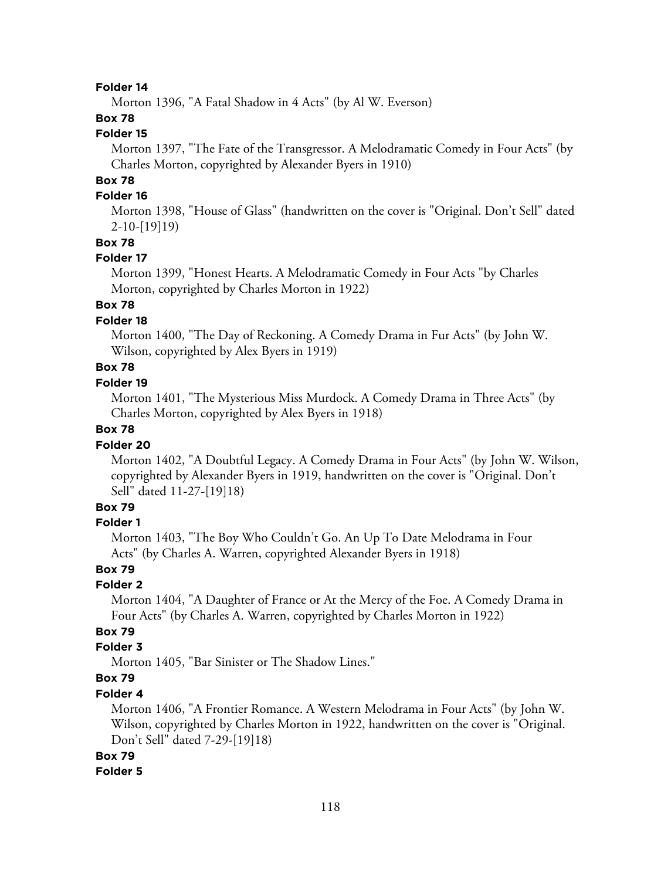Morton 1396, "A Fatal Shadow in 4 Acts" (by Al W. Everson)

# **Box 78**

# **Folder 15**

Morton 1397, "The Fate of the Transgressor. A Melodramatic Comedy in Four Acts" (by Charles Morton, copyrighted by Alexander Byers in 1910)

# **Box 78**

# **Folder 16**

Morton 1398, "House of Glass" (handwritten on the cover is "Original. Don't Sell" dated 2-10-[19]19)

#### **Box 78**

#### **Folder 17**

Morton 1399, "Honest Hearts. A Melodramatic Comedy in Four Acts "by Charles Morton, copyrighted by Charles Morton in 1922)

# **Box 78**

# **Folder 18**

Morton 1400, "The Day of Reckoning. A Comedy Drama in Fur Acts" (by John W. Wilson, copyrighted by Alex Byers in 1919)

# **Box 78**

### **Folder 19**

Morton 1401, "The Mysterious Miss Murdock. A Comedy Drama in Three Acts" (by Charles Morton, copyrighted by Alex Byers in 1918)

### **Box 78**

#### **Folder 20**

Morton 1402, "A Doubtful Legacy. A Comedy Drama in Four Acts" (by John W. Wilson, copyrighted by Alexander Byers in 1919, handwritten on the cover is "Original. Don't Sell" dated 11-27-[19]18)

### **Box 79**

#### **Folder 1**

Morton 1403, "The Boy Who Couldn't Go. An Up To Date Melodrama in Four Acts" (by Charles A. Warren, copyrighted Alexander Byers in 1918)

# **Box 79**

#### **Folder 2**

Morton 1404, "A Daughter of France or At the Mercy of the Foe. A Comedy Drama in Four Acts" (by Charles A. Warren, copyrighted by Charles Morton in 1922)

# **Box 79**

### **Folder 3**

Morton 1405, "Bar Sinister or The Shadow Lines."

# **Box 79**

### **Folder 4**

Morton 1406, "A Frontier Romance. A Western Melodrama in Four Acts" (by John W. Wilson, copyrighted by Charles Morton in 1922, handwritten on the cover is "Original. Don't Sell" dated 7-29-[19]18)

#### **Box 79**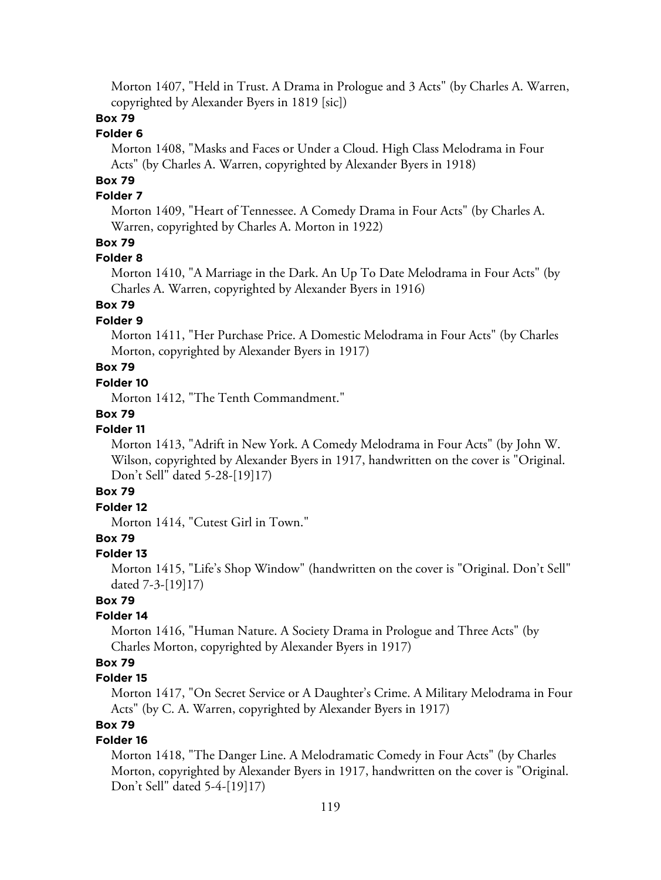Morton 1407, "Held in Trust. A Drama in Prologue and 3 Acts" (by Charles A. Warren, copyrighted by Alexander Byers in 1819 [sic])

# **Box 79**

# **Folder 6**

Morton 1408, "Masks and Faces or Under a Cloud. High Class Melodrama in Four Acts" (by Charles A. Warren, copyrighted by Alexander Byers in 1918)

# **Box 79**

### **Folder 7**

Morton 1409, "Heart of Tennessee. A Comedy Drama in Four Acts" (by Charles A. Warren, copyrighted by Charles A. Morton in 1922)

# **Box 79**

# **Folder 8**

Morton 1410, "A Marriage in the Dark. An Up To Date Melodrama in Four Acts" (by Charles A. Warren, copyrighted by Alexander Byers in 1916)

# **Box 79**

### **Folder 9**

Morton 1411, "Her Purchase Price. A Domestic Melodrama in Four Acts" (by Charles Morton, copyrighted by Alexander Byers in 1917)

# **Box 79**

### **Folder 10**

Morton 1412, "The Tenth Commandment."

# **Box 79**

# **Folder 11**

Morton 1413, "Adrift in New York. A Comedy Melodrama in Four Acts" (by John W. Wilson, copyrighted by Alexander Byers in 1917, handwritten on the cover is "Original. Don't Sell" dated 5-28-[19]17)

# **Box 79**

# **Folder 12**

Morton 1414, "Cutest Girl in Town."

# **Box 79**

# **Folder 13**

Morton 1415, "Life's Shop Window" (handwritten on the cover is "Original. Don't Sell" dated 7-3-[19]17)

# **Box 79**

# **Folder 14**

Morton 1416, "Human Nature. A Society Drama in Prologue and Three Acts" (by Charles Morton, copyrighted by Alexander Byers in 1917)

### **Box 79**

# **Folder 15**

Morton 1417, "On Secret Service or A Daughter's Crime. A Military Melodrama in Four Acts" (by C. A. Warren, copyrighted by Alexander Byers in 1917)

# **Box 79**

# **Folder 16**

Morton 1418, "The Danger Line. A Melodramatic Comedy in Four Acts" (by Charles Morton, copyrighted by Alexander Byers in 1917, handwritten on the cover is "Original. Don't Sell" dated 5-4-[19]17)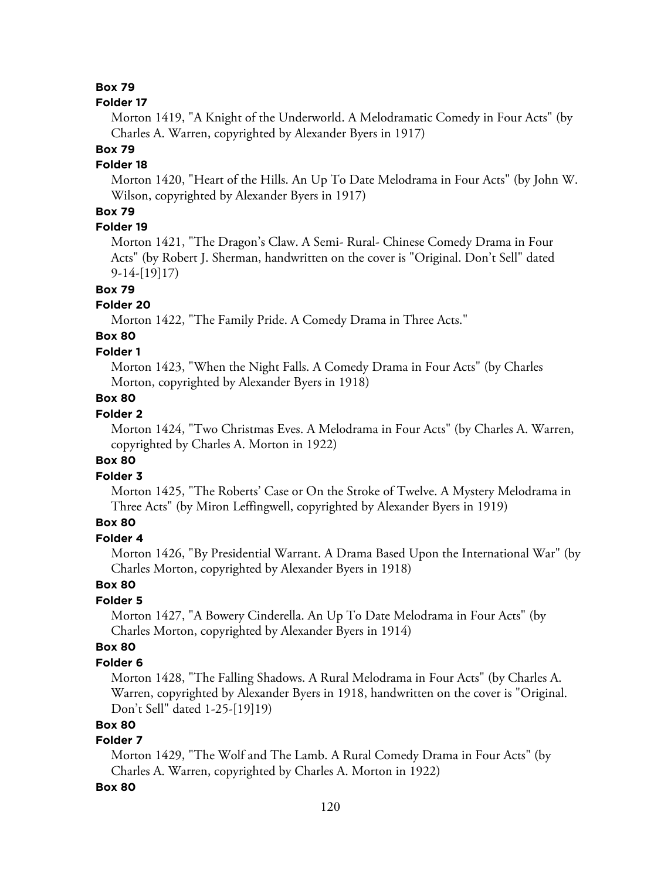#### **Folder 17**

Morton 1419, "A Knight of the Underworld. A Melodramatic Comedy in Four Acts" (by Charles A. Warren, copyrighted by Alexander Byers in 1917)

# **Box 79**

# **Folder 18**

Morton 1420, "Heart of the Hills. An Up To Date Melodrama in Four Acts" (by John W. Wilson, copyrighted by Alexander Byers in 1917)

# **Box 79**

# **Folder 19**

Morton 1421, "The Dragon's Claw. A Semi- Rural- Chinese Comedy Drama in Four Acts" (by Robert J. Sherman, handwritten on the cover is "Original. Don't Sell" dated 9-14-[19]17)

# **Box 79**

### **Folder 20**

Morton 1422, "The Family Pride. A Comedy Drama in Three Acts."

# **Box 80**

# **Folder 1**

Morton 1423, "When the Night Falls. A Comedy Drama in Four Acts" (by Charles Morton, copyrighted by Alexander Byers in 1918)

# **Box 80**

# **Folder 2**

Morton 1424, "Two Christmas Eves. A Melodrama in Four Acts" (by Charles A. Warren, copyrighted by Charles A. Morton in 1922)

#### **Box 80**

### **Folder 3**

Morton 1425, "The Roberts' Case or On the Stroke of Twelve. A Mystery Melodrama in Three Acts" (by Miron Leffingwell, copyrighted by Alexander Byers in 1919)

# **Box 80**

### **Folder 4**

Morton 1426, "By Presidential Warrant. A Drama Based Upon the International War" (by Charles Morton, copyrighted by Alexander Byers in 1918)

# **Box 80**

### **Folder 5**

Morton 1427, "A Bowery Cinderella. An Up To Date Melodrama in Four Acts" (by Charles Morton, copyrighted by Alexander Byers in 1914)

### **Box 80**

#### **Folder 6**

Morton 1428, "The Falling Shadows. A Rural Melodrama in Four Acts" (by Charles A. Warren, copyrighted by Alexander Byers in 1918, handwritten on the cover is "Original. Don't Sell" dated 1-25-[19]19)

# **Box 80**

# **Folder 7**

Morton 1429, "The Wolf and The Lamb. A Rural Comedy Drama in Four Acts" (by Charles A. Warren, copyrighted by Charles A. Morton in 1922)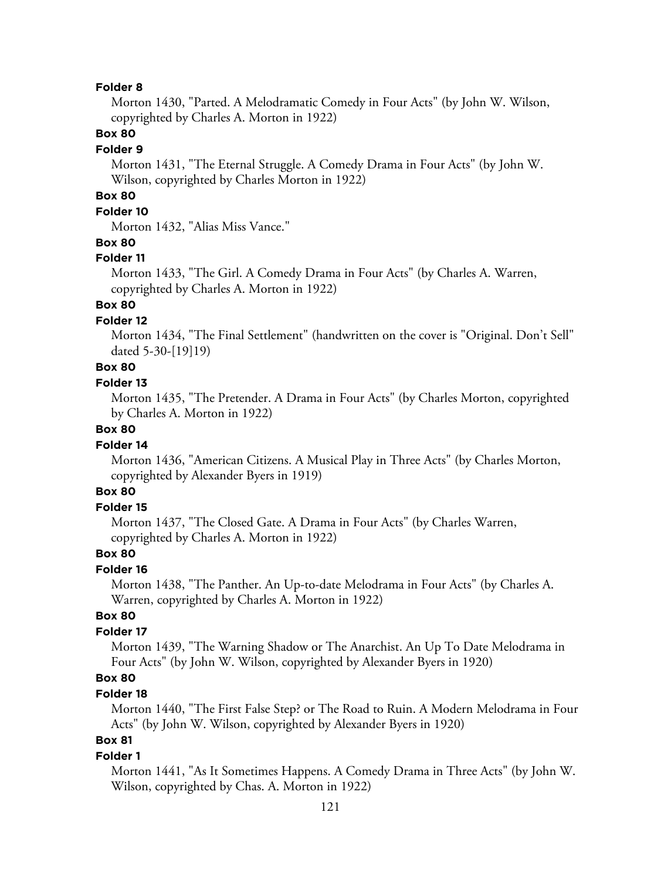Morton 1430, "Parted. A Melodramatic Comedy in Four Acts" (by John W. Wilson, copyrighted by Charles A. Morton in 1922)

# **Box 80**

#### **Folder 9**

Morton 1431, "The Eternal Struggle. A Comedy Drama in Four Acts" (by John W. Wilson, copyrighted by Charles Morton in 1922)

# **Box 80**

# **Folder 10**

Morton 1432, "Alias Miss Vance."

### **Box 80**

#### **Folder 11**

Morton 1433, "The Girl. A Comedy Drama in Four Acts" (by Charles A. Warren, copyrighted by Charles A. Morton in 1922)

# **Box 80**

### **Folder 12**

Morton 1434, "The Final Settlement" (handwritten on the cover is "Original. Don't Sell" dated 5-30-[19]19)

# **Box 80**

### **Folder 13**

Morton 1435, "The Pretender. A Drama in Four Acts" (by Charles Morton, copyrighted by Charles A. Morton in 1922)

# **Box 80**

#### **Folder 14**

Morton 1436, "American Citizens. A Musical Play in Three Acts" (by Charles Morton, copyrighted by Alexander Byers in 1919)

# **Box 80**

# **Folder 15**

Morton 1437, "The Closed Gate. A Drama in Four Acts" (by Charles Warren, copyrighted by Charles A. Morton in 1922)

### **Box 80**

### **Folder 16**

Morton 1438, "The Panther. An Up-to-date Melodrama in Four Acts" (by Charles A. Warren, copyrighted by Charles A. Morton in 1922)

# **Box 80**

### **Folder 17**

Morton 1439, "The Warning Shadow or The Anarchist. An Up To Date Melodrama in Four Acts" (by John W. Wilson, copyrighted by Alexander Byers in 1920)

# **Box 80**

# **Folder 18**

Morton 1440, "The First False Step? or The Road to Ruin. A Modern Melodrama in Four Acts" (by John W. Wilson, copyrighted by Alexander Byers in 1920)

# **Box 81**

#### **Folder 1**

Morton 1441, "As It Sometimes Happens. A Comedy Drama in Three Acts" (by John W. Wilson, copyrighted by Chas. A. Morton in 1922)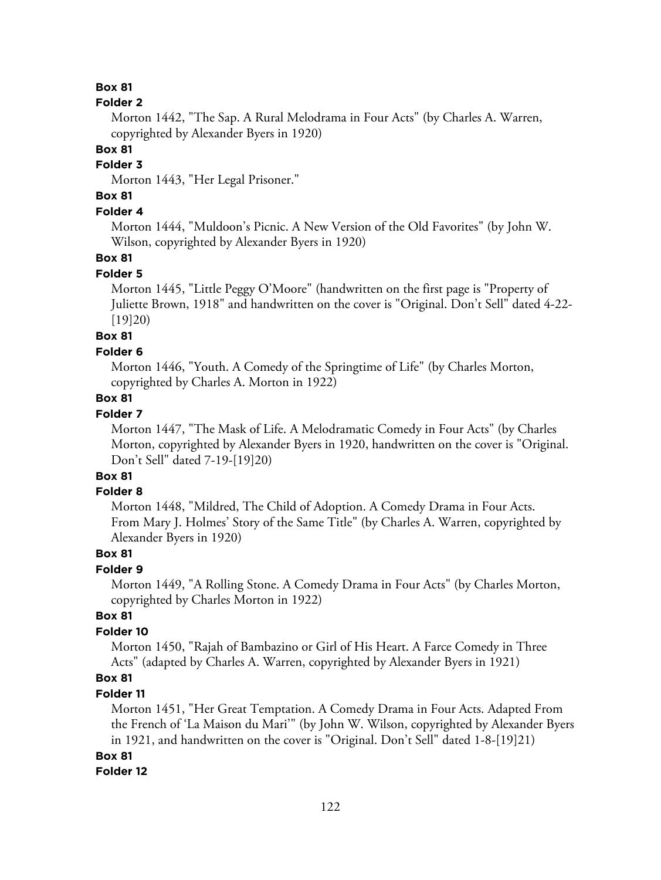#### **Folder 2**

Morton 1442, "The Sap. A Rural Melodrama in Four Acts" (by Charles A. Warren, copyrighted by Alexander Byers in 1920)

**Box 81**

# **Folder 3**

Morton 1443, "Her Legal Prisoner."

# **Box 81**

# **Folder 4**

Morton 1444, "Muldoon's Picnic. A New Version of the Old Favorites" (by John W. Wilson, copyrighted by Alexander Byers in 1920)

### **Box 81**

#### **Folder 5**

Morton 1445, "Little Peggy O'Moore" (handwritten on the first page is "Property of Juliette Brown, 1918" and handwritten on the cover is "Original. Don't Sell" dated 4-22- [19]20)

# **Box 81**

#### **Folder 6**

Morton 1446, "Youth. A Comedy of the Springtime of Life" (by Charles Morton, copyrighted by Charles A. Morton in 1922)

# **Box 81**

# **Folder 7**

Morton 1447, "The Mask of Life. A Melodramatic Comedy in Four Acts" (by Charles Morton, copyrighted by Alexander Byers in 1920, handwritten on the cover is "Original. Don't Sell" dated 7-19-[19]20)

# **Box 81**

# **Folder 8**

Morton 1448, "Mildred, The Child of Adoption. A Comedy Drama in Four Acts. From Mary J. Holmes' Story of the Same Title" (by Charles A. Warren, copyrighted by Alexander Byers in 1920)

### **Box 81**

# **Folder 9**

Morton 1449, "A Rolling Stone. A Comedy Drama in Four Acts" (by Charles Morton, copyrighted by Charles Morton in 1922)

### **Box 81**

#### **Folder 10**

Morton 1450, "Rajah of Bambazino or Girl of His Heart. A Farce Comedy in Three Acts" (adapted by Charles A. Warren, copyrighted by Alexander Byers in 1921)

# **Box 81**

#### **Folder 11**

Morton 1451, "Her Great Temptation. A Comedy Drama in Four Acts. Adapted From the French of 'La Maison du Mari'" (by John W. Wilson, copyrighted by Alexander Byers in 1921, and handwritten on the cover is "Original. Don't Sell" dated 1-8-[19]21)

#### **Box 81**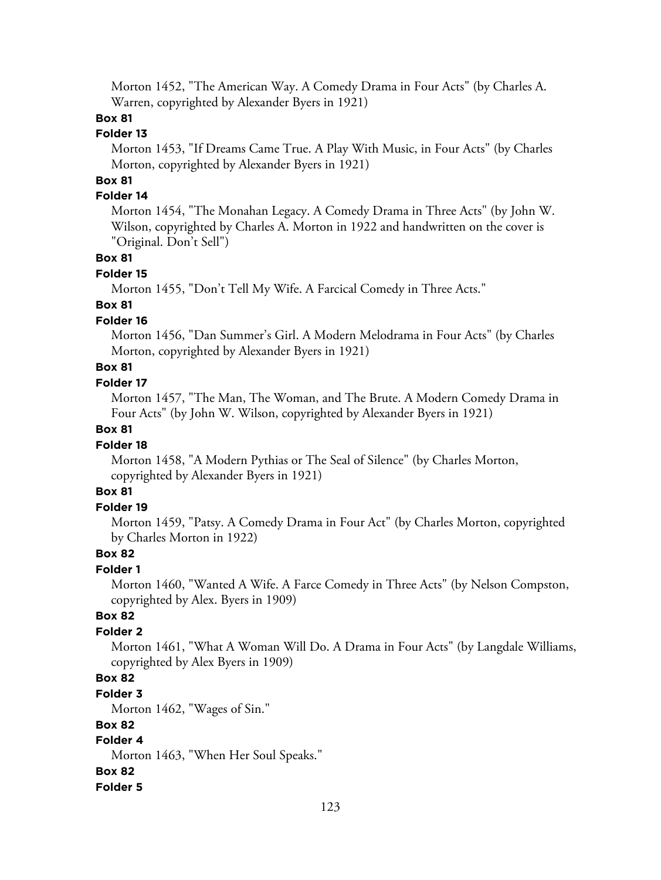Morton 1452, "The American Way. A Comedy Drama in Four Acts" (by Charles A. Warren, copyrighted by Alexander Byers in 1921)

# **Box 81**

# **Folder 13**

Morton 1453, "If Dreams Came True. A Play With Music, in Four Acts" (by Charles Morton, copyrighted by Alexander Byers in 1921)

# **Box 81**

# **Folder 14**

Morton 1454, "The Monahan Legacy. A Comedy Drama in Three Acts" (by John W. Wilson, copyrighted by Charles A. Morton in 1922 and handwritten on the cover is "Original. Don't Sell")

# **Box 81**

### **Folder 15**

Morton 1455, "Don't Tell My Wife. A Farcical Comedy in Three Acts."

# **Box 81**

# **Folder 16**

Morton 1456, "Dan Summer's Girl. A Modern Melodrama in Four Acts" (by Charles Morton, copyrighted by Alexander Byers in 1921)

# **Box 81**

# **Folder 17**

Morton 1457, "The Man, The Woman, and The Brute. A Modern Comedy Drama in Four Acts" (by John W. Wilson, copyrighted by Alexander Byers in 1921)

# **Box 81**

# **Folder 18**

Morton 1458, "A Modern Pythias or The Seal of Silence" (by Charles Morton, copyrighted by Alexander Byers in 1921)

# **Box 81**

# **Folder 19**

Morton 1459, "Patsy. A Comedy Drama in Four Act" (by Charles Morton, copyrighted by Charles Morton in 1922)

# **Box 82**

# **Folder 1**

Morton 1460, "Wanted A Wife. A Farce Comedy in Three Acts" (by Nelson Compston, copyrighted by Alex. Byers in 1909)

# **Box 82**

# **Folder 2**

Morton 1461, "What A Woman Will Do. A Drama in Four Acts" (by Langdale Williams, copyrighted by Alex Byers in 1909)

# **Box 82**

# **Folder 3**

Morton 1462, "Wages of Sin."

# **Box 82**

# **Folder 4**

Morton 1463, "When Her Soul Speaks."

# **Box 82**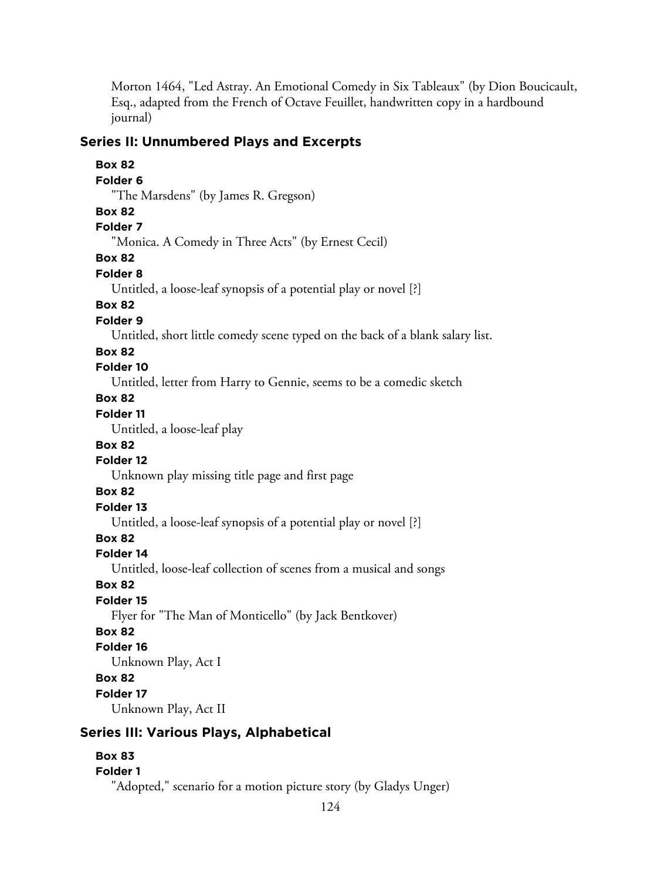Morton 1464, "Led Astray. An Emotional Comedy in Six Tableaux" (by Dion Boucicault, Esq., adapted from the French of Octave Feuillet, handwritten copy in a hardbound journal)

# **Series II: Unnumbered Plays and Excerpts**

# **Box 82 Folder 6** "The Marsdens" (by James R. Gregson) **Box 82 Folder 7** "Monica. A Comedy in Three Acts" (by Ernest Cecil) **Box 82 Folder 8** Untitled, a loose-leaf synopsis of a potential play or novel [?] **Box 82 Folder 9** Untitled, short little comedy scene typed on the back of a blank salary list. **Box 82 Folder 10** Untitled, letter from Harry to Gennie, seems to be a comedic sketch **Box 82 Folder 11** Untitled, a loose-leaf play **Box 82 Folder 12** Unknown play missing title page and first page **Box 82 Folder 13** Untitled, a loose-leaf synopsis of a potential play or novel [?] **Box 82 Folder 14** Untitled, loose-leaf collection of scenes from a musical and songs **Box 82 Folder 15** Flyer for "The Man of Monticello" (by Jack Bentkover) **Box 82 Folder 16** Unknown Play, Act I **Box 82 Folder 17** Unknown Play, Act II

# **Series III: Various Plays, Alphabetical**

# **Box 83**

# **Folder 1**

"Adopted," scenario for a motion picture story (by Gladys Unger)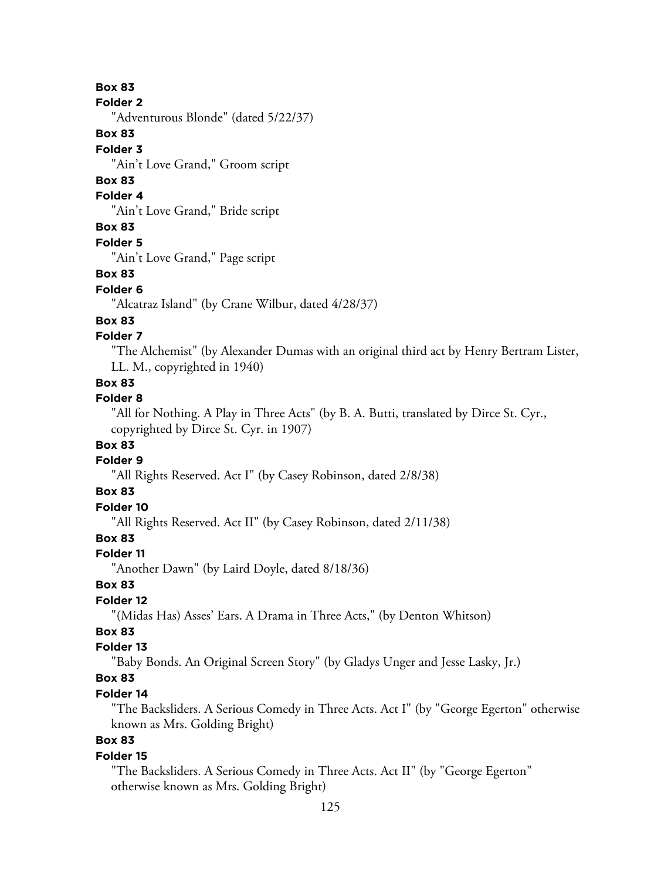#### **Folder 2**

"Adventurous Blonde" (dated 5/22/37)

# **Box 83**

### **Folder 3**

"Ain't Love Grand," Groom script

# **Box 83**

# **Folder 4**

"Ain't Love Grand," Bride script

# **Box 83**

**Folder 5**

"Ain't Love Grand," Page script

# **Box 83**

### **Folder 6**

"Alcatraz Island" (by Crane Wilbur, dated 4/28/37)

# **Box 83**

# **Folder 7**

"The Alchemist" (by Alexander Dumas with an original third act by Henry Bertram Lister, LL. M., copyrighted in 1940)

# **Box 83**

# **Folder 8**

"All for Nothing. A Play in Three Acts" (by B. A. Butti, translated by Dirce St. Cyr., copyrighted by Dirce St. Cyr. in 1907)

# **Box 83**

# **Folder 9**

"All Rights Reserved. Act I" (by Casey Robinson, dated 2/8/38)

# **Box 83**

# **Folder 10**

"All Rights Reserved. Act II" (by Casey Robinson, dated 2/11/38)

# **Box 83**

# **Folder 11**

"Another Dawn" (by Laird Doyle, dated 8/18/36)

# **Box 83**

# **Folder 12**

"(Midas Has) Asses' Ears. A Drama in Three Acts," (by Denton Whitson)

# **Box 83**

# **Folder 13**

"Baby Bonds. An Original Screen Story" (by Gladys Unger and Jesse Lasky, Jr.)

# **Box 83**

# **Folder 14**

"The Backsliders. A Serious Comedy in Three Acts. Act I" (by "George Egerton" otherwise known as Mrs. Golding Bright)

# **Box 83**

# **Folder 15**

"The Backsliders. A Serious Comedy in Three Acts. Act II" (by "George Egerton" otherwise known as Mrs. Golding Bright)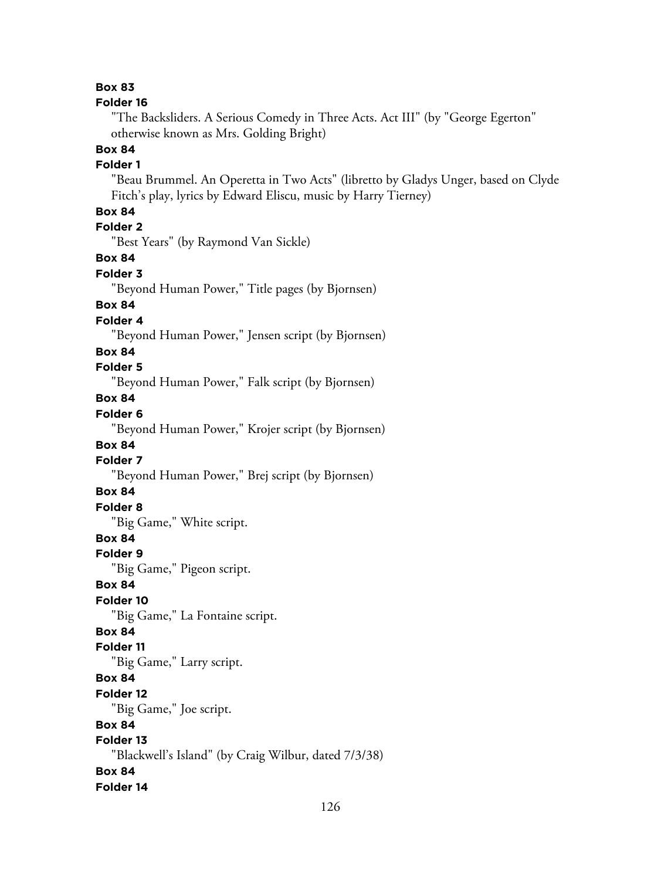#### **Folder 16**

"The Backsliders. A Serious Comedy in Three Acts. Act III" (by "George Egerton" otherwise known as Mrs. Golding Bright)

# **Box 84**

### **Folder 1**

"Beau Brummel. An Operetta in Two Acts" (libretto by Gladys Unger, based on Clyde Fitch's play, lyrics by Edward Eliscu, music by Harry Tierney)

# **Box 84**

**Folder 2**

"Best Years" (by Raymond Van Sickle)

### **Box 84**

**Folder 3**

"Beyond Human Power," Title pages (by Bjornsen)

### **Box 84**

# **Folder 4**

"Beyond Human Power," Jensen script (by Bjornsen)

#### **Box 84**

# **Folder 5**

"Beyond Human Power," Falk script (by Bjornsen)

# **Box 84**

# **Folder 6**

"Beyond Human Power," Krojer script (by Bjornsen)

### **Box 84**

# **Folder 7**

"Beyond Human Power," Brej script (by Bjornsen)

# **Box 84**

**Folder 8**

"Big Game," White script.

# **Box 84**

### **Folder 9**

"Big Game," Pigeon script.

### **Box 84**

# **Folder 10**

"Big Game," La Fontaine script.

# **Box 84**

### **Folder 11**

"Big Game," Larry script.

# **Box 84**

#### **Folder 12**

"Big Game," Joe script.

# **Box 84**

# **Folder 13**

"Blackwell's Island" (by Craig Wilbur, dated 7/3/38)

# **Box 84**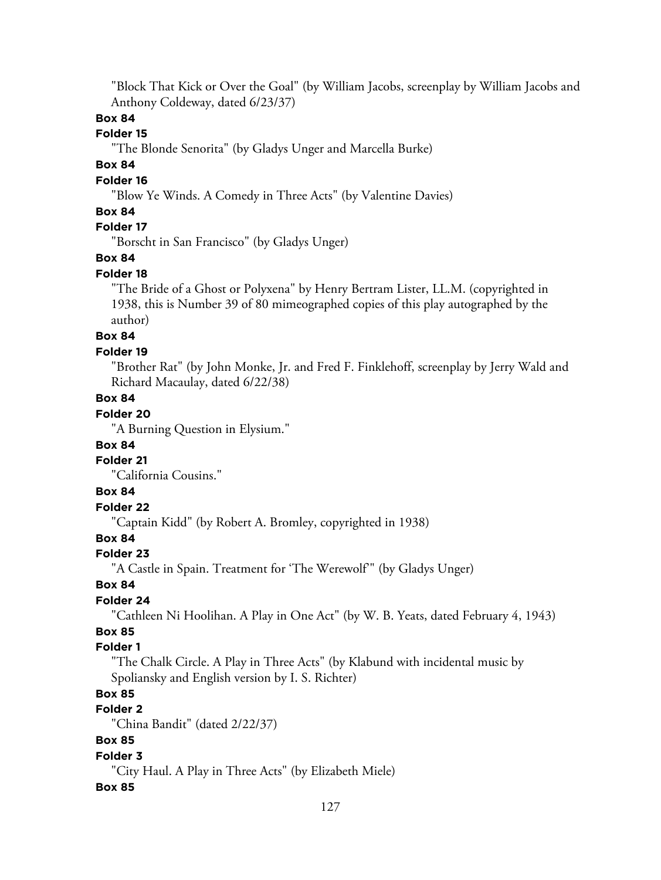"Block That Kick or Over the Goal" (by William Jacobs, screenplay by William Jacobs and Anthony Coldeway, dated 6/23/37)

# **Box 84**

### **Folder 15**

"The Blonde Senorita" (by Gladys Unger and Marcella Burke)

# **Box 84**

### **Folder 16**

"Blow Ye Winds. A Comedy in Three Acts" (by Valentine Davies)

# **Box 84**

# **Folder 17**

"Borscht in San Francisco" (by Gladys Unger)

### **Box 84**

#### **Folder 18**

"The Bride of a Ghost or Polyxena" by Henry Bertram Lister, LL.M. (copyrighted in 1938, this is Number 39 of 80 mimeographed copies of this play autographed by the author)

# **Box 84**

#### **Folder 19**

"Brother Rat" (by John Monke, Jr. and Fred F. Finklehoff, screenplay by Jerry Wald and Richard Macaulay, dated 6/22/38)

### **Box 84**

# **Folder 20**

"A Burning Question in Elysium."

#### **Box 84**

### **Folder 21**

"California Cousins."

# **Box 84**

# **Folder 22**

"Captain Kidd" (by Robert A. Bromley, copyrighted in 1938)

# **Box 84**

#### **Folder 23**

"A Castle in Spain. Treatment for 'The Werewolf'" (by Gladys Unger)

# **Box 84**

# **Folder 24**

"Cathleen Ni Hoolihan. A Play in One Act" (by W. B. Yeats, dated February 4, 1943)

# **Box 85**

#### **Folder 1**

"The Chalk Circle. A Play in Three Acts" (by Klabund with incidental music by Spoliansky and English version by I. S. Richter)

# **Box 85**

# **Folder 2**

"China Bandit" (dated 2/22/37)

# **Box 85**

#### **Folder 3**

"City Haul. A Play in Three Acts" (by Elizabeth Miele)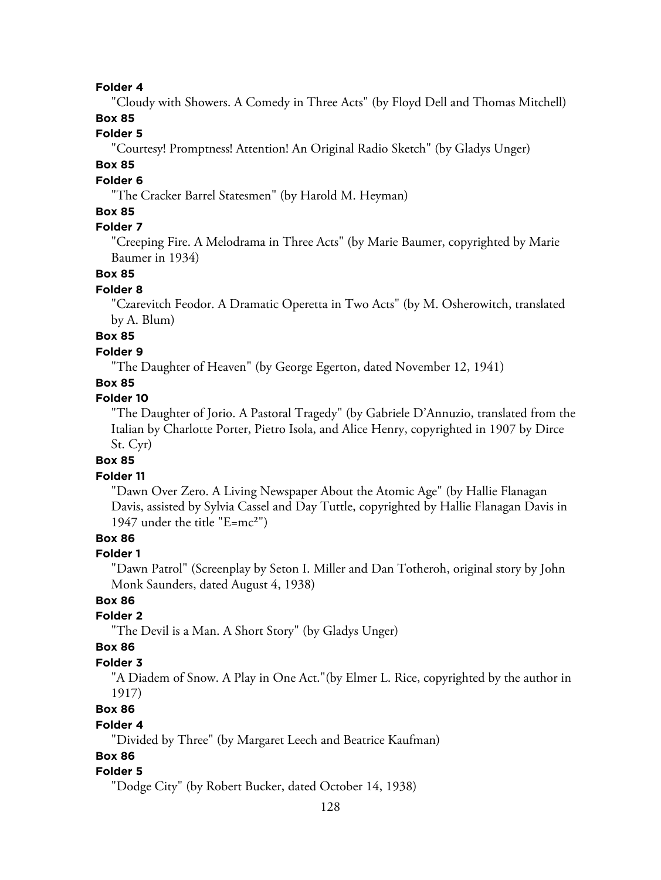"Cloudy with Showers. A Comedy in Three Acts" (by Floyd Dell and Thomas Mitchell)

# **Box 85**

# **Folder 5**

"Courtesy! Promptness! Attention! An Original Radio Sketch" (by Gladys Unger)

# **Box 85**

#### **Folder 6**

"The Cracker Barrel Statesmen" (by Harold M. Heyman)

### **Box 85**

# **Folder 7**

"Creeping Fire. A Melodrama in Three Acts" (by Marie Baumer, copyrighted by Marie Baumer in 1934)

### **Box 85**

#### **Folder 8**

"Czarevitch Feodor. A Dramatic Operetta in Two Acts" (by M. Osherowitch, translated by A. Blum)

# **Box 85**

# **Folder 9**

"The Daughter of Heaven" (by George Egerton, dated November 12, 1941)

# **Box 85**

# **Folder 10**

"The Daughter of Jorio. A Pastoral Tragedy" (by Gabriele D'Annuzio, translated from the Italian by Charlotte Porter, Pietro Isola, and Alice Henry, copyrighted in 1907 by Dirce St. Cyr)

### **Box 85**

#### **Folder 11**

"Dawn Over Zero. A Living Newspaper About the Atomic Age" (by Hallie Flanagan Davis, assisted by Sylvia Cassel and Day Tuttle, copyrighted by Hallie Flanagan Davis in 1947 under the title "E=mc²")

# **Box 86**

#### **Folder 1**

"Dawn Patrol" (Screenplay by Seton I. Miller and Dan Totheroh, original story by John Monk Saunders, dated August 4, 1938)

# **Box 86**

### **Folder 2**

"The Devil is a Man. A Short Story" (by Gladys Unger)

#### **Box 86**

#### **Folder 3**

"A Diadem of Snow. A Play in One Act."(by Elmer L. Rice, copyrighted by the author in 1917)

# **Box 86**

# **Folder 4**

"Divided by Three" (by Margaret Leech and Beatrice Kaufman)

# **Box 86**

#### **Folder 5**

"Dodge City" (by Robert Bucker, dated October 14, 1938)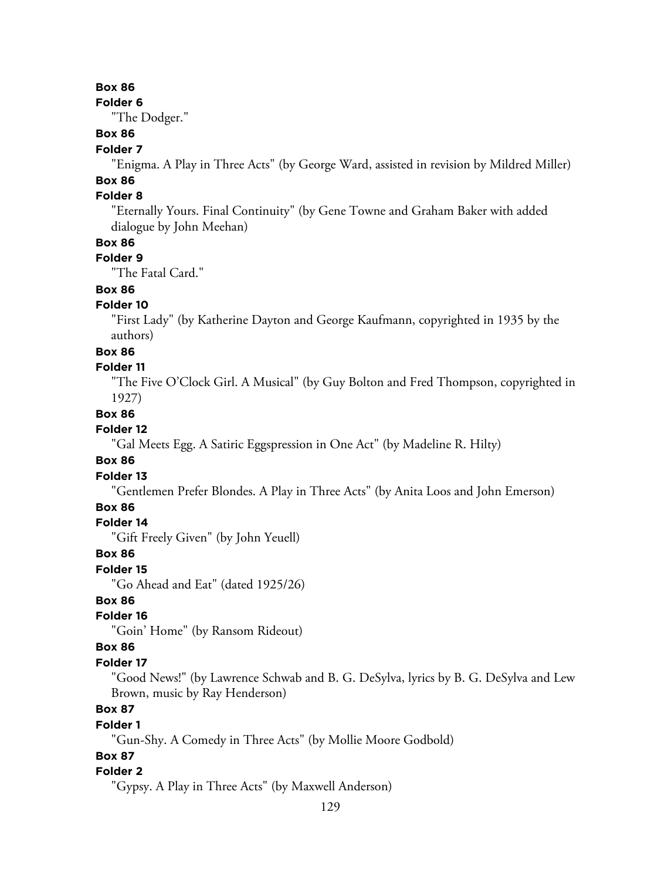**Folder 6**

"The Dodger."

# **Box 86**

### **Folder 7**

"Enigma. A Play in Three Acts" (by George Ward, assisted in revision by Mildred Miller)

#### **Box 86 Folder 8**

"Eternally Yours. Final Continuity" (by Gene Towne and Graham Baker with added dialogue by John Meehan)

### **Box 86**

# **Folder 9**

"The Fatal Card."

# **Box 86**

# **Folder 10**

"First Lady" (by Katherine Dayton and George Kaufmann, copyrighted in 1935 by the authors)

#### **Box 86**

#### **Folder 11**

"The Five O'Clock Girl. A Musical" (by Guy Bolton and Fred Thompson, copyrighted in 1927)

### **Box 86**

# **Folder 12**

"Gal Meets Egg. A Satiric Eggspression in One Act" (by Madeline R. Hilty)

### **Box 86**

### **Folder 13**

"Gentlemen Prefer Blondes. A Play in Three Acts" (by Anita Loos and John Emerson)

# **Box 86**

#### **Folder 14**

"Gift Freely Given" (by John Yeuell)

### **Box 86**

# **Folder 15**

"Go Ahead and Eat" (dated 1925/26)

# **Box 86**

# **Folder 16**

"Goin' Home" (by Ransom Rideout)

#### **Box 86**

#### **Folder 17**

"Good News!" (by Lawrence Schwab and B. G. DeSylva, lyrics by B. G. DeSylva and Lew Brown, music by Ray Henderson)

# **Box 87**

#### **Folder 1**

"Gun-Shy. A Comedy in Three Acts" (by Mollie Moore Godbold)

# **Box 87**

#### **Folder 2**

"Gypsy. A Play in Three Acts" (by Maxwell Anderson)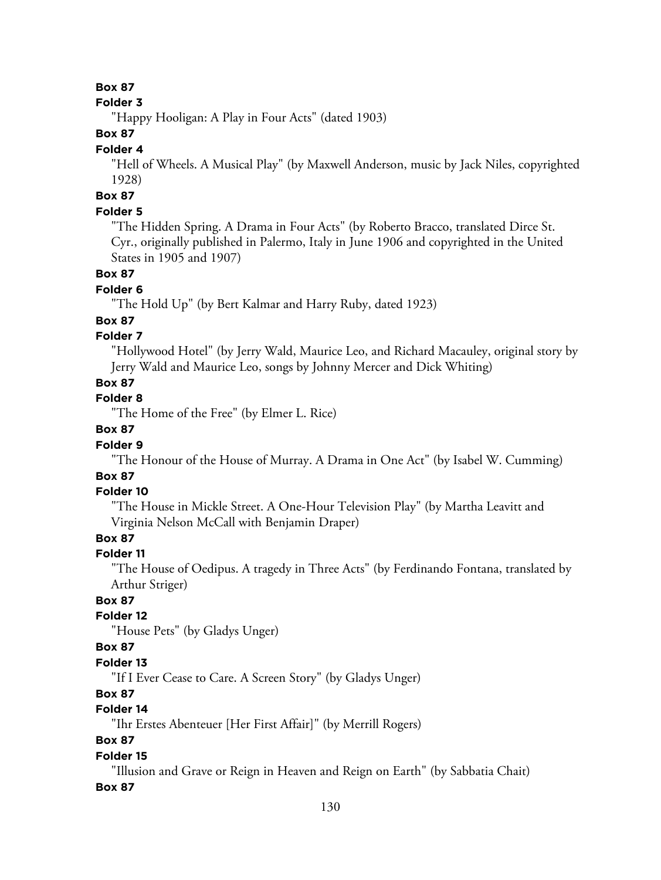### **Folder 3**

"Happy Hooligan: A Play in Four Acts" (dated 1903)

# **Box 87**

### **Folder 4**

"Hell of Wheels. A Musical Play" (by Maxwell Anderson, music by Jack Niles, copyrighted 1928)

# **Box 87**

# **Folder 5**

"The Hidden Spring. A Drama in Four Acts" (by Roberto Bracco, translated Dirce St. Cyr., originally published in Palermo, Italy in June 1906 and copyrighted in the United States in 1905 and 1907)

# **Box 87**

### **Folder 6**

"The Hold Up" (by Bert Kalmar and Harry Ruby, dated 1923)

# **Box 87**

# **Folder 7**

"Hollywood Hotel" (by Jerry Wald, Maurice Leo, and Richard Macauley, original story by Jerry Wald and Maurice Leo, songs by Johnny Mercer and Dick Whiting)

# **Box 87**

# **Folder 8**

"The Home of the Free" (by Elmer L. Rice)

# **Box 87**

# **Folder 9**

"The Honour of the House of Murray. A Drama in One Act" (by Isabel W. Cumming)

# **Box 87**

# **Folder 10**

"The House in Mickle Street. A One-Hour Television Play" (by Martha Leavitt and Virginia Nelson McCall with Benjamin Draper)

# **Box 87**

# **Folder 11**

"The House of Oedipus. A tragedy in Three Acts" (by Ferdinando Fontana, translated by Arthur Striger)

# **Box 87**

# **Folder 12**

"House Pets" (by Gladys Unger)

# **Box 87**

# **Folder 13**

"If I Ever Cease to Care. A Screen Story" (by Gladys Unger)

# **Box 87**

# **Folder 14**

"Ihr Erstes Abenteuer [Her First Affair]" (by Merrill Rogers)

# **Box 87**

# **Folder 15**

"Illusion and Grave or Reign in Heaven and Reign on Earth" (by Sabbatia Chait)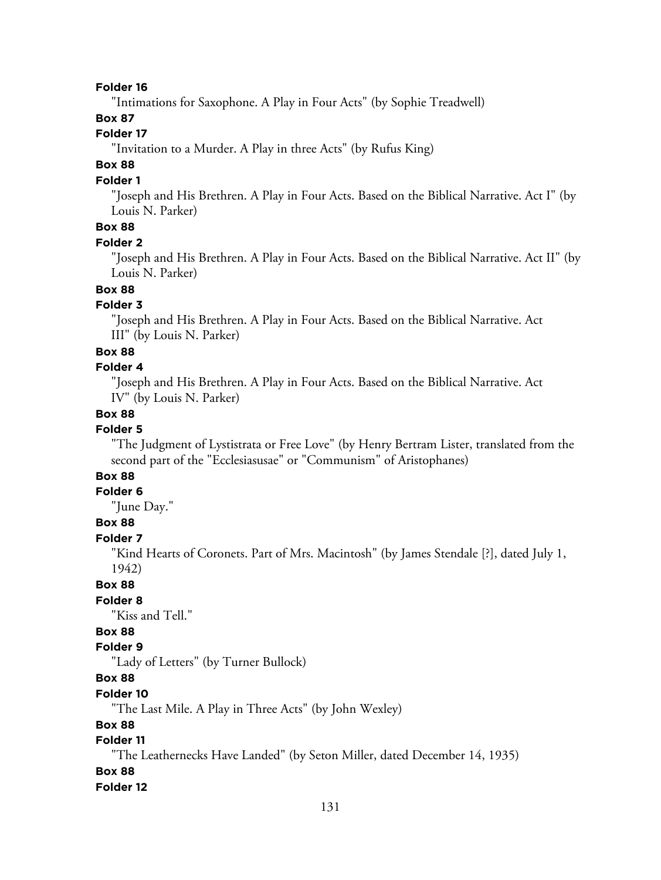"Intimations for Saxophone. A Play in Four Acts" (by Sophie Treadwell)

### **Box 87**

# **Folder 17**

"Invitation to a Murder. A Play in three Acts" (by Rufus King)

# **Box 88**

#### **Folder 1**

"Joseph and His Brethren. A Play in Four Acts. Based on the Biblical Narrative. Act I" (by Louis N. Parker)

# **Box 88**

#### **Folder 2**

"Joseph and His Brethren. A Play in Four Acts. Based on the Biblical Narrative. Act II" (by Louis N. Parker)

# **Box 88**

### **Folder 3**

"Joseph and His Brethren. A Play in Four Acts. Based on the Biblical Narrative. Act III" (by Louis N. Parker)

### **Box 88**

#### **Folder 4**

"Joseph and His Brethren. A Play in Four Acts. Based on the Biblical Narrative. Act IV" (by Louis N. Parker)

#### **Box 88**

# **Folder 5**

"The Judgment of Lystistrata or Free Love" (by Henry Bertram Lister, translated from the second part of the "Ecclesiasusae" or "Communism" of Aristophanes)

# **Box 88**

# **Folder 6**

"June Day."

# **Box 88**

**Folder 7**

"Kind Hearts of Coronets. Part of Mrs. Macintosh" (by James Stendale [?], dated July 1, 1942)

# **Box 88**

# **Folder 8**

"Kiss and Tell."

# **Box 88**

# **Folder 9**

"Lady of Letters" (by Turner Bullock)

# **Box 88**

**Folder 10**

"The Last Mile. A Play in Three Acts" (by John Wexley)

#### **Box 88**

# **Folder 11**

"The Leathernecks Have Landed" (by Seton Miller, dated December 14, 1935)

#### **Box 88**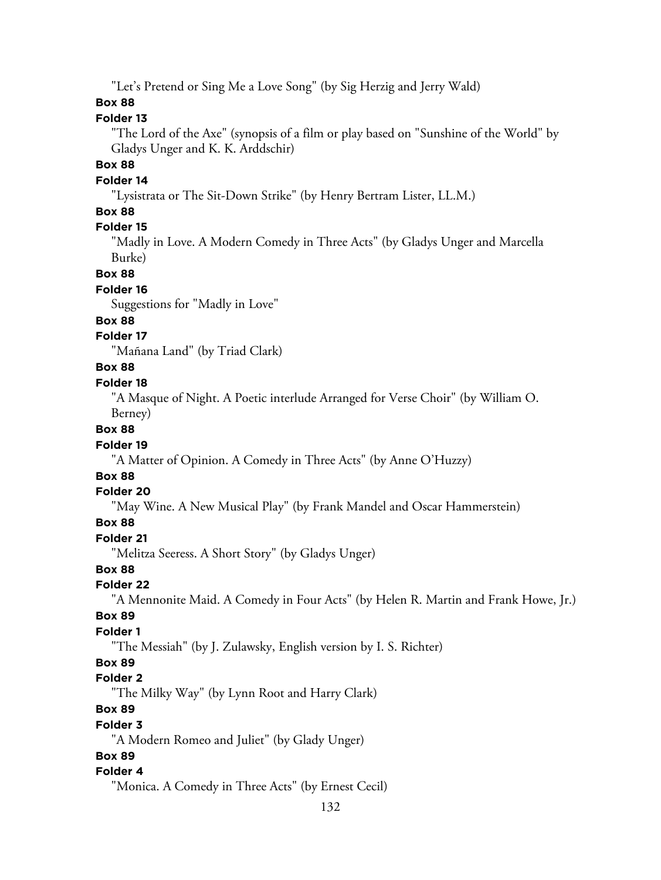"Let's Pretend or Sing Me a Love Song" (by Sig Herzig and Jerry Wald)

### **Box 88**

# **Folder 13**

"The Lord of the Axe" (synopsis of a film or play based on "Sunshine of the World" by Gladys Unger and K. K. Arddschir)

# **Box 88**

# **Folder 14**

"Lysistrata or The Sit-Down Strike" (by Henry Bertram Lister, LL.M.)

# **Box 88**

# **Folder 15**

"Madly in Love. A Modern Comedy in Three Acts" (by Gladys Unger and Marcella Burke)

#### **Box 88**

#### **Folder 16**

Suggestions for "Madly in Love"

#### **Box 88**

# **Folder 17**

"Mañana Land" (by Triad Clark)

# **Box 88**

#### **Folder 18**

"A Masque of Night. A Poetic interlude Arranged for Verse Choir" (by William O. Berney)

#### **Box 88**

#### **Folder 19**

"A Matter of Opinion. A Comedy in Three Acts" (by Anne O'Huzzy)

# **Box 88**

#### **Folder 20**

"May Wine. A New Musical Play" (by Frank Mandel and Oscar Hammerstein)

### **Box 88**

# **Folder 21**

"Melitza Seeress. A Short Story" (by Gladys Unger)

# **Box 88**

#### **Folder 22**

"A Mennonite Maid. A Comedy in Four Acts" (by Helen R. Martin and Frank Howe, Jr.)

#### **Box 89**

#### **Folder 1**

"The Messiah" (by J. Zulawsky, English version by I. S. Richter)

### **Box 89**

#### **Folder 2**

"The Milky Way" (by Lynn Root and Harry Clark)

# **Box 89**

#### **Folder 3**

"A Modern Romeo and Juliet" (by Glady Unger)

# **Box 89**

#### **Folder 4**

"Monica. A Comedy in Three Acts" (by Ernest Cecil)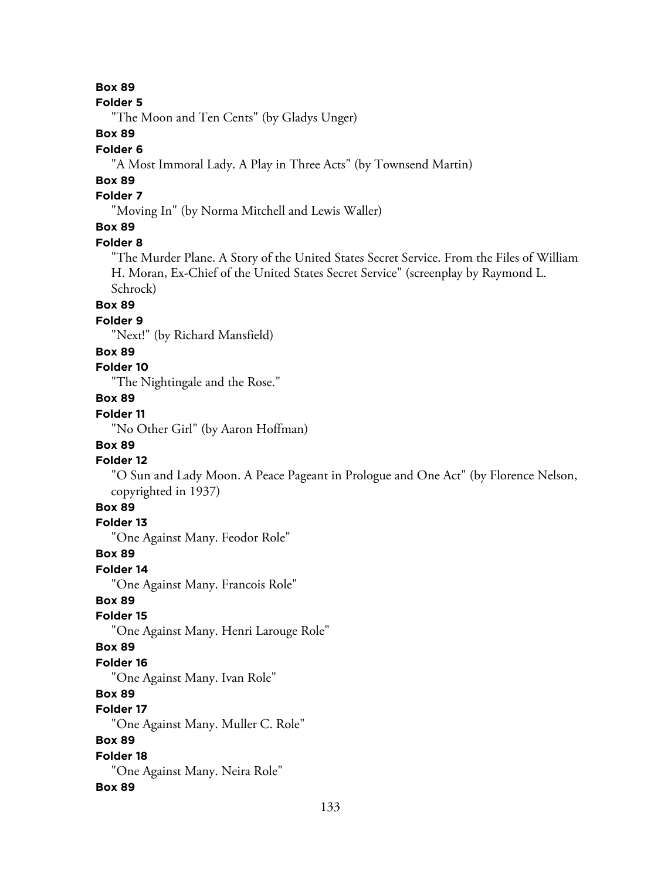#### **Folder 5**

"The Moon and Ten Cents" (by Gladys Unger)

# **Box 89**

#### **Folder 6**

"A Most Immoral Lady. A Play in Three Acts" (by Townsend Martin)

# **Box 89**

# **Folder 7**

"Moving In" (by Norma Mitchell and Lewis Waller)

# **Box 89**

#### **Folder 8**

"The Murder Plane. A Story of the United States Secret Service. From the Files of William H. Moran, Ex-Chief of the United States Secret Service" (screenplay by Raymond L. Schrock)

# **Box 89**

# **Folder 9**

"Next!" (by Richard Mansfield)

### **Box 89**

# **Folder 10**

"The Nightingale and the Rose."

# **Box 89**

# **Folder 11**

"No Other Girl" (by Aaron Hoffman)

# **Box 89**

#### **Folder 12**

"O Sun and Lady Moon. A Peace Pageant in Prologue and One Act" (by Florence Nelson, copyrighted in 1937)

# **Box 89**

# **Folder 13**

"One Against Many. Feodor Role"

#### **Box 89**

### **Folder 14**

"One Against Many. Francois Role"

# **Box 89**

### **Folder 15**

"One Against Many. Henri Larouge Role"

#### **Box 89**

#### **Folder 16**

"One Against Many. Ivan Role"

# **Box 89**

# **Folder 17**

"One Against Many. Muller C. Role"

# **Box 89**

#### **Folder 18** "One Against Many. Neira Role"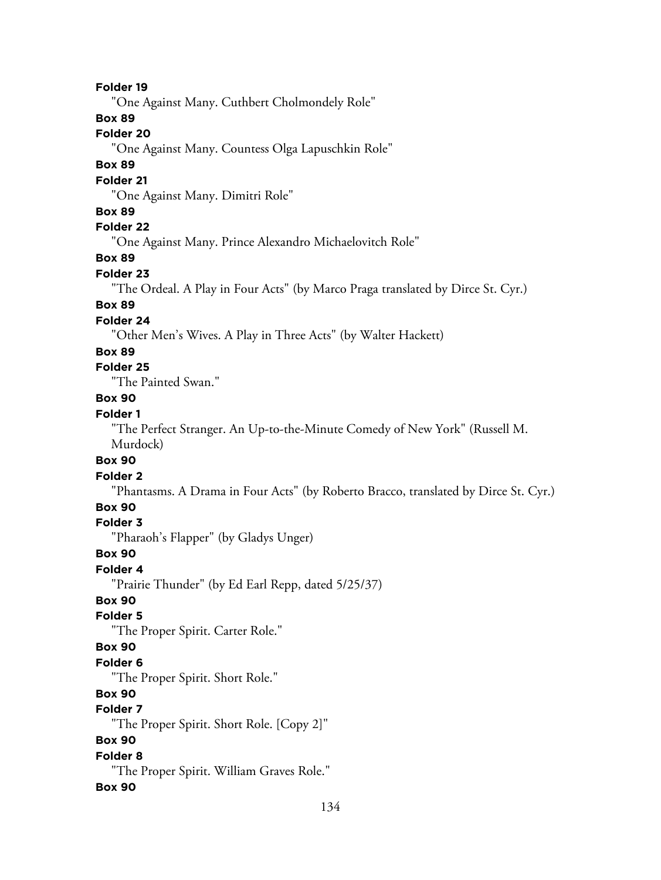"One Against Many. Cuthbert Cholmondely Role"

# **Box 89**

### **Folder 20**

"One Against Many. Countess Olga Lapuschkin Role"

# **Box 89**

# **Folder 21**

"One Against Many. Dimitri Role"

#### **Box 89**

# **Folder 22**

"One Against Many. Prince Alexandro Michaelovitch Role"

# **Box 89**

### **Folder 23**

"The Ordeal. A Play in Four Acts" (by Marco Praga translated by Dirce St. Cyr.)

### **Box 89**

#### **Folder 24**

"Other Men's Wives. A Play in Three Acts" (by Walter Hackett)

#### **Box 89**

# **Folder 25**

"The Painted Swan."

# **Box 90**

# **Folder 1**

"The Perfect Stranger. An Up-to-the-Minute Comedy of New York" (Russell M. Murdock)

# **Box 90**

#### **Folder 2**

"Phantasms. A Drama in Four Acts" (by Roberto Bracco, translated by Dirce St. Cyr.)

### **Box 90**

#### **Folder 3**

"Pharaoh's Flapper" (by Gladys Unger)

### **Box 90**

### **Folder 4**

"Prairie Thunder" (by Ed Earl Repp, dated 5/25/37)

### **Box 90**

#### **Folder 5**

"The Proper Spirit. Carter Role."

# **Box 90**

#### **Folder 6**

"The Proper Spirit. Short Role."

# **Box 90**

# **Folder 7**

"The Proper Spirit. Short Role. [Copy 2]"

# **Box 90**

# **Folder 8**

"The Proper Spirit. William Graves Role."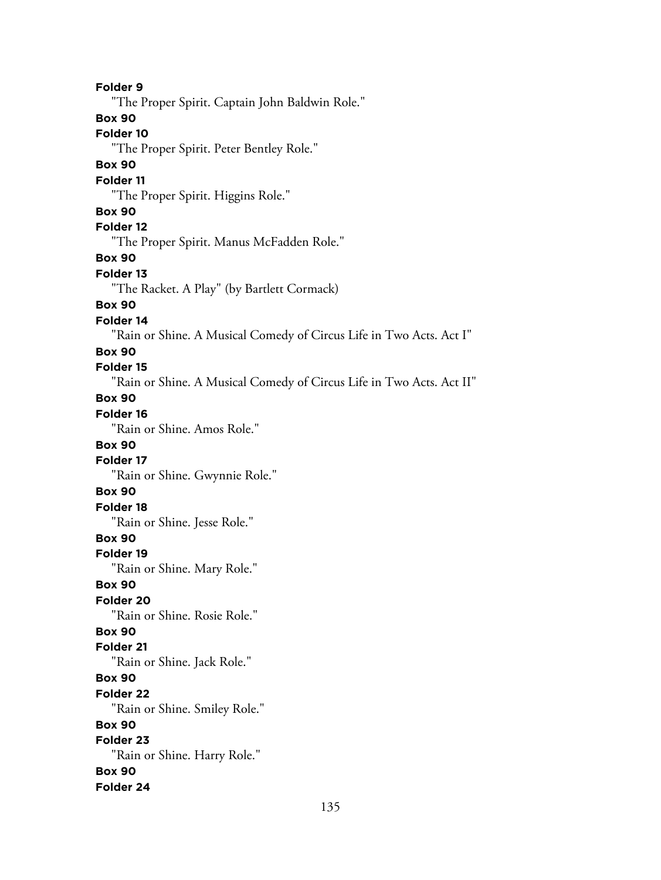**Folder 9** "The Proper Spirit. Captain John Baldwin Role." **Box 90 Folder 10** "The Proper Spirit. Peter Bentley Role." **Box 90 Folder 11** "The Proper Spirit. Higgins Role." **Box 90 Folder 12** "The Proper Spirit. Manus McFadden Role." **Box 90 Folder 13** "The Racket. A Play" (by Bartlett Cormack) **Box 90 Folder 14** "Rain or Shine. A Musical Comedy of Circus Life in Two Acts. Act I" **Box 90 Folder 15** "Rain or Shine. A Musical Comedy of Circus Life in Two Acts. Act II" **Box 90 Folder 16** "Rain or Shine. Amos Role." **Box 90 Folder 17** "Rain or Shine. Gwynnie Role." **Box 90 Folder 18** "Rain or Shine. Jesse Role." **Box 90 Folder 19** "Rain or Shine. Mary Role." **Box 90 Folder 20** "Rain or Shine. Rosie Role." **Box 90 Folder 21** "Rain or Shine. Jack Role." **Box 90 Folder 22** "Rain or Shine. Smiley Role." **Box 90 Folder 23** "Rain or Shine. Harry Role." **Box 90 Folder 24**

135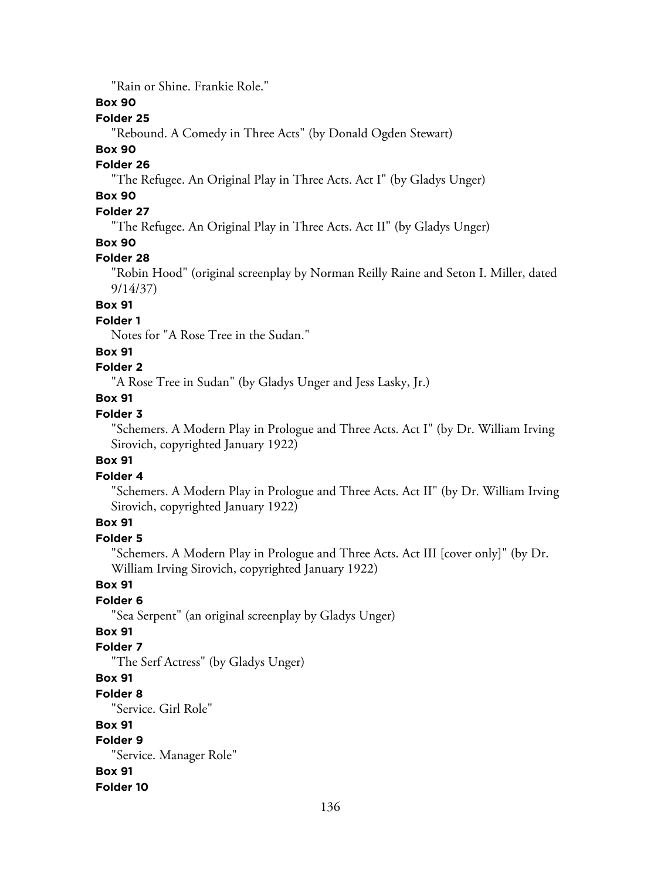"Rain or Shine. Frankie Role."

# **Box 90**

# **Folder 25**

"Rebound. A Comedy in Three Acts" (by Donald Ogden Stewart)

# **Box 90**

# **Folder 26**

"The Refugee. An Original Play in Three Acts. Act I" (by Gladys Unger)

# **Box 90**

# **Folder 27**

"The Refugee. An Original Play in Three Acts. Act II" (by Gladys Unger)

# **Box 90**

# **Folder 28**

"Robin Hood" (original screenplay by Norman Reilly Raine and Seton I. Miller, dated 9/14/37)

# **Box 91**

### **Folder 1**

Notes for "A Rose Tree in the Sudan."

# **Box 91**

# **Folder 2**

"A Rose Tree in Sudan" (by Gladys Unger and Jess Lasky, Jr.)

# **Box 91**

# **Folder 3**

"Schemers. A Modern Play in Prologue and Three Acts. Act I" (by Dr. William Irving Sirovich, copyrighted January 1922)

### **Box 91**

# **Folder 4**

"Schemers. A Modern Play in Prologue and Three Acts. Act II" (by Dr. William Irving Sirovich, copyrighted January 1922)

# **Box 91**

# **Folder 5**

"Schemers. A Modern Play in Prologue and Three Acts. Act III [cover only]" (by Dr. William Irving Sirovich, copyrighted January 1922)

# **Box 91**

# **Folder 6**

"Sea Serpent" (an original screenplay by Gladys Unger)

# **Box 91**

### **Folder 7**

"The Serf Actress" (by Gladys Unger)

# **Box 91**

### **Folder 8**

"Service. Girl Role"

# **Box 91**

# **Folder 9**

"Service. Manager Role"

# **Box 91**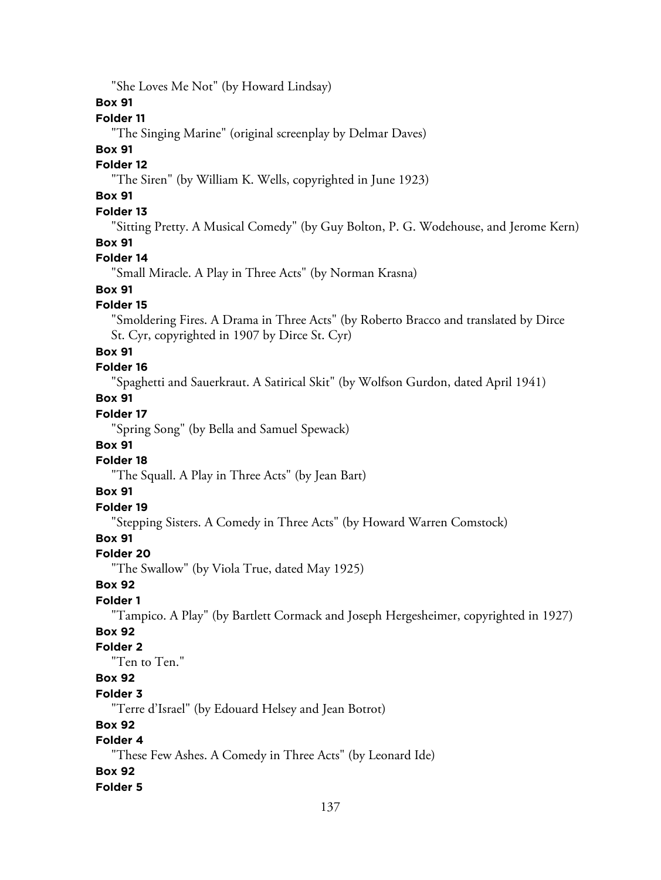"She Loves Me Not" (by Howard Lindsay)

# **Box 91**

# **Folder 11**

"The Singing Marine" (original screenplay by Delmar Daves)

# **Box 91**

# **Folder 12**

"The Siren" (by William K. Wells, copyrighted in June 1923)

# **Box 91**

# **Folder 13**

"Sitting Pretty. A Musical Comedy" (by Guy Bolton, P. G. Wodehouse, and Jerome Kern) **Box 91**

# **Folder 14**

"Small Miracle. A Play in Three Acts" (by Norman Krasna)

# **Box 91**

# **Folder 15**

"Smoldering Fires. A Drama in Three Acts" (by Roberto Bracco and translated by Dirce St. Cyr, copyrighted in 1907 by Dirce St. Cyr)

### **Box 91**

# **Folder 16**

"Spaghetti and Sauerkraut. A Satirical Skit" (by Wolfson Gurdon, dated April 1941)

# **Box 91**

# **Folder 17**

"Spring Song" (by Bella and Samuel Spewack)

### **Box 91**

# **Folder 18**

"The Squall. A Play in Three Acts" (by Jean Bart)

# **Box 91**

# **Folder 19**

"Stepping Sisters. A Comedy in Three Acts" (by Howard Warren Comstock)

# **Box 91**

# **Folder 20**

"The Swallow" (by Viola True, dated May 1925)

# **Box 92**

# **Folder 1**

"Tampico. A Play" (by Bartlett Cormack and Joseph Hergesheimer, copyrighted in 1927)

# **Box 92**

# **Folder 2**

"Ten to Ten."

# **Box 92**

### **Folder 3**

"Terre d'Israel" (by Edouard Helsey and Jean Botrot)

# **Box 92**

# **Folder 4**

"These Few Ashes. A Comedy in Three Acts" (by Leonard Ide)

# **Box 92**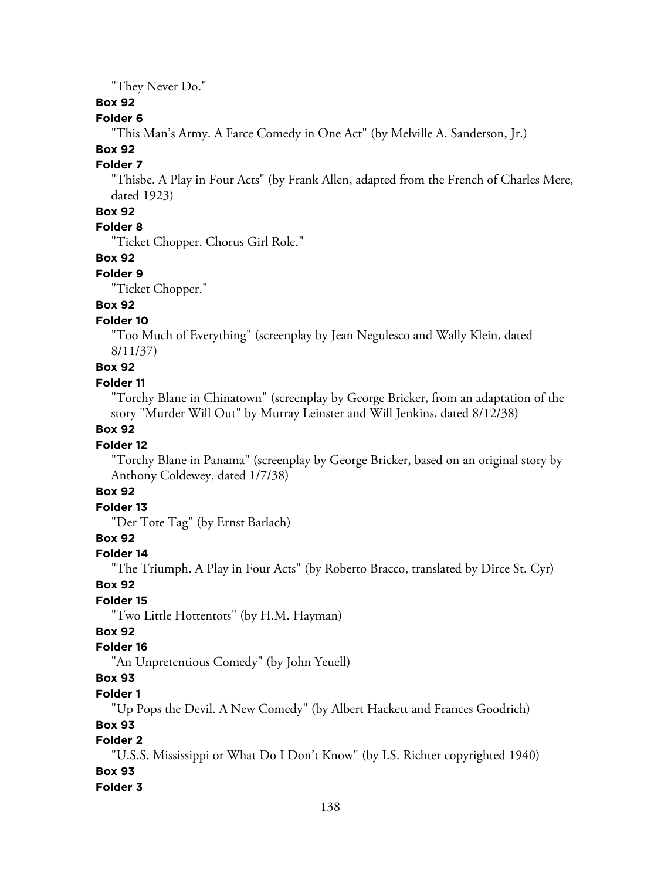"They Never Do."

# **Box 92**

# **Folder 6**

"This Man's Army. A Farce Comedy in One Act" (by Melville A. Sanderson, Jr.)

# **Box 92**

# **Folder 7**

"Thisbe. A Play in Four Acts" (by Frank Allen, adapted from the French of Charles Mere, dated 1923)

# **Box 92**

# **Folder 8**

"Ticket Chopper. Chorus Girl Role."

# **Box 92**

### **Folder 9**

"Ticket Chopper."

# **Box 92**

# **Folder 10**

"Too Much of Everything" (screenplay by Jean Negulesco and Wally Klein, dated 8/11/37)

**Box 92**

# **Folder 11**

"Torchy Blane in Chinatown" (screenplay by George Bricker, from an adaptation of the story "Murder Will Out" by Murray Leinster and Will Jenkins, dated 8/12/38)

# **Box 92**

# **Folder 12**

"Torchy Blane in Panama" (screenplay by George Bricker, based on an original story by Anthony Coldewey, dated 1/7/38)

# **Box 92**

# **Folder 13**

"Der Tote Tag" (by Ernst Barlach)

# **Box 92**

# **Folder 14**

"The Triumph. A Play in Four Acts" (by Roberto Bracco, translated by Dirce St. Cyr)

# **Box 92**

# **Folder 15**

"Two Little Hottentots" (by H.M. Hayman)

# **Box 92**

# **Folder 16**

"An Unpretentious Comedy" (by John Yeuell)

# **Box 93**

# **Folder 1**

"Up Pops the Devil. A New Comedy" (by Albert Hackett and Frances Goodrich)

# **Box 93**

# **Folder 2**

"U.S.S. Mississippi or What Do I Don't Know" (by I.S. Richter copyrighted 1940)

# **Box 93**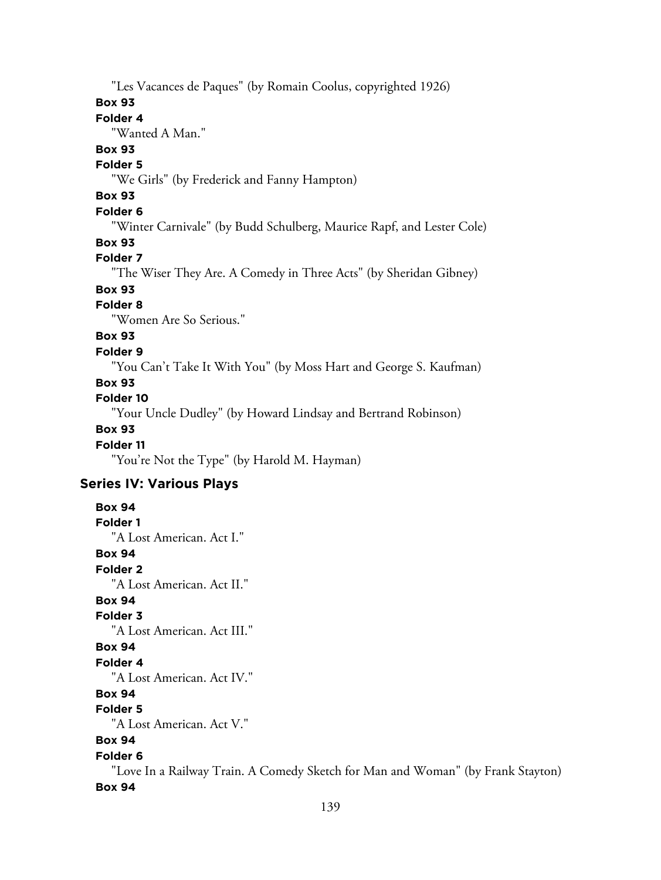"Les Vacances de Paques" (by Romain Coolus, copyrighted 1926)

### **Box 93**

# **Folder 4**

"Wanted A Man."

### **Box 93**

#### **Folder 5**

"We Girls" (by Frederick and Fanny Hampton)

# **Box 93**

# **Folder 6**

"Winter Carnivale" (by Budd Schulberg, Maurice Rapf, and Lester Cole)

### **Box 93**

# **Folder 7**

"The Wiser They Are. A Comedy in Three Acts" (by Sheridan Gibney)

# **Box 93**

# **Folder 8**

"Women Are So Serious."

# **Box 93**

# **Folder 9**

"You Can't Take It With You" (by Moss Hart and George S. Kaufman)

# **Box 93**

# **Folder 10**

"Your Uncle Dudley" (by Howard Lindsay and Bertrand Robinson)

# **Box 93**

### **Folder 11**

"You're Not the Type" (by Harold M. Hayman)

# **Series IV: Various Plays**

**Box 94 Folder 1** "A Lost American. Act I." **Box 94 Folder 2** "A Lost American. Act II." **Box 94 Folder 3**

"A Lost American. Act III."

# **Box 94**

# **Folder 4**

"A Lost American. Act IV."

# **Box 94**

# **Folder 5**

"A Lost American. Act V."

# **Box 94**

# **Folder 6**

"Love In a Railway Train. A Comedy Sketch for Man and Woman" (by Frank Stayton) **Box 94**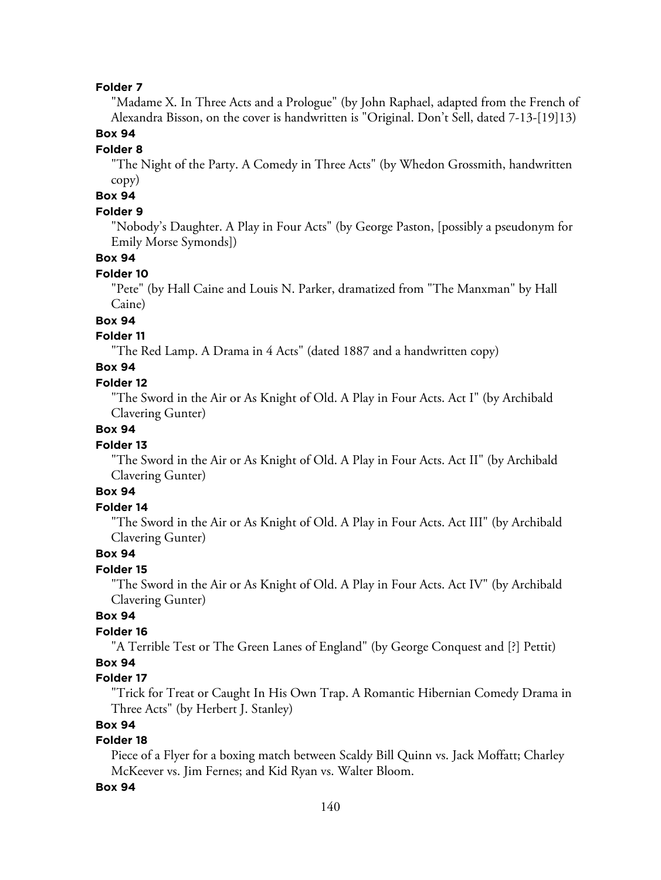"Madame X. In Three Acts and a Prologue" (by John Raphael, adapted from the French of Alexandra Bisson, on the cover is handwritten is "Original. Don't Sell, dated 7-13-[19]13)

### **Box 94**

#### **Folder 8**

"The Night of the Party. A Comedy in Three Acts" (by Whedon Grossmith, handwritten copy)

# **Box 94**

### **Folder 9**

"Nobody's Daughter. A Play in Four Acts" (by George Paston, [possibly a pseudonym for Emily Morse Symonds])

#### **Box 94**

#### **Folder 10**

"Pete" (by Hall Caine and Louis N. Parker, dramatized from "The Manxman" by Hall Caine)

# **Box 94**

### **Folder 11**

"The Red Lamp. A Drama in 4 Acts" (dated 1887 and a handwritten copy)

# **Box 94**

#### **Folder 12**

"The Sword in the Air or As Knight of Old. A Play in Four Acts. Act I" (by Archibald Clavering Gunter)

# **Box 94**

#### **Folder 13**

"The Sword in the Air or As Knight of Old. A Play in Four Acts. Act II" (by Archibald Clavering Gunter)

# **Box 94**

### **Folder 14**

"The Sword in the Air or As Knight of Old. A Play in Four Acts. Act III" (by Archibald Clavering Gunter)

# **Box 94**

### **Folder 15**

"The Sword in the Air or As Knight of Old. A Play in Four Acts. Act IV" (by Archibald Clavering Gunter)

# **Box 94**

### **Folder 16**

"A Terrible Test or The Green Lanes of England" (by George Conquest and [?] Pettit)

# **Box 94**

### **Folder 17**

"Trick for Treat or Caught In His Own Trap. A Romantic Hibernian Comedy Drama in Three Acts" (by Herbert J. Stanley)

# **Box 94**

# **Folder 18**

Piece of a Flyer for a boxing match between Scaldy Bill Quinn vs. Jack Moffatt; Charley McKeever vs. Jim Fernes; and Kid Ryan vs. Walter Bloom.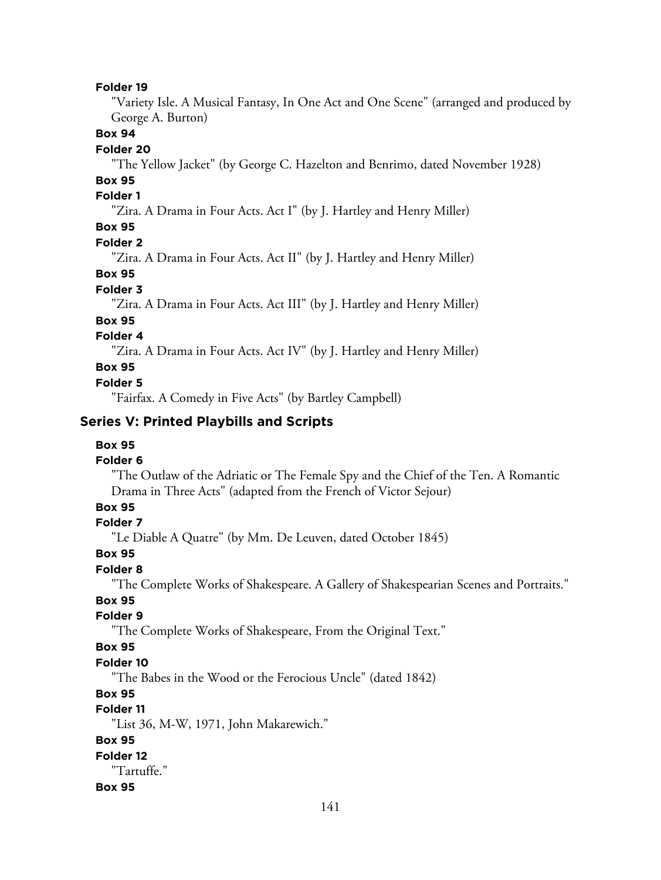"Variety Isle. A Musical Fantasy, In One Act and One Scene" (arranged and produced by George A. Burton)

# **Box 94**

#### **Folder 20**

"The Yellow Jacket" (by George C. Hazelton and Benrimo, dated November 1928)

# **Box 95**

# **Folder 1**

"Zira. A Drama in Four Acts. Act I" (by J. Hartley and Henry Miller)

# **Box 95**

#### **Folder 2**

"Zira. A Drama in Four Acts. Act II" (by J. Hartley and Henry Miller)

# **Box 95**

### **Folder 3**

"Zira. A Drama in Four Acts. Act III" (by J. Hartley and Henry Miller)

### **Box 95**

# **Folder 4**

"Zira. A Drama in Four Acts. Act IV" (by J. Hartley and Henry Miller)

# **Box 95**

### **Folder 5**

"Fairfax. A Comedy in Five Acts" (by Bartley Campbell)

# **Series V: Printed Playbills and Scripts**

#### **Box 95**

#### **Folder 6**

"The Outlaw of the Adriatic or The Female Spy and the Chief of the Ten. A Romantic Drama in Three Acts" (adapted from the French of Victor Sejour)

# **Box 95**

#### **Folder 7**

"Le Diable A Quatre" (by Mm. De Leuven, dated October 1845)

#### **Box 95**

### **Folder 8**

"The Complete Works of Shakespeare. A Gallery of Shakespearian Scenes and Portraits."

#### **Box 95**

### **Folder 9**

"The Complete Works of Shakespeare, From the Original Text."

#### **Box 95**

#### **Folder 10**

"The Babes in the Wood or the Ferocious Uncle" (dated 1842)

# **Box 95**

# **Folder 11**

"List 36, M-W, 1971, John Makarewich."

# **Box 95**

# **Folder 12**

"Tartuffe."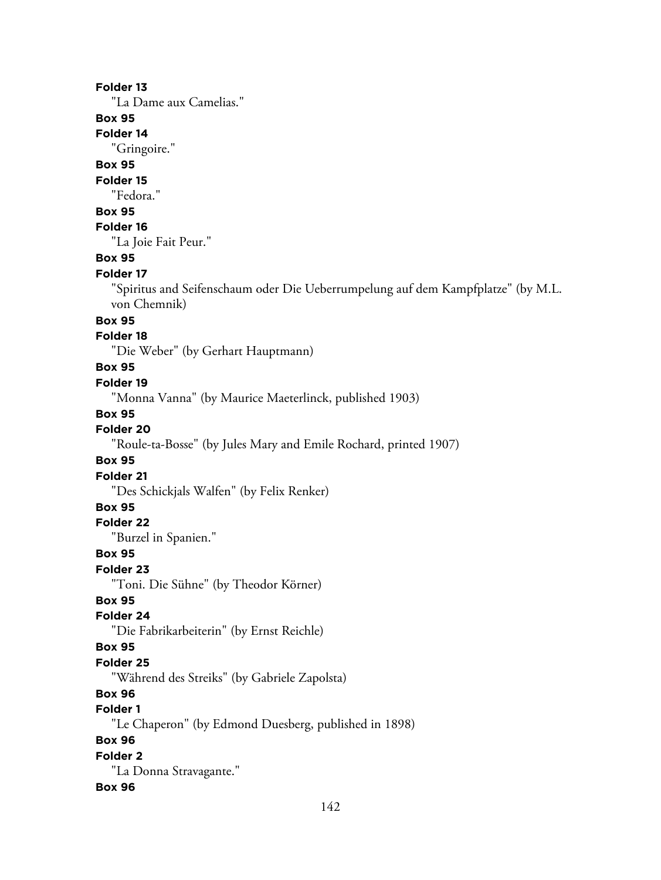"La Dame aux Camelias."

# **Box 95**

**Folder 14**

"Gringoire."

# **Box 95**

**Folder 15**

"Fedora."

# **Box 95**

# **Folder 16**

"La Joie Fait Peur."

# **Box 95**

#### **Folder 17**

"Spiritus and Seifenschaum oder Die Ueberrumpelung auf dem Kampfplatze" (by M.L. von Chemnik)

# **Box 95**

# **Folder 18**

"Die Weber" (by Gerhart Hauptmann)

### **Box 95**

### **Folder 19**

"Monna Vanna" (by Maurice Maeterlinck, published 1903)

#### **Box 95**

# **Folder 20**

"Roule-ta-Bosse" (by Jules Mary and Emile Rochard, printed 1907)

# **Box 95**

**Folder 21**

"Des Schickjals Walfen" (by Felix Renker)

# **Box 95**

**Folder 22**

"Burzel in Spanien."

### **Box 95**

**Folder 23**

"Toni. Die Sühne" (by Theodor Körner)

# **Box 95**

# **Folder 24**

"Die Fabrikarbeiterin" (by Ernst Reichle)

#### **Box 95**

#### **Folder 25**

"Während des Streiks" (by Gabriele Zapolsta)

# **Box 96**

# **Folder 1**

"Le Chaperon" (by Edmond Duesberg, published in 1898)

# **Box 96**

# **Folder 2**

"La Donna Stravagante."